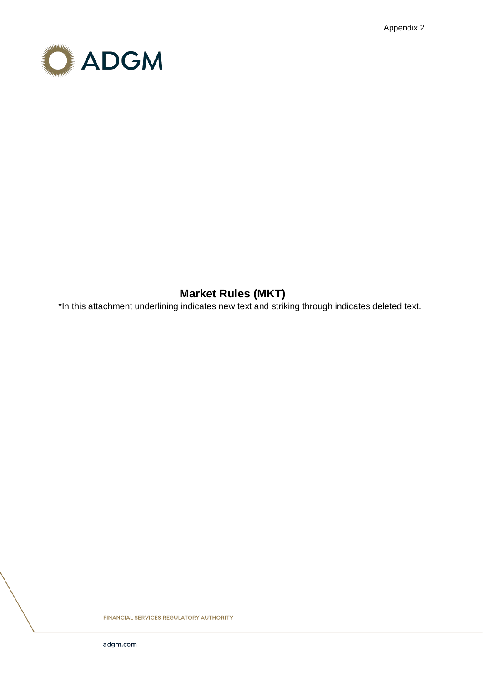Appendix 2



# **Market Rules (MKT)**

\*In this attachment underlining indicates new text and striking through indicates deleted text.

**FINANCIAL SERVICES REGULATORY AUTHORITY**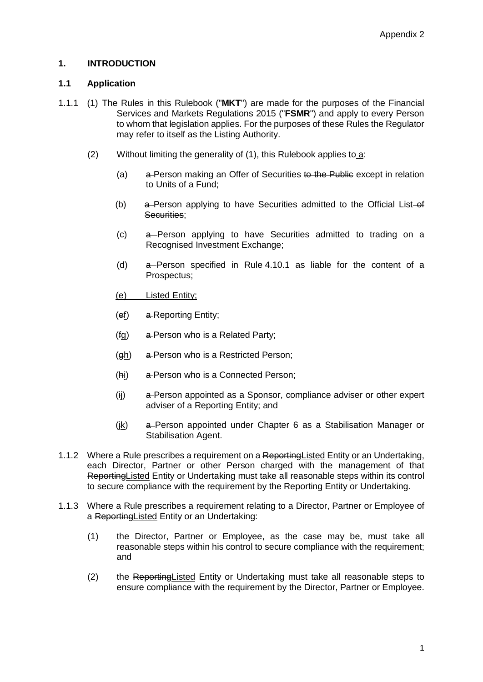# **1. INTRODUCTION**

# **1.1 Application**

- 1.1.1 (1) The Rules in this Rulebook ("**MKT**") are made for the purposes of the Financial Services and Markets Regulations 2015 ("**FSMR**") and apply to every Person to whom that legislation applies. For the purposes of these Rules the Regulator may refer to itself as the Listing Authority.
	- (2) Without limiting the generality of (1), this Rulebook applies to a:
		- (a)  $a$ -Person making an Offer of Securities to the Public except in relation to Units of a Fund;
		- (b)  $a$ -Person applying to have Securities admitted to the Official List-of Securities:
		- (c) a Person applying to have Securities admitted to trading on a Recognised Investment Exchange;
		- (d) a Person specified in Rule 4.10.1 as liable for the content of a Prospectus;
		- (e) Listed Entity;
		- (ef) a Reporting Entity;
		- $(fg)$  a-Person who is a Related Party;
		- $(gh)$  a-Person who is a Restricted Person;
		- (hi) a-Person who is a Connected Person;
		- (ii) a-Person appointed as a Sponsor, compliance adviser or other expert adviser of a Reporting Entity; and
		- (jk) a Person appointed under Chapter 6 as a Stabilisation Manager or Stabilisation Agent.
- 1.1.2 Where a Rule prescribes a requirement on a Reporting Listed Entity or an Undertaking, each Director, Partner or other Person charged with the management of that Reporting Listed Entity or Undertaking must take all reasonable steps within its control to secure compliance with the requirement by the Reporting Entity or Undertaking.
- 1.1.3 Where a Rule prescribes a requirement relating to a Director, Partner or Employee of a ReportingListed Entity or an Undertaking:
	- (1) the Director, Partner or Employee, as the case may be, must take all reasonable steps within his control to secure compliance with the requirement; and
	- (2) the Reporting Listed Entity or Undertaking must take all reasonable steps to ensure compliance with the requirement by the Director, Partner or Employee.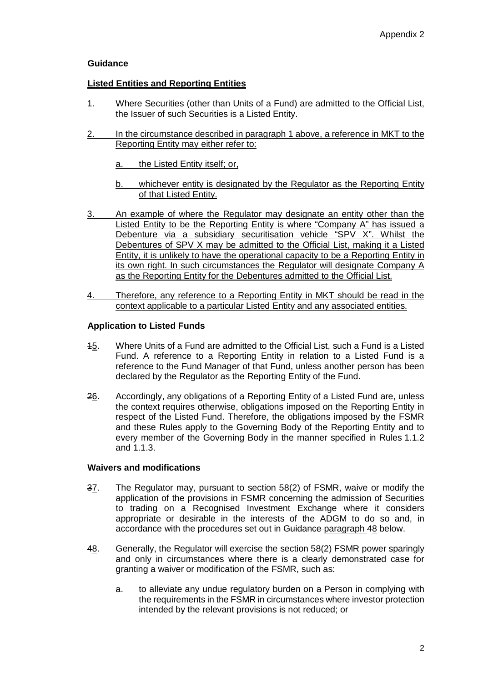# **Guidance**

# **Listed Entities and Reporting Entities**

- 1. Where Securities (other than Units of a Fund) are admitted to the Official List, the Issuer of such Securities is a Listed Entity.
- 2. In the circumstance described in paragraph 1 above, a reference in MKT to the Reporting Entity may either refer to:
	- a. the Listed Entity itself; or,
	- b. whichever entity is designated by the Regulator as the Reporting Entity of that Listed Entity.
- 3. An example of where the Regulator may designate an entity other than the Listed Entity to be the Reporting Entity is where "Company A" has issued a Debenture via a subsidiary securitisation vehicle "SPV X". Whilst the Debentures of SPV X may be admitted to the Official List, making it a Listed Entity, it is unlikely to have the operational capacity to be a Reporting Entity in its own right. In such circumstances the Regulator will designate Company A as the Reporting Entity for the Debentures admitted to the Official List.
- 4. Therefore, any reference to a Reporting Entity in MKT should be read in the context applicable to a particular Listed Entity and any associated entities.

#### **Application to Listed Funds**

- 15. Where Units of a Fund are admitted to the Official List, such a Fund is a Listed Fund. A reference to a Reporting Entity in relation to a Listed Fund is a reference to the Fund Manager of that Fund, unless another person has been declared by the Regulator as the Reporting Entity of the Fund.
- 26. Accordingly, any obligations of a Reporting Entity of a Listed Fund are, unless the context requires otherwise, obligations imposed on the Reporting Entity in respect of the Listed Fund. Therefore, the obligations imposed by the FSMR and these Rules apply to the Governing Body of the Reporting Entity and to every member of the Governing Body in the manner specified in Rules 1.1.2 and 1.1.3.

### **Waivers and modifications**

- 37. The Regulator may, pursuant to section 58(2) of FSMR, waive or modify the application of the provisions in FSMR concerning the admission of Securities to trading on a Recognised Investment Exchange where it considers appropriate or desirable in the interests of the ADGM to do so and, in accordance with the procedures set out in Guidance-paragraph 48 below.
- 48. Generally, the Regulator will exercise the section 58(2) FSMR power sparingly and only in circumstances where there is a clearly demonstrated case for granting a waiver or modification of the FSMR, such as:
	- a. to alleviate any undue regulatory burden on a Person in complying with the requirements in the FSMR in circumstances where investor protection intended by the relevant provisions is not reduced; or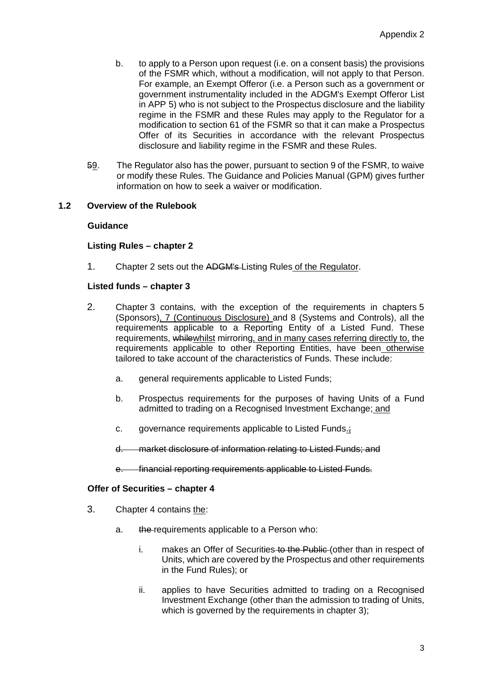- b. to apply to a Person upon request (i.e. on a consent basis) the provisions of the FSMR which, without a modification, will not apply to that Person. For example, an Exempt Offeror (i.e. a Person such as a government or government instrumentality included in the ADGM's Exempt Offeror List in APP 5) who is not subject to the Prospectus disclosure and the liability regime in the FSMR and these Rules may apply to the Regulator for a modification to section 61 of the FSMR so that it can make a Prospectus Offer of its Securities in accordance with the relevant Prospectus disclosure and liability regime in the FSMR and these Rules.
- 59. The Regulator also has the power, pursuant to section 9 of the FSMR, to waive or modify these Rules. The Guidance and Policies Manual (GPM) gives further information on how to seek a waiver or modification.

# **1.2 Overview of the Rulebook**

### **Guidance**

#### **Listing Rules – chapter 2**

1. Chapter 2 sets out the ADGM's Listing Rules of the Regulator.

#### **Listed funds – chapter 3**

- 2. Chapter 3 contains, with the exception of the requirements in chapters 5 (Sponsors), 7 (Continuous Disclosure) and 8 (Systems and Controls), all the requirements applicable to a Reporting Entity of a Listed Fund. These requirements, whilewhilst mirroring, and in many cases referring directly to, the requirements applicable to other Reporting Entities, have been otherwise tailored to take account of the characteristics of Funds. These include:
	- a. general requirements applicable to Listed Funds;
	- b. Prospectus requirements for the purposes of having Units of a Fund admitted to trading on a Recognised Investment Exchange; and
	- c. governance requirements applicable to Listed Funds.;
	- d. market disclosure of information relating to Listed Funds; and
	- e. financial reporting requirements applicable to Listed Funds.

#### **Offer of Securities – chapter 4**

- 3. Chapter 4 contains the:
	- a. the requirements applicable to a Person who:
		- i. makes an Offer of Securities to the Public (other than in respect of Units, which are covered by the Prospectus and other requirements in the Fund Rules); or
		- ii. applies to have Securities admitted to trading on a Recognised Investment Exchange (other than the admission to trading of Units, which is governed by the requirements in chapter 3);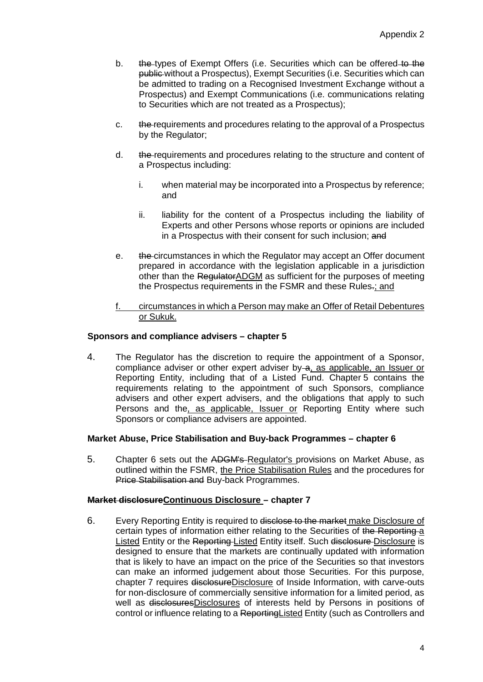- b. **the types of Exempt Offers (i.e. Securities which can be offered to the** public without a Prospectus), Exempt Securities (i.e. Securities which can be admitted to trading on a Recognised Investment Exchange without a Prospectus) and Exempt Communications (i.e. communications relating to Securities which are not treated as a Prospectus);
- c. the requirements and procedures relating to the approval of a Prospectus by the Regulator;
- d. the requirements and procedures relating to the structure and content of a Prospectus including:
	- i. when material may be incorporated into a Prospectus by reference; and
	- ii. liability for the content of a Prospectus including the liability of Experts and other Persons whose reports or opinions are included in a Prospectus with their consent for such inclusion; and
- e. the circumstances in which the Regulator may accept an Offer document prepared in accordance with the legislation applicable in a jurisdiction other than the Regulator ADGM as sufficient for the purposes of meeting the Prospectus requirements in the FSMR and these Rules.; and
- f. circumstances in which a Person may make an Offer of Retail Debentures or Sukuk.

### **Sponsors and compliance advisers – chapter 5**

4. The Regulator has the discretion to require the appointment of a Sponsor, compliance adviser or other expert adviser by  $\alpha$ , as applicable, an Issuer or Reporting Entity, including that of a Listed Fund. Chapter 5 contains the requirements relating to the appointment of such Sponsors, compliance advisers and other expert advisers, and the obligations that apply to such Persons and the, as applicable, Issuer or Reporting Entity where such Sponsors or compliance advisers are appointed.

#### **Market Abuse, Price Stabilisation and Buy-back Programmes – chapter 6**

5. Chapter 6 sets out the ADGM's-Regulator's provisions on Market Abuse, as outlined within the FSMR, the Price Stabilisation Rules and the procedures for Price Stabilisation and Buy-back Programmes.

#### **Market disclosureContinuous Disclosure – chapter 7**

6. Every Reporting Entity is required to disclose to the market make Disclosure of certain types of information either relating to the Securities of the Reporting a Listed Entity or the Reporting-Listed Entity itself. Such disclosure-Disclosure is designed to ensure that the markets are continually updated with information that is likely to have an impact on the price of the Securities so that investors can make an informed judgement about those Securities. For this purpose, chapter 7 requires disclosureDisclosure of Inside Information, with carve-outs for non-disclosure of commercially sensitive information for a limited period, as well as disclosuresDisclosures of interests held by Persons in positions of control or influence relating to a Reporting Listed Entity (such as Controllers and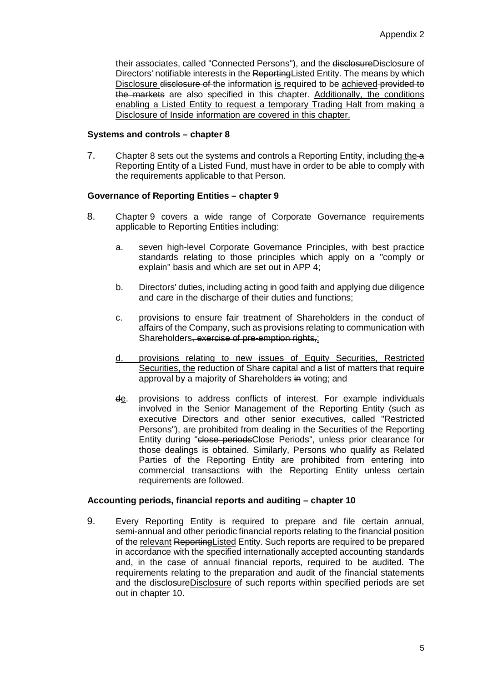their associates, called "Connected Persons"), and the disclosureDisclosure of Directors' notifiable interests in the ReportingListed Entity. The means by which Disclosure disclosure of the information is required to be achieved-provided to the markets are also specified in this chapter. Additionally, the conditions enabling a Listed Entity to request a temporary Trading Halt from making a Disclosure of Inside information are covered in this chapter.

### **Systems and controls – chapter 8**

7. Chapter 8 sets out the systems and controls a Reporting Entity, including the a Reporting Entity of a Listed Fund, must have in order to be able to comply with the requirements applicable to that Person.

### **Governance of Reporting Entities – chapter 9**

- 8. Chapter 9 covers a wide range of Corporate Governance requirements applicable to Reporting Entities including:
	- a. seven high-level Corporate Governance Principles, with best practice standards relating to those principles which apply on a "comply or explain" basis and which are set out in APP 4;
	- b. Directors' duties, including acting in good faith and applying due diligence and care in the discharge of their duties and functions:
	- c. provisions to ensure fair treatment of Shareholders in the conduct of affairs of the Company, such as provisions relating to communication with Shareholders, exercise of pre-emption rights,;
	- d. provisions relating to new issues of Equity Securities, Restricted Securities, the reduction of Share capital and a list of matters that require approval by a majority of Shareholders in voting; and
	- de. provisions to address conflicts of interest. For example individuals involved in the Senior Management of the Reporting Entity (such as executive Directors and other senior executives, called "Restricted Persons"), are prohibited from dealing in the Securities of the Reporting Entity during "close periodsClose Periods", unless prior clearance for those dealings is obtained. Similarly, Persons who qualify as Related Parties of the Reporting Entity are prohibited from entering into commercial transactions with the Reporting Entity unless certain requirements are followed.

# **Accounting periods, financial reports and auditing – chapter 10**

9. Every Reporting Entity is required to prepare and file certain annual, semi-annual and other periodic financial reports relating to the financial position of the relevant Reporting Listed Entity. Such reports are required to be prepared in accordance with the specified internationally accepted accounting standards and, in the case of annual financial reports, required to be audited. The requirements relating to the preparation and audit of the financial statements and the disclosureDisclosure of such reports within specified periods are set out in chapter 10.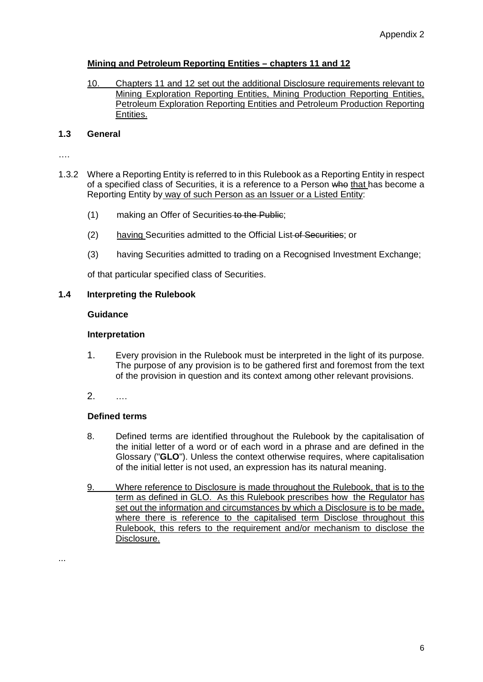# **Mining and Petroleum Reporting Entities – chapters 11 and 12**

10. Chapters 11 and 12 set out the additional Disclosure requirements relevant to Mining Exploration Reporting Entities, Mining Production Reporting Entities, Petroleum Exploration Reporting Entities and Petroleum Production Reporting Entities.

# **1.3 General**

….

- 1.3.2 Where a Reporting Entity is referred to in this Rulebook as a Reporting Entity in respect of a specified class of Securities, it is a reference to a Person who that has become a Reporting Entity by way of such Person as an Issuer or a Listed Entity:
	- (1) making an Offer of Securities to the Public;
	- (2) having Securities admitted to the Official List of Securities; or
	- (3) having Securities admitted to trading on a Recognised Investment Exchange;

of that particular specified class of Securities.

# **1.4 Interpreting the Rulebook**

# **Guidance**

# **Interpretation**

- 1. Every provision in the Rulebook must be interpreted in the light of its purpose. The purpose of any provision is to be gathered first and foremost from the text of the provision in question and its context among other relevant provisions.
- 2. ….

# **Defined terms**

- 8. Defined terms are identified throughout the Rulebook by the capitalisation of the initial letter of a word or of each word in a phrase and are defined in the Glossary ("**GLO**"). Unless the context otherwise requires, where capitalisation of the initial letter is not used, an expression has its natural meaning.
- 9. Where reference to Disclosure is made throughout the Rulebook, that is to the term as defined in GLO. As this Rulebook prescribes how the Regulator has set out the information and circumstances by which a Disclosure is to be made, where there is reference to the capitalised term Disclose throughout this Rulebook, this refers to the requirement and/or mechanism to disclose the Disclosure.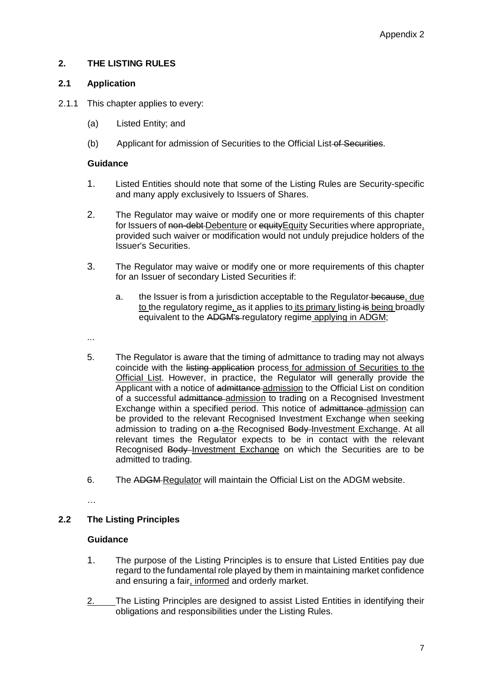# **2. THE LISTING RULES**

# **2.1 Application**

- 2.1.1 This chapter applies to every:
	- (a) Listed Entity; and
	- (b) Applicant for admission of Securities to the Official List-of-Securities.

### **Guidance**

- 1. Listed Entities should note that some of the Listing Rules are Security-specific and many apply exclusively to Issuers of Shares.
- 2. The Regulator may waive or modify one or more requirements of this chapter for Issuers of non-debt-Debenture or equity Equity Securities where appropriate, provided such waiver or modification would not unduly prejudice holders of the Issuer's Securities.
- 3. The Regulator may waive or modify one or more requirements of this chapter for an Issuer of secondary Listed Securities if:
	- a. the Issuer is from a jurisdiction acceptable to the Regulator because, due to the regulatory regime, as it applies to its primary listing is being broadly equivalent to the ADGM's regulatory regime applying in ADGM;
- ...
- 5. The Regulator is aware that the timing of admittance to trading may not always coincide with the listing application process for admission of Securities to the Official List. However, in practice, the Regulator will generally provide the Applicant with a notice of admittance admission to the Official List on condition of a successful admittance admission to trading on a Recognised Investment Exchange within a specified period. This notice of admittance admission can be provided to the relevant Recognised Investment Exchange when seeking admission to trading on a-the Recognised Body-Investment Exchange. At all relevant times the Regulator expects to be in contact with the relevant Recognised Body-Investment Exchange on which the Securities are to be admitted to trading.
- 6. The ADGM Regulator will maintain the Official List on the ADGM website.

…

# **2.2 The Listing Principles**

# **Guidance**

- 1. The purpose of the Listing Principles is to ensure that Listed Entities pay due regard to the fundamental role played by them in maintaining market confidence and ensuring a fair, informed and orderly market.
- 2. The Listing Principles are designed to assist Listed Entities in identifying their obligations and responsibilities under the Listing Rules.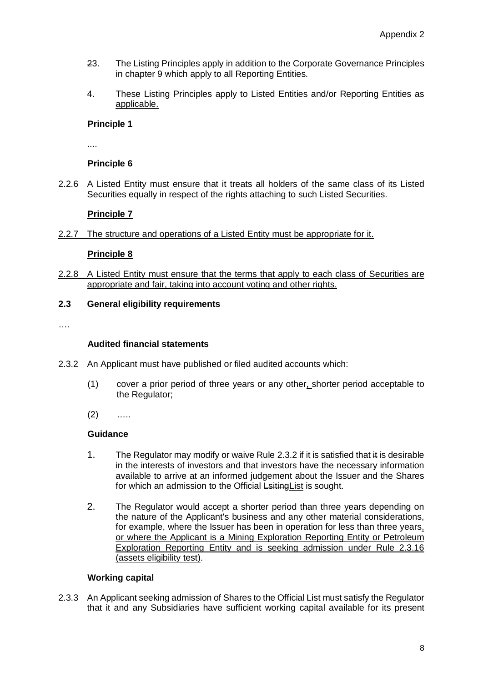- 23. The Listing Principles apply in addition to the Corporate Governance Principles in chapter 9 which apply to all Reporting Entities.
- 4. These Listing Principles apply to Listed Entities and/or Reporting Entities as applicable.

# **Principle 1**

....

# **Principle 6**

2.2.6 A Listed Entity must ensure that it treats all holders of the same class of its Listed Securities equally in respect of the rights attaching to such Listed Securities.

# **Principle 7**

2.2.7 The structure and operations of a Listed Entity must be appropriate for it.

# **Principle 8**

2.2.8 A Listed Entity must ensure that the terms that apply to each class of Securities are appropriate and fair, taking into account voting and other rights.

# **2.3 General eligibility requirements**

….

### **Audited financial statements**

- 2.3.2 An Applicant must have published or filed audited accounts which:
	- (1) cover a prior period of three years or any other, shorter period acceptable to the Regulator;
	- $(2)$  …

# **Guidance**

- 1. The Regulator may modify or waive Rule 2.3.2 if it is satisfied that it is desirable in the interests of investors and that investors have the necessary information available to arrive at an informed judgement about the Issuer and the Shares for which an admission to the Official Lsiting List is sought.
- 2. The Regulator would accept a shorter period than three years depending on the nature of the Applicant's business and any other material considerations, for example, where the Issuer has been in operation for less than three years, or where the Applicant is a Mining Exploration Reporting Entity or Petroleum Exploration Reporting Entity and is seeking admission under Rule 2.3.16 (assets eligibility test).

# **Working capital**

2.3.3 An Applicant seeking admission of Shares to the Official List must satisfy the Regulator that it and any Subsidiaries have sufficient working capital available for its present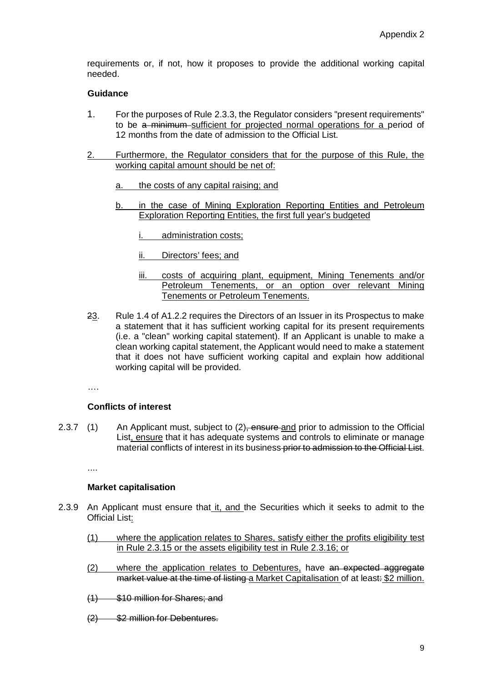requirements or, if not, how it proposes to provide the additional working capital needed.

### **Guidance**

- 1. For the purposes of Rule 2.3.3, the Regulator considers "present requirements" to be a minimum sufficient for projected normal operations for a period of 12 months from the date of admission to the Official List.
- 2. Furthermore, the Regulator considers that for the purpose of this Rule, the working capital amount should be net of:
	- a. the costs of any capital raising; and
	- b. in the case of Mining Exploration Reporting Entities and Petroleum Exploration Reporting Entities, the first full year's budgeted
		- i. administration costs;
		- ii. Directors' fees; and
		- iii. costs of acquiring plant, equipment, Mining Tenements and/or Petroleum Tenements, or an option over relevant Mining Tenements or Petroleum Tenements.
- 23. Rule 1.4 of A1.2.2 requires the Directors of an Issuer in its Prospectus to make a statement that it has sufficient working capital for its present requirements (i.e. a "clean" working capital statement). If an Applicant is unable to make a clean working capital statement, the Applicant would need to make a statement that it does not have sufficient working capital and explain how additional working capital will be provided.

….

# **Conflicts of interest**

2.3.7 (1) An Applicant must, subject to (2), ensure and prior to admission to the Official List, ensure that it has adequate systems and controls to eliminate or manage material conflicts of interest in its business-prior to admission to the Official List.

....

#### **Market capitalisation**

- 2.3.9 An Applicant must ensure that it, and the Securities which it seeks to admit to the Official List:
	- (1) where the application relates to Shares, satisfy either the profits eligibility test in Rule 2.3.15 or the assets eligibility test in Rule 2.3.16; or
	- (2) where the application relates to Debentures, have an expected aggregate market value at the time of listing a Market Capitalisation of at least: \$2 million.
	- (1) \$10 million for Shares; and
	- (2) \$2 million for Debentures.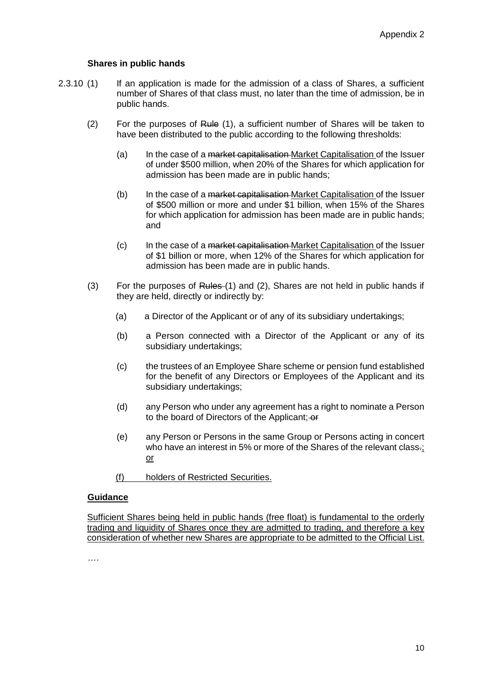#### **Shares in public hands**

- 2.3.10 (1) If an application is made for the admission of a class of Shares, a sufficient number of Shares of that class must, no later than the time of admission, be in public hands.
	- (2) For the purposes of Rule (1), a sufficient number of Shares will be taken to have been distributed to the public according to the following thresholds:
		- (a) In the case of a <del>market capitalisation</del> Market Capitalisation of the Issuer of under \$500 million, when 20% of the Shares for which application for admission has been made are in public hands;
		- (b) In the case of a market capitalisation Market Capitalisation of the Issuer of \$500 million or more and under \$1 billion, when 15% of the Shares for which application for admission has been made are in public hands; and
		- (c) In the case of a market capitalisation Market Capitalisation of the Issuer of \$1 billion or more, when 12% of the Shares for which application for admission has been made are in public hands.
	- (3) For the purposes of Rules  $(1)$  and  $(2)$ , Shares are not held in public hands if they are held, directly or indirectly by:
		- (a) a Director of the Applicant or of any of its subsidiary undertakings;
		- (b) a Person connected with a Director of the Applicant or any of its subsidiary undertakings;
		- (c) the trustees of an Employee Share scheme or pension fund established for the benefit of any Directors or Employees of the Applicant and its subsidiary undertakings;
		- (d) any Person who under any agreement has a right to nominate a Person to the board of Directors of the Applicant; or
		- (e) any Person or Persons in the same Group or Persons acting in concert who have an interest in 5% or more of the Shares of the relevant class.; or
		- (f) holders of Restricted Securities.

#### **Guidance**

Sufficient Shares being held in public hands (free float) is fundamental to the orderly trading and liquidity of Shares once they are admitted to trading, and therefore a key consideration of whether new Shares are appropriate to be admitted to the Official List.

….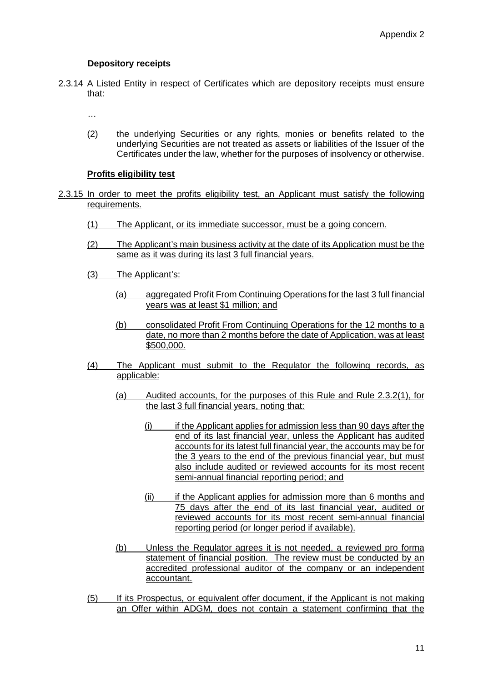# **Depository receipts**

2.3.14 A Listed Entity in respect of Certificates which are depository receipts must ensure that:

…

(2) the underlying Securities or any rights, monies or benefits related to the underlying Securities are not treated as assets or liabilities of the Issuer of the Certificates under the law, whether for the purposes of insolvency or otherwise.

# **Profits eligibility test**

- 2.3.15 In order to meet the profits eligibility test, an Applicant must satisfy the following requirements.
	- (1) The Applicant, or its immediate successor, must be a going concern.
	- (2) The Applicant's main business activity at the date of its Application must be the same as it was during its last 3 full financial years.
	- (3) The Applicant's:
		- (a) aggregated Profit From Continuing Operations for the last 3 full financial years was at least \$1 million; and
		- (b) consolidated Profit From Continuing Operations for the 12 months to a date, no more than 2 months before the date of Application, was at least \$500,000.
	- (4) The Applicant must submit to the Regulator the following records, as applicable:
		- (a) Audited accounts, for the purposes of this Rule and Rule 2.3.2(1), for the last 3 full financial years, noting that:
			- (i) if the Applicant applies for admission less than 90 days after the end of its last financial year, unless the Applicant has audited accounts for its latest full financial year, the accounts may be for the 3 years to the end of the previous financial year, but must also include audited or reviewed accounts for its most recent semi-annual financial reporting period; and
			- (ii) if the Applicant applies for admission more than 6 months and 75 days after the end of its last financial year, audited or reviewed accounts for its most recent semi-annual financial reporting period (or longer period if available).
		- (b) Unless the Regulator agrees it is not needed, a reviewed pro forma statement of financial position. The review must be conducted by an accredited professional auditor of the company or an independent accountant.
	- (5) If its Prospectus, or equivalent offer document, if the Applicant is not making an Offer within ADGM, does not contain a statement confirming that the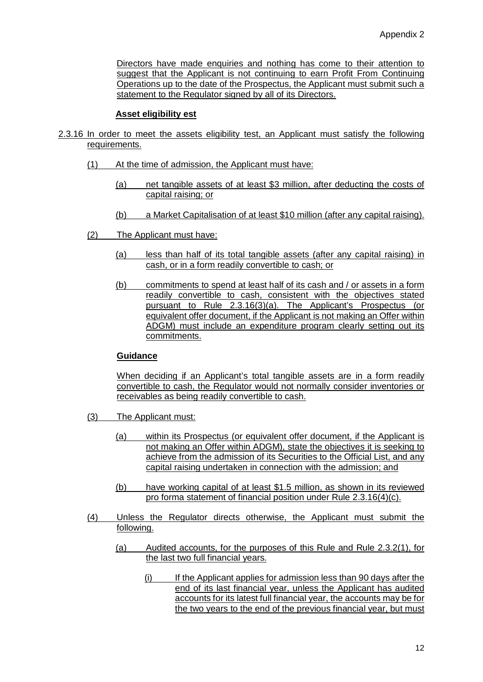Directors have made enquiries and nothing has come to their attention to suggest that the Applicant is not continuing to earn Profit From Continuing Operations up to the date of the Prospectus, the Applicant must submit such a statement to the Regulator signed by all of its Directors.

### **Asset eligibility est**

- 2.3.16 In order to meet the assets eligibility test, an Applicant must satisfy the following requirements.
	- (1) At the time of admission, the Applicant must have:
		- (a) net tangible assets of at least \$3 million, after deducting the costs of capital raising; or
		- (b) a Market Capitalisation of at least \$10 million (after any capital raising).
	- (2) The Applicant must have:
		- (a) less than half of its total tangible assets (after any capital raising) in cash, or in a form readily convertible to cash; or
		- (b) commitments to spend at least half of its cash and / or assets in a form readily convertible to cash, consistent with the objectives stated pursuant to Rule 2.3.16(3)(a). The Applicant's Prospectus (or equivalent offer document, if the Applicant is not making an Offer within ADGM) must include an expenditure program clearly setting out its commitments.

#### **Guidance**

When deciding if an Applicant's total tangible assets are in a form readily convertible to cash, the Regulator would not normally consider inventories or receivables as being readily convertible to cash.

- (3) The Applicant must:
	- (a) within its Prospectus (or equivalent offer document, if the Applicant is not making an Offer within ADGM), state the objectives it is seeking to achieve from the admission of its Securities to the Official List, and any capital raising undertaken in connection with the admission; and
	- (b) have working capital of at least \$1.5 million, as shown in its reviewed pro forma statement of financial position under Rule 2.3.16(4)(c).
- (4) Unless the Regulator directs otherwise, the Applicant must submit the following.
	- (a) Audited accounts, for the purposes of this Rule and Rule 2.3.2(1), for the last two full financial years.
		- (i) If the Applicant applies for admission less than 90 days after the end of its last financial year, unless the Applicant has audited accounts for its latest full financial year, the accounts may be for the two years to the end of the previous financial year, but must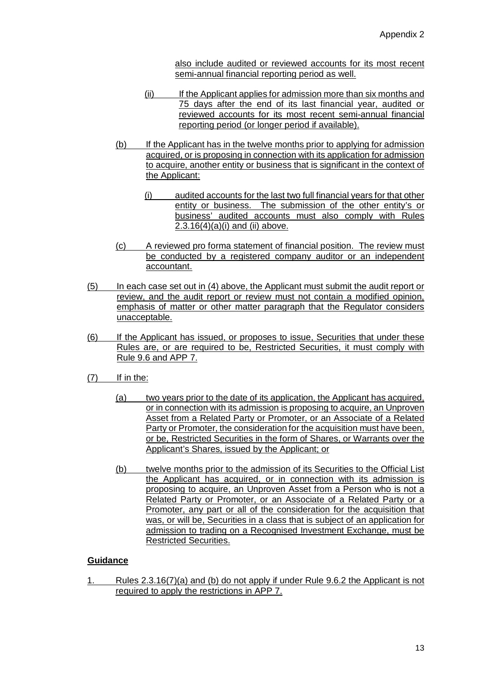also include audited or reviewed accounts for its most recent semi-annual financial reporting period as well.

- (ii) If the Applicant applies for admission more than six months and 75 days after the end of its last financial year, audited or reviewed accounts for its most recent semi-annual financial reporting period (or longer period if available).
- (b) If the Applicant has in the twelve months prior to applying for admission acquired, or is proposing in connection with its application for admission to acquire, another entity or business that is significant in the context of the Applicant:
	- (i) audited accounts for the last two full financial years for that other entity or business. The submission of the other entity's or business' audited accounts must also comply with Rules  $2.3.16(4)(a)(i)$  and (ii) above.
- (c) A reviewed pro forma statement of financial position. The review must be conducted by a registered company auditor or an independent accountant.
- (5) In each case set out in (4) above, the Applicant must submit the audit report or review, and the audit report or review must not contain a modified opinion, emphasis of matter or other matter paragraph that the Regulator considers unacceptable.
- (6) If the Applicant has issued, or proposes to issue, Securities that under these Rules are, or are required to be, Restricted Securities, it must comply with Rule 9.6 and APP 7.
- (7) If in the:
	- (a) two years prior to the date of its application, the Applicant has acquired, or in connection with its admission is proposing to acquire, an Unproven Asset from a Related Party or Promoter, or an Associate of a Related Party or Promoter, the consideration for the acquisition must have been, or be, Restricted Securities in the form of Shares, or Warrants over the Applicant's Shares, issued by the Applicant; or
	- (b) twelve months prior to the admission of its Securities to the Official List the Applicant has acquired, or in connection with its admission is proposing to acquire, an Unproven Asset from a Person who is not a Related Party or Promoter, or an Associate of a Related Party or a Promoter, any part or all of the consideration for the acquisition that was, or will be, Securities in a class that is subject of an application for admission to trading on a Recognised Investment Exchange, must be Restricted Securities.

# **Guidance**

1. Rules 2.3.16(7)(a) and (b) do not apply if under Rule 9.6.2 the Applicant is not required to apply the restrictions in APP 7.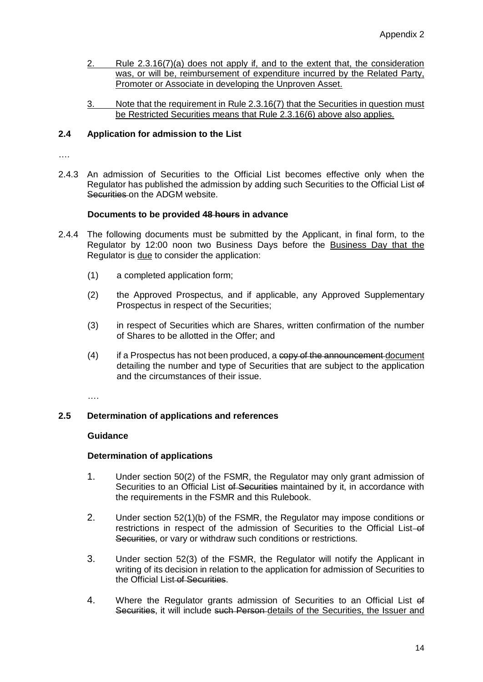- 2. Rule 2.3.16(7)(a) does not apply if, and to the extent that, the consideration was, or will be, reimbursement of expenditure incurred by the Related Party, Promoter or Associate in developing the Unproven Asset.
- 3. Note that the requirement in Rule 2.3.16(7) that the Securities in question must be Restricted Securities means that Rule 2.3.16(6) above also applies.

# **2.4 Application for admission to the List**

….

2.4.3 An admission of Securities to the Official List becomes effective only when the Regulator has published the admission by adding such Securities to the Official List of Securities on the ADGM website.

### **Documents to be provided 48 hours in advance**

- 2.4.4 The following documents must be submitted by the Applicant, in final form, to the Regulator by 12:00 noon two Business Days before the Business Day that the Regulator is due to consider the application:
	- (1) a completed application form;
	- (2) the Approved Prospectus, and if applicable, any Approved Supplementary Prospectus in respect of the Securities;
	- (3) in respect of Securities which are Shares, written confirmation of the number of Shares to be allotted in the Offer; and
	- $(4)$  if a Prospectus has not been produced, a copy of the announcement document detailing the number and type of Securities that are subject to the application and the circumstances of their issue.

….

# **2.5 Determination of applications and references**

#### **Guidance**

#### **Determination of applications**

- 1. Under section 50(2) of the FSMR, the Regulator may only grant admission of Securities to an Official List of Securities maintained by it, in accordance with the requirements in the FSMR and this Rulebook.
- 2. Under section 52(1)(b) of the FSMR, the Regulator may impose conditions or restrictions in respect of the admission of Securities to the Official List-of Securities, or vary or withdraw such conditions or restrictions.
- 3. Under section 52(3) of the FSMR, the Regulator will notify the Applicant in writing of its decision in relation to the application for admission of Securities to the Official List of Securities.
- 4. Where the Regulator grants admission of Securities to an Official List of Securities, it will include such Person details of the Securities, the Issuer and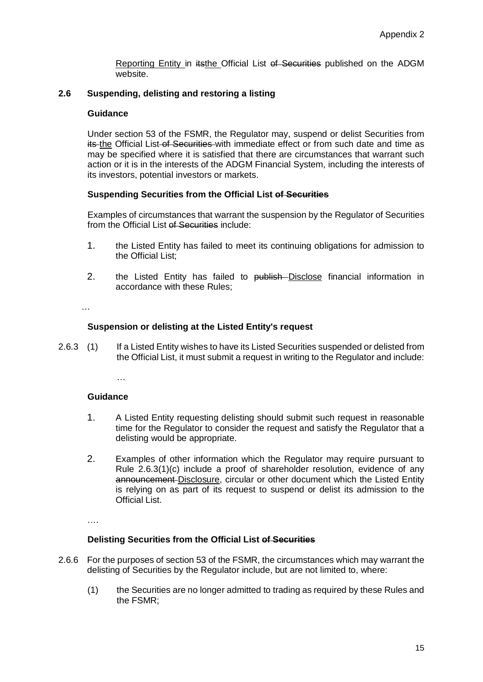Reporting Entity in itsthe Official List of Securities published on the ADGM website.

### **2.6 Suspending, delisting and restoring a listing**

#### **Guidance**

Under section 53 of the FSMR, the Regulator may, suspend or delist Securities from its the Official List of Securities with immediate effect or from such date and time as may be specified where it is satisfied that there are circumstances that warrant such action or it is in the interests of the ADGM Financial System, including the interests of its investors, potential investors or markets.

#### **Suspending Securities from the Official List of Securities**

Examples of circumstances that warrant the suspension by the Regulator of Securities from the Official List of Securities include:

- 1. the Listed Entity has failed to meet its continuing obligations for admission to the Official List;
- 2. the Listed Entity has failed to publish Disclose financial information in accordance with these Rules;

…

### **Suspension or delisting at the Listed Entity's request**

2.6.3 (1) If a Listed Entity wishes to have its Listed Securities suspended or delisted from the Official List, it must submit a request in writing to the Regulator and include:

…

# **Guidance**

- 1. A Listed Entity requesting delisting should submit such request in reasonable time for the Regulator to consider the request and satisfy the Regulator that a delisting would be appropriate.
- 2. Examples of other information which the Regulator may require pursuant to Rule 2.6.3(1)(c) include a proof of shareholder resolution, evidence of any announcement Disclosure, circular or other document which the Listed Entity is relying on as part of its request to suspend or delist its admission to the Official List.

….

#### **Delisting Securities from the Official List of Securities**

- 2.6.6 For the purposes of section 53 of the FSMR, the circumstances which may warrant the delisting of Securities by the Regulator include, but are not limited to, where:
	- (1) the Securities are no longer admitted to trading as required by these Rules and the FSMR;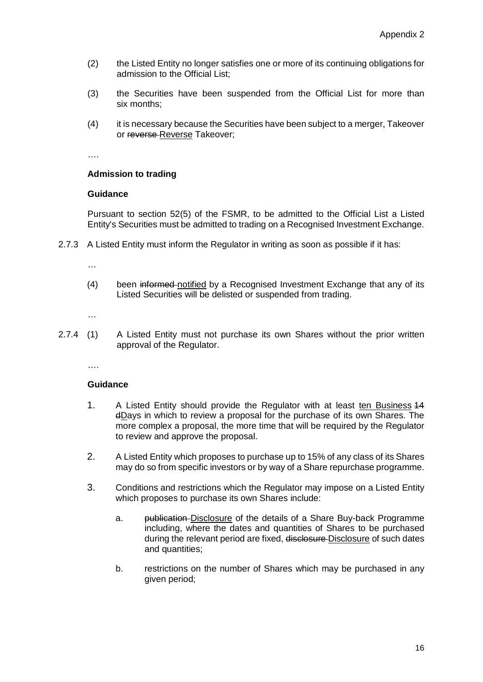- (2) the Listed Entity no longer satisfies one or more of its continuing obligations for admission to the Official List;
- (3) the Securities have been suspended from the Official List for more than six months;
- (4) it is necessary because the Securities have been subject to a merger, Takeover or reverse Reverse Takeover;

….

# **Admission to trading**

### **Guidance**

Pursuant to section 52(5) of the FSMR, to be admitted to the Official List a Listed Entity's Securities must be admitted to trading on a Recognised Investment Exchange.

2.7.3 A Listed Entity must inform the Regulator in writing as soon as possible if it has:

…

(4) been informed notified by a Recognised Investment Exchange that any of its Listed Securities will be delisted or suspended from trading.

…

2.7.4 (1) A Listed Entity must not purchase its own Shares without the prior written approval of the Regulator.

….

#### **Guidance**

- 1. A Listed Entity should provide the Regulator with at least ten Business 14 dDays in which to review a proposal for the purchase of its own Shares. The more complex a proposal, the more time that will be required by the Regulator to review and approve the proposal.
- 2. A Listed Entity which proposes to purchase up to 15% of any class of its Shares may do so from specific investors or by way of a Share repurchase programme.
- 3. Conditions and restrictions which the Regulator may impose on a Listed Entity which proposes to purchase its own Shares include:
	- a. publication Disclosure of the details of a Share Buy-back Programme including, where the dates and quantities of Shares to be purchased during the relevant period are fixed, disclosure-Disclosure of such dates and quantities;
	- b. restrictions on the number of Shares which may be purchased in any given period;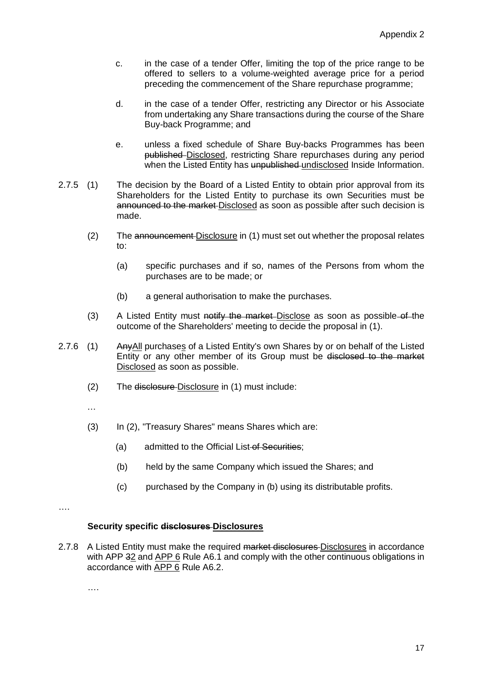- c. in the case of a tender Offer, limiting the top of the price range to be offered to sellers to a volume-weighted average price for a period preceding the commencement of the Share repurchase programme;
- d. in the case of a tender Offer, restricting any Director or his Associate from undertaking any Share transactions during the course of the Share Buy-back Programme; and
- e. unless a fixed schedule of Share Buy-backs Programmes has been published Disclosed, restricting Share repurchases during any period when the Listed Entity has unpublished undisclosed Inside Information.
- 2.7.5 (1) The decision by the Board of a Listed Entity to obtain prior approval from its Shareholders for the Listed Entity to purchase its own Securities must be announced to the market Disclosed as soon as possible after such decision is made.
	- (2) The announcement Disclosure in (1) must set out whether the proposal relates to:
		- (a) specific purchases and if so, names of the Persons from whom the purchases are to be made; or
		- (b) a general authorisation to make the purchases.
	- $(3)$  A Listed Entity must notify the market-Disclose as soon as possible-of-the outcome of the Shareholders' meeting to decide the proposal in (1).
- 2.7.6 (1) Any All purchases of a Listed Entity's own Shares by or on behalf of the Listed Entity or any other member of its Group must be disclosed to the market Disclosed as soon as possible.
	- (2) The disclosure Disclosure in (1) must include:
	- …
	- (3) In (2), "Treasury Shares" means Shares which are:
		- (a) admitted to the Official List of Securities;
		- (b) held by the same Company which issued the Shares; and
		- (c) purchased by the Company in (b) using its distributable profits.
- ….

#### **Security specific disclosures Disclosures**

2.7.8 A Listed Entity must make the required market disclosures Disclosures in accordance with APP 32 and APP 6 Rule A6.1 and comply with the other continuous obligations in accordance with APP 6 Rule A6.2.

….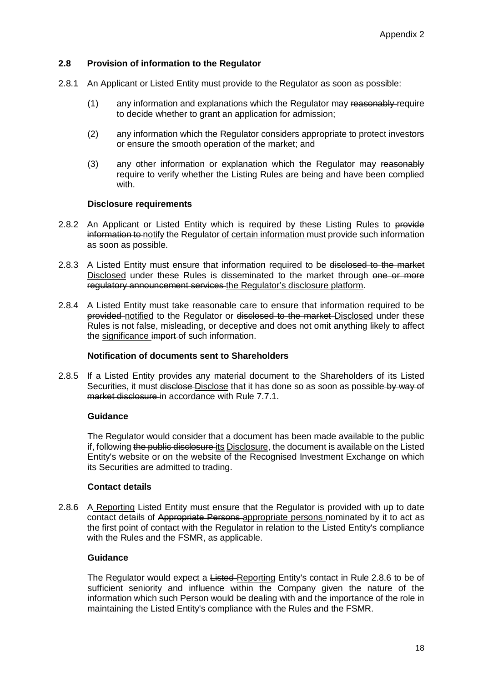### **2.8 Provision of information to the Regulator**

- 2.8.1 An Applicant or Listed Entity must provide to the Regulator as soon as possible:
	- $(1)$  any information and explanations which the Regulator may reasonably require to decide whether to grant an application for admission;
	- (2) any information which the Regulator considers appropriate to protect investors or ensure the smooth operation of the market; and
	- (3) any other information or explanation which the Regulator may reasonably require to verify whether the Listing Rules are being and have been complied with.

#### **Disclosure requirements**

- 2.8.2 An Applicant or Listed Entity which is required by these Listing Rules to provide information to notify the Regulator of certain information must provide such information as soon as possible.
- 2.8.3 A Listed Entity must ensure that information required to be disclosed to the market Disclosed under these Rules is disseminated to the market through one or more regulatory announcement services the Regulator's disclosure platform.
- 2.8.4 A Listed Entity must take reasonable care to ensure that information required to be provided notified to the Regulator or disclosed to the market Disclosed under these Rules is not false, misleading, or deceptive and does not omit anything likely to affect the significance import of such information.

#### **Notification of documents sent to Shareholders**

2.8.5 If a Listed Entity provides any material document to the Shareholders of its Listed Securities, it must disclose-Disclose that it has done so as soon as possible by way of market disclosure in accordance with Rule 7.7.1.

# **Guidance**

The Regulator would consider that a document has been made available to the public if, following the public disclosure its Disclosure, the document is available on the Listed Entity's website or on the website of the Recognised Investment Exchange on which its Securities are admitted to trading.

#### **Contact details**

2.8.6 A Reporting Listed Entity must ensure that the Regulator is provided with up to date contact details of Appropriate Persons appropriate persons nominated by it to act as the first point of contact with the Regulator in relation to the Listed Entity's compliance with the Rules and the FSMR, as applicable.

# **Guidance**

The Regulator would expect a Listed-Reporting Entity's contact in Rule 2.8.6 to be of sufficient seniority and influence within the Company given the nature of the information which such Person would be dealing with and the importance of the role in maintaining the Listed Entity's compliance with the Rules and the FSMR.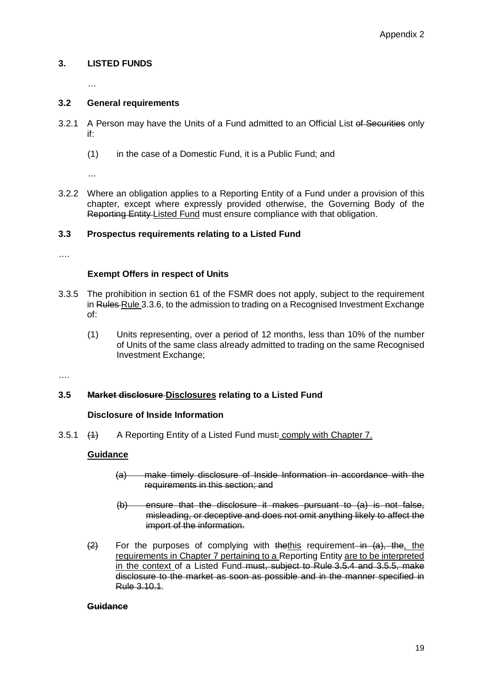# **3. LISTED FUNDS**

…

# **3.2 General requirements**

- 3.2.1 A Person may have the Units of a Fund admitted to an Official List of Securities only if:
	- (1) in the case of a Domestic Fund, it is a Public Fund; and

…

3.2.2 Where an obligation applies to a Reporting Entity of a Fund under a provision of this chapter, except where expressly provided otherwise, the Governing Body of the Reporting Entity Listed Fund must ensure compliance with that obligation.

# **3.3 Prospectus requirements relating to a Listed Fund**

……

### **Exempt Offers in respect of Units**

- 3.3.5 The prohibition in section 61 of the FSMR does not apply, subject to the requirement in Rules-Rule 3.3.6, to the admission to trading on a Recognised Investment Exchange of:
	- (1) Units representing, over a period of 12 months, less than 10% of the number of Units of the same class already admitted to trading on the same Recognised Investment Exchange;

….

# **3.5 Market disclosure Disclosures relating to a Listed Fund**

# **Disclosure of Inside Information**

3.5.1 (4) A Reporting Entity of a Listed Fund must: comply with Chapter 7.

#### **Guidance**

- (a) make timely disclosure of Inside Information in accordance with the requirements in this section; and
- (b) ensure that the disclosure it makes pursuant to (a) is not false, misleading, or deceptive and does not omit anything likely to affect the import of the information.
- $\overline{2}$  For the purposes of complying with the this requirement in  $\overline{a}$ , the, the requirements in Chapter 7 pertaining to a Reporting Entity are to be interpreted in the context of a Listed Fund must, subject to Rule 3.5.4 and 3.5.5, make disclosure to the market as soon as possible and in the manner specified in Rule 3.10.1.

### **Guidance**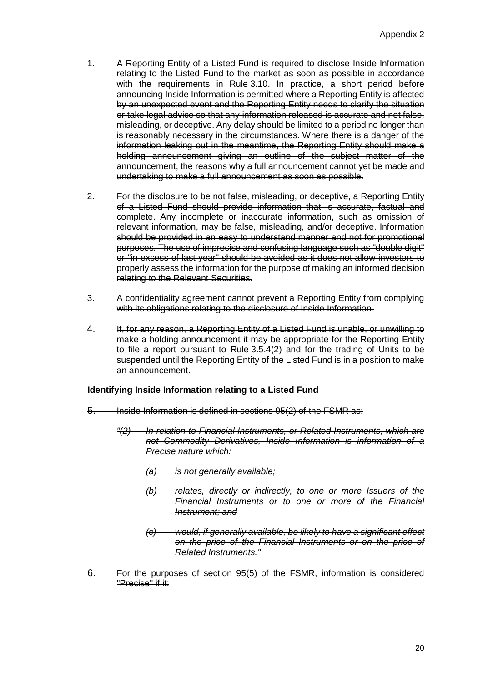- 1. A Reporting Entity of a Listed Fund is required to disclose Inside Information relating to the Listed Fund to the market as soon as possible in accordance with the requirements in Rule 3.10. In practice, a short period before announcing Inside Information is permitted where a Reporting Entity is affected by an unexpected event and the Reporting Entity needs to clarify the situation or take legal advice so that any information released is accurate and not false, misleading, or deceptive. Any delay should be limited to a period no longer than is reasonably necessary in the circumstances. Where there is a danger of the information leaking out in the meantime, the Reporting Entity should make a holding announcement giving an outline of the subject matter of the announcement, the reasons why a full announcement cannot yet be made and undertaking to make a full announcement as soon as possible.
- 2. For the disclosure to be not false, misleading, or deceptive, a Reporting Entity of a Listed Fund should provide information that is accurate, factual and complete. Any incomplete or inaccurate information, such as omission of relevant information, may be false, misleading, and/or deceptive. Information should be provided in an easy to understand manner and not for promotional purposes. The use of imprecise and confusing language such as "double digit" or "in excess of last year" should be avoided as it does not allow investors to properly assess the information for the purpose of making an informed decision relating to the Relevant Securities.
- 3. A confidentiality agreement cannot prevent a Reporting Entity from complying with its obligations relating to the disclosure of Inside Information.
- 4. If, for any reason, a Reporting Entity of a Listed Fund is unable, or unwilling to make a holding announcement it may be appropriate for the Reporting Entity to file a report pursuant to Rule 3.5.4(2) and for the trading of Units to be suspended until the Reporting Entity of the Listed Fund is in a position to make an announcement.

# **Identifying Inside Information relating to a Listed Fund**

- 5. Inside Information is defined in sections 95(2) of the FSMR as:
	- *"(2) In relation to Financial Instruments, or Related Instruments, which are not Commodity Derivatives, Inside Information is information of a Precise nature which:*
		- *(a) is not generally available;*
		- *(b) relates, directly or indirectly, to one or more Issuers of the Financial Instruments or to one or more of the Financial Instrument; and*
		- *(c) would, if generally available, be likely to have a significant effect on the price of the Financial Instruments or on the price of Related Instruments."*
- 6. For the purposes of section 95(5) of the FSMR, information is considered "Precise" if it: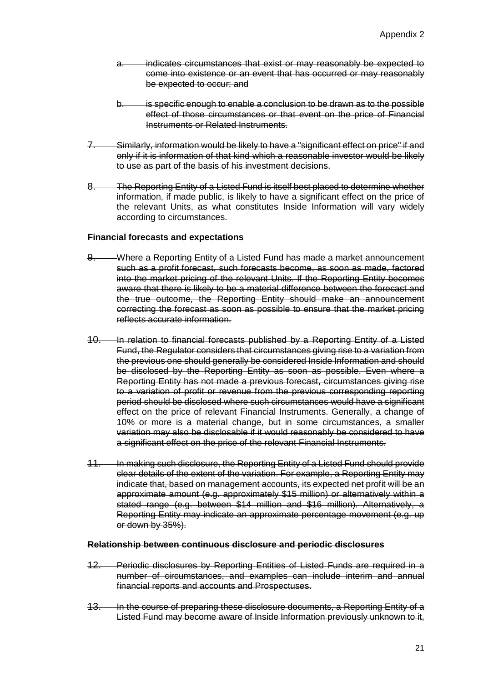- a. indicates circumstances that exist or may reasonably be expected to come into existence or an event that has occurred or may reasonably be expected to occur; and
- b. is specific enough to enable a conclusion to be drawn as to the possible effect of those circumstances or that event on the price of Financial Instruments or Related Instruments.
- 7. Similarly, information would be likely to have a "significant effect on price" if and only if it is information of that kind which a reasonable investor would be likely to use as part of the basis of his investment decisions.
- 8. The Reporting Entity of a Listed Fund is itself best placed to determine whether information, if made public, is likely to have a significant effect on the price of the relevant Units, as what constitutes Inside Information will vary widely according to circumstances.

#### **Financial forecasts and expectations**

- 9. Where a Reporting Entity of a Listed Fund has made a market announcement such as a profit forecast, such forecasts become, as soon as made, factored into the market pricing of the relevant Units. If the Reporting Entity becomes aware that there is likely to be a material difference between the forecast and the true outcome, the Reporting Entity should make an announcement correcting the forecast as soon as possible to ensure that the market pricing reflects accurate information.
- 10. In relation to financial forecasts published by a Reporting Entity of a Listed Fund, the Regulator considers that circumstances giving rise to a variation from the previous one should generally be considered Inside Information and should be disclosed by the Reporting Entity as soon as possible. Even where a Reporting Entity has not made a previous forecast, circumstances giving rise to a variation of profit or revenue from the previous corresponding reporting period should be disclosed where such circumstances would have a significant effect on the price of relevant Financial Instruments. Generally, a change of 10% or more is a material change, but in some circumstances, a smaller variation may also be disclosable if it would reasonably be considered to have a significant effect on the price of the relevant Financial Instruments.
- 11. In making such disclosure, the Reporting Entity of a Listed Fund should provide clear details of the extent of the variation. For example, a Reporting Entity may indicate that, based on management accounts, its expected net profit will be an approximate amount (e.g. approximately \$15 million) or alternatively within a stated range (e.g. between \$14 million and \$16 million). Alternatively, a Reporting Entity may indicate an approximate percentage movement (e.g. up or down by 35%).

#### **Relationship between continuous disclosure and periodic disclosures**

- 12. Periodic disclosures by Reporting Entities of Listed Funds are required in a number of circumstances, and examples can include interim and annual financial reports and accounts and Prospectuses.
- 13. In the course of preparing these disclosure documents, a Reporting Entity of a Listed Fund may become aware of Inside Information previously unknown to it,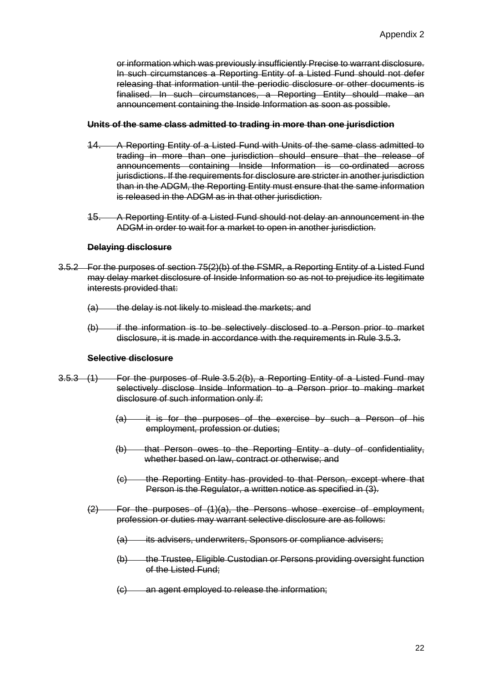or information which was previously insufficiently Precise to warrant disclosure. In such circumstances a Reporting Entity of a Listed Fund should not defer releasing that information until the periodic disclosure or other documents is finalised. In such circumstances, a Reporting Entity should make an announcement containing the Inside Information as soon as possible.

#### **Units of the same class admitted to trading in more than one jurisdiction**

- 14. A Reporting Entity of a Listed Fund with Units of the same class admitted to trading in more than one jurisdiction should ensure that the release of announcements containing Inside Information is co-ordinated across jurisdictions. If the requirements for disclosure are stricter in another jurisdiction than in the ADGM, the Reporting Entity must ensure that the same information is released in the ADGM as in that other jurisdiction.
- 15. A Reporting Entity of a Listed Fund should not delay an announcement in the ADGM in order to wait for a market to open in another jurisdiction.

#### **Delaying disclosure**

- 3.5.2 For the purposes of section 75(2)(b) of the FSMR, a Reporting Entity of a Listed Fund may delay market disclosure of Inside Information so as not to prejudice its legitimate interests provided that:
	- (a) the delay is not likely to mislead the markets; and
	- $(b)$  if the information is to be selectively disclosed to a Person prior to market disclosure, it is made in accordance with the requirements in Rule 3.5.3.

### **Selective disclosure**

- 3.5.3 (1) For the purposes of Rule 3.5.2(b), a Reporting Entity of a Listed Fund may selectively disclose Inside Information to a Person prior to making market disclosure of such information only if:
	- (a) it is for the purposes of the exercise by such a Person of his employment, profession or duties;
	- (b) that Person owes to the Reporting Entity a duty of confidentiality, whether based on law, contract or otherwise; and
	- (c) the Reporting Entity has provided to that Person, except where that Person is the Regulator, a written notice as specified in (3).
	- (2) For the purposes of (1)(a), the Persons whose exercise of employment, profession or duties may warrant selective disclosure are as follows:
		- (a) its advisers, underwriters, Sponsors or compliance advisers;
		- (b) the Trustee, Eligible Custodian or Persons providing oversight function of the Listed Fund;
		- (c) an agent employed to release the information;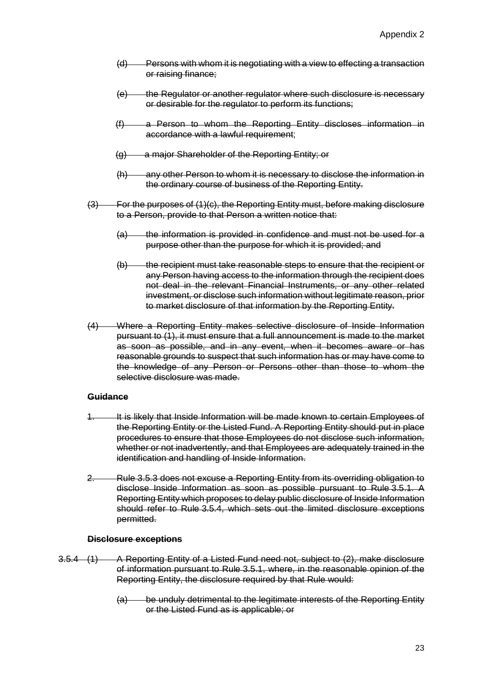- (d) Persons with whom it is negotiating with a view to effecting a transaction or raising finance;
- (e) the Regulator or another regulator where such disclosure is necessary or desirable for the regulator to perform its functions;
- (f) a Person to whom the Reporting Entity discloses information in accordance with a lawful requirement;
- (g) a major Shareholder of the Reporting Entity; or
- (h) any other Person to whom it is necessary to disclose the information in the ordinary course of business of the Reporting Entity.
- (3) For the purposes of (1)(c), the Reporting Entity must, before making disclosure to a Person, provide to that Person a written notice that:
	- (a) the information is provided in confidence and must not be used for a purpose other than the purpose for which it is provided; and
	- (b) the recipient must take reasonable steps to ensure that the recipient or any Person having access to the information through the recipient does not deal in the relevant Financial Instruments, or any other related investment, or disclose such information without legitimate reason, prior to market disclosure of that information by the Reporting Entity.
- (4) Where a Reporting Entity makes selective disclosure of Inside Information pursuant to (1), it must ensure that a full announcement is made to the market as soon as possible, and in any event, when it becomes aware or has reasonable grounds to suspect that such information has or may have come to the knowledge of any Person or Persons other than those to whom the selective disclosure was made.

#### **Guidance**

- It is likely that Inside Information will be made known to certain Employees of the Reporting Entity or the Listed Fund. A Reporting Entity should put in place procedures to ensure that those Employees do not disclose such information, whether or not inadvertently, and that Employees are adequately trained in the identification and handling of Inside Information.
- 2. Rule 3.5.3 does not excuse a Reporting Entity from its overriding obligation to disclose Inside Information as soon as possible pursuant to Rule 3.5.1. A Reporting Entity which proposes to delay public disclosure of Inside Information should refer to Rule 3.5.4, which sets out the limited disclosure exceptions permitted.

#### **Disclosure exceptions**

- 3.5.4 (1) A Reporting Entity of a Listed Fund need not, subject to (2), make disclosure of information pursuant to Rule 3.5.1, where, in the reasonable opinion of the Reporting Entity, the disclosure required by that Rule would:
	- (a) be unduly detrimental to the legitimate interests of the Reporting Entity or the Listed Fund as is applicable; or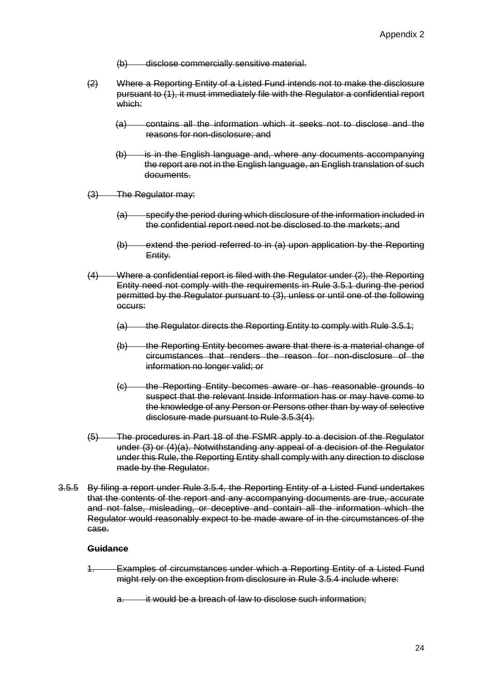- (b) disclose commercially sensitive material.
- (2) Where a Reporting Entity of a Listed Fund intends not to make the disclosure pursuant to (1), it must immediately file with the Regulator a confidential report which:
	- (a) contains all the information which it seeks not to disclose and the reasons for non-disclosure; and
	- $(b)$  is in the English language and, where any documents accompanying the report are not in the English language, an English translation of such documents.
- (3) The Regulator may:
	- (a) specify the period during which disclosure of the information included in the confidential report need not be disclosed to the markets; and
	- (b) extend the period referred to in (a) upon application by the Reporting Entity.
- (4) Where a confidential report is filed with the Regulator under (2), the Reporting Entity need not comply with the requirements in Rule 3.5.1 during the period permitted by the Regulator pursuant to (3), unless or until one of the following occurs:
	- (a) the Regulator directs the Reporting Entity to comply with Rule 3.5.1;
	- (b) the Reporting Entity becomes aware that there is a material change of circumstances that renders the reason for non-disclosure of the information no longer valid; or
	- (c) the Reporting Entity becomes aware or has reasonable grounds to suspect that the relevant Inside Information has or may have come to the knowledge of any Person or Persons other than by way of selective disclosure made pursuant to Rule 3.5.3(4).
- (5) The procedures in Part 18 of the FSMR apply to a decision of the Regulator under (3) or (4)(a). Notwithstanding any appeal of a decision of the Regulator under this Rule, the Reporting Entity shall comply with any direction to disclose made by the Regulator.
- 3.5.5 By filing a report under Rule 3.5.4, the Reporting Entity of a Listed Fund undertakes that the contents of the report and any accompanying documents are true, accurate and not false, misleading, or deceptive and contain all the information which the Regulator would reasonably expect to be made aware of in the circumstances of the case.

#### **Guidance**

**Examples of circumstances under which a Reporting Entity of a Listed Fund** might rely on the exception from disclosure in Rule 3.5.4 include where:

it would be a breach of law to disclose such information: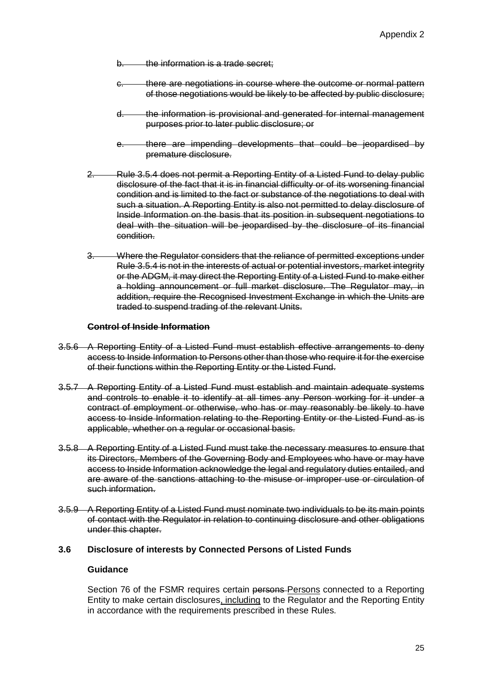- b. the information is a trade secret:
- c. there are negotiations in course where the outcome or normal pattern of those negotiations would be likely to be affected by public disclosure;
- d. the information is provisional and generated for internal management purposes prior to later public disclosure; or
- e. there are impending developments that could be jeopardised by premature disclosure.
- 2. Rule 3.5.4 does not permit a Reporting Entity of a Listed Fund to delay public disclosure of the fact that it is in financial difficulty or of its worsening financial condition and is limited to the fact or substance of the negotiations to deal with such a situation. A Reporting Entity is also not permitted to delay disclosure of Inside Information on the basis that its position in subsequent negotiations to deal with the situation will be jeopardised by the disclosure of its financial condition.
- 3. Where the Regulator considers that the reliance of permitted exceptions under Rule 3.5.4 is not in the interests of actual or potential investors, market integrity or the ADGM, it may direct the Reporting Entity of a Listed Fund to make either a holding announcement or full market disclosure. The Regulator may, in addition, require the Recognised Investment Exchange in which the Units are traded to suspend trading of the relevant Units.

#### **Control of Inside Information**

- 3.5.6 A Reporting Entity of a Listed Fund must establish effective arrangements to deny access to Inside Information to Persons other than those who require it for the exercise of their functions within the Reporting Entity or the Listed Fund.
- 3.5.7 A Reporting Entity of a Listed Fund must establish and maintain adequate systems and controls to enable it to identify at all times any Person working for it under a contract of employment or otherwise, who has or may reasonably be likely to have access to Inside Information relating to the Reporting Entity or the Listed Fund as is applicable, whether on a regular or occasional basis.
- 3.5.8 A Reporting Entity of a Listed Fund must take the necessary measures to ensure that its Directors, Members of the Governing Body and Employees who have or may have access to Inside Information acknowledge the legal and regulatory duties entailed, and are aware of the sanctions attaching to the misuse or improper use or circulation of such information.
- 3.5.9 A Reporting Entity of a Listed Fund must nominate two individuals to be its main points of contact with the Regulator in relation to continuing disclosure and other obligations under this chapter.

#### **3.6 Disclosure of interests by Connected Persons of Listed Funds**

### **Guidance**

Section 76 of the FSMR requires certain persons-Persons connected to a Reporting Entity to make certain disclosures, including to the Regulator and the Reporting Entity in accordance with the requirements prescribed in these Rules.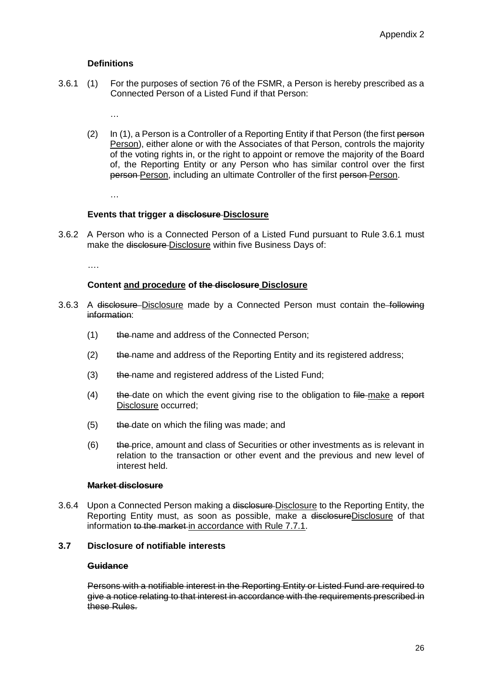### **Definitions**

- 3.6.1 (1) For the purposes of section 76 of the FSMR, a Person is hereby prescribed as a Connected Person of a Listed Fund if that Person:
	- …
	- (2) In (1), a Person is a Controller of a Reporting Entity if that Person (the first person Person), either alone or with the Associates of that Person, controls the majority of the voting rights in, or the right to appoint or remove the majority of the Board of, the Reporting Entity or any Person who has similar control over the first person-Person, including an ultimate Controller of the first person-Person.

…

### **Events that trigger a disclosure Disclosure**

3.6.2 A Person who is a Connected Person of a Listed Fund pursuant to Rule 3.6.1 must make the disclosure-Disclosure within five Business Days of:

….

#### **Content and procedure of the disclosure Disclosure**

- 3.6.3 A disclosure-Disclosure made by a Connected Person must contain the following information:
	- (1) the name and address of the Connected Person;
	- $(2)$  the name and address of the Reporting Entity and its registered address;
	- (3) the name and registered address of the Listed Fund;
	- $(4)$  the date on which the event giving rise to the obligation to file make a report Disclosure occurred;
	- $(5)$  the date on which the filing was made; and
	- $(6)$  the price, amount and class of Securities or other investments as is relevant in relation to the transaction or other event and the previous and new level of interest held.

#### **Market disclosure**

3.6.4 Upon a Connected Person making a disclosure-Disclosure to the Reporting Entity, the Reporting Entity must, as soon as possible, make a disclosureDisclosure of that information to the market in accordance with Rule 7.7.1.

# **3.7 Disclosure of notifiable interests**

#### **Guidance**

Persons with a notifiable interest in the Reporting Entity or Listed Fund are required to give a notice relating to that interest in accordance with the requirements prescribed in these Rules.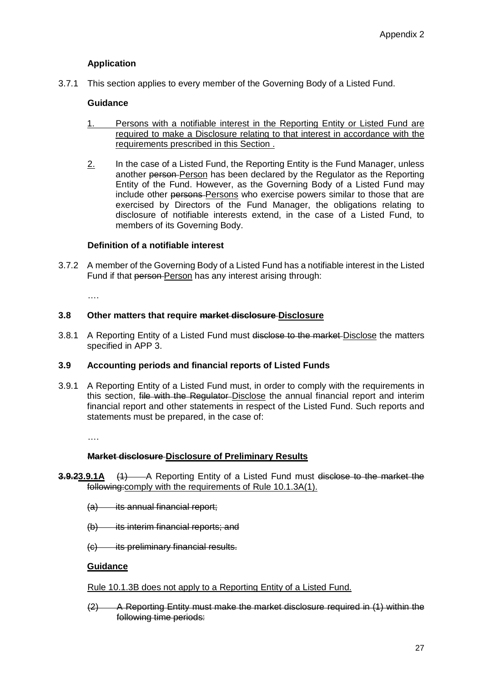# **Application**

3.7.1 This section applies to every member of the Governing Body of a Listed Fund.

# **Guidance**

- 1. Persons with a notifiable interest in the Reporting Entity or Listed Fund are required to make a Disclosure relating to that interest in accordance with the requirements prescribed in this Section .
- 2. In the case of a Listed Fund, the Reporting Entity is the Fund Manager, unless another person Person has been declared by the Regulator as the Reporting Entity of the Fund. However, as the Governing Body of a Listed Fund may include other persons-Persons who exercise powers similar to those that are exercised by Directors of the Fund Manager, the obligations relating to disclosure of notifiable interests extend, in the case of a Listed Fund, to members of its Governing Body.

### **Definition of a notifiable interest**

3.7.2 A member of the Governing Body of a Listed Fund has a notifiable interest in the Listed Fund if that person Person has any interest arising through:

….

# **3.8 Other matters that require market disclosure Disclosure**

3.8.1 A Reporting Entity of a Listed Fund must disclose to the market-Disclose the matters specified in APP 3.

#### **3.9 Accounting periods and financial reports of Listed Funds**

3.9.1 A Reporting Entity of a Listed Fund must, in order to comply with the requirements in this section, file with the Regulater-Disclose the annual financial report and interim financial report and other statements in respect of the Listed Fund. Such reports and statements must be prepared, in the case of:

….

#### **Market disclosure Disclosure of Preliminary Results**

- **3.9.23.9.1A** (1) A Reporting Entity of a Listed Fund must disclose to the market the following:comply with the requirements of Rule 10.1.3A(1).
	- $(a)$  its annual financial report;
	- (b) its interim financial reports; and
	- (c) its preliminary financial results.

#### **Guidance**

#### Rule 10.1.3B does not apply to a Reporting Entity of a Listed Fund.

(2) A Reporting Entity must make the market disclosure required in (1) within the following time periods: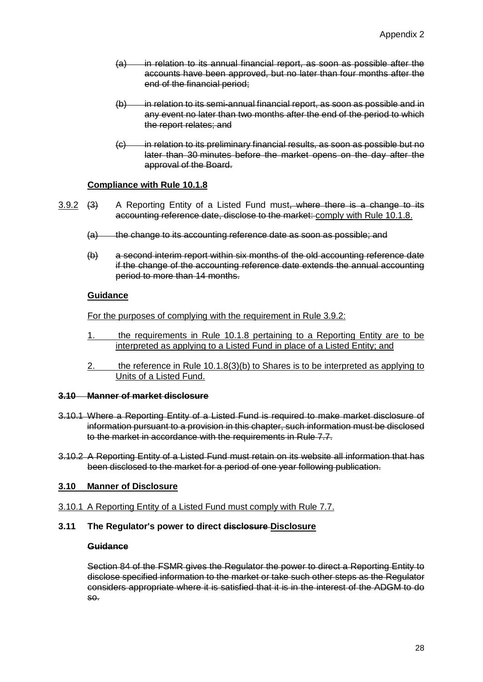- (a) in relation to its annual financial report, as soon as possible after the accounts have been approved, but no later than four months after the end of the financial period;
- (b) in relation to its semi-annual financial report, as soon as possible and in any event no later than two months after the end of the period to which the report relates; and
- (c) in relation to its preliminary financial results, as soon as possible but no later than 30 minutes before the market opens on the day after the approval of the Board.

# **Compliance with Rule 10.1.8**

- $3.9.2$  (3) A Reporting Entity of a Listed Fund must, where there is a change to its accounting reference date, disclose to the market: comply with Rule 10.1.8.
	- (a) the change to its accounting reference date as soon as possible; and
	- (b) a second interim report within six months of the old accounting reference date if the change of the accounting reference date extends the annual accounting period to more than 14 months.

### **Guidance**

For the purposes of complying with the requirement in Rule 3.9.2:

- 1. the requirements in Rule 10.1.8 pertaining to a Reporting Entity are to be interpreted as applying to a Listed Fund in place of a Listed Entity; and
- 2. the reference in Rule 10.1.8(3)(b) to Shares is to be interpreted as applying to Units of a Listed Fund.

#### **3.10 Manner of market disclosure**

- 3.10.1 Where a Reporting Entity of a Listed Fund is required to make market disclosure of information pursuant to a provision in this chapter, such information must be disclosed to the market in accordance with the requirements in Rule 7.7.
- 3.10.2 A Reporting Entity of a Listed Fund must retain on its website all information that has been disclosed to the market for a period of one year following publication.

# **3.10 Manner of Disclosure**

- 3.10.1 A Reporting Entity of a Listed Fund must comply with Rule 7.7.
- **3.11 The Regulator's power to direct disclosure Disclosure**

### **Guidance**

Section 84 of the FSMR gives the Regulator the power to direct a Reporting Entity to disclose specified information to the market or take such other steps as the Regulator considers appropriate where it is satisfied that it is in the interest of the ADGM to do so.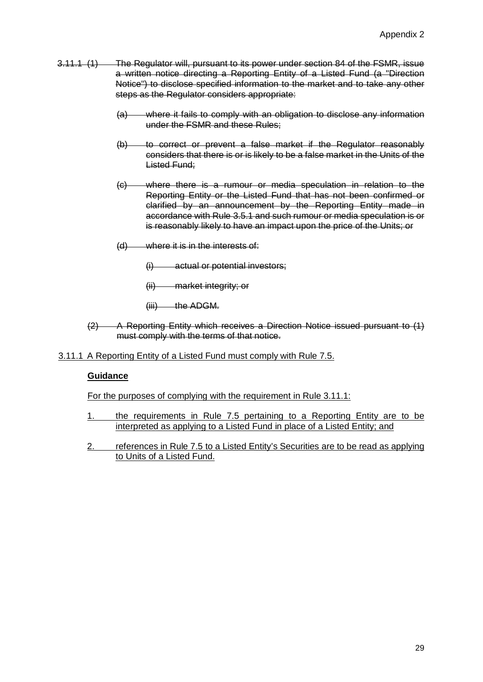- 3.11.1 (1) The Regulator will, pursuant to its power under section 84 of the FSMR, issue a written notice directing a Reporting Entity of a Listed Fund (a "Direction Notice") to disclose specified information to the market and to take any other steps as the Regulator considers appropriate:
	- (a) where it fails to comply with an obligation to disclose any information under the FSMR and these Rules;
	- (b) to correct or prevent a false market if the Regulator reasonably considers that there is or is likely to be a false market in the Units of the Listed Fund;
	- (c) where there is a rumour or media speculation in relation to the Reporting Entity or the Listed Fund that has not been confirmed or clarified by an announcement by the Reporting Entity made in accordance with Rule 3.5.1 and such rumour or media speculation is or is reasonably likely to have an impact upon the price of the Units; or
	- (d) where it is in the interests of:
		- (i) actual or potential investors;
		- (ii) market integrity; or
		- (iii) the ADGM.
	- (2) A Reporting Entity which receives a Direction Notice issued pursuant to (1) must comply with the terms of that notice.
- 3.11.1 A Reporting Entity of a Listed Fund must comply with Rule 7.5.

# **Guidance**

For the purposes of complying with the requirement in Rule 3.11.1:

- 1. the requirements in Rule 7.5 pertaining to a Reporting Entity are to be interpreted as applying to a Listed Fund in place of a Listed Entity; and
- 2. references in Rule 7.5 to a Listed Entity's Securities are to be read as applying to Units of a Listed Fund.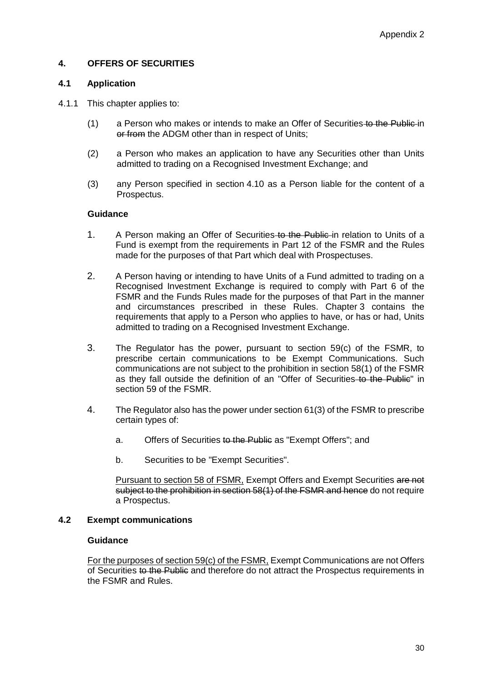# **4. OFFERS OF SECURITIES**

#### **4.1 Application**

#### 4.1.1 This chapter applies to:

- (1) a Person who makes or intends to make an Offer of Securities to the Public in or from the ADGM other than in respect of Units:
- (2) a Person who makes an application to have any Securities other than Units admitted to trading on a Recognised Investment Exchange; and
- (3) any Person specified in section 4.10 as a Person liable for the content of a Prospectus.

#### **Guidance**

- 1. A Person making an Offer of Securities to the Public in relation to Units of a Fund is exempt from the requirements in Part 12 of the FSMR and the Rules made for the purposes of that Part which deal with Prospectuses.
- 2. A Person having or intending to have Units of a Fund admitted to trading on a Recognised Investment Exchange is required to comply with Part 6 of the FSMR and the Funds Rules made for the purposes of that Part in the manner and circumstances prescribed in these Rules. Chapter 3 contains the requirements that apply to a Person who applies to have, or has or had, Units admitted to trading on a Recognised Investment Exchange.
- 3. The Regulator has the power, pursuant to section 59(c) of the FSMR, to prescribe certain communications to be Exempt Communications. Such communications are not subject to the prohibition in section 58(1) of the FSMR as they fall outside the definition of an "Offer of Securities to the Public" in section 59 of the FSMR.
- 4. The Regulator also has the power under section 61(3) of the FSMR to prescribe certain types of:
	- a. Offers of Securities to the Public as "Exempt Offers"; and
	- b. Securities to be "Exempt Securities".

Pursuant to section 58 of FSMR, Exempt Offers and Exempt Securities are not subject to the prohibition in section 58(1) of the FSMR and hence do not require a Prospectus.

#### **4.2 Exempt communications**

### **Guidance**

For the purposes of section 59(c) of the FSMR, Exempt Communications are not Offers of Securities to the Public and therefore do not attract the Prospectus requirements in the FSMR and Rules.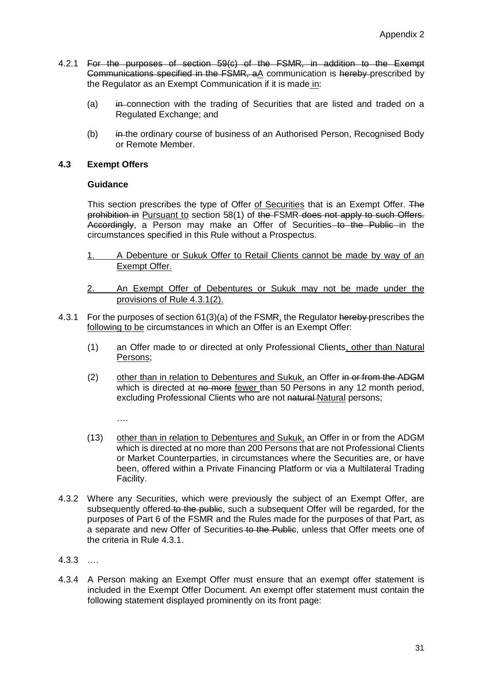- 4.2.1 For the purposes of section 59(c) of the FSMR, in addition to the Exempt Communications specified in the FSMR, aA communication is hereby prescribed by the Regulator as an Exempt Communication if it is made in:
	- (a) in connection with the trading of Securities that are listed and traded on a Regulated Exchange; and
	- (b) in the ordinary course of business of an Authorised Person, Recognised Body or Remote Member.

# **4.3 Exempt Offers**

# **Guidance**

This section prescribes the type of Offer of Securities that is an Exempt Offer. The prohibition in Pursuant to section 58(1) of the FSMR does not apply to such Offers. Accordingly, a Person may make an Offer of Securities to the Public in the circumstances specified in this Rule without a Prospectus.

- 1. A Debenture or Sukuk Offer to Retail Clients cannot be made by way of an Exempt Offer.
- 2. An Exempt Offer of Debentures or Sukuk may not be made under the provisions of Rule 4.3.1(2).
- 4.3.1 For the purposes of section 61(3)(a) of the FSMR, the Regulator hereby prescribes the following to be circumstances in which an Offer is an Exempt Offer:
	- (1) an Offer made to or directed at only Professional Clients, other than Natural Persons;
	- (2) other than in relation to Debentures and Sukuk, an Offer in or from the ADGM which is directed at no more fewer than 50 Persons in any 12 month period, excluding Professional Clients who are not natural Natural persons;

….

- (13) other than in relation to Debentures and Sukuk, an Offer in or from the ADGM which is directed at no more than 200 Persons that are not Professional Clients or Market Counterparties, in circumstances where the Securities are, or have been, offered within a Private Financing Platform or via a Multilateral Trading Facility.
- 4.3.2 Where any Securities, which were previously the subject of an Exempt Offer, are subsequently offered to the public, such a subsequent Offer will be regarded, for the purposes of Part 6 of the FSMR and the Rules made for the purposes of that Part, as a separate and new Offer of Securities to the Public, unless that Offer meets one of the criteria in Rule 4.3.1.
- 4.3.3 ….
- 4.3.4 A Person making an Exempt Offer must ensure that an exempt offer statement is included in the Exempt Offer Document. An exempt offer statement must contain the following statement displayed prominently on its front page: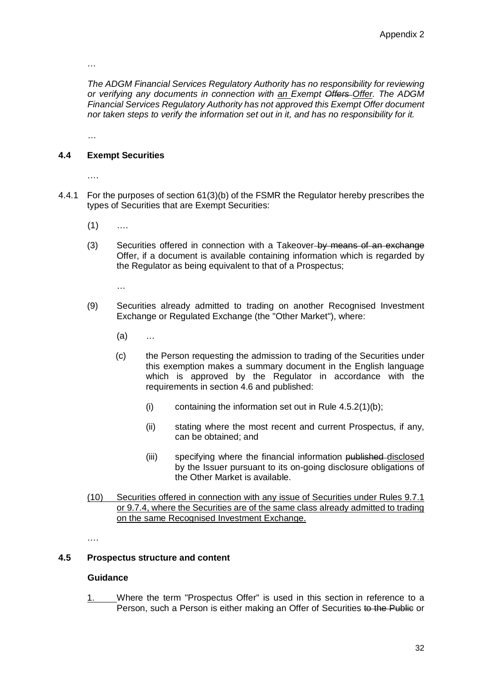*…*

*The ADGM Financial Services Regulatory Authority has no responsibility for reviewing or verifying any documents in connection with an Exempt Offers Offer. The ADGM Financial Services Regulatory Authority has not approved this Exempt Offer document nor taken steps to verify the information set out in it, and has no responsibility for it.*

…

# **4.4 Exempt Securities**

….

- 4.4.1 For the purposes of section 61(3)(b) of the FSMR the Regulator hereby prescribes the types of Securities that are Exempt Securities:
	- $(1)$  ….
	- (3) Securities offered in connection with a Takeover-by means of an exchange Offer, if a document is available containing information which is regarded by the Regulator as being equivalent to that of a Prospectus;

…

- (9) Securities already admitted to trading on another Recognised Investment Exchange or Regulated Exchange (the "Other Market"), where:
	- (a) …
	- (c) the Person requesting the admission to trading of the Securities under this exemption makes a summary document in the English language which is approved by the Regulator in accordance with the requirements in section 4.6 and published:
		- (i) containing the information set out in Rule  $4.5.2(1)(b)$ ;
		- (ii) stating where the most recent and current Prospectus, if any, can be obtained; and
		- (iii) specifying where the financial information published disclosed by the Issuer pursuant to its on-going disclosure obligations of the Other Market is available.
- (10) Securities offered in connection with any issue of Securities under Rules 9.7.1 or 9.7.4, where the Securities are of the same class already admitted to trading on the same Recognised Investment Exchange.

….

#### **4.5 Prospectus structure and content**

#### **Guidance**

1. Where the term "Prospectus Offer" is used in this section in reference to a Person, such a Person is either making an Offer of Securities to the Public or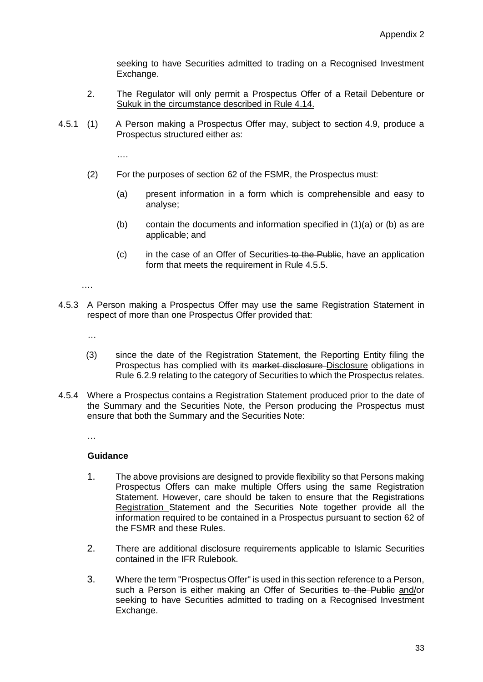seeking to have Securities admitted to trading on a Recognised Investment Exchange.

- 2. The Regulator will only permit a Prospectus Offer of a Retail Debenture or Sukuk in the circumstance described in Rule 4.14.
- 4.5.1 (1) A Person making a Prospectus Offer may, subject to section 4.9, produce a Prospectus structured either as:

….

- (2) For the purposes of section 62 of the FSMR, the Prospectus must:
	- (a) present information in a form which is comprehensible and easy to analyse;
	- (b) contain the documents and information specified in (1)(a) or (b) as are applicable; and
	- (c) in the case of an Offer of Securities to the Public, have an application form that meets the requirement in Rule 4.5.5.

….

4.5.3 A Person making a Prospectus Offer may use the same Registration Statement in respect of more than one Prospectus Offer provided that:

…

- (3) since the date of the Registration Statement, the Reporting Entity filing the Prospectus has complied with its market disclosure Disclosure obligations in Rule 6.2.9 relating to the category of Securities to which the Prospectus relates.
- 4.5.4 Where a Prospectus contains a Registration Statement produced prior to the date of the Summary and the Securities Note, the Person producing the Prospectus must ensure that both the Summary and the Securities Note:

…

#### **Guidance**

- 1. The above provisions are designed to provide flexibility so that Persons making Prospectus Offers can make multiple Offers using the same Registration Statement. However, care should be taken to ensure that the Registrations Registration Statement and the Securities Note together provide all the information required to be contained in a Prospectus pursuant to section 62 of the FSMR and these Rules.
- 2. There are additional disclosure requirements applicable to Islamic Securities contained in the IFR Rulebook.
- 3. Where the term "Prospectus Offer" is used in this section reference to a Person, such a Person is either making an Offer of Securities to the Public and/or seeking to have Securities admitted to trading on a Recognised Investment Exchange.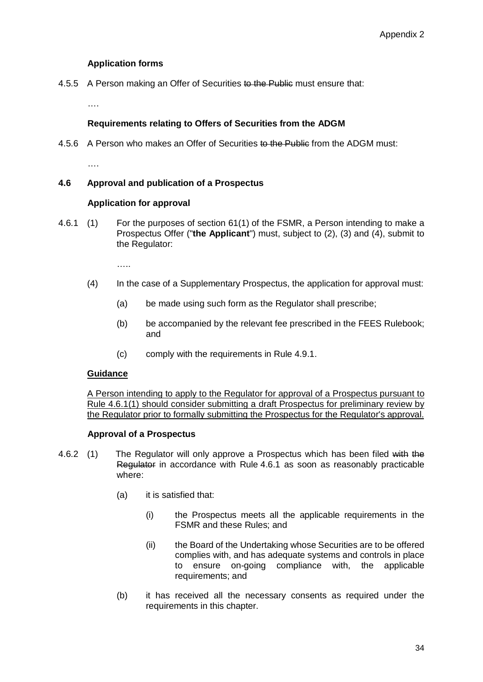# **Application forms**

4.5.5 A Person making an Offer of Securities to the Public must ensure that:

…<br>…

# **Requirements relating to Offers of Securities from the ADGM**

4.5.6 A Person who makes an Offer of Securities to the Public from the ADGM must:

…<br>…

# **4.6 Approval and publication of a Prospectus**

# **Application for approval**

4.6.1 (1) For the purposes of section 61(1) of the FSMR, a Person intending to make a Prospectus Offer ("**the Applicant**") must, subject to (2), (3) and (4), submit to the Regulator:

……

- (4) In the case of a Supplementary Prospectus, the application for approval must:
	- (a) be made using such form as the Regulator shall prescribe;
	- (b) be accompanied by the relevant fee prescribed in the FEES Rulebook; and
	- (c) comply with the requirements in Rule 4.9.1.

# **Guidance**

A Person intending to apply to the Regulator for approval of a Prospectus pursuant to Rule 4.6.1(1) should consider submitting a draft Prospectus for preliminary review by the Regulator prior to formally submitting the Prospectus for the Regulator's approval.

# **Approval of a Prospectus**

- 4.6.2 (1) The Regulator will only approve a Prospectus which has been filed with the Regulator in accordance with Rule 4.6.1 as soon as reasonably practicable where:
	- (a) it is satisfied that:
		- (i) the Prospectus meets all the applicable requirements in the FSMR and these Rules; and
		- (ii) the Board of the Undertaking whose Securities are to be offered complies with, and has adequate systems and controls in place to ensure on-going compliance with, the applicable requirements; and
	- (b) it has received all the necessary consents as required under the requirements in this chapter.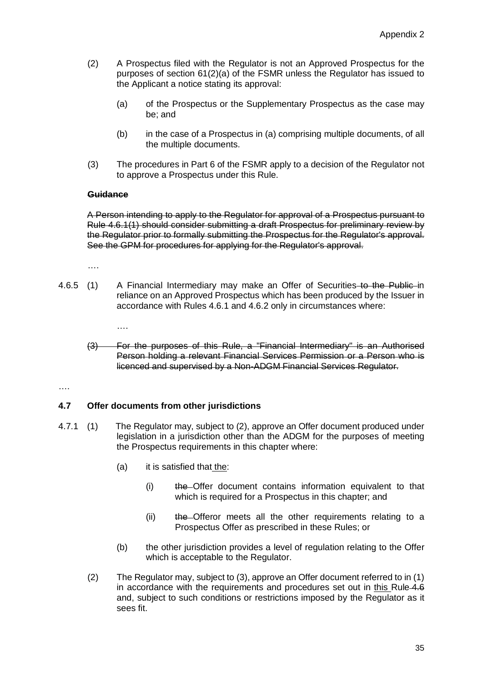- (2) A Prospectus filed with the Regulator is not an Approved Prospectus for the purposes of section 61(2)(a) of the FSMR unless the Regulator has issued to the Applicant a notice stating its approval:
	- (a) of the Prospectus or the Supplementary Prospectus as the case may be; and
	- (b) in the case of a Prospectus in (a) comprising multiple documents, of all the multiple documents.
- (3) The procedures in Part 6 of the FSMR apply to a decision of the Regulator not to approve a Prospectus under this Rule.

### **Guidance**

A Person intending to apply to the Regulator for approval of a Prospectus pursuant to Rule 4.6.1(1) should consider submitting a draft Prospectus for preliminary review by the Regulator prior to formally submitting the Prospectus for the Regulator's approval. See the GPM for procedures for applying for the Regulator's approval.

….

- 4.6.5 (1) A Financial Intermediary may make an Offer of Securities to the Public in reliance on an Approved Prospectus which has been produced by the Issuer in accordance with Rules 4.6.1 and 4.6.2 only in circumstances where:
	- ….
	- (3) For the purposes of this Rule, a "Financial Intermediary" is an Authorised Person holding a relevant Financial Services Permission or a Person who is licenced and supervised by a Non-ADGM Financial Services Regulator.

….

# **4.7 Offer documents from other jurisdictions**

- 4.7.1 (1) The Regulator may, subject to (2), approve an Offer document produced under legislation in a jurisdiction other than the ADGM for the purposes of meeting the Prospectus requirements in this chapter where:
	- (a) it is satisfied that the:
		- (i) the Offer document contains information equivalent to that which is required for a Prospectus in this chapter; and
		- (ii) the Offeror meets all the other requirements relating to a Prospectus Offer as prescribed in these Rules; or
	- (b) the other jurisdiction provides a level of regulation relating to the Offer which is acceptable to the Regulator.
	- (2) The Regulator may, subject to (3), approve an Offer document referred to in (1) in accordance with the requirements and procedures set out in this Rule 4.6 and, subject to such conditions or restrictions imposed by the Regulator as it sees fit.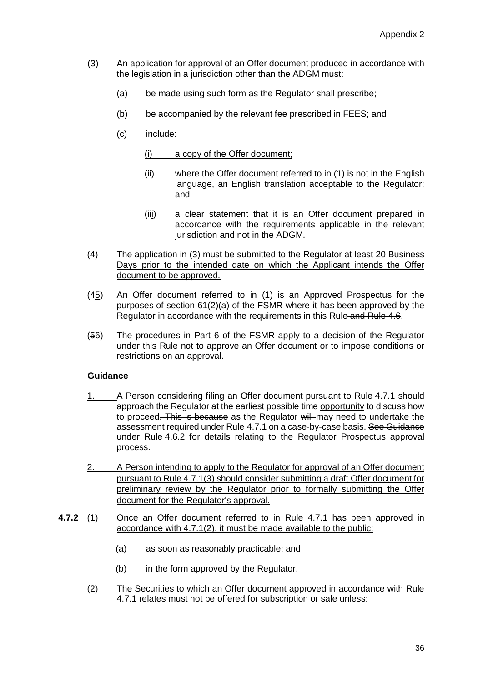- (3) An application for approval of an Offer document produced in accordance with the legislation in a jurisdiction other than the ADGM must:
	- (a) be made using such form as the Regulator shall prescribe;
	- (b) be accompanied by the relevant fee prescribed in FEES; and
	- (c) include:

(i) a copy of the Offer document;

- (ii) where the Offer document referred to in (1) is not in the English language, an English translation acceptable to the Regulator; and
- (iii) a clear statement that it is an Offer document prepared in accordance with the requirements applicable in the relevant jurisdiction and not in the ADGM.
- (4) The application in (3) must be submitted to the Regulator at least 20 Business Days prior to the intended date on which the Applicant intends the Offer document to be approved.
- (45) An Offer document referred to in (1) is an Approved Prospectus for the purposes of section 61(2)(a) of the FSMR where it has been approved by the Regulator in accordance with the requirements in this Rule and Rule 4.6.
- (56) The procedures in Part 6 of the FSMR apply to a decision of the Regulator under this Rule not to approve an Offer document or to impose conditions or restrictions on an approval.

## **Guidance**

- 1. A Person considering filing an Offer document pursuant to Rule 4.7.1 should approach the Regulator at the earliest possible time opportunity to discuss how to proceed. This is because as the Regulator will may need to undertake the assessment required under Rule 4.7.1 on a case-by-case basis. See Guidance under Rule 4.6.2 for details relating to the Regulator Prospectus approval process.
- 2. A Person intending to apply to the Regulator for approval of an Offer document pursuant to Rule 4.7.1(3) should consider submitting a draft Offer document for preliminary review by the Regulator prior to formally submitting the Offer document for the Regulator's approval.
- **4.7.2** (1) Once an Offer document referred to in Rule 4.7.1 has been approved in accordance with 4.7.1(2), it must be made available to the public:
	- (a) as soon as reasonably practicable; and
	- (b) in the form approved by the Regulator.
	- (2) The Securities to which an Offer document approved in accordance with Rule 4.7.1 relates must not be offered for subscription or sale unless: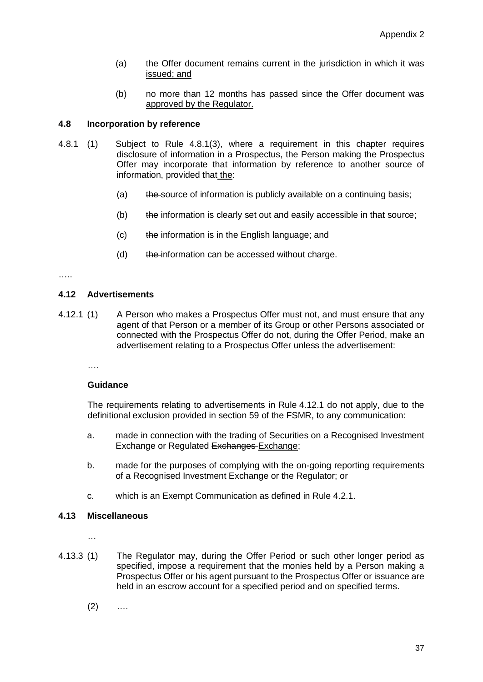- (a) the Offer document remains current in the jurisdiction in which it was issued; and
- (b) no more than 12 months has passed since the Offer document was approved by the Regulator.

## **4.8 Incorporation by reference**

- 4.8.1 (1) Subject to Rule 4.8.1(3), where a requirement in this chapter requires disclosure of information in a Prospectus, the Person making the Prospectus Offer may incorporate that information by reference to another source of information, provided that the:
	- (a)  $t$  the source of information is publicly available on a continuing basis;
	- (b) the information is clearly set out and easily accessible in that source;
	- (c) the information is in the English language; and
	- (d) the information can be accessed without charge.

#### ……

## **4.12 Advertisements**

4.12.1 (1) A Person who makes a Prospectus Offer must not, and must ensure that any agent of that Person or a member of its Group or other Persons associated or connected with the Prospectus Offer do not, during the Offer Period, make an advertisement relating to a Prospectus Offer unless the advertisement:

….

#### **Guidance**

The requirements relating to advertisements in Rule 4.12.1 do not apply, due to the definitional exclusion provided in section 59 of the FSMR, to any communication:

- a. made in connection with the trading of Securities on a Recognised Investment Exchange or Regulated Exchanges Exchange;
- b. made for the purposes of complying with the on-going reporting requirements of a Recognised Investment Exchange or the Regulator; or
- c. which is an Exempt Communication as defined in Rule 4.2.1.

#### **4.13 Miscellaneous**

…

- 4.13.3 (1) The Regulator may, during the Offer Period or such other longer period as specified, impose a requirement that the monies held by a Person making a Prospectus Offer or his agent pursuant to the Prospectus Offer or issuance are held in an escrow account for a specified period and on specified terms.
	- $(2)$  ....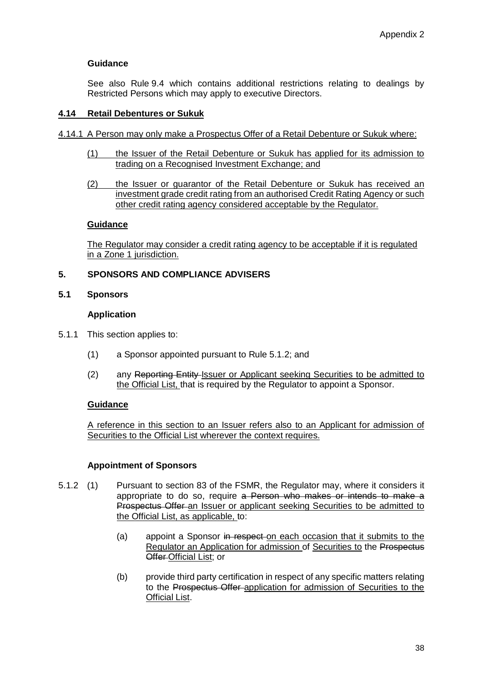See also Rule 9.4 which contains additional restrictions relating to dealings by Restricted Persons which may apply to executive Directors.

## **4.14 Retail Debentures or Sukuk**

- 4.14.1 A Person may only make a Prospectus Offer of a Retail Debenture or Sukuk where:
	- (1) the Issuer of the Retail Debenture or Sukuk has applied for its admission to trading on a Recognised Investment Exchange; and
	- (2) the Issuer or guarantor of the Retail Debenture or Sukuk has received an investment grade credit rating from an authorised Credit Rating Agency or such other credit rating agency considered acceptable by the Regulator.

## **Guidance**

The Regulator may consider a credit rating agency to be acceptable if it is regulated in a Zone 1 jurisdiction.

## **5. SPONSORS AND COMPLIANCE ADVISERS**

## **5.1 Sponsors**

## **Application**

- 5.1.1 This section applies to:
	- (1) a Sponsor appointed pursuant to Rule 5.1.2; and
	- (2) any Reporting Entity-Issuer or Applicant seeking Securities to be admitted to the Official List, that is required by the Regulator to appoint a Sponsor.

## **Guidance**

A reference in this section to an Issuer refers also to an Applicant for admission of Securities to the Official List wherever the context requires.

#### **Appointment of Sponsors**

- 5.1.2 (1) Pursuant to section 83 of the FSMR, the Regulator may, where it considers it appropriate to do so, require a Person who makes or intends to make a Prospectus Offer an Issuer or applicant seeking Securities to be admitted to the Official List, as applicable, to:
	- (a) appoint a Sponsor in respect on each occasion that it submits to the Regulator an Application for admission of Securities to the Prospectus Offer Official List; or
	- (b) provide third party certification in respect of any specific matters relating to the Prospectus Offer application for admission of Securities to the Official List.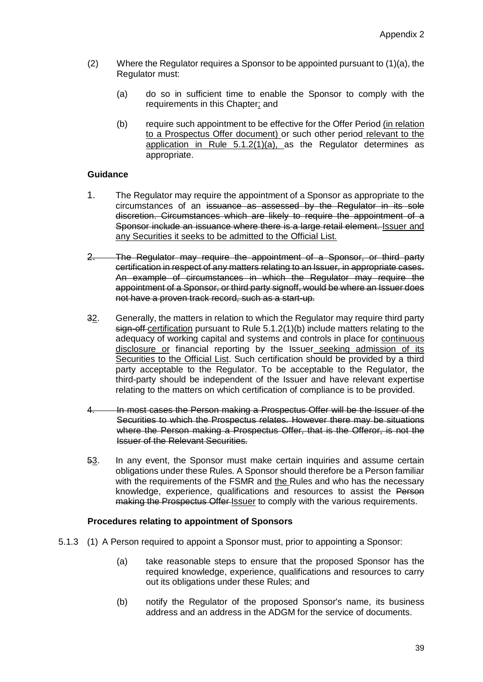- (2) Where the Regulator requires a Sponsor to be appointed pursuant to (1)(a), the Regulator must:
	- (a) do so in sufficient time to enable the Sponsor to comply with the requirements in this Chapter; and
	- (b) require such appointment to be effective for the Offer Period (in relation to a Prospectus Offer document) or such other period relevant to the application in Rule 5.1.2(1)(a), as the Regulator determines as appropriate.

- 1. The Regulator may require the appointment of a Sponsor as appropriate to the circumstances of an issuance as assessed by the Regulator in its sole discretion. Circumstances which are likely to require the appointment of a Sponsor include an issuance where there is a large retail element. Issuer and any Securities it seeks to be admitted to the Official List.
- 2. The Regulator may require the appointment of a Sponsor, or third party certification in respect of any matters relating to an Issuer, in appropriate cases. An example of circumstances in which the Regulator may require the appointment of a Sponsor, or third party signoff, would be where an Issuer does not have a proven track record, such as a start-up.
- 32. Generally, the matters in relation to which the Regulator may require third party sign-off-certification pursuant to Rule 5.1.2(1)(b) include matters relating to the adequacy of working capital and systems and controls in place for continuous disclosure or financial reporting by the Issuer seeking admission of its Securities to the Official List. Such certification should be provided by a third party acceptable to the Regulator. To be acceptable to the Regulator, the third-party should be independent of the Issuer and have relevant expertise relating to the matters on which certification of compliance is to be provided.
- In most cases the Person making a Prospectus Offer will be the Issuer of the Securities to which the Prospectus relates. However there may be situations where the Person making a Prospectus Offer, that is the Offeror, is not the Issuer of the Relevant Securities.
- 53. In any event, the Sponsor must make certain inquiries and assume certain obligations under these Rules. A Sponsor should therefore be a Person familiar with the requirements of the FSMR and the Rules and who has the necessary knowledge, experience, qualifications and resources to assist the Person making the Prospectus Offer Issuer to comply with the various requirements.

## **Procedures relating to appointment of Sponsors**

- 5.1.3 (1) A Person required to appoint a Sponsor must, prior to appointing a Sponsor:
	- (a) take reasonable steps to ensure that the proposed Sponsor has the required knowledge, experience, qualifications and resources to carry out its obligations under these Rules; and
	- (b) notify the Regulator of the proposed Sponsor's name, its business address and an address in the ADGM for the service of documents.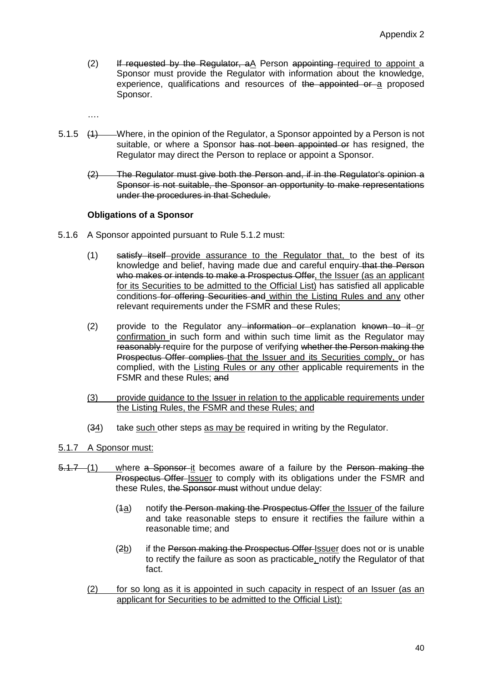(2) If requested by the Regulator, aA Person appointing required to appoint a Sponsor must provide the Regulator with information about the knowledge, experience, qualifications and resources of the appointed or a proposed Sponsor.

….

- 5.1.5 (1) Where, in the opinion of the Regulator, a Sponsor appointed by a Person is not suitable, or where a Sponsor has not been appointed or has resigned, the Regulator may direct the Person to replace or appoint a Sponsor.
	- (2) The Regulator must give both the Person and, if in the Regulator's opinion a Sponsor is not suitable, the Sponsor an opportunity to make representations under the procedures in that Schedule.

## **Obligations of a Sponsor**

- 5.1.6 A Sponsor appointed pursuant to Rule 5.1.2 must:
	- (1) satisfy itself provide assurance to the Regulator that, to the best of its knowledge and belief, having made due and careful enquiry that the Person who makes or intends to make a Prospectus Offer, the Issuer (as an applicant for its Securities to be admitted to the Official List) has satisfied all applicable conditions for offering Securities and within the Listing Rules and any other relevant requirements under the FSMR and these Rules;
	- $(2)$  provide to the Regulator any information or explanation known to it or confirmation in such form and within such time limit as the Regulator may reasonably require for the purpose of verifying whether the Person making the Prospectus Offer complies that the Issuer and its Securities comply, or has complied, with the Listing Rules or any other applicable requirements in the FSMR and these Rules; and
	- (3) provide guidance to the Issuer in relation to the applicable requirements under the Listing Rules, the FSMR and these Rules; and
	- $(34)$  take such other steps as may be required in writing by the Regulator.

## 5.1.7 A Sponsor must:

- 5.1.7 (1) where a Sponsor it becomes aware of a failure by the Person making the Prospectus Offer-Issuer to comply with its obligations under the FSMR and these Rules, the Sponsor must without undue delay:
	- $(4a)$  notify the Person making the Prospectus Offer the Issuer of the failure and take reasonable steps to ensure it rectifies the failure within a reasonable time; and
	- (2b) if the Person making the Prospectus Offer-Issuer does not or is unable to rectify the failure as soon as practicable, notify the Regulator of that fact.
	- (2) for so long as it is appointed in such capacity in respect of an Issuer (as an applicant for Securities to be admitted to the Official List):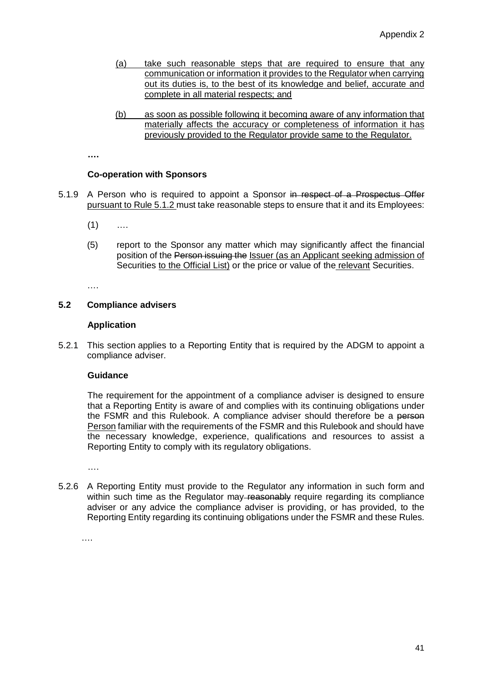- (a) take such reasonable steps that are required to ensure that any communication or information it provides to the Regulator when carrying out its duties is, to the best of its knowledge and belief, accurate and complete in all material respects; and
- (b) as soon as possible following it becoming aware of any information that materially affects the accuracy or completeness of information it has previously provided to the Regulator provide same to the Regulator.

**….**

## **Co-operation with Sponsors**

- 5.1.9 A Person who is required to appoint a Sponsor in respect of a Prospectus Offer pursuant to Rule 5.1.2 must take reasonable steps to ensure that it and its Employees:
	- $(1)$  ....
	- (5) report to the Sponsor any matter which may significantly affect the financial position of the Person issuing the Issuer (as an Applicant seeking admission of Securities to the Official List) or the price or value of the relevant Securities.

….

## **5.2 Compliance advisers**

## **Application**

5.2.1 This section applies to a Reporting Entity that is required by the ADGM to appoint a compliance adviser.

#### **Guidance**

The requirement for the appointment of a compliance adviser is designed to ensure that a Reporting Entity is aware of and complies with its continuing obligations under the FSMR and this Rulebook. A compliance adviser should therefore be a person Person familiar with the requirements of the FSMR and this Rulebook and should have the necessary knowledge, experience, qualifications and resources to assist a Reporting Entity to comply with its regulatory obligations.

….

5.2.6 A Reporting Entity must provide to the Regulator any information in such form and within such time as the Regulator may reasonably require regarding its compliance adviser or any advice the compliance adviser is providing, or has provided, to the Reporting Entity regarding its continuing obligations under the FSMR and these Rules.

….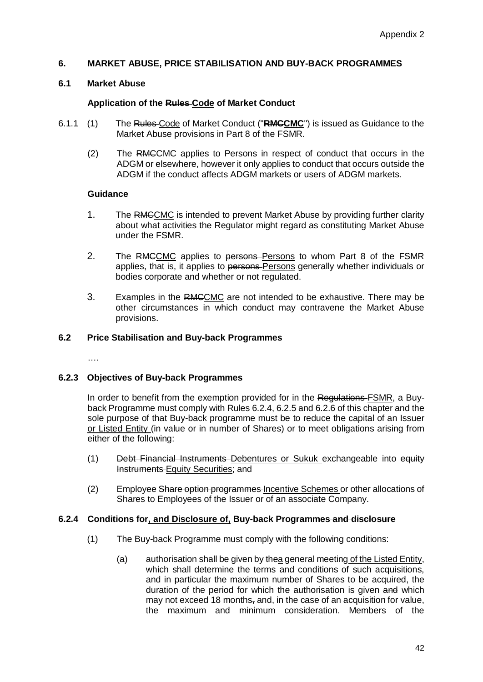## **6. MARKET ABUSE, PRICE STABILISATION AND BUY-BACK PROGRAMMES**

## **6.1 Market Abuse**

## **Application of the Rules Code of Market Conduct**

- 6.1.1 (1) The Rules Code of Market Conduct ("**RMCCMC**") is issued as Guidance to the Market Abuse provisions in Part 8 of the FSMR.
	- (2) The RMCCMC applies to Persons in respect of conduct that occurs in the ADGM or elsewhere, however it only applies to conduct that occurs outside the ADGM if the conduct affects ADGM markets or users of ADGM markets.

#### **Guidance**

- 1. The RMCCMC is intended to prevent Market Abuse by providing further clarity about what activities the Regulator might regard as constituting Market Abuse under the FSMR.
- 2. The RMCCMC applies to persons-Persons to whom Part 8 of the FSMR applies, that is, it applies to persons Persons generally whether individuals or bodies corporate and whether or not regulated.
- 3. Examples in the RMCCMC are not intended to be exhaustive. There may be other circumstances in which conduct may contravene the Market Abuse provisions.

## **6.2 Price Stabilisation and Buy-back Programmes**

….

#### **6.2.3 Objectives of Buy-back Programmes**

In order to benefit from the exemption provided for in the Regulations-FSMR, a Buyback Programme must comply with Rules 6.2.4, 6.2.5 and 6.2.6 of this chapter and the sole purpose of that Buy-back programme must be to reduce the capital of an Issuer or Listed Entity (in value or in number of Shares) or to meet obligations arising from either of the following:

- (1) Debt Financial Instruments Debentures or Sukuk exchangeable into equity Instruments Equity Securities; and
- (2) Employee Share option programmes Incentive Schemes or other allocations of Shares to Employees of the Issuer or of an associate Company.

## **6.2.4 Conditions for, and Disclosure of, Buy-back Programmes and disclosure**

- (1) The Buy-back Programme must comply with the following conditions:
	- (a) authorisation shall be given by thea general meeting of the Listed Entity, which shall determine the terms and conditions of such acquisitions, and in particular the maximum number of Shares to be acquired, the duration of the period for which the authorisation is given and which may not exceed 18 months, and, in the case of an acquisition for value. the maximum and minimum consideration. Members of the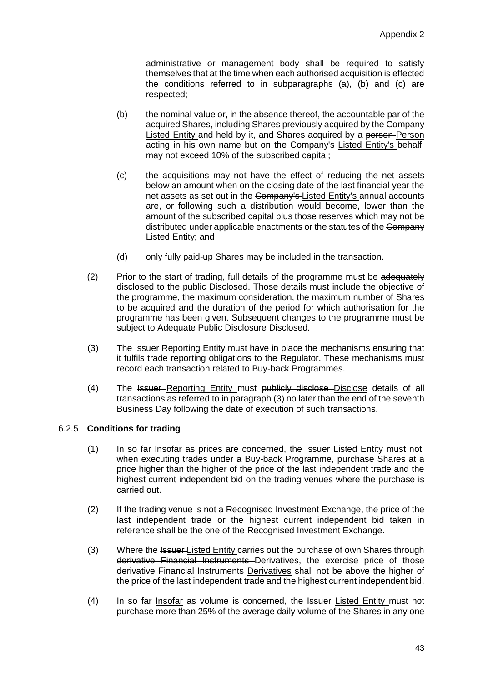administrative or management body shall be required to satisfy themselves that at the time when each authorised acquisition is effected the conditions referred to in subparagraphs (a), (b) and (c) are respected;

- (b) the nominal value or, in the absence thereof, the accountable par of the acquired Shares, including Shares previously acquired by the Company Listed Entity and held by it, and Shares acquired by a person Person acting in his own name but on the Company's Listed Entity's behalf, may not exceed 10% of the subscribed capital;
- (c) the acquisitions may not have the effect of reducing the net assets below an amount when on the closing date of the last financial year the net assets as set out in the Company's Listed Entity's annual accounts are, or following such a distribution would become, lower than the amount of the subscribed capital plus those reserves which may not be distributed under applicable enactments or the statutes of the Company Listed Entity; and
- (d) only fully paid-up Shares may be included in the transaction.
- $(2)$  Prior to the start of trading, full details of the programme must be adequately disclosed to the public Disclosed. Those details must include the objective of the programme, the maximum consideration, the maximum number of Shares to be acquired and the duration of the period for which authorisation for the programme has been given. Subsequent changes to the programme must be subject to Adequate Public Disclosure Disclosed.
- (3) The Issuer-Reporting Entity must have in place the mechanisms ensuring that it fulfils trade reporting obligations to the Regulator. These mechanisms must record each transaction related to Buy-back Programmes.
- (4) The Issuer Reporting Entity must publicly disclose Disclose details of all transactions as referred to in paragraph (3) no later than the end of the seventh Business Day following the date of execution of such transactions.

## 6.2.5 **Conditions for trading**

- $(1)$  In so far Insofar as prices are concerned, the Issuer-Listed Entity must not, when executing trades under a Buy-back Programme, purchase Shares at a price higher than the higher of the price of the last independent trade and the highest current independent bid on the trading venues where the purchase is carried out.
- (2) If the trading venue is not a Recognised Investment Exchange, the price of the last independent trade or the highest current independent bid taken in reference shall be the one of the Recognised Investment Exchange.
- (3) Where the Issuer-Listed Entity carries out the purchase of own Shares through derivative Financial Instruments Derivatives, the exercise price of those derivative Financial Instruments Derivatives shall not be above the higher of the price of the last independent trade and the highest current independent bid.
- $(4)$  In so far-lnsofar as volume is concerned, the Issuer-Listed Entity must not purchase more than 25% of the average daily volume of the Shares in any one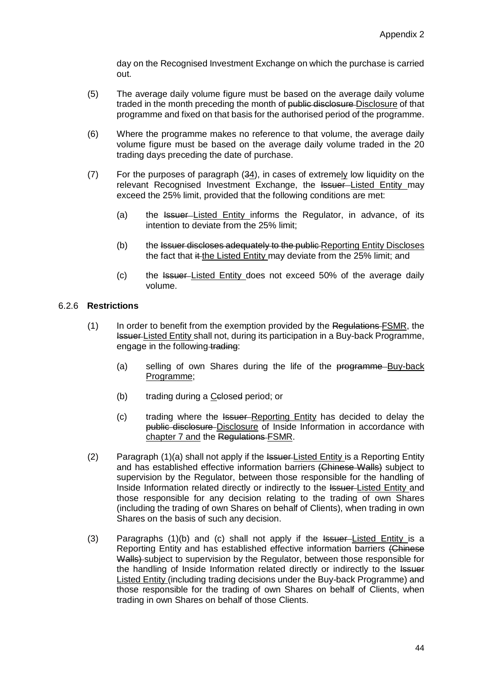day on the Recognised Investment Exchange on which the purchase is carried out.

- (5) The average daily volume figure must be based on the average daily volume traded in the month preceding the month of public disclosure Disclosure of that programme and fixed on that basis for the authorised period of the programme.
- (6) Where the programme makes no reference to that volume, the average daily volume figure must be based on the average daily volume traded in the 20 trading days preceding the date of purchase.
- (7) For the purposes of paragraph (34), in cases of extremely low liquidity on the relevant Recognised Investment Exchange, the Issuer-Listed Entity may exceed the 25% limit, provided that the following conditions are met:
	- (a) the Issuer-Listed Entity informs the Regulator, in advance, of its intention to deviate from the 25% limit;
	- (b) the Issuer discloses adequately to the public Reporting Entity Discloses the fact that it the Listed Entity may deviate from the 25% limit; and
	- (c) the Issuer Listed Entity does not exceed 50% of the average daily volume.

## 6.2.6 **Restrictions**

- (1) In order to benefit from the exemption provided by the Regulations-FSMR, the Issuer Listed Entity shall not, during its participation in a Buy-back Programme, engage in the following trading:
	- (a) selling of own Shares during the life of the programme Buy-back Programme;
	- (b) trading during a Celosed period; or
	- (c) trading where the Issuer Reporting Entity has decided to delay the public disclosure Disclosure of Inside Information in accordance with chapter 7 and the Regulations FSMR.
- (2) Paragraph (1)(a) shall not apply if the Issuer-Listed Entity is a Reporting Entity and has established effective information barriers (Chinese Walls) subject to supervision by the Regulator, between those responsible for the handling of Inside Information related directly or indirectly to the Issuer-Listed Entity and those responsible for any decision relating to the trading of own Shares (including the trading of own Shares on behalf of Clients), when trading in own Shares on the basis of such any decision.
- (3) Paragraphs  $(1)(b)$  and  $(c)$  shall not apply if the  $l$ <del>ssuer</del>-Listed Entity is a Reporting Entity and has established effective information barriers (Chinese Walls) subject to supervision by the Regulator, between those responsible for the handling of Inside Information related directly or indirectly to the Issuer Listed Entity (including trading decisions under the Buy-back Programme) and those responsible for the trading of own Shares on behalf of Clients, when trading in own Shares on behalf of those Clients.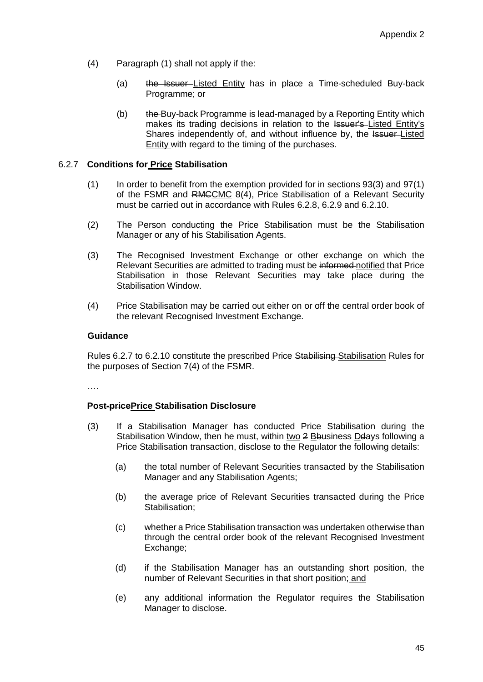- (4) Paragraph (1) shall not apply if the:
	- (a) the Issuer-Listed Entity has in place a Time-scheduled Buy-back Programme; or
	- (b) the Buy-back Programme is lead-managed by a Reporting Entity which makes its trading decisions in relation to the Issuer's Listed Entity's Shares independently of, and without influence by, the Issuer-Listed Entity with regard to the timing of the purchases.

## 6.2.7 **Conditions for Price Stabilisation**

- (1) In order to benefit from the exemption provided for in sections 93(3) and 97(1) of the FSMR and RMCCMC 8(4), Price Stabilisation of a Relevant Security must be carried out in accordance with Rules 6.2.8, 6.2.9 and 6.2.10.
- (2) The Person conducting the Price Stabilisation must be the Stabilisation Manager or any of his Stabilisation Agents.
- (3) The Recognised Investment Exchange or other exchange on which the Relevant Securities are admitted to trading must be informed notified that Price Stabilisation in those Relevant Securities may take place during the Stabilisation Window.
- (4) Price Stabilisation may be carried out either on or off the central order book of the relevant Recognised Investment Exchange.

## **Guidance**

Rules 6.2.7 to 6.2.10 constitute the prescribed Price Stabilising Stabilisation Rules for the purposes of Section 7(4) of the FSMR.

….

## **Post-pricePrice Stabilisation Disclosure**

- (3) If a Stabilisation Manager has conducted Price Stabilisation during the Stabilisation Window, then he must, within two 2 Bbusiness Deays following a Price Stabilisation transaction, disclose to the Regulator the following details:
	- (a) the total number of Relevant Securities transacted by the Stabilisation Manager and any Stabilisation Agents;
	- (b) the average price of Relevant Securities transacted during the Price Stabilisation:
	- (c) whether a Price Stabilisation transaction was undertaken otherwise than through the central order book of the relevant Recognised Investment Exchange;
	- (d) if the Stabilisation Manager has an outstanding short position, the number of Relevant Securities in that short position; and
	- (e) any additional information the Regulator requires the Stabilisation Manager to disclose.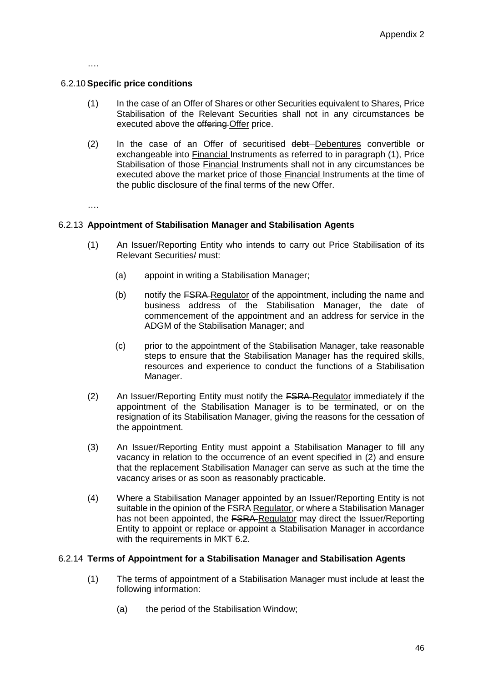….

## 6.2.10**Specific price conditions**

- (1) In the case of an Offer of Shares or other Securities equivalent to Shares, Price Stabilisation of the Relevant Securities shall not in any circumstances be executed above the offering Offer price.
- (2) In the case of an Offer of securitised debt Debentures convertible or exchangeable into Financial Instruments as referred to in paragraph (1), Price Stabilisation of those Financial Instruments shall not in any circumstances be executed above the market price of those Financial Instruments at the time of the public disclosure of the final terms of the new Offer.

….

## 6.2.13 **Appointment of Stabilisation Manager and Stabilisation Agents**

- (1) An Issuer/Reporting Entity who intends to carry out Price Stabilisation of its Relevant Securities/ must:
	- (a) appoint in writing a Stabilisation Manager;
	- (b) notify the FSRA Regulator of the appointment, including the name and business address of the Stabilisation Manager, the date of commencement of the appointment and an address for service in the ADGM of the Stabilisation Manager; and
	- (c) prior to the appointment of the Stabilisation Manager, take reasonable steps to ensure that the Stabilisation Manager has the required skills, resources and experience to conduct the functions of a Stabilisation Manager.
- (2) An Issuer/Reporting Entity must notify the FSRA Regulator immediately if the appointment of the Stabilisation Manager is to be terminated, or on the resignation of its Stabilisation Manager, giving the reasons for the cessation of the appointment.
- (3) An Issuer/Reporting Entity must appoint a Stabilisation Manager to fill any vacancy in relation to the occurrence of an event specified in (2) and ensure that the replacement Stabilisation Manager can serve as such at the time the vacancy arises or as soon as reasonably practicable.
- (4) Where a Stabilisation Manager appointed by an Issuer/Reporting Entity is not suitable in the opinion of the FSRA-Regulator, or where a Stabilisation Manager has not been appointed, the FSRA-Regulator may direct the Issuer/Reporting Entity to appoint or replace or appoint a Stabilisation Manager in accordance with the requirements in MKT 6.2.

#### 6.2.14 **Terms of Appointment for a Stabilisation Manager and Stabilisation Agents**

- (1) The terms of appointment of a Stabilisation Manager must include at least the following information:
	- (a) the period of the Stabilisation Window;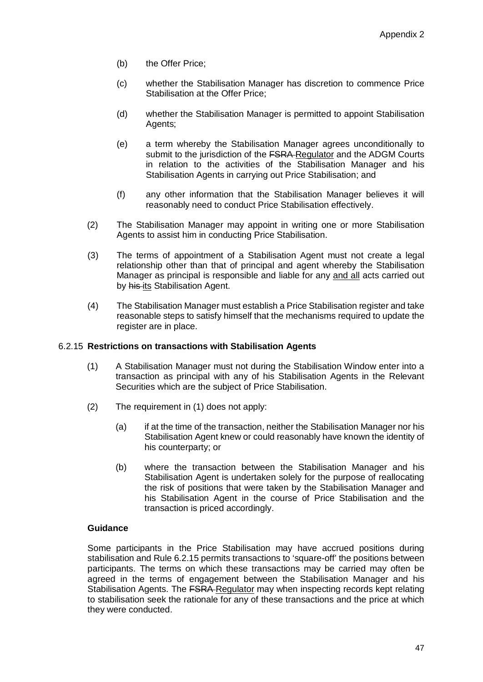- (b) the Offer Price;
- (c) whether the Stabilisation Manager has discretion to commence Price Stabilisation at the Offer Price;
- (d) whether the Stabilisation Manager is permitted to appoint Stabilisation Agents:
- (e) a term whereby the Stabilisation Manager agrees unconditionally to submit to the jurisdiction of the FSRA-Regulator and the ADGM Courts in relation to the activities of the Stabilisation Manager and his Stabilisation Agents in carrying out Price Stabilisation; and
- (f) any other information that the Stabilisation Manager believes it will reasonably need to conduct Price Stabilisation effectively.
- (2) The Stabilisation Manager may appoint in writing one or more Stabilisation Agents to assist him in conducting Price Stabilisation.
- (3) The terms of appointment of a Stabilisation Agent must not create a legal relationship other than that of principal and agent whereby the Stabilisation Manager as principal is responsible and liable for any and all acts carried out by his its Stabilisation Agent.
- (4) The Stabilisation Manager must establish a Price Stabilisation register and take reasonable steps to satisfy himself that the mechanisms required to update the register are in place.

## 6.2.15 **Restrictions on transactions with Stabilisation Agents**

- (1) A Stabilisation Manager must not during the Stabilisation Window enter into a transaction as principal with any of his Stabilisation Agents in the Relevant Securities which are the subject of Price Stabilisation.
- (2) The requirement in (1) does not apply:
	- (a) if at the time of the transaction, neither the Stabilisation Manager nor his Stabilisation Agent knew or could reasonably have known the identity of his counterparty; or
	- (b) where the transaction between the Stabilisation Manager and his Stabilisation Agent is undertaken solely for the purpose of reallocating the risk of positions that were taken by the Stabilisation Manager and his Stabilisation Agent in the course of Price Stabilisation and the transaction is priced accordingly.

# **Guidance**

Some participants in the Price Stabilisation may have accrued positions during stabilisation and Rule 6.2.15 permits transactions to 'square-off' the positions between participants. The terms on which these transactions may be carried may often be agreed in the terms of engagement between the Stabilisation Manager and his Stabilisation Agents. The FSRA-Regulator may when inspecting records kept relating to stabilisation seek the rationale for any of these transactions and the price at which they were conducted.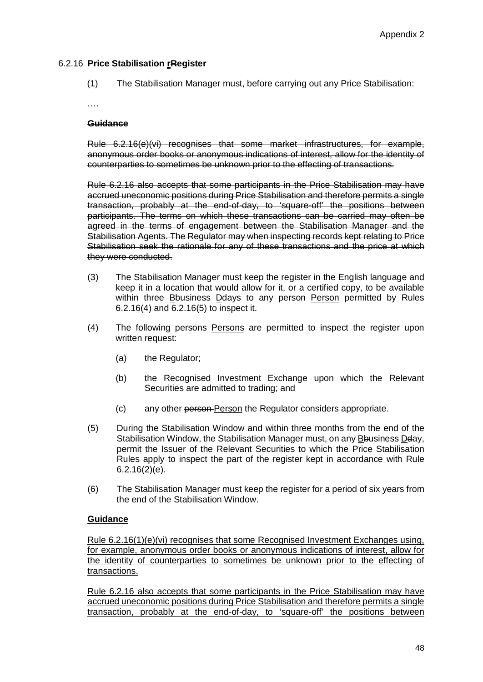## 6.2.16 **Price Stabilisation rRegister**

(1) The Stabilisation Manager must, before carrying out any Price Stabilisation:

….

### **Guidance**

Rule 6.2.16(e)(vi) recognises that some market infrastructures, for example, anonymous order books or anonymous indications of interest, allow for the identity of counterparties to sometimes be unknown prior to the effecting of transactions.

Rule 6.2.16 also accepts that some participants in the Price Stabilisation may have accrued uneconomic positions during Price Stabilisation and therefore permits a single transaction, probably at the end-of-day, to 'square-off' the positions between participants. The terms on which these transactions can be carried may often be agreed in the terms of engagement between the Stabilisation Manager and the Stabilisation Agents. The Regulator may when inspecting records kept relating to Price Stabilisation seek the rationale for any of these transactions and the price at which they were conducted.

- (3) The Stabilisation Manager must keep the register in the English language and keep it in a location that would allow for it, or a certified copy, to be available within three Bbusiness Deays to any person-Person permitted by Rules 6.2.16(4) and 6.2.16(5) to inspect it.
- (4) The following persons Persons are permitted to inspect the register upon written request:
	- (a) the Regulator;
	- (b) the Recognised Investment Exchange upon which the Relevant Securities are admitted to trading; and
	- (c) any other person Person the Regulator considers appropriate.
- (5) During the Stabilisation Window and within three months from the end of the Stabilisation Window, the Stabilisation Manager must, on any Bbusiness Dday, permit the Issuer of the Relevant Securities to which the Price Stabilisation Rules apply to inspect the part of the register kept in accordance with Rule 6.2.16(2)(e).
- (6) The Stabilisation Manager must keep the register for a period of six years from the end of the Stabilisation Window.

## **Guidance**

Rule 6.2.16(1)(e)(vi) recognises that some Recognised Investment Exchanges using, for example, anonymous order books or anonymous indications of interest, allow for the identity of counterparties to sometimes be unknown prior to the effecting of transactions.

Rule 6.2.16 also accepts that some participants in the Price Stabilisation may have accrued uneconomic positions during Price Stabilisation and therefore permits a single transaction, probably at the end-of-day, to 'square-off' the positions between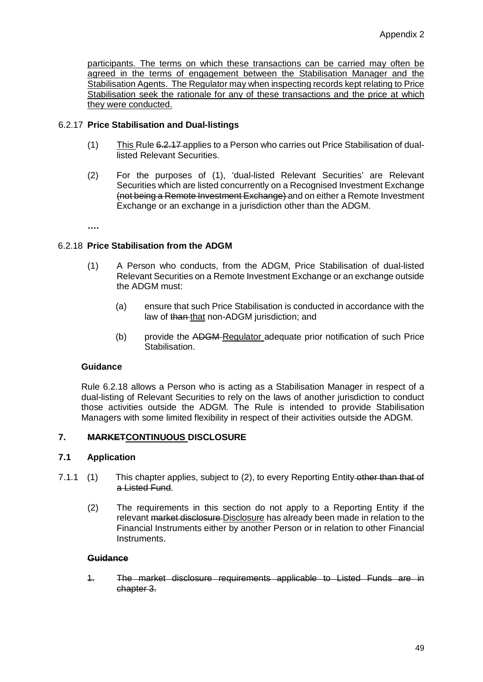participants. The terms on which these transactions can be carried may often be agreed in the terms of engagement between the Stabilisation Manager and the Stabilisation Agents. The Regulator may when inspecting records kept relating to Price Stabilisation seek the rationale for any of these transactions and the price at which they were conducted.

## 6.2.17 **Price Stabilisation and Dual-listings**

- (1) This Rule 6.2.17 applies to a Person who carries out Price Stabilisation of duallisted Relevant Securities.
- (2) For the purposes of (1), 'dual-listed Relevant Securities' are Relevant Securities which are listed concurrently on a Recognised Investment Exchange (not being a Remote Investment Exchange) and on either a Remote Investment Exchange or an exchange in a jurisdiction other than the ADGM.

**….**

## 6.2.18 **Price Stabilisation from the ADGM**

- (1) A Person who conducts, from the ADGM, Price Stabilisation of dual-listed Relevant Securities on a Remote Investment Exchange or an exchange outside the ADGM must:
	- (a) ensure that such Price Stabilisation is conducted in accordance with the law of than that non-ADGM jurisdiction; and
	- (b) provide the ADGM-Regulator adequate prior notification of such Price Stabilisation.

#### **Guidance**

Rule 6.2.18 allows a Person who is acting as a Stabilisation Manager in respect of a dual-listing of Relevant Securities to rely on the laws of another jurisdiction to conduct those activities outside the ADGM. The Rule is intended to provide Stabilisation Managers with some limited flexibility in respect of their activities outside the ADGM.

#### **7. MARKETCONTINUOUS DISCLOSURE**

## **7.1 Application**

- 7.1.1 (1) This chapter applies, subject to (2), to every Reporting Entity-other than that of a Listed Fund.
	- (2) The requirements in this section do not apply to a Reporting Entity if the relevant market disclosure Disclosure has already been made in relation to the Financial Instruments either by another Person or in relation to other Financial Instruments.

#### **Guidance**

1. The market disclosure requirements applicable to Listed Funds are in chapter 3.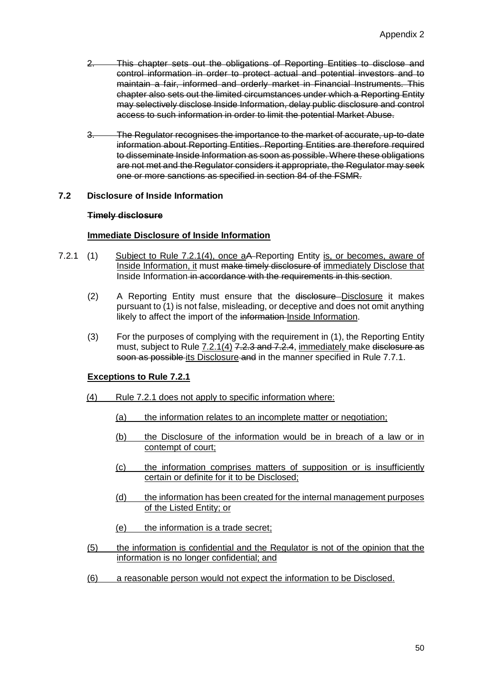- 2. This chapter sets out the obligations of Reporting Entities to disclose and control information in order to protect actual and potential investors and to maintain a fair, informed and orderly market in Financial Instruments. This chapter also sets out the limited circumstances under which a Reporting Entity may selectively disclose Inside Information, delay public disclosure and control access to such information in order to limit the potential Market Abuse.
- 3. The Regulator recognises the importance to the market of accurate, up-to-date information about Reporting Entities. Reporting Entities are therefore required to disseminate Inside Information as soon as possible. Where these obligations are not met and the Regulator considers it appropriate, the Regulator may seek one or more sanctions as specified in section 84 of the FSMR.

### **7.2 Disclosure of Inside Information**

#### **Timely disclosure**

### **Immediate Disclosure of Inside Information**

- 7.2.1 (1) Subject to Rule 7.2.1(4), once aA-Reporting Entity is, or becomes, aware of Inside Information, it must make timely disclosure of immediately Disclose that Inside Information in accordance with the requirements in this section.
	- (2) A Reporting Entity must ensure that the disclosure-Disclosure it makes pursuant to (1) is not false, misleading, or deceptive and does not omit anything likely to affect the import of the information Inside Information.
	- (3) For the purposes of complying with the requirement in (1), the Reporting Entity must, subject to Rule 7.2.1(4) 7.2.3 and 7.2.4, immediately make disclosure as soon as possible its Disclosure and in the manner specified in Rule 7.7.1.

#### **Exceptions to Rule 7.2.1**

- (4) Rule 7.2.1 does not apply to specific information where:
	- (a) the information relates to an incomplete matter or negotiation;
	- (b) the Disclosure of the information would be in breach of a law or in contempt of court;
	- (c) the information comprises matters of supposition or is insufficiently certain or definite for it to be Disclosed;
	- (d) the information has been created for the internal management purposes of the Listed Entity; or
	- (e) the information is a trade secret;
- (5) the information is confidential and the Regulator is not of the opinion that the information is no longer confidential; and
- (6) a reasonable person would not expect the information to be Disclosed.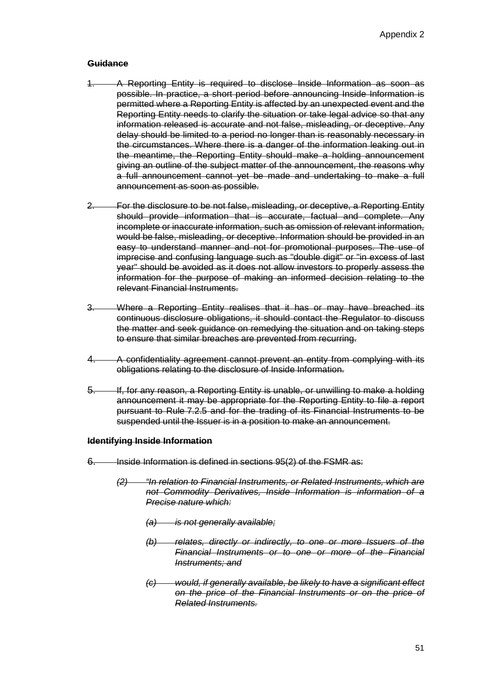- 1. A Reporting Entity is required to disclose Inside Information as soon as possible. In practice, a short period before announcing Inside Information is permitted where a Reporting Entity is affected by an unexpected event and the Reporting Entity needs to clarify the situation or take legal advice so that any information released is accurate and not false, misleading, or deceptive. Any delay should be limited to a period no longer than is reasonably necessary in the circumstances. Where there is a danger of the information leaking out in the meantime, the Reporting Entity should make a holding announcement giving an outline of the subject matter of the announcement, the reasons why a full announcement cannot yet be made and undertaking to make a full announcement as soon as possible.
- 2. For the disclosure to be not false, misleading, or deceptive, a Reporting Entity should provide information that is accurate, factual and complete. Any incomplete or inaccurate information, such as omission of relevant information, would be false, misleading, or deceptive. Information should be provided in an easy to understand manner and not for promotional purposes. The use of imprecise and confusing language such as "double digit" or "in excess of last year" should be avoided as it does not allow investors to properly assess the information for the purpose of making an informed decision relating to the relevant Financial Instruments.
- 3. Where a Reporting Entity realises that it has or may have breached its continuous disclosure obligations, it should contact the Regulator to discuss the matter and seek guidance on remedying the situation and on taking steps to ensure that similar breaches are prevented from recurring.
- 4. A confidentiality agreement cannot prevent an entity from complying with its obligations relating to the disclosure of Inside Information.
- 5. If, for any reason, a Reporting Entity is unable, or unwilling to make a holding announcement it may be appropriate for the Reporting Entity to file a report pursuant to Rule 7.2.5 and for the trading of its Financial Instruments to be suspended until the Issuer is in a position to make an announcement.

#### **Identifying Inside Information**

- 6. Inside Information is defined in sections 95(2) of the FSMR as:
	- *(2) "In relation to Financial Instruments, or Related Instruments, which are not Commodity Derivatives, Inside Information is information of a Precise nature which:*
		- *(a) is not generally available;*
		- *(b) relates, directly or indirectly, to one or more Issuers of the Financial Instruments or to one or more of the Financial Instruments; and*
		- *(c) would, if generally available, be likely to have a significant effect on the price of the Financial Instruments or on the price of Related Instruments.*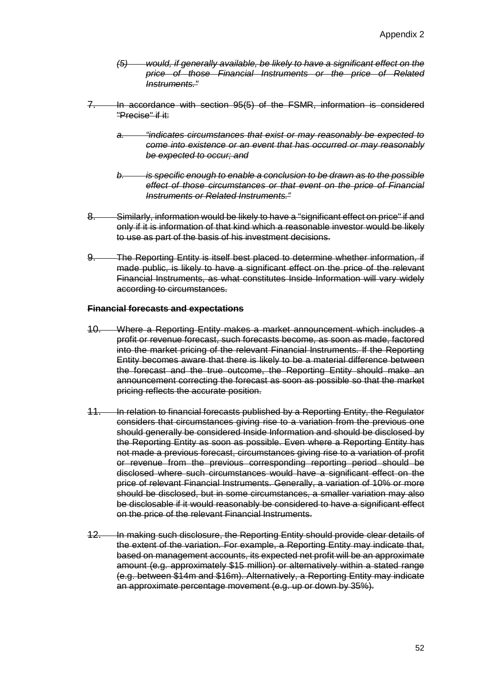- *(5) would, if generally available, be likely to have a significant effect on the price of those Financial Instruments or the price of Related Instruments."*
- 7. In accordance with section 95(5) of the FSMR, information is considered "Precise" if it:
	- *a. "indicates circumstances that exist or may reasonably be expected to come into existence or an event that has occurred or may reasonably be expected to occur; and*
	- *b. is specific enough to enable a conclusion to be drawn as to the possible effect of those circumstances or that event on the price of Financial Instruments or Related Instruments."*
- 8. Similarly, information would be likely to have a "significant effect on price" if and only if it is information of that kind which a reasonable investor would be likely to use as part of the basis of his investment decisions.
- 9. The Reporting Entity is itself best placed to determine whether information, if made public, is likely to have a significant effect on the price of the relevant Financial Instruments, as what constitutes Inside Information will vary widely according to circumstances.

#### **Financial forecasts and expectations**

- 10. Where a Reporting Entity makes a market announcement which includes a profit or revenue forecast, such forecasts become, as soon as made, factored into the market pricing of the relevant Financial Instruments. If the Reporting Entity becomes aware that there is likely to be a material difference between the forecast and the true outcome, the Reporting Entity should make an announcement correcting the forecast as soon as possible so that the market pricing reflects the accurate position.
- 11. In relation to financial forecasts published by a Reporting Entity, the Regulator considers that circumstances giving rise to a variation from the previous one should generally be considered Inside Information and should be disclosed by the Reporting Entity as soon as possible. Even where a Reporting Entity has not made a previous forecast, circumstances giving rise to a variation of profit or revenue from the previous corresponding reporting period should be disclosed where such circumstances would have a significant effect on the price of relevant Financial Instruments. Generally, a variation of 10% or more should be disclosed, but in some circumstances, a smaller variation may also be disclosable if it would reasonably be considered to have a significant effect on the price of the relevant Financial Instruments.
- 12. In making such disclosure, the Reporting Entity should provide clear details of the extent of the variation. For example, a Reporting Entity may indicate that, based on management accounts, its expected net profit will be an approximate amount (e.g. approximately \$15 million) or alternatively within a stated range (e.g. between \$14m and \$16m). Alternatively, a Reporting Entity may indicate an approximate percentage movement (e.g. up or down by 35%).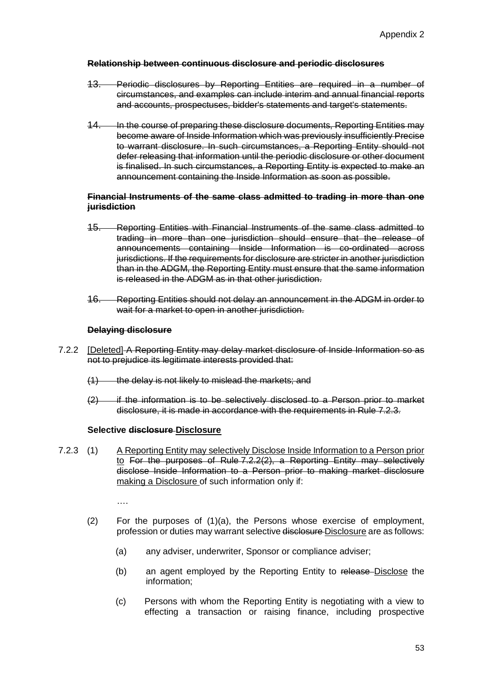### **Relationship between continuous disclosure and periodic disclosures**

- 13. Periodic disclosures by Reporting Entities are required in a number of circumstances, and examples can include interim and annual financial reports and accounts, prospectuses, bidder's statements and target's statements.
- 14. In the course of preparing these disclosure documents, Reporting Entities may become aware of Inside Information which was previously insufficiently Precise to warrant disclosure. In such circumstances, a Reporting Entity should not defer releasing that information until the periodic disclosure or other document is finalised. In such circumstances, a Reporting Entity is expected to make an announcement containing the Inside Information as soon as possible.

### **Financial Instruments of the same class admitted to trading in more than one jurisdiction**

- 15. Reporting Entities with Financial Instruments of the same class admitted to trading in more than one jurisdiction should ensure that the release of announcements containing Inside Information is co-ordinated across jurisdictions. If the requirements for disclosure are stricter in another jurisdiction than in the ADGM, the Reporting Entity must ensure that the same information is released in the ADGM as in that other jurisdiction.
- 16. Reporting Entities should not delay an announcement in the ADGM in order to wait for a market to open in another jurisdiction.

## **Delaying disclosure**

- 7.2.2 [Deleted] A Reporting Entity may delay market disclosure of Inside Information so as not to prejudice its legitimate interests provided that:
	- (1) the delay is not likely to mislead the markets; and
	- (2) if the information is to be selectively disclosed to a Person prior to market disclosure, it is made in accordance with the requirements in Rule 7.2.3.

#### **Selective disclosure Disclosure**

7.2.3 (1) A Reporting Entity may selectively Disclose Inside Information to a Person prior to For the purposes of Rule 7.2.2(2), a Reporting Entity may selectively disclose Inside Information to a Person prior to making market disclosure making a Disclosure of such information only if:

….

- (2) For the purposes of (1)(a), the Persons whose exercise of employment, profession or duties may warrant selective disclosure Disclosure are as follows:
	- (a) any adviser, underwriter, Sponsor or compliance adviser;
	- (b) an agent employed by the Reporting Entity to release Disclose the information;
	- (c) Persons with whom the Reporting Entity is negotiating with a view to effecting a transaction or raising finance, including prospective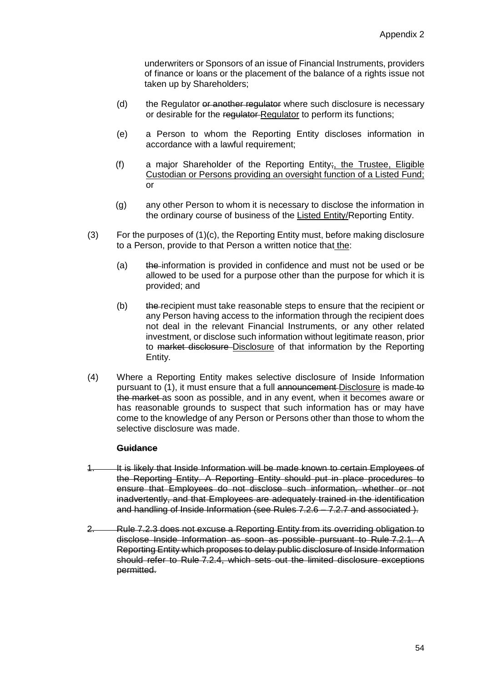underwriters or Sponsors of an issue of Financial Instruments, providers of finance or loans or the placement of the balance of a rights issue not taken up by Shareholders;

- (d) the Regulator or another regulator where such disclosure is necessary or desirable for the requistor Regulator to perform its functions:
- (e) a Person to whom the Reporting Entity discloses information in accordance with a lawful requirement;
- (f) a major Shareholder of the Reporting Entity; the Trustee, Eligible Custodian or Persons providing an oversight function of a Listed Fund; or
- (g) any other Person to whom it is necessary to disclose the information in the ordinary course of business of the Listed Entity/Reporting Entity.
- (3) For the purposes of (1)(c), the Reporting Entity must, before making disclosure to a Person, provide to that Person a written notice that the:
	- (a) the information is provided in confidence and must not be used or be allowed to be used for a purpose other than the purpose for which it is provided; and
	- (b) the recipient must take reasonable steps to ensure that the recipient or any Person having access to the information through the recipient does not deal in the relevant Financial Instruments, or any other related investment, or disclose such information without legitimate reason, prior to market disclosure Disclosure of that information by the Reporting Entity.
- (4) Where a Reporting Entity makes selective disclosure of Inside Information pursuant to (1), it must ensure that a full announcement Disclosure is made to the market as soon as possible, and in any event, when it becomes aware or has reasonable grounds to suspect that such information has or may have come to the knowledge of any Person or Persons other than those to whom the selective disclosure was made.

#### **Guidance**

- 1. It is likely that Inside Information will be made known to certain Employees of the Reporting Entity. A Reporting Entity should put in place procedures to ensure that Employees do not disclose such information, whether or not inadvertently, and that Employees are adequately trained in the identification and handling of Inside Information (see Rules 7.2.6 - 7.2.7 and associated ).
- 2. Rule 7.2.3 does not excuse a Reporting Entity from its overriding obligation to disclose Inside Information as soon as possible pursuant to Rule 7.2.1. A Reporting Entity which proposes to delay public disclosure of Inside Information should refer to Rule 7.2.4, which sets out the limited disclosure exceptions permitted.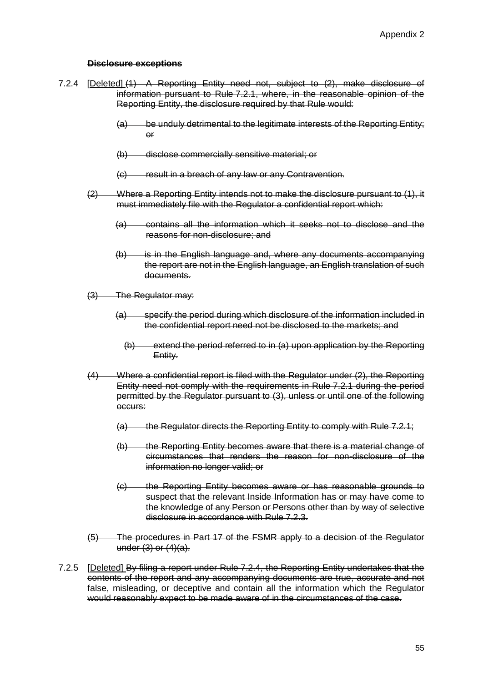### **Disclosure exceptions**

- 7.2.4 [Deleted] (1) A Reporting Entity need not, subject to (2), make disclosure of information pursuant to Rule 7.2.1, where, in the reasonable opinion of the Reporting Entity, the disclosure required by that Rule would:
	- (a) be unduly detrimental to the legitimate interests of the Reporting Entity; or
	- (b) disclose commercially sensitive material; or
	- (c) result in a breach of any law or any Contravention.
	- (2) Where a Reporting Entity intends not to make the disclosure pursuant to (1), it must immediately file with the Regulator a confidential report which:
		- (a) contains all the information which it seeks not to disclose and the reasons for non-disclosure; and
		- (b) is in the English language and, where any documents accompanying the report are not in the English language, an English translation of such documents.
	- (3) The Regulator may:
		- (a) specify the period during which disclosure of the information included in the confidential report need not be disclosed to the markets; and
			- $(b)$  extend the period referred to in (a) upon application by the Reporting Entity.
	- (4) Where a confidential report is filed with the Regulator under (2), the Reporting Entity need not comply with the requirements in Rule 7.2.1 during the period permitted by the Regulator pursuant to (3), unless or until one of the following occurs:
		- $(a)$  the Regulator directs the Reporting Entity to comply with Rule 7.2.1;
		- (b) the Reporting Entity becomes aware that there is a material change of circumstances that renders the reason for non-disclosure of the information no longer valid; or
		- (c) the Reporting Entity becomes aware or has reasonable grounds to suspect that the relevant Inside Information has or may have come to the knowledge of any Person or Persons other than by way of selective disclosure in accordance with Rule 7.2.3.
	- (5) The procedures in Part 17 of the FSMR apply to a decision of the Regulator under (3) or (4)(a).
- 7.2.5 [Deleted] By filing a report under Rule 7.2.4, the Reporting Entity undertakes that the contents of the report and any accompanying documents are true, accurate and not false, misleading, or deceptive and contain all the information which the Regulator would reasonably expect to be made aware of in the circumstances of the case.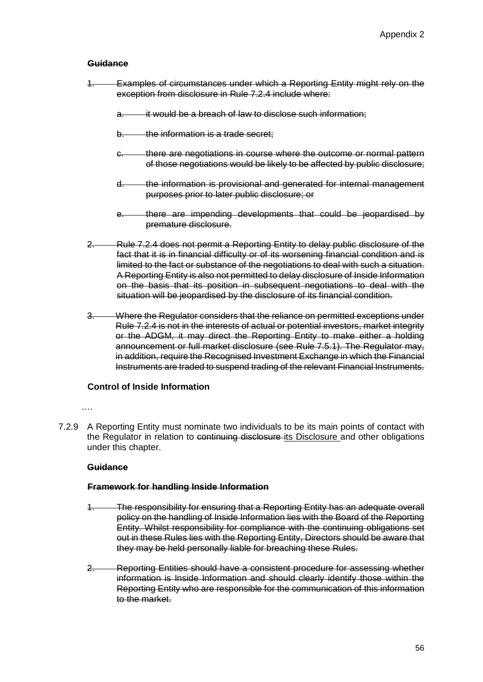- 1. Examples of circumstances under which a Reporting Entity might rely on the exception from disclosure in Rule 7.2.4 include where:
	- a. it would be a breach of law to disclose such information;
	- b. the information is a trade secret:
	- c. there are negotiations in course where the outcome or normal pattern of those negotiations would be likely to be affected by public disclosure;
	- d. the information is provisional and generated for internal management purposes prior to later public disclosure; or
	- e. there are impending developments that could be jeopardised by premature disclosure.
- 2. Rule 7.2.4 does not permit a Reporting Entity to delay public disclosure of the fact that it is in financial difficulty or of its worsening financial condition and is limited to the fact or substance of the negotiations to deal with such a situation. A Reporting Entity is also not permitted to delay disclosure of Inside Information on the basis that its position in subsequent negotiations to deal with the situation will be jeopardised by the disclosure of its financial condition.
- 3. Where the Regulator considers that the reliance on permitted exceptions under Rule 7.2.4 is not in the interests of actual or potential investors, market integrity or the ADGM, it may direct the Reporting Entity to make either a holding announcement or full market disclosure (see Rule 7.5.1). The Regulator may, in addition, require the Recognised Investment Exchange in which the Financial Instruments are traded to suspend trading of the relevant Financial Instruments.

#### **Control of Inside Information**

#### ……

7.2.9 A Reporting Entity must nominate two individuals to be its main points of contact with the Regulator in relation to continuing disclosure its Disclosure and other obligations under this chapter.

#### **Guidance**

#### **Framework for handling Inside Information**

- 1. The responsibility for ensuring that a Reporting Entity has an adequate overall policy on the handling of Inside Information lies with the Board of the Reporting Entity. Whilst responsibility for compliance with the continuing obligations set out in these Rules lies with the Reporting Entity, Directors should be aware that they may be held personally liable for breaching these Rules.
- 2. Reporting Entities should have a consistent procedure for assessing whether information is Inside Information and should clearly identify those within the Reporting Entity who are responsible for the communication of this information to the market.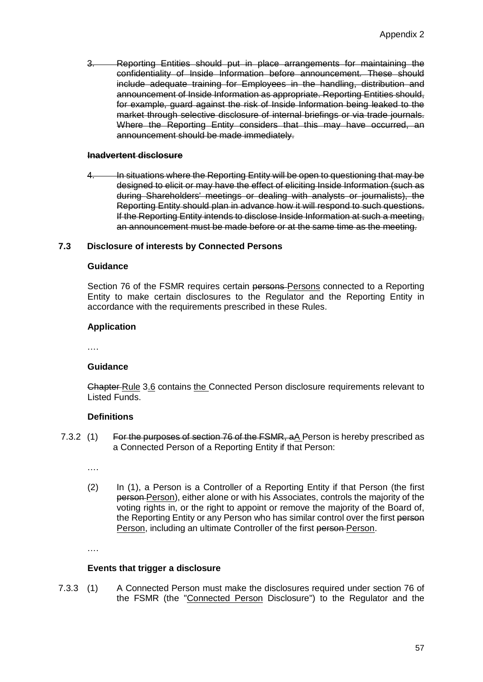3. Reporting Entities should put in place arrangements for maintaining the confidentiality of Inside Information before announcement. These should include adequate training for Employees in the handling, distribution and announcement of Inside Information as appropriate. Reporting Entities should, for example, guard against the risk of Inside Information being leaked to the market through selective disclosure of internal briefings or via trade journals. Where the Reporting Entity considers that this may have occurred, an announcement should be made immediately.

## **Inadvertent disclosure**

4. In situations where the Reporting Entity will be open to questioning that may be designed to elicit or may have the effect of eliciting Inside Information (such as during Shareholders' meetings or dealing with analysts or journalists), the Reporting Entity should plan in advance how it will respond to such questions. If the Reporting Entity intends to disclose Inside Information at such a meeting, an announcement must be made before or at the same time as the meeting.

## **7.3 Disclosure of interests by Connected Persons**

#### **Guidance**

Section 76 of the FSMR requires certain persons-Persons connected to a Reporting Entity to make certain disclosures to the Regulator and the Reporting Entity in accordance with the requirements prescribed in these Rules.

#### **Application**

….

#### **Guidance**

Chapter Rule 3.6 contains the Connected Person disclosure requirements relevant to Listed Funds.

#### **Definitions**

7.3.2 (1) For the purposes of section 76 of the FSMR, aA Person is hereby prescribed as a Connected Person of a Reporting Entity if that Person:

….

(2) In (1), a Person is a Controller of a Reporting Entity if that Person (the first person Person), either alone or with his Associates, controls the majority of the voting rights in, or the right to appoint or remove the majority of the Board of, the Reporting Entity or any Person who has similar control over the first person Person, including an ultimate Controller of the first person-Person.

….

#### **Events that trigger a disclosure**

7.3.3 (1) A Connected Person must make the disclosures required under section 76 of the FSMR (the "Connected Person Disclosure") to the Regulator and the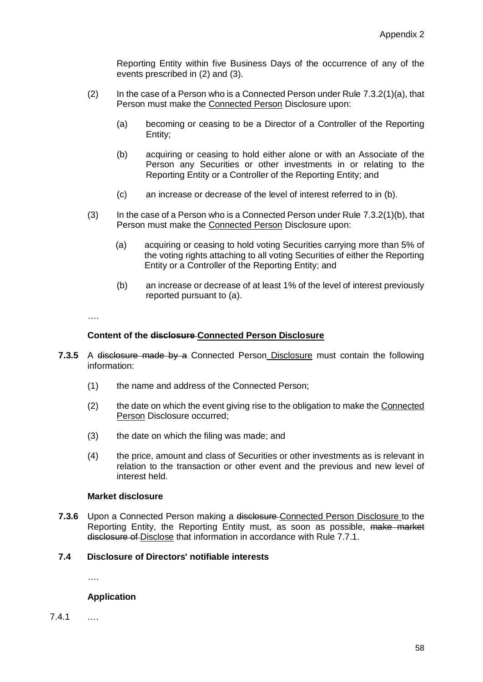Reporting Entity within five Business Days of the occurrence of any of the events prescribed in (2) and (3).

- (2) In the case of a Person who is a Connected Person under Rule  $7.3.2(1)(a)$ , that Person must make the Connected Person Disclosure upon:
	- (a) becoming or ceasing to be a Director of a Controller of the Reporting Entity;
	- (b) acquiring or ceasing to hold either alone or with an Associate of the Person any Securities or other investments in or relating to the Reporting Entity or a Controller of the Reporting Entity; and
	- (c) an increase or decrease of the level of interest referred to in (b).
- (3) In the case of a Person who is a Connected Person under Rule 7.3.2(1)(b), that Person must make the Connected Person Disclosure upon:
	- (a) acquiring or ceasing to hold voting Securities carrying more than 5% of the voting rights attaching to all voting Securities of either the Reporting Entity or a Controller of the Reporting Entity; and
	- (b) an increase or decrease of at least 1% of the level of interest previously reported pursuant to (a).

….

#### **Content of the disclosure Connected Person Disclosure**

- **7.3.5** A disclosure made by a Connected Person Disclosure must contain the following information:
	- (1) the name and address of the Connected Person;
	- (2) the date on which the event giving rise to the obligation to make the Connected Person Disclosure occurred;
	- (3) the date on which the filing was made; and
	- (4) the price, amount and class of Securities or other investments as is relevant in relation to the transaction or other event and the previous and new level of interest held.

## **Market disclosure**

**7.3.6** Upon a Connected Person making a disclosure Connected Person Disclosure to the Reporting Entity, the Reporting Entity must, as soon as possible, make market disclosure of Disclose that information in accordance with Rule 7.7.1.

# **7.4 Disclosure of Directors' notifiable interests**

….

## **Application**

7.4.1 ….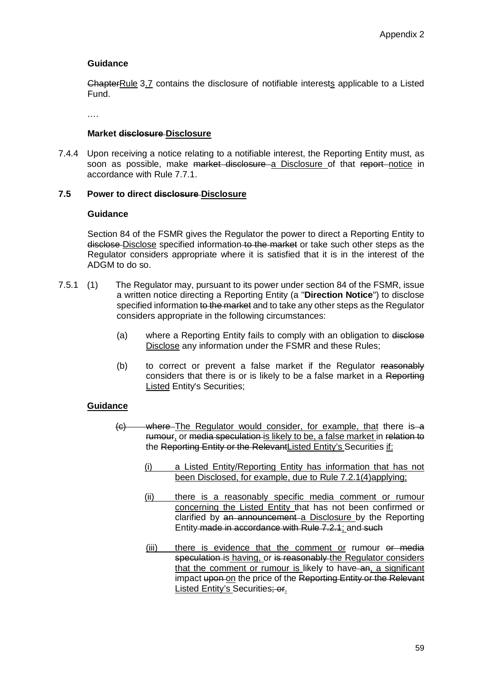ChapterRule 3.7 contains the disclosure of notifiable interests applicable to a Listed Fund.

….

## **Market disclosure Disclosure**

7.4.4 Upon receiving a notice relating to a notifiable interest, the Reporting Entity must, as soon as possible, make market disclosure a Disclosure of that report notice in accordance with Rule 7.7.1.

## **7.5 Power to direct disclosure Disclosure**

## **Guidance**

Section 84 of the FSMR gives the Regulator the power to direct a Reporting Entity to disclose-Disclose specified information to the market or take such other steps as the Regulator considers appropriate where it is satisfied that it is in the interest of the ADGM to do so.

- 7.5.1 (1) The Regulator may, pursuant to its power under section 84 of the FSMR, issue a written notice directing a Reporting Entity (a "**Direction Notice**") to disclose specified information to the market and to take any other steps as the Regulator considers appropriate in the following circumstances:
	- (a) where a Reporting Entity fails to comply with an obligation to disclose Disclose any information under the FSMR and these Rules;
	- (b) to correct or prevent a false market if the Regulator reasonably considers that there is or is likely to be a false market in a Reporting Listed Entity's Securities;

## **Guidance**

- (c) where The Regulator would consider, for example, that there is a rumour, or media speculation is likely to be, a false market in relation to the Reporting Entity or the RelevantListed Entity's Securities if:
	- (i) a Listed Entity/Reporting Entity has information that has not been Disclosed, for example, due to Rule 7.2.1(4)applying;
	- (ii) there is a reasonably specific media comment or rumour concerning the Listed Entity that has not been confirmed or clarified by an announcement a Disclosure by the Reporting Entity made in accordance with Rule 7.2.1; and such
	- (iii) there is evidence that the comment or rumour or media speculation is having, or is reasonably the Regulator considers that the comment or rumour is likely to have an, a significant impact upon on the price of the Reporting Entity or the Relevant Listed Entity's Securities; or.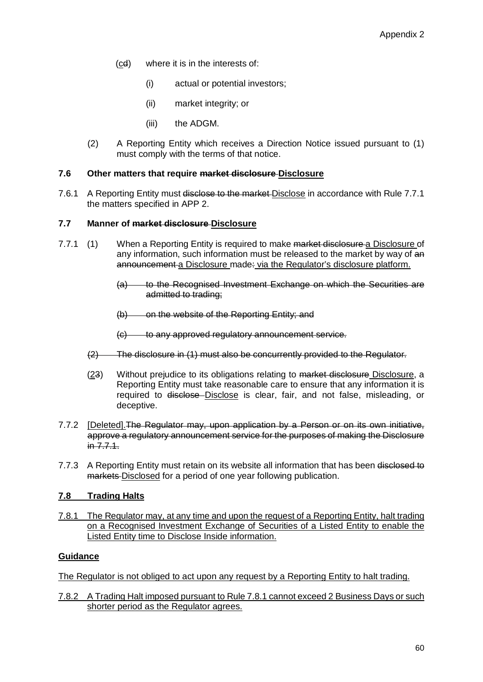- (cd) where it is in the interests of:
	- (i) actual or potential investors;
	- (ii) market integrity; or
	- (iii) the ADGM.
- (2) A Reporting Entity which receives a Direction Notice issued pursuant to (1) must comply with the terms of that notice.

### **7.6 Other matters that require market disclosure Disclosure**

7.6.1 A Reporting Entity must disclose to the market-Disclose in accordance with Rule 7.7.1 the matters specified in APP 2.

## **7.7 Manner of market disclosure Disclosure**

- 7.7.1 (1) When a Reporting Entity is required to make market disclosure a Disclosure of any information, such information must be released to the market by way of an announcement a Disclosure made: via the Regulator's disclosure platform.
	- (a) to the Recognised Investment Exchange on which the Securities are admitted to trading;
	- (b) on the website of the Reporting Entity; and
	- (c) to any approved regulatory announcement service.
	- (2) The disclosure in (1) must also be concurrently provided to the Regulator.
	- (23) Without prejudice to its obligations relating to market disclosure Disclosure, a Reporting Entity must take reasonable care to ensure that any information it is required to disclose Disclose is clear, fair, and not false, misleading, or deceptive.
- 7.7.2 [Deleted].The Regulator may, upon application by a Person or on its own initiative, approve a regulatory announcement service for the purposes of making the Disclosure in 7.7.1.
- 7.7.3 A Reporting Entity must retain on its website all information that has been disclosed to markets Disclosed for a period of one year following publication.

# **7.8 Trading Halts**

7.8.1 The Regulator may, at any time and upon the request of a Reporting Entity, halt trading on a Recognised Investment Exchange of Securities of a Listed Entity to enable the Listed Entity time to Disclose Inside information.

## **Guidance**

The Regulator is not obliged to act upon any request by a Reporting Entity to halt trading.

7.8.2 A Trading Halt imposed pursuant to Rule 7.8.1 cannot exceed 2 Business Days or such shorter period as the Regulator agrees.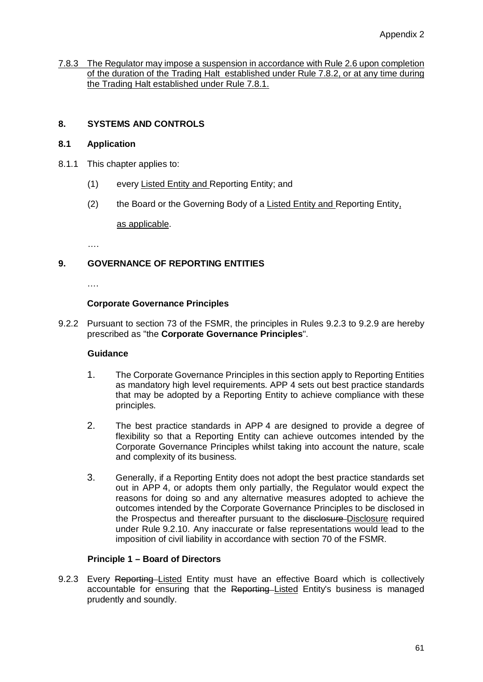7.8.3 The Regulator may impose a suspension in accordance with Rule 2.6 upon completion of the duration of the Trading Halt established under Rule 7.8.2, or at any time during the Trading Halt established under Rule 7.8.1.

# **8. SYSTEMS AND CONTROLS**

## **8.1 Application**

- 8.1.1 This chapter applies to:
	- (1) every Listed Entity and Reporting Entity; and
	- (2) the Board or the Governing Body of a Listed Entity and Reporting Entity,

as applicable.

….

# **9. GOVERNANCE OF REPORTING ENTITIES**

….

## **Corporate Governance Principles**

9.2.2 Pursuant to section 73 of the FSMR, the principles in Rules 9.2.3 to 9.2.9 are hereby prescribed as "the **Corporate Governance Principles**".

## **Guidance**

- 1. The Corporate Governance Principles in this section apply to Reporting Entities as mandatory high level requirements. APP 4 sets out best practice standards that may be adopted by a Reporting Entity to achieve compliance with these principles.
- 2. The best practice standards in APP 4 are designed to provide a degree of flexibility so that a Reporting Entity can achieve outcomes intended by the Corporate Governance Principles whilst taking into account the nature, scale and complexity of its business.
- 3. Generally, if a Reporting Entity does not adopt the best practice standards set out in APP 4, or adopts them only partially, the Regulator would expect the reasons for doing so and any alternative measures adopted to achieve the outcomes intended by the Corporate Governance Principles to be disclosed in the Prospectus and thereafter pursuant to the disclosure-Disclosure required under Rule 9.2.10. Any inaccurate or false representations would lead to the imposition of civil liability in accordance with section 70 of the FSMR.

## **Principle 1 – Board of Directors**

9.2.3 Every Reporting Listed Entity must have an effective Board which is collectively accountable for ensuring that the Reporting Listed Entity's business is managed prudently and soundly.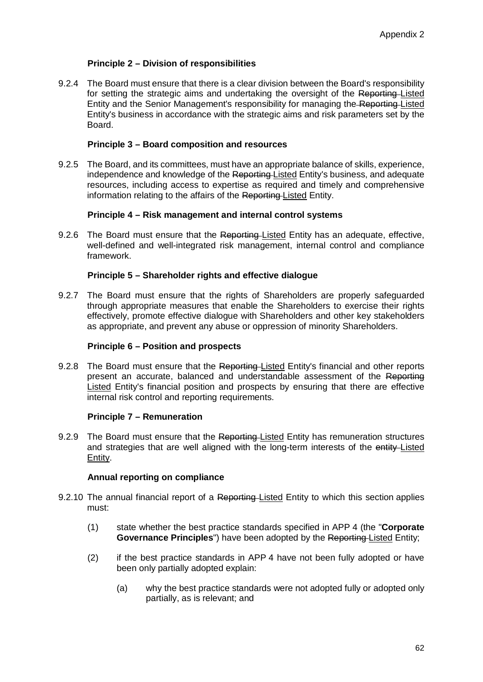## **Principle 2 – Division of responsibilities**

9.2.4 The Board must ensure that there is a clear division between the Board's responsibility for setting the strategic aims and undertaking the oversight of the Reporting-Listed Entity and the Senior Management's responsibility for managing the Reporting Listed Entity's business in accordance with the strategic aims and risk parameters set by the **Board** 

### **Principle 3 – Board composition and resources**

9.2.5 The Board, and its committees, must have an appropriate balance of skills, experience, independence and knowledge of the Reporting Listed Entity's business, and adequate resources, including access to expertise as required and timely and comprehensive information relating to the affairs of the Reporting Listed Entity.

## **Principle 4 – Risk management and internal control systems**

9.2.6 The Board must ensure that the Reporting–Listed Entity has an adequate, effective, well-defined and well-integrated risk management, internal control and compliance framework.

## **Principle 5 – Shareholder rights and effective dialogue**

9.2.7 The Board must ensure that the rights of Shareholders are properly safeguarded through appropriate measures that enable the Shareholders to exercise their rights effectively, promote effective dialogue with Shareholders and other key stakeholders as appropriate, and prevent any abuse or oppression of minority Shareholders.

### **Principle 6 – Position and prospects**

9.2.8 The Board must ensure that the Reporting-Listed Entity's financial and other reports present an accurate, balanced and understandable assessment of the Reporting Listed Entity's financial position and prospects by ensuring that there are effective internal risk control and reporting requirements.

#### **Principle 7 – Remuneration**

9.2.9 The Board must ensure that the Reporting Listed Entity has remuneration structures and strategies that are well aligned with the long-term interests of the entity-Listed Entity.

#### **Annual reporting on compliance**

- 9.2.10 The annual financial report of a Reporting Listed Entity to which this section applies must:
	- (1) state whether the best practice standards specified in APP 4 (the "**Corporate Governance Principles**") have been adopted by the Reporting Listed Entity;
	- (2) if the best practice standards in APP 4 have not been fully adopted or have been only partially adopted explain:
		- (a) why the best practice standards were not adopted fully or adopted only partially, as is relevant; and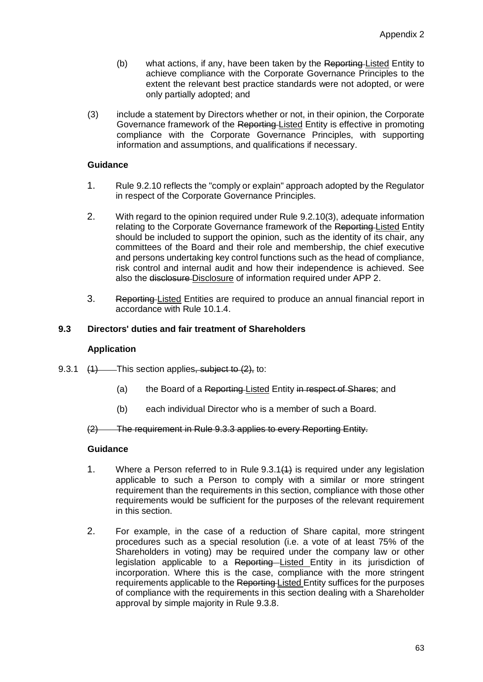- (b) what actions, if any, have been taken by the Reporting Listed Entity to achieve compliance with the Corporate Governance Principles to the extent the relevant best practice standards were not adopted, or were only partially adopted; and
- (3) include a statement by Directors whether or not, in their opinion, the Corporate Governance framework of the Reporting Listed Entity is effective in promoting compliance with the Corporate Governance Principles, with supporting information and assumptions, and qualifications if necessary.

- 1. Rule 9.2.10 reflects the "comply or explain" approach adopted by the Regulator in respect of the Corporate Governance Principles.
- 2. With regard to the opinion required under Rule 9.2.10(3), adequate information relating to the Corporate Governance framework of the Reporting Listed Entity should be included to support the opinion, such as the identity of its chair, any committees of the Board and their role and membership, the chief executive and persons undertaking key control functions such as the head of compliance, risk control and internal audit and how their independence is achieved. See also the disclosure-Disclosure of information required under APP 2.
- 3. Reporting Listed Entities are required to produce an annual financial report in accordance with Rule 10.1.4.

## **9.3 Directors' duties and fair treatment of Shareholders**

#### **Application**

- 9.3.1  $(1)$  This section applies, subject to  $(2)$ , to:
	- (a) the Board of a Reporting Listed Entity in respect of Shares; and
	- (b) each individual Director who is a member of such a Board.

(2) The requirement in Rule 9.3.3 applies to every Reporting Entity.

#### **Guidance**

- 1. Where a Person referred to in Rule 9.3.1(1) is required under any legislation applicable to such a Person to comply with a similar or more stringent requirement than the requirements in this section, compliance with those other requirements would be sufficient for the purposes of the relevant requirement in this section.
- 2. For example, in the case of a reduction of Share capital, more stringent procedures such as a special resolution (i.e. a vote of at least 75% of the Shareholders in voting) may be required under the company law or other legislation applicable to a Reporting Listed Entity in its jurisdiction of incorporation. Where this is the case, compliance with the more stringent requirements applicable to the Reporting Listed Entity suffices for the purposes of compliance with the requirements in this section dealing with a Shareholder approval by simple majority in Rule 9.3.8.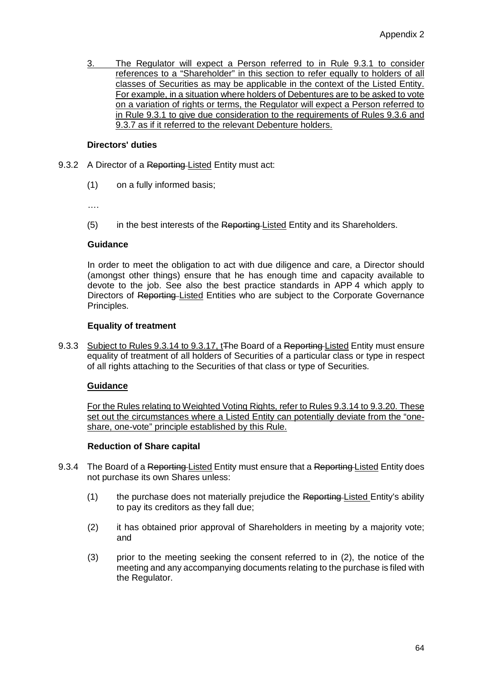3. The Regulator will expect a Person referred to in Rule 9.3.1 to consider references to a "Shareholder" in this section to refer equally to holders of all classes of Securities as may be applicable in the context of the Listed Entity. For example, in a situation where holders of Debentures are to be asked to vote on a variation of rights or terms, the Regulator will expect a Person referred to in Rule 9.3.1 to give due consideration to the requirements of Rules 9.3.6 and 9.3.7 as if it referred to the relevant Debenture holders.

## **Directors' duties**

- 9.3.2 A Director of a Reporting-Listed Entity must act:
	- (1) on a fully informed basis;

….

(5) in the best interests of the Reporting-Listed Entity and its Shareholders.

## **Guidance**

In order to meet the obligation to act with due diligence and care, a Director should (amongst other things) ensure that he has enough time and capacity available to devote to the job. See also the best practice standards in APP 4 which apply to Directors of Reporting Listed Entities who are subject to the Corporate Governance Principles.

## **Equality of treatment**

9.3.3 Subject to Rules 9.3.14 to 9.3.17, t<sub>The Board</sub> of a Reporting Listed Entity must ensure equality of treatment of all holders of Securities of a particular class or type in respect of all rights attaching to the Securities of that class or type of Securities.

## **Guidance**

For the Rules relating to Weighted Voting Rights, refer to Rules 9.3.14 to 9.3.20. These set out the circumstances where a Listed Entity can potentially deviate from the "oneshare, one-vote" principle established by this Rule.

#### **Reduction of Share capital**

- 9.3.4 The Board of a Reporting-Listed Entity must ensure that a Reporting-Listed Entity does not purchase its own Shares unless:
	- (1) the purchase does not materially prejudice the Reporting Listed Entity's ability to pay its creditors as they fall due;
	- (2) it has obtained prior approval of Shareholders in meeting by a majority vote; and
	- (3) prior to the meeting seeking the consent referred to in (2), the notice of the meeting and any accompanying documents relating to the purchase is filed with the Regulator.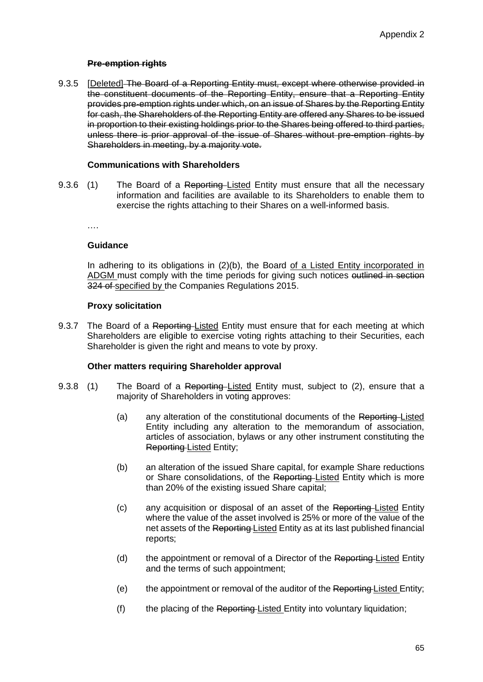## **Pre-emption rights**

9.3.5 [Deleted] The Board of a Reporting Entity must, except where otherwise provided in the constituent documents of the Reporting Entity, ensure that a Reporting Entity provides pre-emption rights under which, on an issue of Shares by the Reporting Entity for cash, the Shareholders of the Reporting Entity are offered any Shares to be issued in proportion to their existing holdings prior to the Shares being offered to third parties, unless there is prior approval of the issue of Shares without pre-emption rights by Shareholders in meeting, by a majority vote.

## **Communications with Shareholders**

9.3.6 (1) The Board of a Reporting-Listed Entity must ensure that all the necessary information and facilities are available to its Shareholders to enable them to exercise the rights attaching to their Shares on a well-informed basis.

….

#### **Guidance**

In adhering to its obligations in (2)(b), the Board of a Listed Entity incorporated in ADGM must comply with the time periods for giving such notices outlined in section 324 of specified by the Companies Regulations 2015.

## **Proxy solicitation**

9.3.7 The Board of a Reporting–Listed Entity must ensure that for each meeting at which Shareholders are eligible to exercise voting rights attaching to their Securities, each Shareholder is given the right and means to vote by proxy.

## **Other matters requiring Shareholder approval**

- 9.3.8 (1) The Board of a Reporting–Listed Entity must, subject to (2), ensure that a majority of Shareholders in voting approves:
	- (a) any alteration of the constitutional documents of the Reporting-Listed Entity including any alteration to the memorandum of association, articles of association, bylaws or any other instrument constituting the Reporting Listed Entity;
	- (b) an alteration of the issued Share capital, for example Share reductions or Share consolidations, of the Reporting-Listed Entity which is more than 20% of the existing issued Share capital;
	- (c) any acquisition or disposal of an asset of the Reporting Listed Entity where the value of the asset involved is 25% or more of the value of the net assets of the Reporting Listed Entity as at its last published financial reports;
	- (d) the appointment or removal of a Director of the Reporting Listed Entity and the terms of such appointment;
	- (e) the appointment or removal of the auditor of the Reporting Listed Entity;
	- $(f)$  the placing of the Reporting-Listed Entity into voluntary liquidation;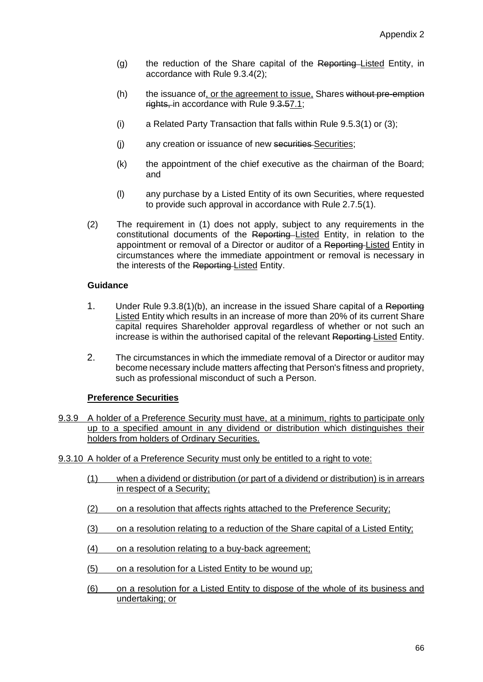- (g) the reduction of the Share capital of the Reporting Listed Entity, in accordance with Rule 9.3.4(2);
- (h) the issuance of, or the agreement to issue, Shares without pre-emption rights, in accordance with Rule 9.3.57.1;
- (i) a Related Party Transaction that falls within Rule 9.5.3(1) or (3);
- (j) any creation or issuance of new securities Securities;
- (k) the appointment of the chief executive as the chairman of the Board; and
- (l) any purchase by a Listed Entity of its own Securities, where requested to provide such approval in accordance with Rule 2.7.5(1).
- (2) The requirement in (1) does not apply, subject to any requirements in the constitutional documents of the Reporting Listed Entity, in relation to the appointment or removal of a Director or auditor of a Reporting Listed Entity in circumstances where the immediate appointment or removal is necessary in the interests of the Reporting Listed Entity.

- 1. Under Rule 9.3.8(1)(b), an increase in the issued Share capital of a Reporting Listed Entity which results in an increase of more than 20% of its current Share capital requires Shareholder approval regardless of whether or not such an increase is within the authorised capital of the relevant Reporting Listed Entity.
- 2. The circumstances in which the immediate removal of a Director or auditor may become necessary include matters affecting that Person's fitness and propriety, such as professional misconduct of such a Person.

#### **Preference Securities**

- 9.3.9 A holder of a Preference Security must have, at a minimum, rights to participate only up to a specified amount in any dividend or distribution which distinguishes their holders from holders of Ordinary Securities.
- 9.3.10 A holder of a Preference Security must only be entitled to a right to vote:
	- (1) when a dividend or distribution (or part of a dividend or distribution) is in arrears in respect of a Security;
	- (2) on a resolution that affects rights attached to the Preference Security;
	- (3) on a resolution relating to a reduction of the Share capital of a Listed Entity;
	- (4) on a resolution relating to a buy-back agreement;
	- (5) on a resolution for a Listed Entity to be wound up;
	- (6) on a resolution for a Listed Entity to dispose of the whole of its business and undertaking; or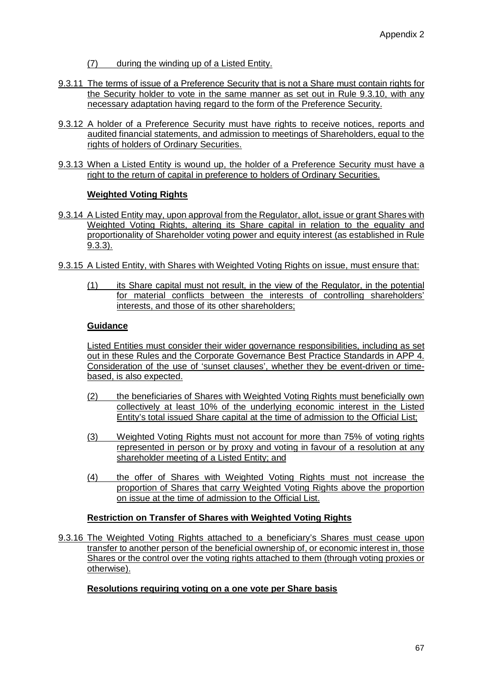- (7) during the winding up of a Listed Entity.
- 9.3.11 The terms of issue of a Preference Security that is not a Share must contain rights for the Security holder to vote in the same manner as set out in Rule 9.3.10, with any necessary adaptation having regard to the form of the Preference Security.
- 9.3.12 A holder of a Preference Security must have rights to receive notices, reports and audited financial statements, and admission to meetings of Shareholders, equal to the rights of holders of Ordinary Securities.
- 9.3.13 When a Listed Entity is wound up, the holder of a Preference Security must have a right to the return of capital in preference to holders of Ordinary Securities.

## **Weighted Voting Rights**

- 9.3.14 A Listed Entity may, upon approval from the Regulator, allot, issue or grant Shares with Weighted Voting Rights, altering its Share capital in relation to the equality and proportionality of Shareholder voting power and equity interest (as established in Rule 9.3.3).
- 9.3.15 A Listed Entity, with Shares with Weighted Voting Rights on issue, must ensure that:
	- (1) its Share capital must not result, in the view of the Regulator, in the potential for material conflicts between the interests of controlling shareholders' interests, and those of its other shareholders;

## **Guidance**

Listed Entities must consider their wider governance responsibilities, including as set out in these Rules and the Corporate Governance Best Practice Standards in APP 4. Consideration of the use of 'sunset clauses', whether they be event-driven or timebased, is also expected.

- (2) the beneficiaries of Shares with Weighted Voting Rights must beneficially own collectively at least 10% of the underlying economic interest in the Listed Entity's total issued Share capital at the time of admission to the Official List;
- (3) Weighted Voting Rights must not account for more than 75% of voting rights represented in person or by proxy and voting in favour of a resolution at any shareholder meeting of a Listed Entity; and
- (4) the offer of Shares with Weighted Voting Rights must not increase the proportion of Shares that carry Weighted Voting Rights above the proportion on issue at the time of admission to the Official List.

## **Restriction on Transfer of Shares with Weighted Voting Rights**

9.3.16 The Weighted Voting Rights attached to a beneficiary's Shares must cease upon transfer to another person of the beneficial ownership of, or economic interest in, those Shares or the control over the voting rights attached to them (through voting proxies or otherwise).

## **Resolutions requiring voting on a one vote per Share basis**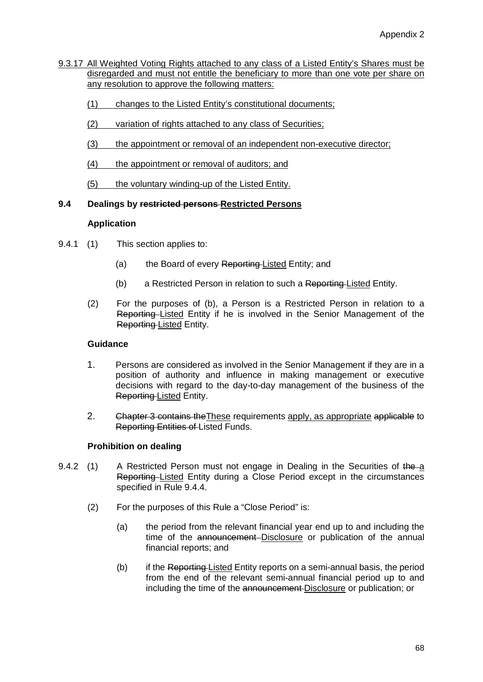- 9.3.17 All Weighted Voting Rights attached to any class of a Listed Entity's Shares must be disregarded and must not entitle the beneficiary to more than one vote per share on any resolution to approve the following matters:
	- (1) changes to the Listed Entity's constitutional documents;
	- (2) variation of rights attached to any class of Securities;
	- (3) the appointment or removal of an independent non-executive director;
	- (4) the appointment or removal of auditors; and
	- (5) the voluntary winding-up of the Listed Entity.

## **9.4 Dealings by restricted persons Restricted Persons**

## **Application**

- 9.4.1 (1) This section applies to:
	- (a) the Board of every Reporting Listed Entity; and
	- (b) a Restricted Person in relation to such a Reporting Listed Entity.
	- (2) For the purposes of (b), a Person is a Restricted Person in relation to a Reporting Listed Entity if he is involved in the Senior Management of the Reporting Listed Entity.

## **Guidance**

- 1. Persons are considered as involved in the Senior Management if they are in a position of authority and influence in making management or executive decisions with regard to the day-to-day management of the business of the Reporting Listed Entity.
- 2. Chapter 3 contains the These requirements apply, as appropriate applicable to Reporting Entities of Listed Funds.

## **Prohibition on dealing**

- 9.4.2 (1) A Restricted Person must not engage in Dealing in the Securities of the a Reporting Listed Entity during a Close Period except in the circumstances specified in Rule 9.4.4.
	- (2) For the purposes of this Rule a "Close Period" is:
		- (a) the period from the relevant financial year end up to and including the time of the announcement-Disclosure or publication of the annual financial reports; and
		- (b) if the Reporting Listed Entity reports on a semi-annual basis, the period from the end of the relevant semi-annual financial period up to and including the time of the announcement Disclosure or publication; or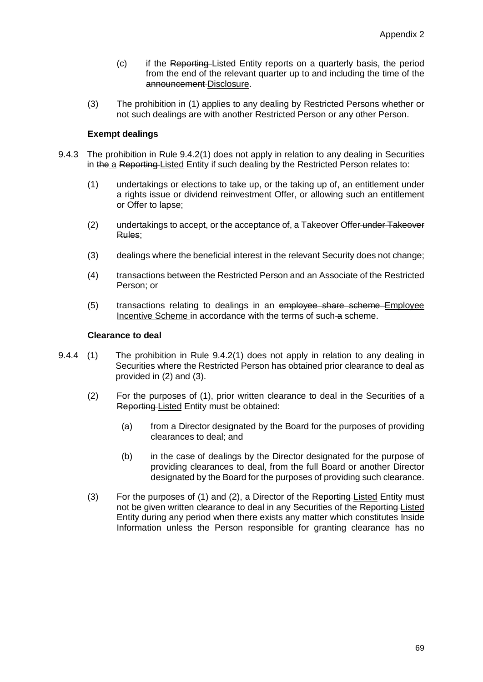- (c) if the Reporting Listed Entity reports on a quarterly basis, the period from the end of the relevant quarter up to and including the time of the announcement Disclosure.
- (3) The prohibition in (1) applies to any dealing by Restricted Persons whether or not such dealings are with another Restricted Person or any other Person.

## **Exempt dealings**

- 9.4.3 The prohibition in Rule 9.4.2(1) does not apply in relation to any dealing in Securities in the a Reporting Listed Entity if such dealing by the Restricted Person relates to:
	- (1) undertakings or elections to take up, or the taking up of, an entitlement under a rights issue or dividend reinvestment Offer, or allowing such an entitlement or Offer to lapse;
	- (2) undertakings to accept, or the acceptance of, a Takeover Offer-under Takeover Rules;
	- (3) dealings where the beneficial interest in the relevant Security does not change;
	- (4) transactions between the Restricted Person and an Associate of the Restricted Person; or
	- (5) transactions relating to dealings in an employee share scheme Employee Incentive Scheme in accordance with the terms of such a scheme.

## **Clearance to deal**

- 9.4.4 (1) The prohibition in Rule 9.4.2(1) does not apply in relation to any dealing in Securities where the Restricted Person has obtained prior clearance to deal as provided in (2) and (3).
	- (2) For the purposes of (1), prior written clearance to deal in the Securities of a Reporting Listed Entity must be obtained:
		- (a) from a Director designated by the Board for the purposes of providing clearances to deal; and
		- (b) in the case of dealings by the Director designated for the purpose of providing clearances to deal, from the full Board or another Director designated by the Board for the purposes of providing such clearance.
	- (3) For the purposes of (1) and (2), a Director of the Reporting Listed Entity must not be given written clearance to deal in any Securities of the Reporting Listed Entity during any period when there exists any matter which constitutes Inside Information unless the Person responsible for granting clearance has no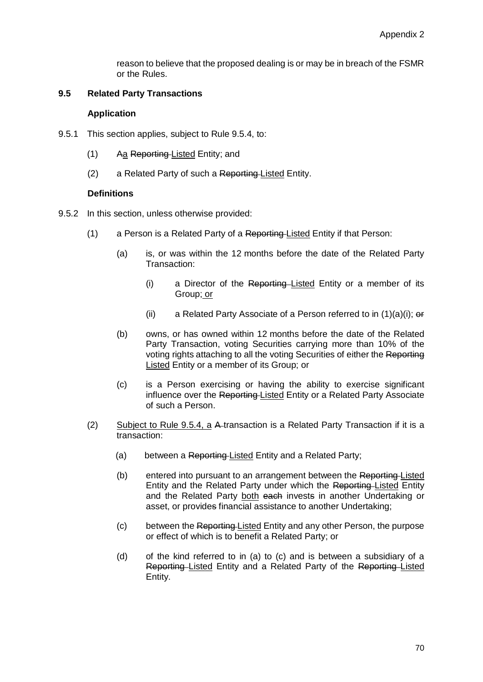reason to believe that the proposed dealing is or may be in breach of the FSMR or the Rules.

## **9.5 Related Party Transactions**

### **Application**

- 9.5.1 This section applies, subject to Rule 9.5.4, to:
	- (1) Aa Reporting Listed Entity; and
	- (2) a Related Party of such a Reporting Listed Entity.

## **Definitions**

- 9.5.2 In this section, unless otherwise provided:
	- $(1)$  a Person is a Related Party of a Reporting-Listed Entity if that Person:
		- (a) is, or was within the 12 months before the date of the Related Party Transaction:
			- (i) a Director of the Reporting–Listed Entity or a member of its Group; or
			- (ii) a Related Party Associate of a Person referred to in  $(1)(a)(i)$ ; or
		- (b) owns, or has owned within 12 months before the date of the Related Party Transaction, voting Securities carrying more than 10% of the voting rights attaching to all the voting Securities of either the Reporting Listed Entity or a member of its Group; or
		- (c) is a Person exercising or having the ability to exercise significant influence over the Reporting Listed Entity or a Related Party Associate of such a Person.
	- (2) Subject to Rule 9.5.4, a A transaction is a Related Party Transaction if it is a transaction:
		- (a) between a Reporting-Listed Entity and a Related Party;
		- (b) entered into pursuant to an arrangement between the Reporting Listed Entity and the Related Party under which the Reporting Listed Entity and the Related Party both each invests in another Undertaking or asset, or provides financial assistance to another Undertaking;
		- (c) between the Reporting Listed Entity and any other Person, the purpose or effect of which is to benefit a Related Party; or
		- (d) of the kind referred to in (a) to (c) and is between a subsidiary of a Reporting Listed Entity and a Related Party of the Reporting Listed Entity.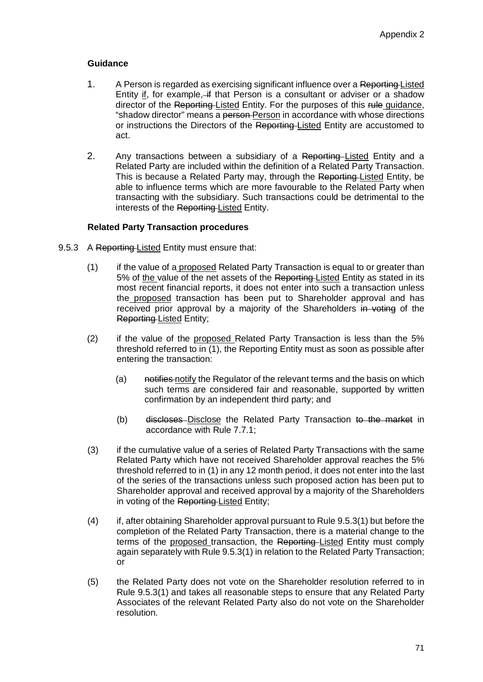- 1. A Person is regarded as exercising significant influence over a Reporting Listed Entity if, for example, if that Person is a consultant or adviser or a shadow director of the Reporting-Listed Entity. For the purposes of this rule guidance, "shadow director" means a person Person in accordance with whose directions or instructions the Directors of the Reporting-Listed Entity are accustomed to act.
- 2. Any transactions between a subsidiary of a Reporting–Listed Entity and a Related Party are included within the definition of a Related Party Transaction. This is because a Related Party may, through the Reporting-Listed Entity, be able to influence terms which are more favourable to the Related Party when transacting with the subsidiary. Such transactions could be detrimental to the interests of the Reporting Listed Entity.

## **Related Party Transaction procedures**

- 9.5.3 A Reporting-Listed Entity must ensure that:
	- (1) if the value of a proposed Related Party Transaction is equal to or greater than 5% of the value of the net assets of the Reporting-Listed Entity as stated in its most recent financial reports, it does not enter into such a transaction unless the proposed transaction has been put to Shareholder approval and has received prior approval by a majority of the Shareholders in voting of the Reporting Listed Entity;
	- (2) if the value of the proposed Related Party Transaction is less than the 5% threshold referred to in (1), the Reporting Entity must as soon as possible after entering the transaction:
		- (a) notifies notify the Regulator of the relevant terms and the basis on which such terms are considered fair and reasonable, supported by written confirmation by an independent third party; and
		- (b) discloses Disclose the Related Party Transaction to the market in accordance with Rule 7.7.1;
	- (3) if the cumulative value of a series of Related Party Transactions with the same Related Party which have not received Shareholder approval reaches the 5% threshold referred to in (1) in any 12 month period, it does not enter into the last of the series of the transactions unless such proposed action has been put to Shareholder approval and received approval by a majority of the Shareholders in voting of the Reporting Listed Entity;
	- (4) if, after obtaining Shareholder approval pursuant to Rule 9.5.3(1) but before the completion of the Related Party Transaction, there is a material change to the terms of the proposed transaction, the Reporting-Listed Entity must comply again separately with Rule 9.5.3(1) in relation to the Related Party Transaction; or
	- (5) the Related Party does not vote on the Shareholder resolution referred to in Rule 9.5.3(1) and takes all reasonable steps to ensure that any Related Party Associates of the relevant Related Party also do not vote on the Shareholder resolution.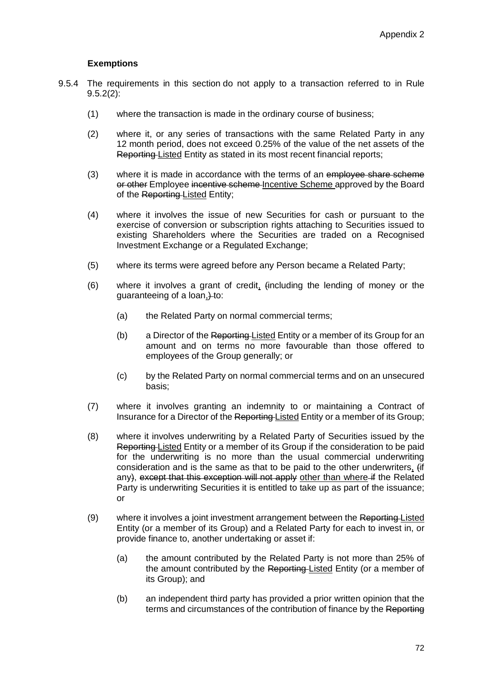#### **Exemptions**

- 9.5.4 The requirements in this section do not apply to a transaction referred to in Rule  $9.5.2(2)$ :
	- (1) where the transaction is made in the ordinary course of business;
	- (2) where it, or any series of transactions with the same Related Party in any 12 month period, does not exceed 0.25% of the value of the net assets of the Reporting Listed Entity as stated in its most recent financial reports;
	- (3) where it is made in accordance with the terms of an employee share scheme or other Employee incentive scheme Incentive Scheme approved by the Board of the Reporting Listed Entity;
	- (4) where it involves the issue of new Securities for cash or pursuant to the exercise of conversion or subscription rights attaching to Securities issued to existing Shareholders where the Securities are traded on a Recognised Investment Exchange or a Regulated Exchange;
	- (5) where its terms were agreed before any Person became a Related Party;
	- (6) where it involves a grant of credit, (including the lending of money or the guaranteeing of a loan, to:
		- (a) the Related Party on normal commercial terms;
		- (b) a Director of the Reporting Listed Entity or a member of its Group for an amount and on terms no more favourable than those offered to employees of the Group generally; or
		- (c) by the Related Party on normal commercial terms and on an unsecured basis;
	- (7) where it involves granting an indemnity to or maintaining a Contract of Insurance for a Director of the Reporting Listed Entity or a member of its Group;
	- (8) where it involves underwriting by a Related Party of Securities issued by the Reporting Listed Entity or a member of its Group if the consideration to be paid for the underwriting is no more than the usual commercial underwriting consideration and is the same as that to be paid to the other underwriters, (if any), except that this exception will not apply other than where if the Related Party is underwriting Securities it is entitled to take up as part of the issuance; or
	- (9) where it involves a joint investment arrangement between the Reporting Listed Entity (or a member of its Group) and a Related Party for each to invest in, or provide finance to, another undertaking or asset if:
		- (a) the amount contributed by the Related Party is not more than 25% of the amount contributed by the Reporting-Listed Entity (or a member of its Group); and
		- (b) an independent third party has provided a prior written opinion that the terms and circumstances of the contribution of finance by the Reporting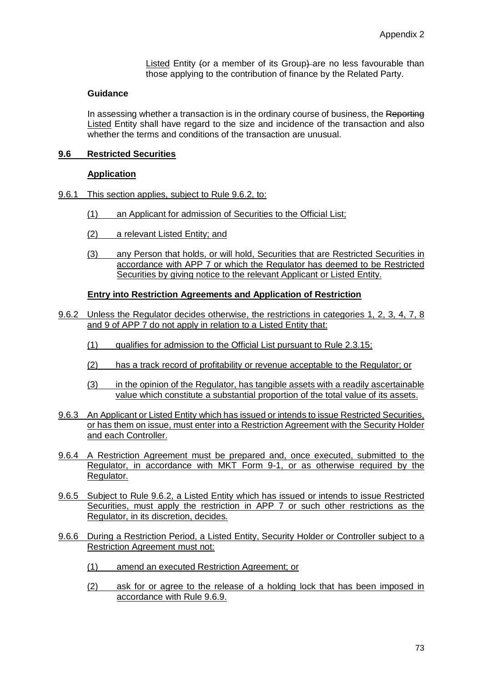Listed Entity (or a member of its Group) are no less favourable than those applying to the contribution of finance by the Related Party.

#### **Guidance**

In assessing whether a transaction is in the ordinary course of business, the Reporting Listed Entity shall have regard to the size and incidence of the transaction and also whether the terms and conditions of the transaction are unusual.

### **9.6 Restricted Securities**

### **Application**

- 9.6.1 This section applies, subject to Rule 9.6.2, to:
	- (1) an Applicant for admission of Securities to the Official List;
	- (2) a relevant Listed Entity; and
	- (3) any Person that holds, or will hold, Securities that are Restricted Securities in accordance with APP 7 or which the Regulator has deemed to be Restricted Securities by giving notice to the relevant Applicant or Listed Entity.

#### **Entry into Restriction Agreements and Application of Restriction**

- 9.6.2 Unless the Regulator decides otherwise, the restrictions in categories 1, 2, 3, 4, 7, 8 and 9 of APP 7 do not apply in relation to a Listed Entity that:
	- (1) qualifies for admission to the Official List pursuant to Rule 2.3.15;
	- (2) has a track record of profitability or revenue acceptable to the Regulator; or
	- (3) in the opinion of the Regulator, has tangible assets with a readily ascertainable value which constitute a substantial proportion of the total value of its assets.
- 9.6.3 An Applicant or Listed Entity which has issued or intends to issue Restricted Securities, or has them on issue, must enter into a Restriction Agreement with the Security Holder and each Controller.
- 9.6.4 A Restriction Agreement must be prepared and, once executed, submitted to the Regulator, in accordance with MKT Form 9-1, or as otherwise required by the Regulator.
- 9.6.5 Subject to Rule 9.6.2, a Listed Entity which has issued or intends to issue Restricted Securities, must apply the restriction in APP 7 or such other restrictions as the Regulator, in its discretion, decides.
- 9.6.6 During a Restriction Period, a Listed Entity, Security Holder or Controller subject to a Restriction Agreement must not:
	- (1) amend an executed Restriction Agreement; or
	- (2) ask for or agree to the release of a holding lock that has been imposed in accordance with Rule 9.6.9.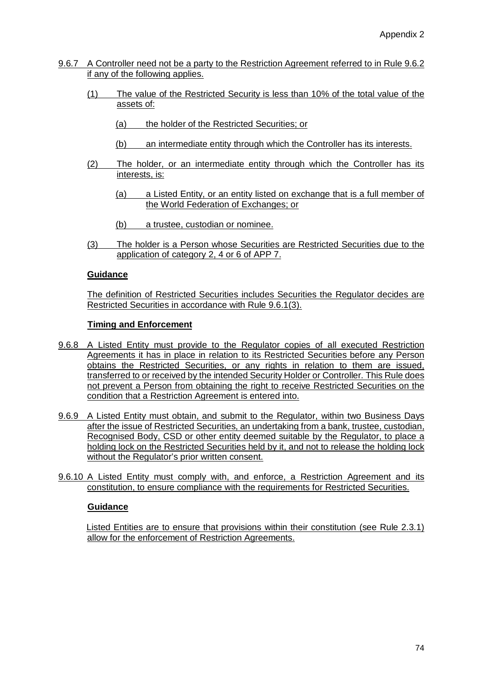- 9.6.7 A Controller need not be a party to the Restriction Agreement referred to in Rule 9.6.2 if any of the following applies.
	- (1) The value of the Restricted Security is less than 10% of the total value of the assets of:
		- (a) the holder of the Restricted Securities; or
		- (b) an intermediate entity through which the Controller has its interests.
	- (2) The holder, or an intermediate entity through which the Controller has its interests, is:
		- (a) a Listed Entity, or an entity listed on exchange that is a full member of the World Federation of Exchanges; or
		- (b) a trustee, custodian or nominee.
	- (3) The holder is a Person whose Securities are Restricted Securities due to the application of category 2, 4 or 6 of APP 7.

The definition of Restricted Securities includes Securities the Regulator decides are Restricted Securities in accordance with Rule 9.6.1(3).

#### **Timing and Enforcement**

- 9.6.8 A Listed Entity must provide to the Regulator copies of all executed Restriction Agreements it has in place in relation to its Restricted Securities before any Person obtains the Restricted Securities, or any rights in relation to them are issued, transferred to or received by the intended Security Holder or Controller. This Rule does not prevent a Person from obtaining the right to receive Restricted Securities on the condition that a Restriction Agreement is entered into.
- 9.6.9 A Listed Entity must obtain, and submit to the Regulator, within two Business Days after the issue of Restricted Securities, an undertaking from a bank, trustee, custodian, Recognised Body, CSD or other entity deemed suitable by the Regulator, to place a holding lock on the Restricted Securities held by it, and not to release the holding lock without the Regulator's prior written consent.
- 9.6.10 A Listed Entity must comply with, and enforce, a Restriction Agreement and its constitution, to ensure compliance with the requirements for Restricted Securities.

#### **Guidance**

Listed Entities are to ensure that provisions within their constitution (see Rule 2.3.1) allow for the enforcement of Restriction Agreements.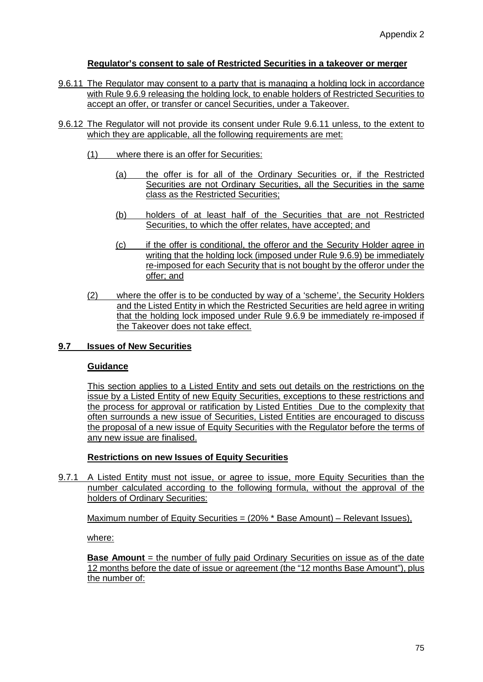### **Regulator's consent to sale of Restricted Securities in a takeover or merger**

- 9.6.11 The Regulator may consent to a party that is managing a holding lock in accordance with Rule 9.6.9 releasing the holding lock, to enable holders of Restricted Securities to accept an offer, or transfer or cancel Securities, under a Takeover.
- 9.6.12 The Regulator will not provide its consent under Rule 9.6.11 unless, to the extent to which they are applicable, all the following requirements are met:
	- (1) where there is an offer for Securities:
		- (a) the offer is for all of the Ordinary Securities or, if the Restricted Securities are not Ordinary Securities, all the Securities in the same class as the Restricted Securities;
		- (b) holders of at least half of the Securities that are not Restricted Securities, to which the offer relates, have accepted; and
		- (c) if the offer is conditional, the offeror and the Security Holder agree in writing that the holding lock (imposed under Rule 9.6.9) be immediately re-imposed for each Security that is not bought by the offeror under the offer; and
	- (2) where the offer is to be conducted by way of a 'scheme', the Security Holders and the Listed Entity in which the Restricted Securities are held agree in writing that the holding lock imposed under Rule 9.6.9 be immediately re-imposed if the Takeover does not take effect.

### **9.7 Issues of New Securities**

#### **Guidance**

This section applies to a Listed Entity and sets out details on the restrictions on the issue by a Listed Entity of new Equity Securities, exceptions to these restrictions and the process for approval or ratification by Listed Entities Due to the complexity that often surrounds a new issue of Securities, Listed Entities are encouraged to discuss the proposal of a new issue of Equity Securities with the Regulator before the terms of any new issue are finalised.

#### **Restrictions on new Issues of Equity Securities**

9.7.1 A Listed Entity must not issue, or agree to issue, more Equity Securities than the number calculated according to the following formula, without the approval of the holders of Ordinary Securities:

Maximum number of Equity Securities = (20% \* Base Amount) – Relevant Issues),

where:

**Base Amount** = the number of fully paid Ordinary Securities on issue as of the date 12 months before the date of issue or agreement (the "12 months Base Amount"), plus the number of: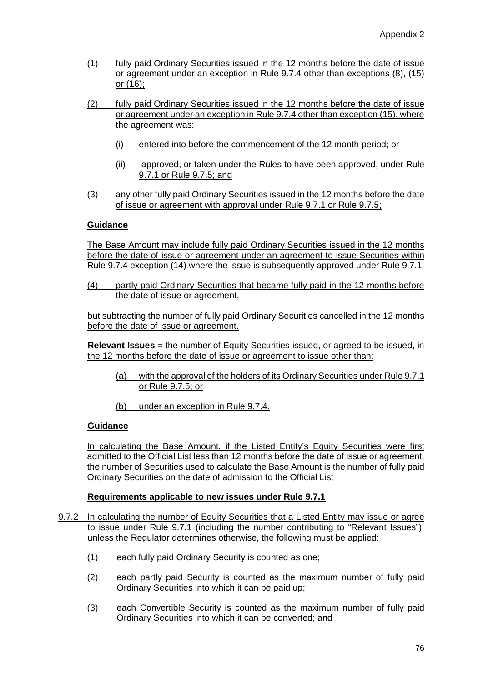- (1) fully paid Ordinary Securities issued in the 12 months before the date of issue or agreement under an exception in Rule 9.7.4 other than exceptions (8), (15) or (16);
- (2) fully paid Ordinary Securities issued in the 12 months before the date of issue or agreement under an exception in Rule 9.7.4 other than exception (15), where the agreement was:
	- (i) entered into before the commencement of the 12 month period; or
	- (ii) approved, or taken under the Rules to have been approved, under Rule 9.7.1 or Rule 9.7.5; and
- (3) any other fully paid Ordinary Securities issued in the 12 months before the date of issue or agreement with approval under Rule 9.7.1 or Rule 9.7.5;

The Base Amount may include fully paid Ordinary Securities issued in the 12 months before the date of issue or agreement under an agreement to issue Securities within Rule 9.7.4 exception (14) where the issue is subsequently approved under Rule 9.7.1.

(4) partly paid Ordinary Securities that became fully paid in the 12 months before the date of issue or agreement,

but subtracting the number of fully paid Ordinary Securities cancelled in the 12 months before the date of issue or agreement.

**Relevant Issues** = the number of Equity Securities issued, or agreed to be issued, in the 12 months before the date of issue or agreement to issue other than:

- (a) with the approval of the holders of its Ordinary Securities under Rule 9.7.1 or Rule 9.7.5; or
- (b) under an exception in Rule 9.7.4.

### **Guidance**

In calculating the Base Amount, if the Listed Entity's Equity Securities were first admitted to the Official List less than 12 months before the date of issue or agreement, the number of Securities used to calculate the Base Amount is the number of fully paid Ordinary Securities on the date of admission to the Official List

### **Requirements applicable to new issues under Rule 9.7.1**

- 9.7.2 In calculating the number of Equity Securities that a Listed Entity may issue or agree to issue under Rule 9.7.1 (including the number contributing to "Relevant Issues"), unless the Regulator determines otherwise, the following must be applied:
	- (1) each fully paid Ordinary Security is counted as one;
	- (2) each partly paid Security is counted as the maximum number of fully paid Ordinary Securities into which it can be paid up;
	- (3) each Convertible Security is counted as the maximum number of fully paid Ordinary Securities into which it can be converted; and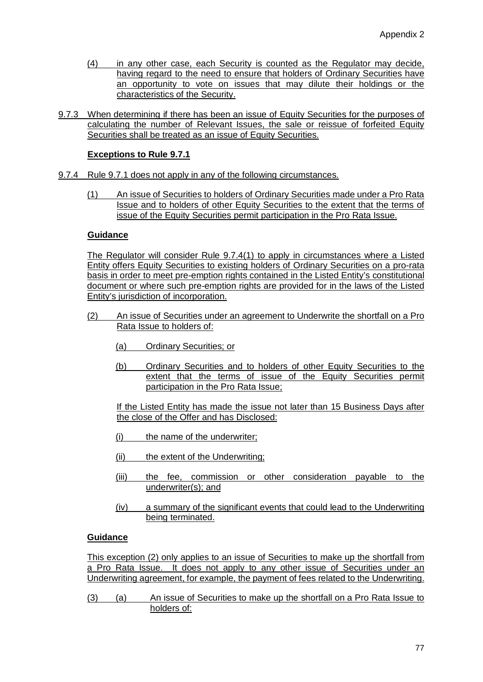- (4) in any other case, each Security is counted as the Regulator may decide, having regard to the need to ensure that holders of Ordinary Securities have an opportunity to vote on issues that may dilute their holdings or the characteristics of the Security.
- 9.7.3 When determining if there has been an issue of Equity Securities for the purposes of calculating the number of Relevant Issues, the sale or reissue of forfeited Equity Securities shall be treated as an issue of Equity Securities.

# **Exceptions to Rule 9.7.1**

- 9.7.4 Rule 9.7.1 does not apply in any of the following circumstances.
	- (1) An issue of Securities to holders of Ordinary Securities made under a Pro Rata Issue and to holders of other Equity Securities to the extent that the terms of issue of the Equity Securities permit participation in the Pro Rata Issue.

#### **Guidance**

The Regulator will consider Rule 9.7.4(1) to apply in circumstances where a Listed Entity offers Equity Securities to existing holders of Ordinary Securities on a pro-rata basis in order to meet pre-emption rights contained in the Listed Entity's constitutional document or where such pre-emption rights are provided for in the laws of the Listed Entity's jurisdiction of incorporation.

- (2) An issue of Securities under an agreement to Underwrite the shortfall on a Pro Rata Issue to holders of:
	- (a) Ordinary Securities; or
	- (b) Ordinary Securities and to holders of other Equity Securities to the extent that the terms of issue of the Equity Securities permit participation in the Pro Rata Issue;

If the Listed Entity has made the issue not later than 15 Business Days after the close of the Offer and has Disclosed:

- (i) the name of the underwriter;
- (ii) the extent of the Underwriting;
- (iii) the fee, commission or other consideration payable to the underwriter(s); and
- (iv) a summary of the significant events that could lead to the Underwriting being terminated.

### **Guidance**

This exception (2) only applies to an issue of Securities to make up the shortfall from a Pro Rata Issue. It does not apply to any other issue of Securities under an Underwriting agreement, for example, the payment of fees related to the Underwriting.

(3) (a) An issue of Securities to make up the shortfall on a Pro Rata Issue to holders of: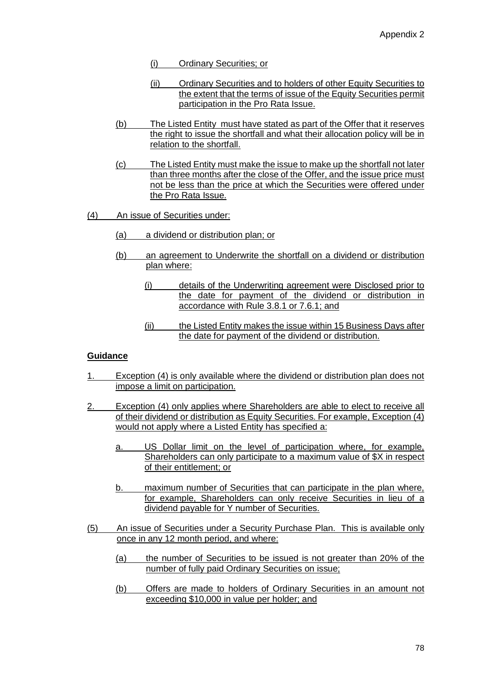- (i) Ordinary Securities; or
- (ii) Ordinary Securities and to holders of other Equity Securities to the extent that the terms of issue of the Equity Securities permit participation in the Pro Rata Issue.
- (b) The Listed Entity must have stated as part of the Offer that it reserves the right to issue the shortfall and what their allocation policy will be in relation to the shortfall.
- (c) The Listed Entity must make the issue to make up the shortfall not later than three months after the close of the Offer, and the issue price must not be less than the price at which the Securities were offered under the Pro Rata Issue.
- (4) An issue of Securities under:
	- (a) a dividend or distribution plan; or
	- (b) an agreement to Underwrite the shortfall on a dividend or distribution plan where:
		- (i) details of the Underwriting agreement were Disclosed prior to the date for payment of the dividend or distribution in accordance with Rule 3.8.1 or 7.6.1; and
		- (ii) the Listed Entity makes the issue within 15 Business Days after the date for payment of the dividend or distribution.

- 1. Exception (4) is only available where the dividend or distribution plan does not impose a limit on participation.
- 2. Exception (4) only applies where Shareholders are able to elect to receive all of their dividend or distribution as Equity Securities. For example, Exception (4) would not apply where a Listed Entity has specified a:
	- a. US Dollar limit on the level of participation where, for example, Shareholders can only participate to a maximum value of \$X in respect of their entitlement; or
	- b. maximum number of Securities that can participate in the plan where, for example, Shareholders can only receive Securities in lieu of a dividend payable for Y number of Securities.
- (5) An issue of Securities under a Security Purchase Plan. This is available only once in any 12 month period, and where:
	- (a) the number of Securities to be issued is not greater than 20% of the number of fully paid Ordinary Securities on issue;
	- (b) Offers are made to holders of Ordinary Securities in an amount not exceeding \$10,000 in value per holder; and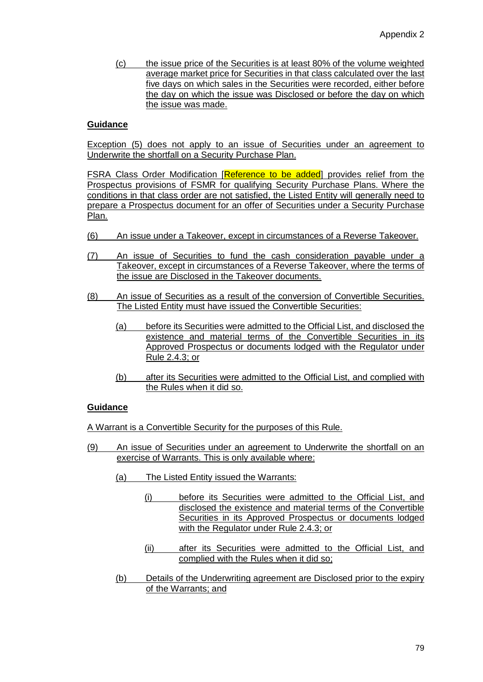(c) the issue price of the Securities is at least 80% of the volume weighted average market price for Securities in that class calculated over the last five days on which sales in the Securities were recorded, either before the day on which the issue was Disclosed or before the day on which the issue was made.

#### **Guidance**

Exception (5) does not apply to an issue of Securities under an agreement to Underwrite the shortfall on a Security Purchase Plan.

**FSRA Class Order Modification [Reference to be added]** provides relief from the Prospectus provisions of FSMR for qualifying Security Purchase Plans. Where the conditions in that class order are not satisfied, the Listed Entity will generally need to prepare a Prospectus document for an offer of Securities under a Security Purchase Plan.

- (6) An issue under a Takeover, except in circumstances of a Reverse Takeover.
- (7) An issue of Securities to fund the cash consideration payable under a Takeover, except in circumstances of a Reverse Takeover, where the terms of the issue are Disclosed in the Takeover documents.
- (8) An issue of Securities as a result of the conversion of Convertible Securities. The Listed Entity must have issued the Convertible Securities:
	- (a) before its Securities were admitted to the Official List, and disclosed the existence and material terms of the Convertible Securities in its Approved Prospectus or documents lodged with the Regulator under Rule 2.4.3; or
	- (b) after its Securities were admitted to the Official List, and complied with the Rules when it did so.

#### **Guidance**

A Warrant is a Convertible Security for the purposes of this Rule.

- (9) An issue of Securities under an agreement to Underwrite the shortfall on an exercise of Warrants. This is only available where:
	- (a) The Listed Entity issued the Warrants:
		- (i) before its Securities were admitted to the Official List, and disclosed the existence and material terms of the Convertible Securities in its Approved Prospectus or documents lodged with the Regulator under Rule 2.4.3; or
		- (ii) after its Securities were admitted to the Official List, and complied with the Rules when it did so;
	- (b) Details of the Underwriting agreement are Disclosed prior to the expiry of the Warrants; and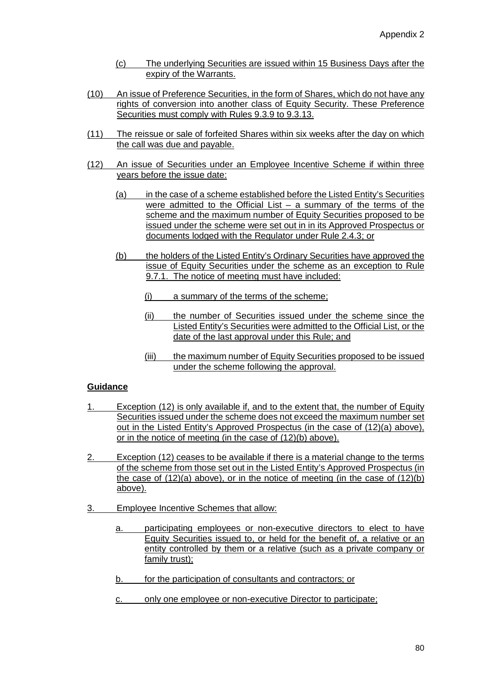- (c) The underlying Securities are issued within 15 Business Days after the expiry of the Warrants.
- (10) An issue of Preference Securities, in the form of Shares, which do not have any rights of conversion into another class of Equity Security. These Preference Securities must comply with Rules 9.3.9 to 9.3.13.
- (11) The reissue or sale of forfeited Shares within six weeks after the day on which the call was due and payable.
- (12) An issue of Securities under an Employee Incentive Scheme if within three years before the issue date:
	- (a) in the case of a scheme established before the Listed Entity's Securities were admitted to the Official List – a summary of the terms of the scheme and the maximum number of Equity Securities proposed to be issued under the scheme were set out in in its Approved Prospectus or documents lodged with the Regulator under Rule 2.4.3; or
	- (b) the holders of the Listed Entity's Ordinary Securities have approved the issue of Equity Securities under the scheme as an exception to Rule 9.7.1. The notice of meeting must have included:
		- (i) a summary of the terms of the scheme;
		- (ii) the number of Securities issued under the scheme since the Listed Entity's Securities were admitted to the Official List, or the date of the last approval under this Rule; and
		- (iii) the maximum number of Equity Securities proposed to be issued under the scheme following the approval.

- 1. Exception (12) is only available if, and to the extent that, the number of Equity Securities issued under the scheme does not exceed the maximum number set out in the Listed Entity's Approved Prospectus (in the case of (12)(a) above), or in the notice of meeting (in the case of (12)(b) above).
- 2. Exception (12) ceases to be available if there is a material change to the terms of the scheme from those set out in the Listed Entity's Approved Prospectus (in the case of (12)(a) above), or in the notice of meeting (in the case of (12)(b) above).
- 3. Employee Incentive Schemes that allow:
	- a. participating employees or non-executive directors to elect to have Equity Securities issued to, or held for the benefit of, a relative or an entity controlled by them or a relative (such as a private company or family trust);
	- b. for the participation of consultants and contractors; or
	- c. only one employee or non-executive Director to participate;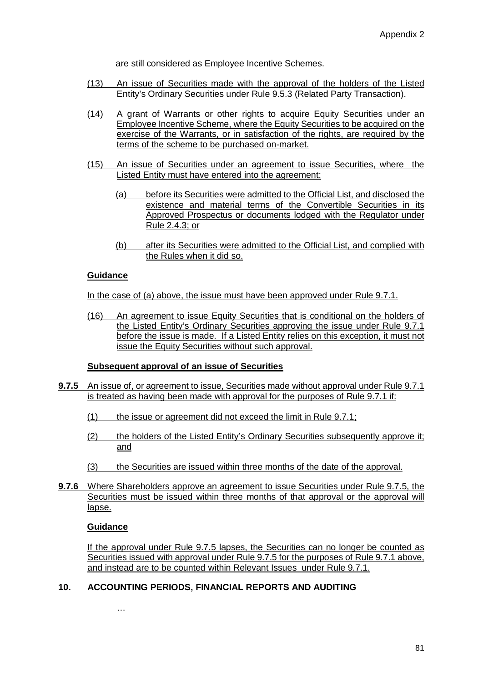are still considered as Employee Incentive Schemes.

- (13) An issue of Securities made with the approval of the holders of the Listed Entity's Ordinary Securities under Rule 9.5.3 (Related Party Transaction).
- (14) A grant of Warrants or other rights to acquire Equity Securities under an Employee Incentive Scheme, where the Equity Securities to be acquired on the exercise of the Warrants, or in satisfaction of the rights, are required by the terms of the scheme to be purchased on-market.
- (15) An issue of Securities under an agreement to issue Securities, where the Listed Entity must have entered into the agreement:
	- (a) before its Securities were admitted to the Official List, and disclosed the existence and material terms of the Convertible Securities in its Approved Prospectus or documents lodged with the Regulator under Rule 2.4.3; or
	- (b) after its Securities were admitted to the Official List, and complied with the Rules when it did so.

#### **Guidance**

In the case of (a) above, the issue must have been approved under Rule 9.7.1.

(16) An agreement to issue Equity Securities that is conditional on the holders of the Listed Entity's Ordinary Securities approving the issue under Rule 9.7.1 before the issue is made. If a Listed Entity relies on this exception, it must not issue the Equity Securities without such approval.

### **Subsequent approval of an issue of Securities**

- **9.7.5** An issue of, or agreement to issue, Securities made without approval under Rule 9.7.1 is treated as having been made with approval for the purposes of Rule 9.7.1 if:
	- (1) the issue or agreement did not exceed the limit in Rule 9.7.1;
	- (2) the holders of the Listed Entity's Ordinary Securities subsequently approve it; and
	- (3) the Securities are issued within three months of the date of the approval.
- **9.7.6** Where Shareholders approve an agreement to issue Securities under Rule 9.7.5, the Securities must be issued within three months of that approval or the approval will lapse.

#### **Guidance**

If the approval under Rule 9.7.5 lapses, the Securities can no longer be counted as Securities issued with approval under Rule 9.7.5 for the purposes of Rule 9.7.1 above, and instead are to be counted within Relevant Issues under Rule 9.7.1.

### **10. ACCOUNTING PERIODS, FINANCIAL REPORTS AND AUDITING**

…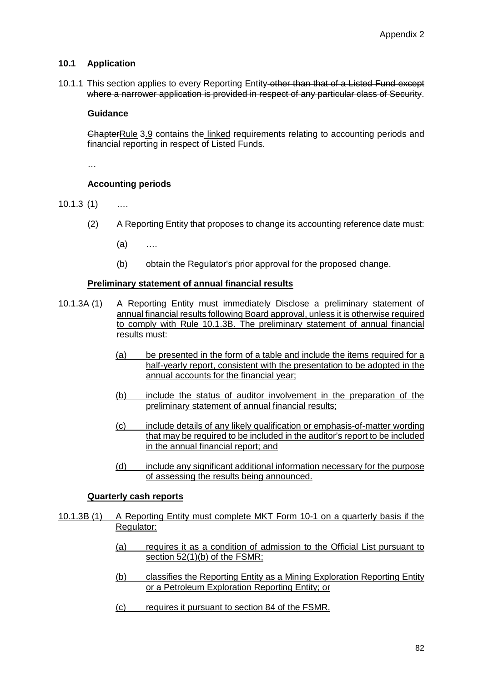### **10.1 Application**

10.1.1 This section applies to every Reporting Entity other than that of a Listed Fund except where a narrower application is provided in respect of any particular class of Security.

#### **Guidance**

ChapterRule 3.9 contains the linked requirements relating to accounting periods and financial reporting in respect of Listed Funds.

…

# **Accounting periods**

10.1.3 (1) ….

- (2) A Reporting Entity that proposes to change its accounting reference date must:
	- (a) ….
	- (b) obtain the Regulator's prior approval for the proposed change.

#### **Preliminary statement of annual financial results**

- 10.1.3A (1) A Reporting Entity must immediately Disclose a preliminary statement of annual financial results following Board approval, unless it is otherwise required to comply with Rule 10.1.3B. The preliminary statement of annual financial results must:
	- (a) be presented in the form of a table and include the items required for a half-yearly report, consistent with the presentation to be adopted in the annual accounts for the financial year;
	- (b) include the status of auditor involvement in the preparation of the preliminary statement of annual financial results;
	- (c) include details of any likely qualification or emphasis-of-matter wording that may be required to be included in the auditor's report to be included in the annual financial report; and
	- (d) include any significant additional information necessary for the purpose of assessing the results being announced.

#### **Quarterly cash reports**

- 10.1.3B (1) A Reporting Entity must complete MKT Form 10-1 on a quarterly basis if the Regulator:
	- (a) requires it as a condition of admission to the Official List pursuant to section 52(1)(b) of the FSMR;
	- (b) classifies the Reporting Entity as a Mining Exploration Reporting Entity or a Petroleum Exploration Reporting Entity; or
	- (c) requires it pursuant to section 84 of the FSMR.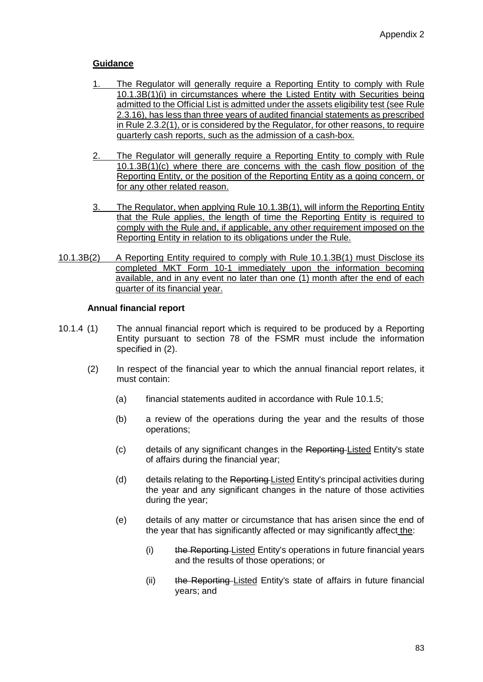- 1. The Regulator will generally require a Reporting Entity to comply with Rule 10.1.3B(1)(i) in circumstances where the Listed Entity with Securities being admitted to the Official List is admitted under the assets eligibility test (see Rule 2.3.16), has less than three years of audited financial statements as prescribed in Rule 2.3.2(1), or is considered by the Regulator, for other reasons, to require quarterly cash reports, such as the admission of a cash-box.
- 2. The Regulator will generally require a Reporting Entity to comply with Rule 10.1.3B(1)(c) where there are concerns with the cash flow position of the Reporting Entity, or the position of the Reporting Entity as a going concern, or for any other related reason.
- 3. The Regulator, when applying Rule 10.1.3B(1), will inform the Reporting Entity that the Rule applies, the length of time the Reporting Entity is required to comply with the Rule and, if applicable, any other requirement imposed on the Reporting Entity in relation to its obligations under the Rule.
- 10.1.3B(2) A Reporting Entity required to comply with Rule 10.1.3B(1) must Disclose its completed MKT Form 10-1 immediately upon the information becoming available, and in any event no later than one (1) month after the end of each quarter of its financial year.

### **Annual financial report**

- 10.1.4 (1) The annual financial report which is required to be produced by a Reporting Entity pursuant to section 78 of the FSMR must include the information specified in (2).
	- (2) In respect of the financial year to which the annual financial report relates, it must contain:
		- (a) financial statements audited in accordance with Rule 10.1.5;
		- (b) a review of the operations during the year and the results of those operations;
		- (c) details of any significant changes in the Reporting Listed Entity's state of affairs during the financial year;
		- (d) details relating to the Reporting Listed Entity's principal activities during the year and any significant changes in the nature of those activities during the year;
		- (e) details of any matter or circumstance that has arisen since the end of the year that has significantly affected or may significantly affect the:
			- (i) the Reporting Listed Entity's operations in future financial years and the results of those operations; or
			- (ii) the Reporting Listed Entity's state of affairs in future financial years; and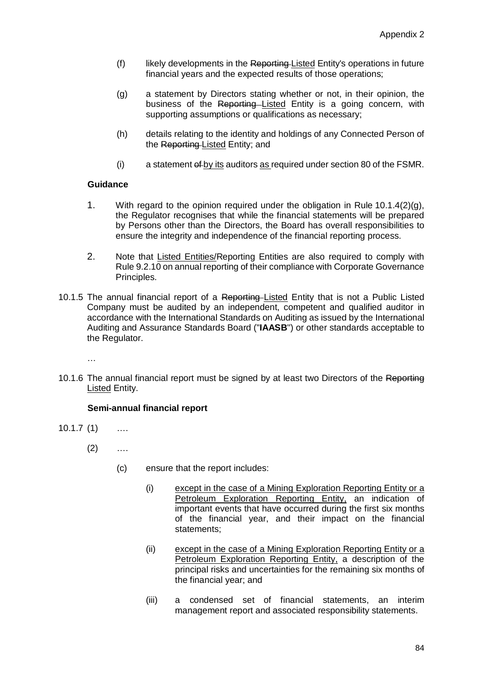- (f) likely developments in the Reporting Listed Entity's operations in future financial years and the expected results of those operations;
- (g) a statement by Directors stating whether or not, in their opinion, the business of the Reporting Listed Entity is a going concern, with supporting assumptions or qualifications as necessary;
- (h) details relating to the identity and holdings of any Connected Person of the Reporting-Listed Entity; and
- $(i)$  a statement  $efby$  its auditors as required under section 80 of the FSMR.

- 1. With regard to the opinion required under the obligation in Rule 10.1.4(2)(g), the Regulator recognises that while the financial statements will be prepared by Persons other than the Directors, the Board has overall responsibilities to ensure the integrity and independence of the financial reporting process.
- 2. Note that Listed Entities/Reporting Entities are also required to comply with Rule 9.2.10 on annual reporting of their compliance with Corporate Governance Principles.
- 10.1.5 The annual financial report of a Reporting-Listed Entity that is not a Public Listed Company must be audited by an independent, competent and qualified auditor in accordance with the International Standards on Auditing as issued by the International Auditing and Assurance Standards Board ("**IAASB**") or other standards acceptable to the Regulator.
	- …
- 10.1.6 The annual financial report must be signed by at least two Directors of the Reporting Listed Entity.

### **Semi-annual financial report**

- 10.1.7 (1) ….
	- $(2)$  ....
		- (c) ensure that the report includes:
			- (i) except in the case of a Mining Exploration Reporting Entity or a Petroleum Exploration Reporting Entity, an indication of important events that have occurred during the first six months of the financial year, and their impact on the financial statements;
			- (ii) except in the case of a Mining Exploration Reporting Entity or a Petroleum Exploration Reporting Entity, a description of the principal risks and uncertainties for the remaining six months of the financial year; and
			- (iii) a condensed set of financial statements, an interim management report and associated responsibility statements.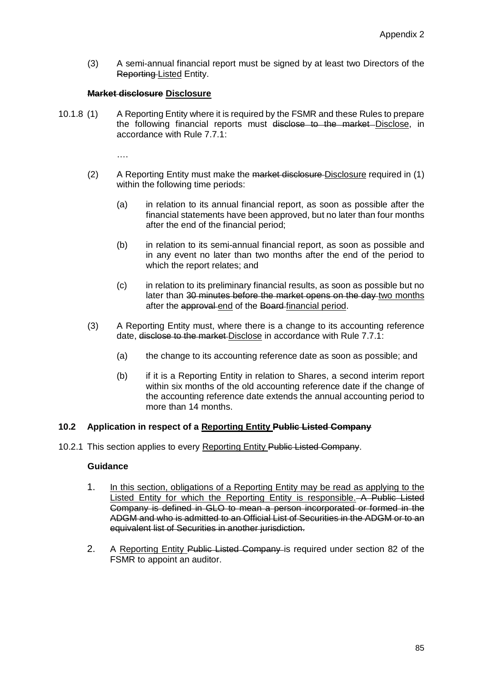(3) A semi-annual financial report must be signed by at least two Directors of the Reporting Listed Entity.

#### **Market disclosure Disclosure**

10.1.8 (1) A Reporting Entity where it is required by the FSMR and these Rules to prepare the following financial reports must disclose to the market Disclose, in accordance with Rule 7.7.1:

….

- (2) A Reporting Entity must make the market disclosure Disclosure required in (1) within the following time periods:
	- (a) in relation to its annual financial report, as soon as possible after the financial statements have been approved, but no later than four months after the end of the financial period;
	- (b) in relation to its semi-annual financial report, as soon as possible and in any event no later than two months after the end of the period to which the report relates; and
	- (c) in relation to its preliminary financial results, as soon as possible but no later than 30 minutes before the market opens on the day two months after the approval end of the Board financial period.
- (3) A Reporting Entity must, where there is a change to its accounting reference date, disclose to the market Disclose in accordance with Rule 7.7.1:
	- (a) the change to its accounting reference date as soon as possible; and
	- (b) if it is a Reporting Entity in relation to Shares, a second interim report within six months of the old accounting reference date if the change of the accounting reference date extends the annual accounting period to more than 14 months.

#### **10.2 Application in respect of a Reporting Entity Public Listed Company**

10.2.1 This section applies to every Reporting Entity Public Listed Company.

#### **Guidance**

- 1. In this section, obligations of a Reporting Entity may be read as applying to the Listed Entity for which the Reporting Entity is responsible. A Public Listed Company is defined in GLO to mean a person incorporated or formed in the ADGM and who is admitted to an Official List of Securities in the ADGM or to an equivalent list of Securities in another jurisdiction.
- 2. A Reporting Entity Public Listed Company is required under section 82 of the FSMR to appoint an auditor.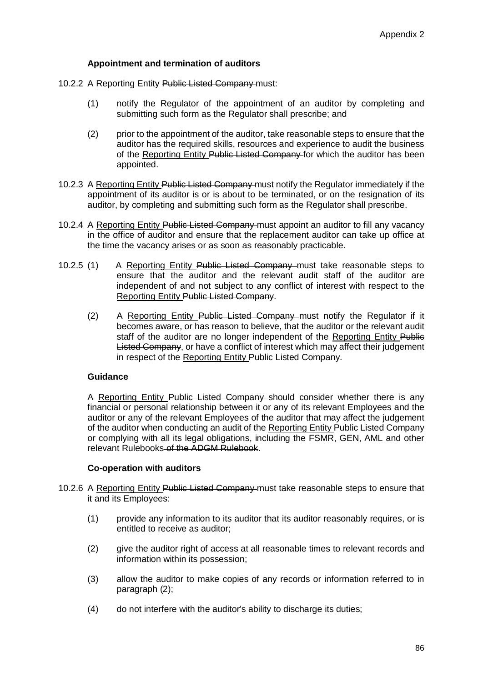### **Appointment and termination of auditors**

- 10.2.2 A Reporting Entity Public Listed Company must:
	- (1) notify the Regulator of the appointment of an auditor by completing and submitting such form as the Regulator shall prescribe; and
	- (2) prior to the appointment of the auditor, take reasonable steps to ensure that the auditor has the required skills, resources and experience to audit the business of the Reporting Entity Public Listed Company for which the auditor has been appointed.
- 10.2.3 A Reporting Entity Public Listed Company must notify the Regulator immediately if the appointment of its auditor is or is about to be terminated, or on the resignation of its auditor, by completing and submitting such form as the Regulator shall prescribe.
- 10.2.4 A Reporting Entity Public Listed Company must appoint an auditor to fill any vacancy in the office of auditor and ensure that the replacement auditor can take up office at the time the vacancy arises or as soon as reasonably practicable.
- 10.2.5 (1) A Reporting Entity Public Listed Company must take reasonable steps to ensure that the auditor and the relevant audit staff of the auditor are independent of and not subject to any conflict of interest with respect to the Reporting Entity Public Listed Company.
	- (2) A Reporting Entity Public Listed Company must notify the Regulator if it becomes aware, or has reason to believe, that the auditor or the relevant audit staff of the auditor are no longer independent of the Reporting Entity Public Listed Company, or have a conflict of interest which may affect their judgement in respect of the Reporting Entity Public Listed Company.

### **Guidance**

A Reporting Entity Public Listed Company should consider whether there is any financial or personal relationship between it or any of its relevant Employees and the auditor or any of the relevant Employees of the auditor that may affect the judgement of the auditor when conducting an audit of the Reporting Entity Public Listed Company or complying with all its legal obligations, including the FSMR, GEN, AML and other relevant Rulebooks of the ADGM Rulebook.

### **Co-operation with auditors**

- 10.2.6 A Reporting Entity Public Listed Company must take reasonable steps to ensure that it and its Employees:
	- (1) provide any information to its auditor that its auditor reasonably requires, or is entitled to receive as auditor;
	- (2) give the auditor right of access at all reasonable times to relevant records and information within its possession;
	- (3) allow the auditor to make copies of any records or information referred to in paragraph (2);
	- (4) do not interfere with the auditor's ability to discharge its duties;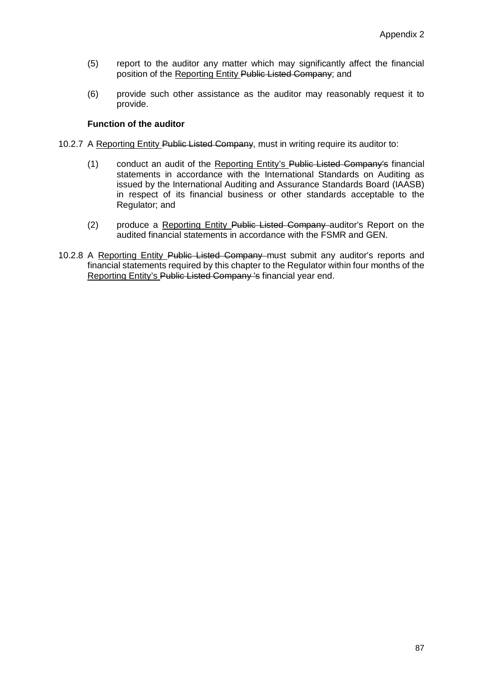- (5) report to the auditor any matter which may significantly affect the financial position of the Reporting Entity Public Listed Company; and
- (6) provide such other assistance as the auditor may reasonably request it to provide.

### **Function of the auditor**

- 10.2.7 A Reporting Entity Public Listed Company, must in writing require its auditor to:
	- (1) conduct an audit of the Reporting Entity's Public Listed Company's financial statements in accordance with the International Standards on Auditing as issued by the International Auditing and Assurance Standards Board (IAASB) in respect of its financial business or other standards acceptable to the Regulator; and
	- (2) produce a Reporting Entity Public Listed Company auditor's Report on the audited financial statements in accordance with the FSMR and GEN.
- 10.2.8 A Reporting Entity Public Listed Company must submit any auditor's reports and financial statements required by this chapter to the Regulator within four months of the Reporting Entity's Public Listed Company 's financial year end.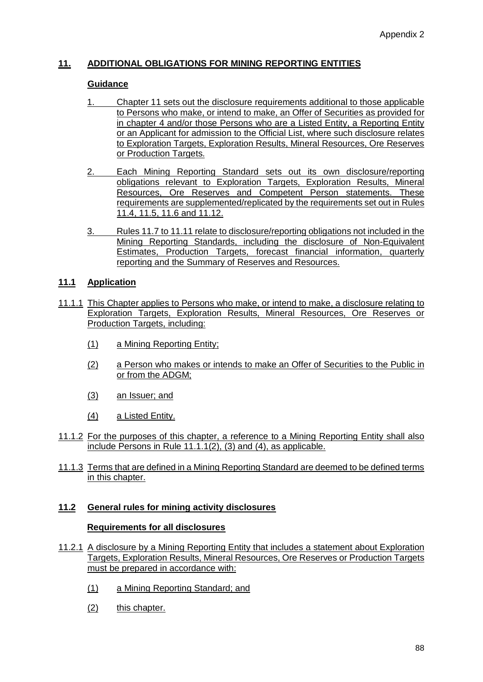# **11. ADDITIONAL OBLIGATIONS FOR MINING REPORTING ENTITIES**

#### **Guidance**

- 1. Chapter 11 sets out the disclosure requirements additional to those applicable to Persons who make, or intend to make, an Offer of Securities as provided for in chapter 4 and/or those Persons who are a Listed Entity, a Reporting Entity or an Applicant for admission to the Official List, where such disclosure relates to Exploration Targets, Exploration Results, Mineral Resources, Ore Reserves or Production Targets.
- 2. Each Mining Reporting Standard sets out its own disclosure/reporting obligations relevant to Exploration Targets, Exploration Results, Mineral Resources, Ore Reserves and Competent Person statements. These requirements are supplemented/replicated by the requirements set out in Rules 11.4, 11.5, 11.6 and 11.12.
- 3. Rules 11.7 to 11.11 relate to disclosure/reporting obligations not included in the Mining Reporting Standards, including the disclosure of Non-Equivalent Estimates, Production Targets, forecast financial information, quarterly reporting and the Summary of Reserves and Resources.

### **11.1 Application**

- 11.1.1 This Chapter applies to Persons who make, or intend to make, a disclosure relating to Exploration Targets, Exploration Results, Mineral Resources, Ore Reserves or Production Targets, including:
	- (1) a Mining Reporting Entity;
	- (2) a Person who makes or intends to make an Offer of Securities to the Public in or from the ADGM;
	- (3) an Issuer; and
	- (4) a Listed Entity.
- 11.1.2 For the purposes of this chapter, a reference to a Mining Reporting Entity shall also include Persons in Rule 11.1.1(2), (3) and (4), as applicable.
- 11.1.3 Terms that are defined in a Mining Reporting Standard are deemed to be defined terms in this chapter.

#### **11.2 General rules for mining activity disclosures**

#### **Requirements for all disclosures**

- 11.2.1 A disclosure by a Mining Reporting Entity that includes a statement about Exploration Targets, Exploration Results, Mineral Resources, Ore Reserves or Production Targets must be prepared in accordance with:
	- (1) a Mining Reporting Standard; and
	- (2) this chapter.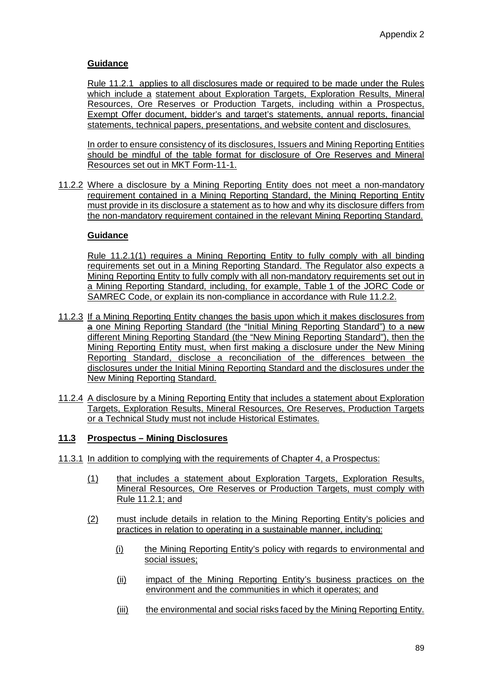Rule 11.2.1 applies to all disclosures made or required to be made under the Rules which include a statement about Exploration Targets, Exploration Results, Mineral Resources, Ore Reserves or Production Targets, including within a Prospectus, Exempt Offer document, bidder's and target's statements, annual reports, financial statements, technical papers, presentations, and website content and disclosures.

In order to ensure consistency of its disclosures, Issuers and Mining Reporting Entities should be mindful of the table format for disclosure of Ore Reserves and Mineral Resources set out in MKT Form-11-1.

11.2.2 Where a disclosure by a Mining Reporting Entity does not meet a non-mandatory requirement contained in a Mining Reporting Standard, the Mining Reporting Entity must provide in its disclosure a statement as to how and why its disclosure differs from the non-mandatory requirement contained in the relevant Mining Reporting Standard.

### **Guidance**

Rule 11.2.1(1) requires a Mining Reporting Entity to fully comply with all binding requirements set out in a Mining Reporting Standard. The Regulator also expects a Mining Reporting Entity to fully comply with all non-mandatory requirements set out in a Mining Reporting Standard, including, for example, Table 1 of the JORC Code or SAMREC Code, or explain its non-compliance in accordance with Rule 11.2.2.

- 11.2.3 If a Mining Reporting Entity changes the basis upon which it makes disclosures from a one Mining Reporting Standard (the "Initial Mining Reporting Standard") to a new different Mining Reporting Standard (the "New Mining Reporting Standard"), then the Mining Reporting Entity must, when first making a disclosure under the New Mining Reporting Standard, disclose a reconciliation of the differences between the disclosures under the Initial Mining Reporting Standard and the disclosures under the New Mining Reporting Standard.
- 11.2.4 A disclosure by a Mining Reporting Entity that includes a statement about Exploration Targets, Exploration Results, Mineral Resources, Ore Reserves, Production Targets or a Technical Study must not include Historical Estimates.

### **11.3 Prospectus – Mining Disclosures**

- 11.3.1 In addition to complying with the requirements of Chapter 4, a Prospectus:
	- (1) that includes a statement about Exploration Targets, Exploration Results, Mineral Resources, Ore Reserves or Production Targets, must comply with Rule 11.2.1; and
	- (2) must include details in relation to the Mining Reporting Entity's policies and practices in relation to operating in a sustainable manner, including:
		- (i) the Mining Reporting Entity's policy with regards to environmental and social issues;
		- (ii) impact of the Mining Reporting Entity's business practices on the environment and the communities in which it operates; and
		- (iii) the environmental and social risks faced by the Mining Reporting Entity.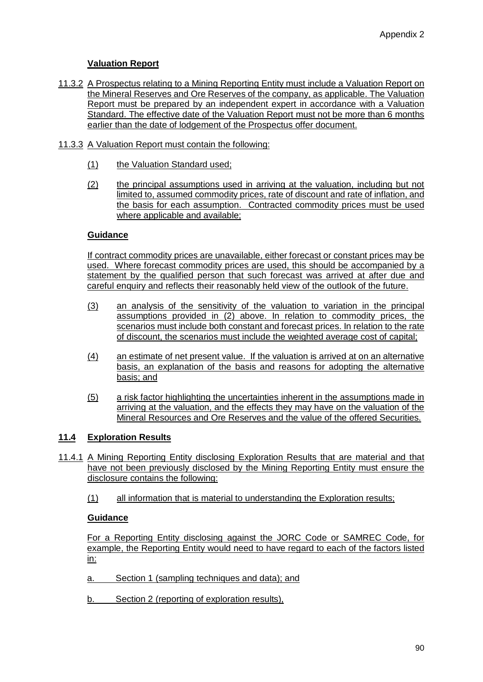# **Valuation Report**

- 11.3.2 A Prospectus relating to a Mining Reporting Entity must include a Valuation Report on the Mineral Reserves and Ore Reserves of the company, as applicable. The Valuation Report must be prepared by an independent expert in accordance with a Valuation Standard. The effective date of the Valuation Report must not be more than 6 months earlier than the date of lodgement of the Prospectus offer document.
- 11.3.3 A Valuation Report must contain the following:
	- (1) the Valuation Standard used;
	- (2) the principal assumptions used in arriving at the valuation, including but not limited to, assumed commodity prices, rate of discount and rate of inflation, and the basis for each assumption. Contracted commodity prices must be used where applicable and available;

### **Guidance**

If contract commodity prices are unavailable, either forecast or constant prices may be used. Where forecast commodity prices are used, this should be accompanied by a statement by the qualified person that such forecast was arrived at after due and careful enquiry and reflects their reasonably held view of the outlook of the future.

- (3) an analysis of the sensitivity of the valuation to variation in the principal assumptions provided in (2) above. In relation to commodity prices, the scenarios must include both constant and forecast prices. In relation to the rate of discount, the scenarios must include the weighted average cost of capital;
- (4) an estimate of net present value. If the valuation is arrived at on an alternative basis, an explanation of the basis and reasons for adopting the alternative basis; and
- (5) a risk factor highlighting the uncertainties inherent in the assumptions made in arriving at the valuation, and the effects they may have on the valuation of the Mineral Resources and Ore Reserves and the value of the offered Securities.

# **11.4 Exploration Results**

- 11.4.1 A Mining Reporting Entity disclosing Exploration Results that are material and that have not been previously disclosed by the Mining Reporting Entity must ensure the disclosure contains the following:
	- (1) all information that is material to understanding the Exploration results;

# **Guidance**

For a Reporting Entity disclosing against the JORC Code or SAMREC Code, for example, the Reporting Entity would need to have regard to each of the factors listed in:

- a. Section 1 (sampling techniques and data); and
- b. Section 2 (reporting of exploration results),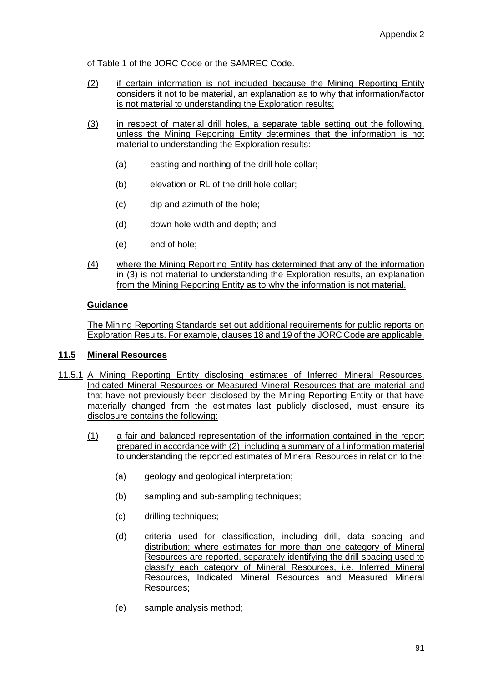of Table 1 of the JORC Code or the SAMREC Code.

- (2) if certain information is not included because the Mining Reporting Entity considers it not to be material, an explanation as to why that information/factor is not material to understanding the Exploration results;
- (3) in respect of material drill holes, a separate table setting out the following, unless the Mining Reporting Entity determines that the information is not material to understanding the Exploration results:
	- (a) easting and northing of the drill hole collar;
	- (b) elevation or RL of the drill hole collar;
	- (c) dip and azimuth of the hole;
	- (d) down hole width and depth; and
	- (e) end of hole;
- (4) where the Mining Reporting Entity has determined that any of the information in (3) is not material to understanding the Exploration results, an explanation from the Mining Reporting Entity as to why the information is not material.

### **Guidance**

The Mining Reporting Standards set out additional requirements for public reports on Exploration Results. For example, clauses 18 and 19 of the JORC Code are applicable.

#### **11.5 Mineral Resources**

- 11.5.1 A Mining Reporting Entity disclosing estimates of Inferred Mineral Resources, Indicated Mineral Resources or Measured Mineral Resources that are material and that have not previously been disclosed by the Mining Reporting Entity or that have materially changed from the estimates last publicly disclosed, must ensure its disclosure contains the following:
	- (1) a fair and balanced representation of the information contained in the report prepared in accordance with (2), including a summary of all information material to understanding the reported estimates of Mineral Resources in relation to the:
		- (a) geology and geological interpretation;
		- (b) sampling and sub-sampling techniques;
		- (c) drilling techniques;
		- (d) criteria used for classification, including drill, data spacing and distribution; where estimates for more than one category of Mineral Resources are reported, separately identifying the drill spacing used to classify each category of Mineral Resources, i.e. Inferred Mineral Resources, Indicated Mineral Resources and Measured Mineral Resources;
		- (e) sample analysis method;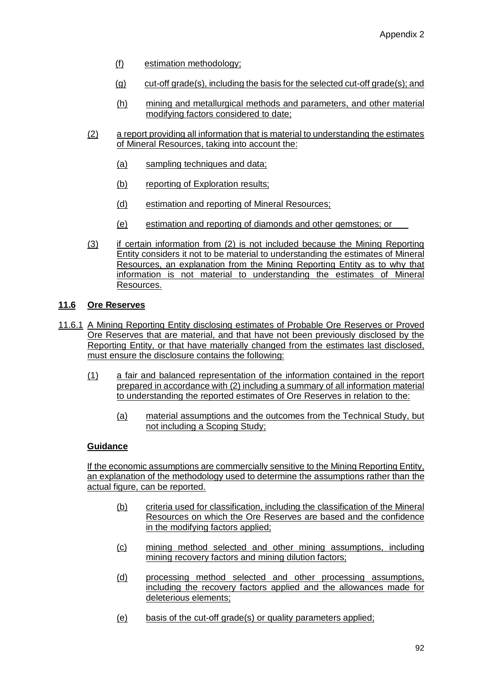- (f) estimation methodology;
- (g) cut-off grade(s), including the basis for the selected cut-off grade(s); and
- (h) mining and metallurgical methods and parameters, and other material modifying factors considered to date;
- (2) a report providing all information that is material to understanding the estimates of Mineral Resources, taking into account the:
	- (a) sampling techniques and data;
	- (b) reporting of Exploration results;
	- (d) estimation and reporting of Mineral Resources;
	- (e) estimation and reporting of diamonds and other gemstones; or
- (3) if certain information from (2) is not included because the Mining Reporting Entity considers it not to be material to understanding the estimates of Mineral Resources, an explanation from the Mining Reporting Entity as to why that information is not material to understanding the estimates of Mineral Resources.

### **11.6 Ore Reserves**

- 11.6.1 A Mining Reporting Entity disclosing estimates of Probable Ore Reserves or Proved Ore Reserves that are material, and that have not been previously disclosed by the Reporting Entity, or that have materially changed from the estimates last disclosed, must ensure the disclosure contains the following:
	- (1) a fair and balanced representation of the information contained in the report prepared in accordance with (2) including a summary of all information material to understanding the reported estimates of Ore Reserves in relation to the:
		- (a) material assumptions and the outcomes from the Technical Study, but not including a Scoping Study;

### **Guidance**

If the economic assumptions are commercially sensitive to the Mining Reporting Entity, an explanation of the methodology used to determine the assumptions rather than the actual figure, can be reported.

- (b) criteria used for classification, including the classification of the Mineral Resources on which the Ore Reserves are based and the confidence in the modifying factors applied;
- (c) mining method selected and other mining assumptions, including mining recovery factors and mining dilution factors;
- (d) processing method selected and other processing assumptions, including the recovery factors applied and the allowances made for deleterious elements;
- (e) basis of the cut-off grade(s) or quality parameters applied;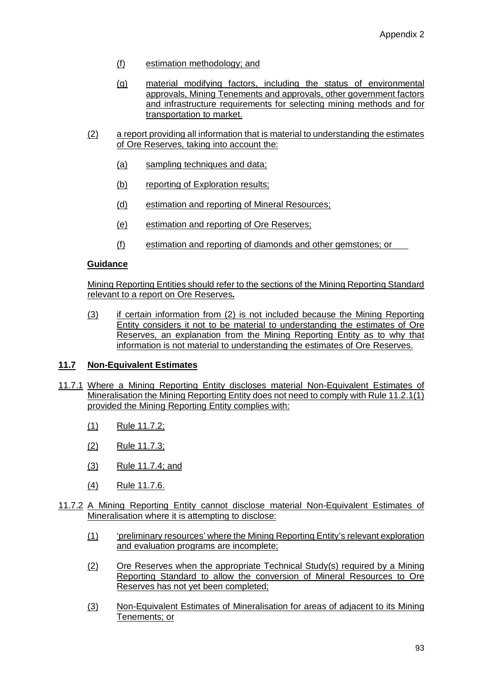- (f) estimation methodology; and
- (g) material modifying factors, including the status of environmental approvals, Mining Tenements and approvals, other government factors and infrastructure requirements for selecting mining methods and for transportation to market.
- (2) a report providing all information that is material to understanding the estimates of Ore Reserves, taking into account the:
	- (a) sampling techniques and data;
	- (b) reporting of Exploration results;
	- (d) estimation and reporting of Mineral Resources;
	- (e) estimation and reporting of Ore Reserves;
	- (f) estimation and reporting of diamonds and other gemstones; or

Mining Reporting Entities should refer to the sections of the Mining Reporting Standard relevant to a report on Ore Reserves**.** 

(3) if certain information from (2) is not included because the Mining Reporting Entity considers it not to be material to understanding the estimates of Ore Reserves, an explanation from the Mining Reporting Entity as to why that information is not material to understanding the estimates of Ore Reserves.

#### **11.7 Non-Equivalent Estimates**

- 11.7.1 Where a Mining Reporting Entity discloses material Non-Equivalent Estimates of Mineralisation the Mining Reporting Entity does not need to comply with Rule 11.2.1(1) provided the Mining Reporting Entity complies with:
	- (1) Rule 11.7.2;
	- (2) Rule 11.7.3;
	- (3) Rule 11.7.4; and
	- (4) Rule 11.7.6.
- 11.7.2 A Mining Reporting Entity cannot disclose material Non-Equivalent Estimates of Mineralisation where it is attempting to disclose:
	- (1) 'preliminary resources' where the Mining Reporting Entity's relevant exploration and evaluation programs are incomplete;
	- (2) Ore Reserves when the appropriate Technical Study(s) required by a Mining Reporting Standard to allow the conversion of Mineral Resources to Ore Reserves has not yet been completed;
	- (3) Non-Equivalent Estimates of Mineralisation for areas of adjacent to its Mining Tenements; or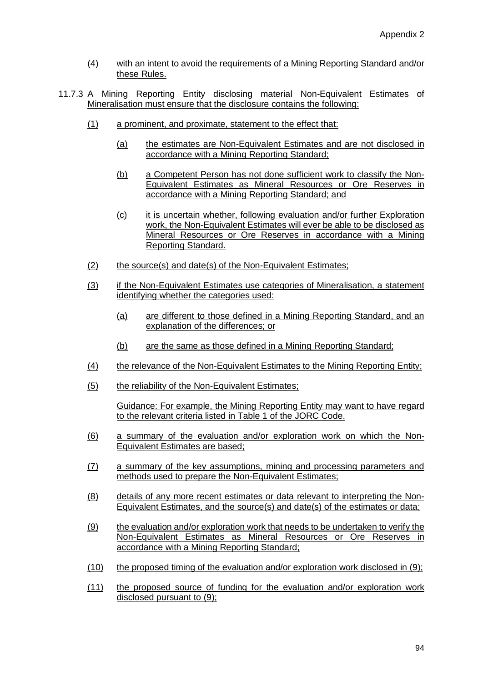- (4) with an intent to avoid the requirements of a Mining Reporting Standard and/or these Rules.
- 11.7.3 A Mining Reporting Entity disclosing material Non-Equivalent Estimates of Mineralisation must ensure that the disclosure contains the following:
	- (1) a prominent, and proximate, statement to the effect that:
		- (a) the estimates are Non-Equivalent Estimates and are not disclosed in accordance with a Mining Reporting Standard;
		- (b) a Competent Person has not done sufficient work to classify the Non-Equivalent Estimates as Mineral Resources or Ore Reserves in accordance with a Mining Reporting Standard; and
		- (c) it is uncertain whether, following evaluation and/or further Exploration work, the Non-Equivalent Estimates will ever be able to be disclosed as Mineral Resources or Ore Reserves in accordance with a Mining Reporting Standard.
	- (2) the source(s) and date(s) of the Non-Equivalent Estimates;
	- (3) if the Non-Equivalent Estimates use categories of Mineralisation, a statement identifying whether the categories used:
		- (a) are different to those defined in a Mining Reporting Standard, and an explanation of the differences; or
		- (b) are the same as those defined in a Mining Reporting Standard;
	- (4) the relevance of the Non-Equivalent Estimates to the Mining Reporting Entity;
	- (5) the reliability of the Non-Equivalent Estimates;

Guidance: For example, the Mining Reporting Entity may want to have regard to the relevant criteria listed in Table 1 of the JORC Code.

- (6) a summary of the evaluation and/or exploration work on which the Non-Equivalent Estimates are based;
- (7) a summary of the key assumptions, mining and processing parameters and methods used to prepare the Non-Equivalent Estimates;
- (8) details of any more recent estimates or data relevant to interpreting the Non-Equivalent Estimates, and the source(s) and date(s) of the estimates or data;
- (9) the evaluation and/or exploration work that needs to be undertaken to verify the Non-Equivalent Estimates as Mineral Resources or Ore Reserves in accordance with a Mining Reporting Standard;
- (10) the proposed timing of the evaluation and/or exploration work disclosed in (9);
- (11) the proposed source of funding for the evaluation and/or exploration work disclosed pursuant to (9);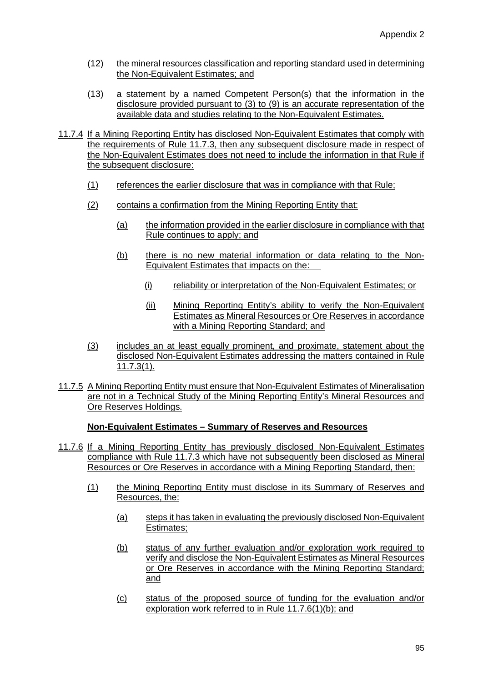- (12) the mineral resources classification and reporting standard used in determining the Non-Equivalent Estimates; and
- (13) a statement by a named Competent Person(s) that the information in the disclosure provided pursuant to (3) to (9) is an accurate representation of the available data and studies relating to the Non-Equivalent Estimates.
- 11.7.4 If a Mining Reporting Entity has disclosed Non-Equivalent Estimates that comply with the requirements of Rule 11.7.3, then any subsequent disclosure made in respect of the Non-Equivalent Estimates does not need to include the information in that Rule if the subsequent disclosure:
	- (1) references the earlier disclosure that was in compliance with that Rule;
	- (2) contains a confirmation from the Mining Reporting Entity that:
		- (a) the information provided in the earlier disclosure in compliance with that Rule continues to apply; and
		- (b) there is no new material information or data relating to the Non-Equivalent Estimates that impacts on the:
			- (i) reliability or interpretation of the Non-Equivalent Estimates; or
			- (ii) Mining Reporting Entity's ability to verify the Non-Equivalent Estimates as Mineral Resources or Ore Reserves in accordance with a Mining Reporting Standard; and
	- (3) includes an at least equally prominent, and proximate, statement about the disclosed Non-Equivalent Estimates addressing the matters contained in Rule 11.7.3(1).
- 11.7.5 A Mining Reporting Entity must ensure that Non-Equivalent Estimates of Mineralisation are not in a Technical Study of the Mining Reporting Entity's Mineral Resources and Ore Reserves Holdings.

#### **Non-Equivalent Estimates – Summary of Reserves and Resources**

- 11.7.6 If a Mining Reporting Entity has previously disclosed Non-Equivalent Estimates compliance with Rule 11.7.3 which have not subsequently been disclosed as Mineral Resources or Ore Reserves in accordance with a Mining Reporting Standard, then:
	- (1) the Mining Reporting Entity must disclose in its Summary of Reserves and Resources, the:
		- (a) steps it has taken in evaluating the previously disclosed Non-Equivalent Estimates;
		- (b) status of any further evaluation and/or exploration work required to verify and disclose the Non-Equivalent Estimates as Mineral Resources or Ore Reserves in accordance with the Mining Reporting Standard; and
		- (c) status of the proposed source of funding for the evaluation and/or exploration work referred to in Rule 11.7.6(1)(b); and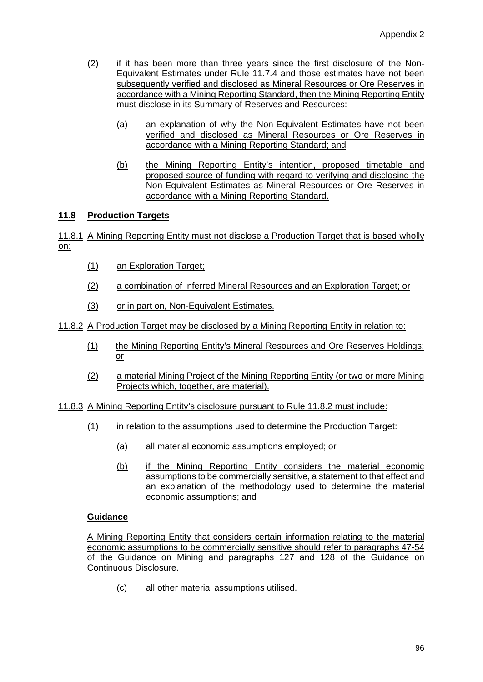- (2) if it has been more than three years since the first disclosure of the Non-Equivalent Estimates under Rule 11.7.4 and those estimates have not been subsequently verified and disclosed as Mineral Resources or Ore Reserves in accordance with a Mining Reporting Standard, then the Mining Reporting Entity must disclose in its Summary of Reserves and Resources:
	- (a) an explanation of why the Non-Equivalent Estimates have not been verified and disclosed as Mineral Resources or Ore Reserves in accordance with a Mining Reporting Standard; and
	- (b) the Mining Reporting Entity's intention, proposed timetable and proposed source of funding with regard to verifying and disclosing the Non-Equivalent Estimates as Mineral Resources or Ore Reserves in accordance with a Mining Reporting Standard.

# **11.8 Production Targets**

11.8.1 A Mining Reporting Entity must not disclose a Production Target that is based wholly on:

- (1) an Exploration Target;
- (2) a combination of Inferred Mineral Resources and an Exploration Target; or
- (3) or in part on, Non-Equivalent Estimates.

11.8.2 A Production Target may be disclosed by a Mining Reporting Entity in relation to:

- (1) the Mining Reporting Entity's Mineral Resources and Ore Reserves Holdings; or
- (2) a material Mining Project of the Mining Reporting Entity (or two or more Mining Projects which, together, are material).

11.8.3 A Mining Reporting Entity's disclosure pursuant to Rule 11.8.2 must include:

- (1) in relation to the assumptions used to determine the Production Target:
	- (a) all material economic assumptions employed; or
	- (b) if the Mining Reporting Entity considers the material economic assumptions to be commercially sensitive, a statement to that effect and an explanation of the methodology used to determine the material economic assumptions; and

# **Guidance**

A Mining Reporting Entity that considers certain information relating to the material economic assumptions to be commercially sensitive should refer to paragraphs 47-54 of the Guidance on Mining and paragraphs 127 and 128 of the Guidance on Continuous Disclosure.

(c) all other material assumptions utilised.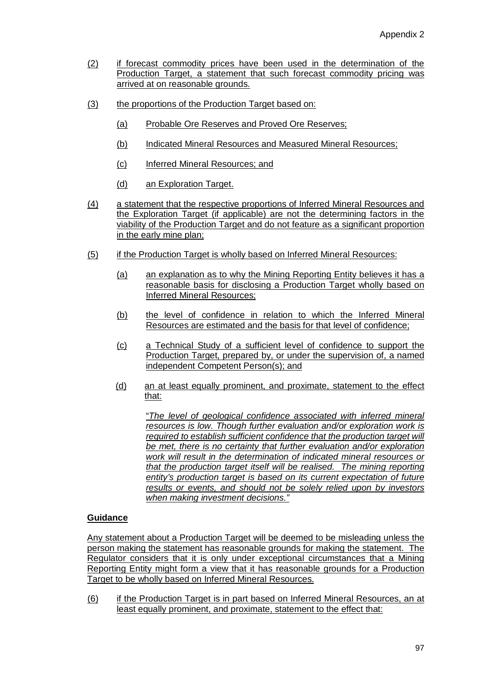- (2) if forecast commodity prices have been used in the determination of the Production Target, a statement that such forecast commodity pricing was arrived at on reasonable grounds.
- (3) the proportions of the Production Target based on:
	- (a) Probable Ore Reserves and Proved Ore Reserves;
	- (b) Indicated Mineral Resources and Measured Mineral Resources;
	- (c) Inferred Mineral Resources; and
	- (d) an Exploration Target.
- (4) a statement that the respective proportions of Inferred Mineral Resources and the Exploration Target (if applicable) are not the determining factors in the viability of the Production Target and do not feature as a significant proportion in the early mine plan;
- (5) if the Production Target is wholly based on Inferred Mineral Resources:
	- (a) an explanation as to why the Mining Reporting Entity believes it has a reasonable basis for disclosing a Production Target wholly based on Inferred Mineral Resources;
	- (b) the level of confidence in relation to which the Inferred Mineral Resources are estimated and the basis for that level of confidence;
	- (c) a Technical Study of a sufficient level of confidence to support the Production Target, prepared by, or under the supervision of, a named independent Competent Person(s); and
	- (d) an at least equally prominent, and proximate, statement to the effect that:

"*The level of geological confidence associated with inferred mineral resources is low. Though further evaluation and/or exploration work is required to establish sufficient confidence that the production target will be met, there is no certainty that further evaluation and/or exploration work will result in the determination of indicated mineral resources or that the production target itself will be realised. The mining reporting entity's production target is based on its current expectation of future results or events, and should not be solely relied upon by investors when making investment decisions."*

### **Guidance**

Any statement about a Production Target will be deemed to be misleading unless the person making the statement has reasonable grounds for making the statement. The Regulator considers that it is only under exceptional circumstances that a Mining Reporting Entity might form a view that it has reasonable grounds for a Production Target to be wholly based on Inferred Mineral Resources.

(6) if the Production Target is in part based on Inferred Mineral Resources, an at least equally prominent, and proximate, statement to the effect that: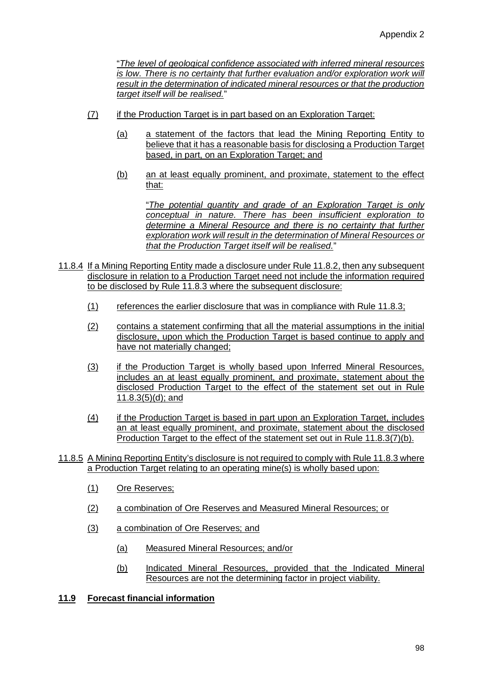"*The level of geological confidence associated with inferred mineral resources is low. There is no certainty that further evaluation and/or exploration work will result in the determination of indicated mineral resources or that the production target itself will be realised.*"

- (7) if the Production Target is in part based on an Exploration Target:
	- (a) a statement of the factors that lead the Mining Reporting Entity to believe that it has a reasonable basis for disclosing a Production Target based, in part, on an Exploration Target; and
	- (b) an at least equally prominent, and proximate, statement to the effect that:

"*The potential quantity and grade of an Exploration Target is only conceptual in nature. There has been insufficient exploration to determine a Mineral Resource and there is no certainty that further exploration work will result in the determination of Mineral Resources or that the Production Target itself will be realised.*"

- 11.8.4 If a Mining Reporting Entity made a disclosure under Rule 11.8.2, then any subsequent disclosure in relation to a Production Target need not include the information required to be disclosed by Rule 11.8.3 where the subsequent disclosure:
	- (1) references the earlier disclosure that was in compliance with Rule 11.8.3;
	- (2) contains a statement confirming that all the material assumptions in the initial disclosure, upon which the Production Target is based continue to apply and have not materially changed;
	- (3) if the Production Target is wholly based upon Inferred Mineral Resources, includes an at least equally prominent, and proximate, statement about the disclosed Production Target to the effect of the statement set out in Rule 11.8.3(5)(d); and
	- (4) if the Production Target is based in part upon an Exploration Target, includes an at least equally prominent, and proximate, statement about the disclosed Production Target to the effect of the statement set out in Rule 11.8.3(7)(b).
- 11.8.5 A Mining Reporting Entity's disclosure is not required to comply with Rule 11.8.3 where a Production Target relating to an operating mine(s) is wholly based upon:
	- (1) Ore Reserves;
	- (2) a combination of Ore Reserves and Measured Mineral Resources; or
	- (3) a combination of Ore Reserves; and
		- (a) Measured Mineral Resources; and/or
		- (b) Indicated Mineral Resources, provided that the Indicated Mineral Resources are not the determining factor in project viability.

### **11.9 Forecast financial information**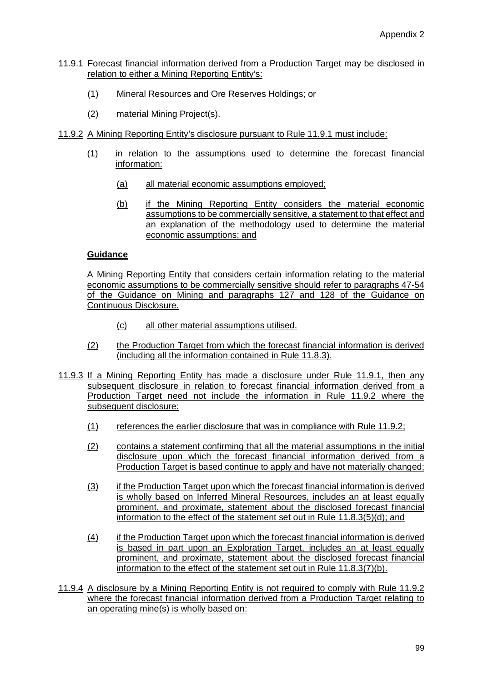- 11.9.1 Forecast financial information derived from a Production Target may be disclosed in relation to either a Mining Reporting Entity's:
	- (1) Mineral Resources and Ore Reserves Holdings; or
	- (2) material Mining Project(s).
- 11.9.2 A Mining Reporting Entity's disclosure pursuant to Rule 11.9.1 must include:
	- (1) in relation to the assumptions used to determine the forecast financial information:
		- (a) all material economic assumptions employed;
		- (b) if the Mining Reporting Entity considers the material economic assumptions to be commercially sensitive, a statement to that effect and an explanation of the methodology used to determine the material economic assumptions; and

A Mining Reporting Entity that considers certain information relating to the material economic assumptions to be commercially sensitive should refer to paragraphs 47-54 of the Guidance on Mining and paragraphs 127 and 128 of the Guidance on Continuous Disclosure.

- (c) all other material assumptions utilised.
- (2) the Production Target from which the forecast financial information is derived (including all the information contained in Rule 11.8.3).
- 11.9.3 If a Mining Reporting Entity has made a disclosure under Rule 11.9.1, then any subsequent disclosure in relation to forecast financial information derived from a Production Target need not include the information in Rule 11.9.2 where the subsequent disclosure:
	- (1) references the earlier disclosure that was in compliance with Rule 11.9.2;
	- (2) contains a statement confirming that all the material assumptions in the initial disclosure upon which the forecast financial information derived from a Production Target is based continue to apply and have not materially changed;
	- (3) if the Production Target upon which the forecast financial information is derived is wholly based on Inferred Mineral Resources, includes an at least equally prominent, and proximate, statement about the disclosed forecast financial information to the effect of the statement set out in Rule 11.8.3(5)(d); and
	- (4) if the Production Target upon which the forecast financial information is derived is based in part upon an Exploration Target, includes an at least equally prominent, and proximate, statement about the disclosed forecast financial information to the effect of the statement set out in Rule 11.8.3(7)(b).
- 11.9.4 A disclosure by a Mining Reporting Entity is not required to comply with Rule 11.9.2 where the forecast financial information derived from a Production Target relating to an operating mine(s) is wholly based on: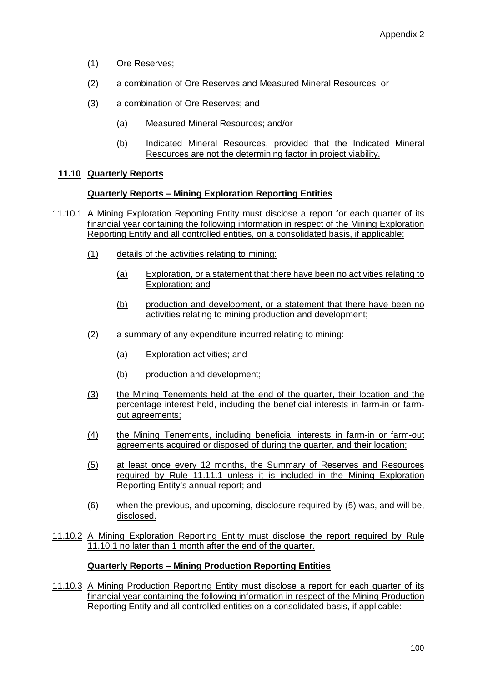- (1) Ore Reserves;
- (2) a combination of Ore Reserves and Measured Mineral Resources; or
- (3) a combination of Ore Reserves; and
	- (a) Measured Mineral Resources; and/or
	- (b) Indicated Mineral Resources, provided that the Indicated Mineral Resources are not the determining factor in project viability.

# **11.10 Quarterly Reports**

### **Quarterly Reports – Mining Exploration Reporting Entities**

- 11.10.1 A Mining Exploration Reporting Entity must disclose a report for each quarter of its financial year containing the following information in respect of the Mining Exploration Reporting Entity and all controlled entities, on a consolidated basis, if applicable:
	- (1) details of the activities relating to mining:
		- (a) Exploration, or a statement that there have been no activities relating to Exploration; and
		- (b) production and development, or a statement that there have been no activities relating to mining production and development;
	- (2) a summary of any expenditure incurred relating to mining:
		- (a) Exploration activities; and
		- (b) production and development;
	- (3) the Mining Tenements held at the end of the quarter, their location and the percentage interest held, including the beneficial interests in farm-in or farmout agreements;
	- (4) the Mining Tenements, including beneficial interests in farm-in or farm-out agreements acquired or disposed of during the quarter, and their location;
	- (5) at least once every 12 months, the Summary of Reserves and Resources required by Rule 11.11.1 unless it is included in the Mining Exploration Reporting Entity's annual report; and
	- (6) when the previous, and upcoming, disclosure required by (5) was, and will be, disclosed.
- 11.10.2 A Mining Exploration Reporting Entity must disclose the report required by Rule 11.10.1 no later than 1 month after the end of the quarter.

### **Quarterly Reports – Mining Production Reporting Entities**

11.10.3 A Mining Production Reporting Entity must disclose a report for each quarter of its financial year containing the following information in respect of the Mining Production Reporting Entity and all controlled entities on a consolidated basis, if applicable: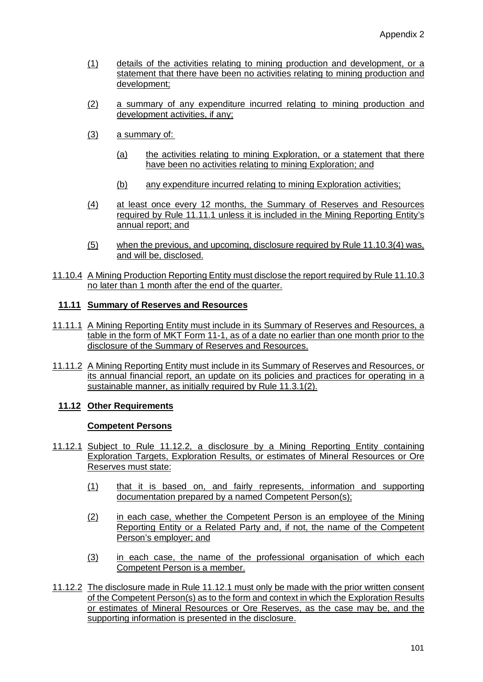- (1) details of the activities relating to mining production and development, or a statement that there have been no activities relating to mining production and development;
- (2) a summary of any expenditure incurred relating to mining production and development activities, if any;
- (3) a summary of:
	- (a) the activities relating to mining Exploration, or a statement that there have been no activities relating to mining Exploration; and
	- (b) any expenditure incurred relating to mining Exploration activities;
- (4) at least once every 12 months, the Summary of Reserves and Resources required by Rule 11.11.1 unless it is included in the Mining Reporting Entity's annual report; and
- (5) when the previous, and upcoming, disclosure required by Rule 11.10.3(4) was, and will be, disclosed.
- 11.10.4 A Mining Production Reporting Entity must disclose the report required by Rule 11.10.3 no later than 1 month after the end of the quarter.

#### **11.11 Summary of Reserves and Resources**

- 11.11.1 A Mining Reporting Entity must include in its Summary of Reserves and Resources, a table in the form of MKT Form 11-1, as of a date no earlier than one month prior to the disclosure of the Summary of Reserves and Resources.
- 11.11.2 A Mining Reporting Entity must include in its Summary of Reserves and Resources, or its annual financial report, an update on its policies and practices for operating in a sustainable manner, as initially required by Rule 11.3.1(2).

### **11.12 Other Requirements**

#### **Competent Persons**

- 11.12.1 Subject to Rule 11.12.2, a disclosure by a Mining Reporting Entity containing Exploration Targets, Exploration Results, or estimates of Mineral Resources or Ore Reserves must state:
	- (1) that it is based on, and fairly represents, information and supporting documentation prepared by a named Competent Person(s);
	- (2) in each case, whether the Competent Person is an employee of the Mining Reporting Entity or a Related Party and, if not, the name of the Competent Person's employer; and
	- (3) in each case, the name of the professional organisation of which each Competent Person is a member.
- 11.12.2 The disclosure made in Rule 11.12.1 must only be made with the prior written consent of the Competent Person(s) as to the form and context in which the Exploration Results or estimates of Mineral Resources or Ore Reserves, as the case may be, and the supporting information is presented in the disclosure.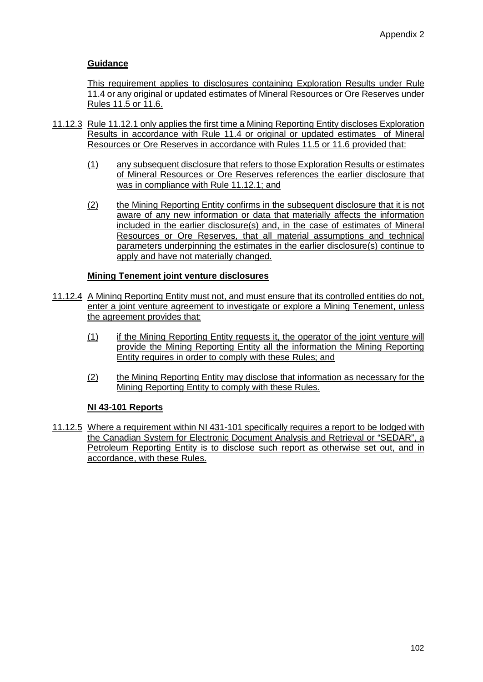This requirement applies to disclosures containing Exploration Results under Rule 11.4 or any original or updated estimates of Mineral Resources or Ore Reserves under Rules 11.5 or 11.6.

- 11.12.3 Rule 11.12.1 only applies the first time a Mining Reporting Entity discloses Exploration Results in accordance with Rule 11.4 or original or updated estimates of Mineral Resources or Ore Reserves in accordance with Rules 11.5 or 11.6 provided that:
	- (1) any subsequent disclosure that refers to those Exploration Results or estimates of Mineral Resources or Ore Reserves references the earlier disclosure that was in compliance with Rule 11.12.1; and
	- (2) the Mining Reporting Entity confirms in the subsequent disclosure that it is not aware of any new information or data that materially affects the information included in the earlier disclosure(s) and, in the case of estimates of Mineral Resources or Ore Reserves, that all material assumptions and technical parameters underpinning the estimates in the earlier disclosure(s) continue to apply and have not materially changed.

### **Mining Tenement joint venture disclosures**

- 11.12.4 A Mining Reporting Entity must not, and must ensure that its controlled entities do not, enter a joint venture agreement to investigate or explore a Mining Tenement, unless the agreement provides that:
	- (1) if the Mining Reporting Entity requests it, the operator of the joint venture will provide the Mining Reporting Entity all the information the Mining Reporting Entity requires in order to comply with these Rules; and
	- (2) the Mining Reporting Entity may disclose that information as necessary for the Mining Reporting Entity to comply with these Rules.

### **NI 43-101 Reports**

11.12.5 Where a requirement within NI 431-101 specifically requires a report to be lodged with the Canadian System for Electronic Document Analysis and Retrieval or "SEDAR", a Petroleum Reporting Entity is to disclose such report as otherwise set out, and in accordance, with these Rules.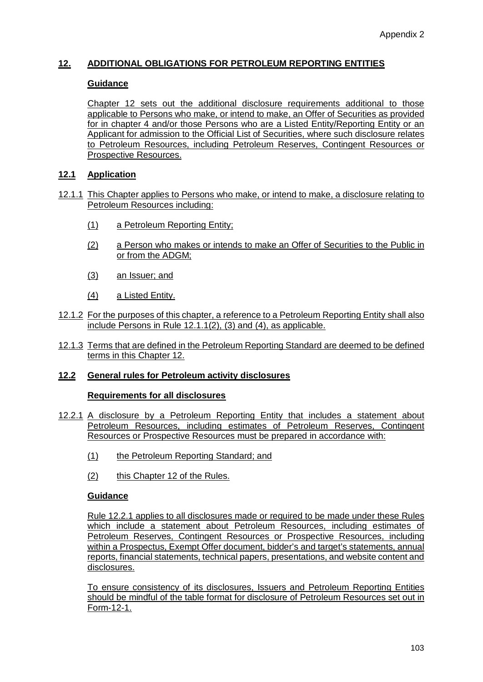# **12. ADDITIONAL OBLIGATIONS FOR PETROLEUM REPORTING ENTITIES**

### **Guidance**

Chapter 12 sets out the additional disclosure requirements additional to those applicable to Persons who make, or intend to make, an Offer of Securities as provided for in chapter 4 and/or those Persons who are a Listed Entity/Reporting Entity or an Applicant for admission to the Official List of Securities, where such disclosure relates to Petroleum Resources, including Petroleum Reserves, Contingent Resources or Prospective Resources.

### **12.1 Application**

- 12.1.1 This Chapter applies to Persons who make, or intend to make, a disclosure relating to Petroleum Resources including:
	- (1) a Petroleum Reporting Entity;
	- (2) a Person who makes or intends to make an Offer of Securities to the Public in or from the ADGM;
	- (3) an Issuer; and
	- (4) a Listed Entity.
- 12.1.2 For the purposes of this chapter, a reference to a Petroleum Reporting Entity shall also include Persons in Rule 12.1.1(2), (3) and (4), as applicable.
- 12.1.3 Terms that are defined in the Petroleum Reporting Standard are deemed to be defined terms in this Chapter 12.

#### **12.2 General rules for Petroleum activity disclosures**

#### **Requirements for all disclosures**

- 12.2.1 A disclosure by a Petroleum Reporting Entity that includes a statement about Petroleum Resources, including estimates of Petroleum Reserves, Contingent Resources or Prospective Resources must be prepared in accordance with:
	- (1) the Petroleum Reporting Standard; and
	- (2) this Chapter 12 of the Rules.

#### **Guidance**

Rule 12.2.1 applies to all disclosures made or required to be made under these Rules which include a statement about Petroleum Resources, including estimates of Petroleum Reserves, Contingent Resources or Prospective Resources, including within a Prospectus, Exempt Offer document, bidder's and target's statements, annual reports, financial statements, technical papers, presentations, and website content and disclosures.

To ensure consistency of its disclosures, Issuers and Petroleum Reporting Entities should be mindful of the table format for disclosure of Petroleum Resources set out in Form-12-1.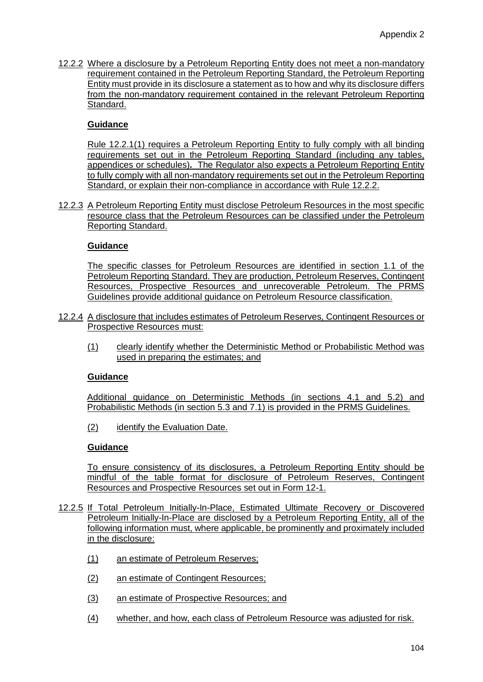12.2.2 Where a disclosure by a Petroleum Reporting Entity does not meet a non-mandatory requirement contained in the Petroleum Reporting Standard, the Petroleum Reporting Entity must provide in its disclosure a statement as to how and why its disclosure differs from the non-mandatory requirement contained in the relevant Petroleum Reporting Standard.

### **Guidance**

Rule 12.2.1(1) requires a Petroleum Reporting Entity to fully comply with all binding requirements set out in the Petroleum Reporting Standard (including any tables, appendices or schedules)**.** The Regulator also expects a Petroleum Reporting Entity to fully comply with all non-mandatory requirements set out in the Petroleum Reporting Standard, or explain their non-compliance in accordance with Rule 12.2.2.

12.2.3 A Petroleum Reporting Entity must disclose Petroleum Resources in the most specific resource class that the Petroleum Resources can be classified under the Petroleum Reporting Standard.

### **Guidance**

The specific classes for Petroleum Resources are identified in section 1.1 of the Petroleum Reporting Standard. They are production, Petroleum Reserves, Contingent Resources, Prospective Resources and unrecoverable Petroleum. The PRMS Guidelines provide additional guidance on Petroleum Resource classification.

- 12.2.4 A disclosure that includes estimates of Petroleum Reserves, Contingent Resources or Prospective Resources must:
	- (1) clearly identify whether the Deterministic Method or Probabilistic Method was used in preparing the estimates; and

### **Guidance**

Additional guidance on Deterministic Methods (in sections 4.1 and 5.2) and Probabilistic Methods (in section 5.3 and 7.1) is provided in the PRMS Guidelines.

(2) identify the Evaluation Date.

# **Guidance**

To ensure consistency of its disclosures, a Petroleum Reporting Entity should be mindful of the table format for disclosure of Petroleum Reserves, Contingent Resources and Prospective Resources set out in Form 12-1.

- 12.2.5 If Total Petroleum Initially-In-Place, Estimated Ultimate Recovery or Discovered Petroleum Initially-In-Place are disclosed by a Petroleum Reporting Entity, all of the following information must, where applicable, be prominently and proximately included in the disclosure:
	- (1) an estimate of Petroleum Reserves;
	- (2) an estimate of Contingent Resources;
	- (3) an estimate of Prospective Resources; and
	- (4) whether, and how, each class of Petroleum Resource was adjusted for risk.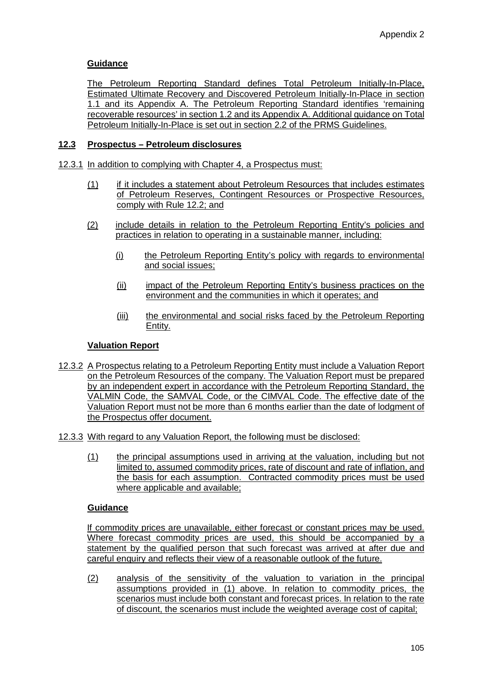The Petroleum Reporting Standard defines Total Petroleum Initially-In-Place, Estimated Ultimate Recovery and Discovered Petroleum Initially-In-Place in section 1.1 and its Appendix A. The Petroleum Reporting Standard identifies 'remaining recoverable resources' in section 1.2 and its Appendix A. Additional guidance on Total Petroleum Initially-In-Place is set out in section 2.2 of the PRMS Guidelines.

# **12.3 Prospectus – Petroleum disclosures**

- 12.3.1 In addition to complying with Chapter 4, a Prospectus must:
	- (1) if it includes a statement about Petroleum Resources that includes estimates of Petroleum Reserves, Contingent Resources or Prospective Resources, comply with Rule 12.2; and
	- (2) include details in relation to the Petroleum Reporting Entity's policies and practices in relation to operating in a sustainable manner, including:
		- (i) the Petroleum Reporting Entity's policy with regards to environmental and social issues;
		- (ii) impact of the Petroleum Reporting Entity's business practices on the environment and the communities in which it operates; and
		- (iii) the environmental and social risks faced by the Petroleum Reporting Entity.

### **Valuation Report**

- 12.3.2 A Prospectus relating to a Petroleum Reporting Entity must include a Valuation Report on the Petroleum Resources of the company. The Valuation Report must be prepared by an independent expert in accordance with the Petroleum Reporting Standard, the VALMIN Code, the SAMVAL Code, or the CIMVAL Code. The effective date of the Valuation Report must not be more than 6 months earlier than the date of lodgment of the Prospectus offer document.
- 12.3.3 With regard to any Valuation Report, the following must be disclosed:
	- (1) the principal assumptions used in arriving at the valuation, including but not limited to, assumed commodity prices, rate of discount and rate of inflation, and the basis for each assumption. Contracted commodity prices must be used where applicable and available;

#### **Guidance**

If commodity prices are unavailable, either forecast or constant prices may be used. Where forecast commodity prices are used, this should be accompanied by a statement by the qualified person that such forecast was arrived at after due and careful enquiry and reflects their view of a reasonable outlook of the future.

(2) analysis of the sensitivity of the valuation to variation in the principal assumptions provided in (1) above. In relation to commodity prices, the scenarios must include both constant and forecast prices. In relation to the rate of discount, the scenarios must include the weighted average cost of capital;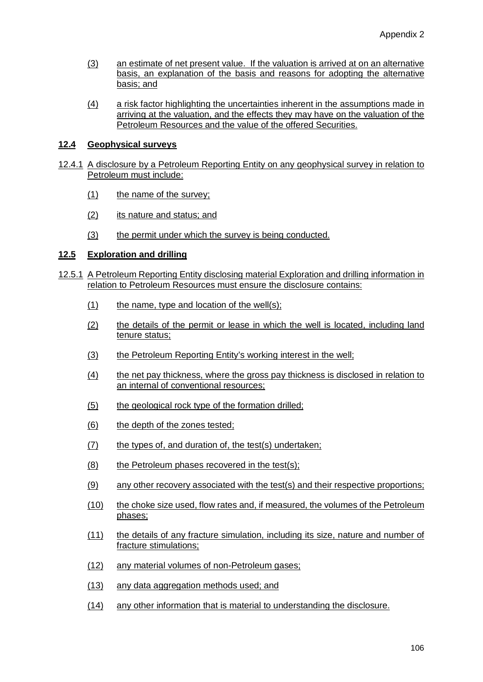- (3) an estimate of net present value. If the valuation is arrived at on an alternative basis, an explanation of the basis and reasons for adopting the alternative basis; and
- (4) a risk factor highlighting the uncertainties inherent in the assumptions made in arriving at the valuation, and the effects they may have on the valuation of the Petroleum Resources and the value of the offered Securities.

### **12.4 Geophysical surveys**

- 12.4.1 A disclosure by a Petroleum Reporting Entity on any geophysical survey in relation to Petroleum must include:
	- (1) the name of the survey;
	- (2) its nature and status; and
	- (3) the permit under which the survey is being conducted.

# **12.5 Exploration and drilling**

- 12.5.1 A Petroleum Reporting Entity disclosing material Exploration and drilling information in relation to Petroleum Resources must ensure the disclosure contains:
	- $(1)$  the name, type and location of the well(s);
	- (2) the details of the permit or lease in which the well is located, including land tenure status;
	- (3) the Petroleum Reporting Entity's working interest in the well;
	- (4) the net pay thickness, where the gross pay thickness is disclosed in relation to an internal of conventional resources;
	- (5) the geological rock type of the formation drilled;
	- (6) the depth of the zones tested;
	- $(7)$  the types of, and duration of, the test(s) undertaken;
	- (8) the Petroleum phases recovered in the test(s);
	- (9) any other recovery associated with the test(s) and their respective proportions;
	- (10) the choke size used, flow rates and, if measured, the volumes of the Petroleum phases;
	- (11) the details of any fracture simulation, including its size, nature and number of fracture stimulations;
	- (12) any material volumes of non-Petroleum gases;
	- (13) any data aggregation methods used; and
	- (14) any other information that is material to understanding the disclosure.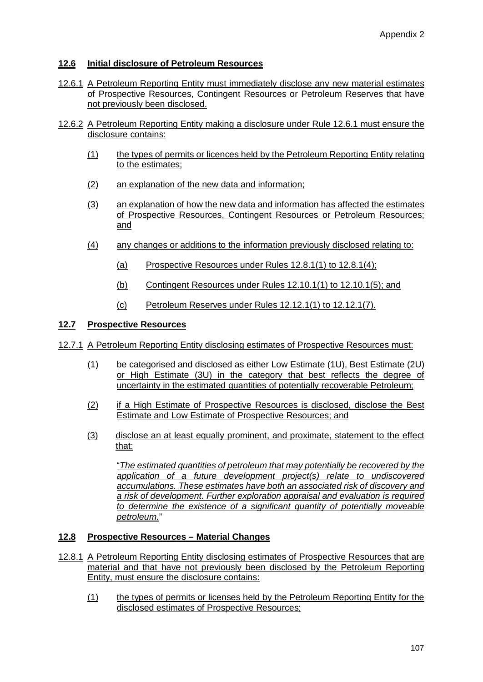# **12.6 Initial disclosure of Petroleum Resources**

- 12.6.1 A Petroleum Reporting Entity must immediately disclose any new material estimates of Prospective Resources, Contingent Resources or Petroleum Reserves that have not previously been disclosed.
- 12.6.2 A Petroleum Reporting Entity making a disclosure under Rule 12.6.1 must ensure the disclosure contains:
	- (1) the types of permits or licences held by the Petroleum Reporting Entity relating to the estimates;
	- (2) an explanation of the new data and information;
	- (3) an explanation of how the new data and information has affected the estimates of Prospective Resources, Contingent Resources or Petroleum Resources; and
	- (4) any changes or additions to the information previously disclosed relating to:
		- (a) Prospective Resources under Rules 12.8.1(1) to 12.8.1(4);
		- (b) Contingent Resources under Rules 12.10.1(1) to 12.10.1(5); and
		- (c) Petroleum Reserves under Rules 12.12.1(1) to 12.12.1(7).

### **12.7 Prospective Resources**

- 12.7.1 A Petroleum Reporting Entity disclosing estimates of Prospective Resources must:
	- (1) be categorised and disclosed as either Low Estimate (1U), Best Estimate (2U) or High Estimate (3U) in the category that best reflects the degree of uncertainty in the estimated quantities of potentially recoverable Petroleum;
	- (2) if a High Estimate of Prospective Resources is disclosed, disclose the Best Estimate and Low Estimate of Prospective Resources; and
	- (3) disclose an at least equally prominent, and proximate, statement to the effect that:

"*The estimated quantities of petroleum that may potentially be recovered by the application of a future development project(s) relate to undiscovered accumulations. These estimates have both an associated risk of discovery and a risk of development. Further exploration appraisal and evaluation is required to determine the existence of a significant quantity of potentially moveable petroleum.*"

### **12.8 Prospective Resources – Material Changes**

- 12.8.1 A Petroleum Reporting Entity disclosing estimates of Prospective Resources that are material and that have not previously been disclosed by the Petroleum Reporting Entity, must ensure the disclosure contains:
	- (1) the types of permits or licenses held by the Petroleum Reporting Entity for the disclosed estimates of Prospective Resources;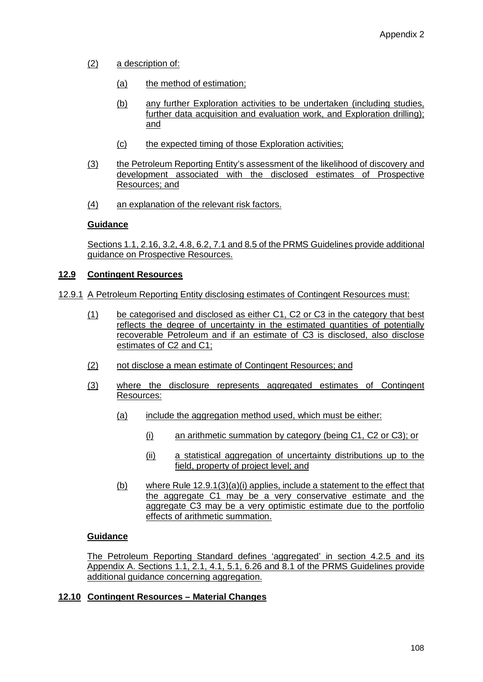- (2) a description of:
	- (a) the method of estimation;
	- (b) any further Exploration activities to be undertaken (including studies, further data acquisition and evaluation work, and Exploration drilling); and
	- (c) the expected timing of those Exploration activities;
- (3) the Petroleum Reporting Entity's assessment of the likelihood of discovery and development associated with the disclosed estimates of Prospective Resources; and
- (4) an explanation of the relevant risk factors.

Sections 1.1, 2.16, 3.2, 4.8, 6.2, 7.1 and 8.5 of the PRMS Guidelines provide additional guidance on Prospective Resources.

#### **12.9 Contingent Resources**

- 12.9.1 A Petroleum Reporting Entity disclosing estimates of Contingent Resources must:
	- (1) be categorised and disclosed as either C1, C2 or C3 in the category that best reflects the degree of uncertainty in the estimated quantities of potentially recoverable Petroleum and if an estimate of C3 is disclosed, also disclose estimates of C2 and C1;
	- (2) not disclose a mean estimate of Contingent Resources; and
	- (3) where the disclosure represents aggregated estimates of Contingent Resources:
		- (a) include the aggregation method used, which must be either:
			- (i) an arithmetic summation by category (being C1, C2 or C3); or
			- (ii) a statistical aggregation of uncertainty distributions up to the field, property of project level; and
		- (b) where Rule  $12.9.1(3)(a)(i)$  applies, include a statement to the effect that the aggregate C1 may be a very conservative estimate and the aggregate C3 may be a very optimistic estimate due to the portfolio effects of arithmetic summation.

### **Guidance**

The Petroleum Reporting Standard defines 'aggregated' in section 4.2.5 and its Appendix A. Sections 1.1, 2.1, 4.1, 5.1, 6.26 and 8.1 of the PRMS Guidelines provide additional guidance concerning aggregation.

#### **12.10 Contingent Resources – Material Changes**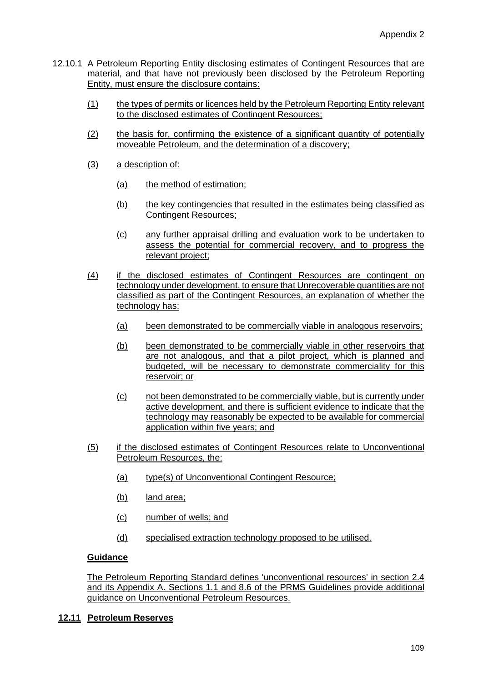- 12.10.1 A Petroleum Reporting Entity disclosing estimates of Contingent Resources that are material, and that have not previously been disclosed by the Petroleum Reporting Entity, must ensure the disclosure contains:
	- (1) the types of permits or licences held by the Petroleum Reporting Entity relevant to the disclosed estimates of Contingent Resources;
	- (2) the basis for, confirming the existence of a significant quantity of potentially moveable Petroleum, and the determination of a discovery;
	- (3) a description of:
		- (a) the method of estimation;
		- (b) the key contingencies that resulted in the estimates being classified as Contingent Resources;
		- (c) any further appraisal drilling and evaluation work to be undertaken to assess the potential for commercial recovery, and to progress the relevant project;
	- (4) if the disclosed estimates of Contingent Resources are contingent on technology under development, to ensure that Unrecoverable quantities are not classified as part of the Contingent Resources, an explanation of whether the technology has:
		- (a) been demonstrated to be commercially viable in analogous reservoirs;
		- (b) been demonstrated to be commercially viable in other reservoirs that are not analogous, and that a pilot project, which is planned and budgeted, will be necessary to demonstrate commerciality for this reservoir; or
		- (c) not been demonstrated to be commercially viable, but is currently under active development, and there is sufficient evidence to indicate that the technology may reasonably be expected to be available for commercial application within five years; and
	- (5) if the disclosed estimates of Contingent Resources relate to Unconventional Petroleum Resources, the:
		- (a) type(s) of Unconventional Contingent Resource;
		- (b) land area;
		- (c) number of wells; and
		- (d) specialised extraction technology proposed to be utilised.

The Petroleum Reporting Standard defines 'unconventional resources' in section 2.4 and its Appendix A. Sections 1.1 and 8.6 of the PRMS Guidelines provide additional guidance on Unconventional Petroleum Resources.

### **12.11 Petroleum Reserves**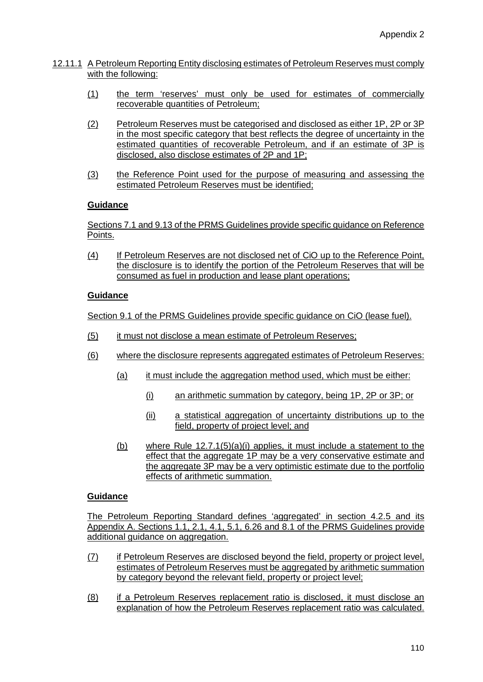- 12.11.1 A Petroleum Reporting Entity disclosing estimates of Petroleum Reserves must comply with the following:
	- (1) the term 'reserves' must only be used for estimates of commercially recoverable quantities of Petroleum;
	- (2) Petroleum Reserves must be categorised and disclosed as either 1P, 2P or 3P in the most specific category that best reflects the degree of uncertainty in the estimated quantities of recoverable Petroleum, and if an estimate of 3P is disclosed, also disclose estimates of 2P and 1P;
	- (3) the Reference Point used for the purpose of measuring and assessing the estimated Petroleum Reserves must be identified;

Sections 7.1 and 9.13 of the PRMS Guidelines provide specific guidance on Reference Points.

(4) If Petroleum Reserves are not disclosed net of CiO up to the Reference Point, the disclosure is to identify the portion of the Petroleum Reserves that will be consumed as fuel in production and lease plant operations;

### **Guidance**

Section 9.1 of the PRMS Guidelines provide specific guidance on CiO (lease fuel).

- (5) it must not disclose a mean estimate of Petroleum Reserves;
- (6) where the disclosure represents aggregated estimates of Petroleum Reserves:
	- (a) it must include the aggregation method used, which must be either:
		- (i) an arithmetic summation by category, being 1P, 2P or 3P; or
		- (ii) a statistical aggregation of uncertainty distributions up to the field, property of project level; and
	- (b) where Rule  $12.7.1(5)(a)(i)$  applies, it must include a statement to the effect that the aggregate 1P may be a very conservative estimate and the aggregate 3P may be a very optimistic estimate due to the portfolio effects of arithmetic summation.

## **Guidance**

The Petroleum Reporting Standard defines 'aggregated' in section 4.2.5 and its Appendix A. Sections 1.1, 2.1, 4.1, 5.1, 6.26 and 8.1 of the PRMS Guidelines provide additional guidance on aggregation.

- (7) if Petroleum Reserves are disclosed beyond the field, property or project level, estimates of Petroleum Reserves must be aggregated by arithmetic summation by category beyond the relevant field, property or project level;
- (8) if a Petroleum Reserves replacement ratio is disclosed, it must disclose an explanation of how the Petroleum Reserves replacement ratio was calculated.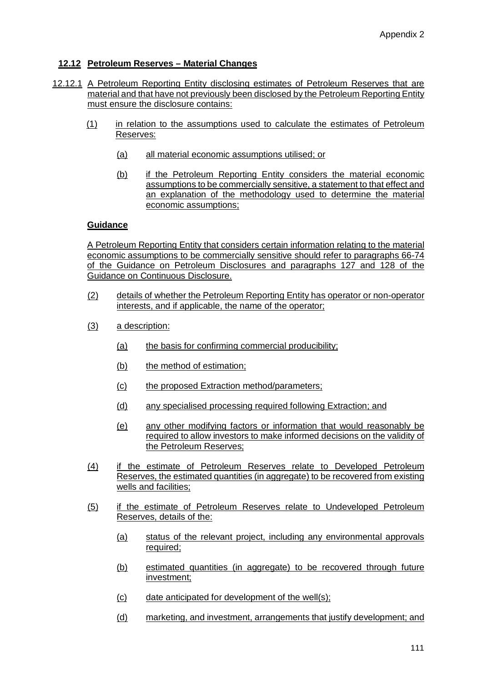## **12.12 Petroleum Reserves – Material Changes**

- 12.12.1 A Petroleum Reporting Entity disclosing estimates of Petroleum Reserves that are material and that have not previously been disclosed by the Petroleum Reporting Entity must ensure the disclosure contains:
	- (1) in relation to the assumptions used to calculate the estimates of Petroleum Reserves:
		- (a) all material economic assumptions utilised; or
		- (b) if the Petroleum Reporting Entity considers the material economic assumptions to be commercially sensitive, a statement to that effect and an explanation of the methodology used to determine the material economic assumptions;

#### **Guidance**

A Petroleum Reporting Entity that considers certain information relating to the material economic assumptions to be commercially sensitive should refer to paragraphs 66-74 of the Guidance on Petroleum Disclosures and paragraphs 127 and 128 of the Guidance on Continuous Disclosure.

- (2) details of whether the Petroleum Reporting Entity has operator or non-operator interests, and if applicable, the name of the operator;
- (3) a description:
	- (a) the basis for confirming commercial producibility;
	- (b) the method of estimation;
	- (c) the proposed Extraction method/parameters;
	- (d) any specialised processing required following Extraction; and
	- (e) any other modifying factors or information that would reasonably be required to allow investors to make informed decisions on the validity of the Petroleum Reserves;
- (4) if the estimate of Petroleum Reserves relate to Developed Petroleum Reserves, the estimated quantities (in aggregate) to be recovered from existing wells and facilities;
- (5) if the estimate of Petroleum Reserves relate to Undeveloped Petroleum Reserves, details of the:
	- (a) status of the relevant project, including any environmental approvals required;
	- (b) estimated quantities (in aggregate) to be recovered through future investment;
	- (c) date anticipated for development of the well(s);
	- (d) marketing, and investment, arrangements that justify development; and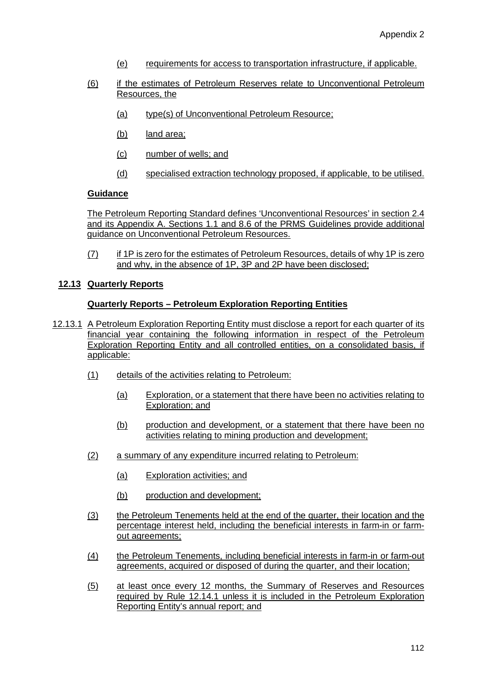- (e) requirements for access to transportation infrastructure, if applicable.
- (6) if the estimates of Petroleum Reserves relate to Unconventional Petroleum Resources, the
	- (a) type(s) of Unconventional Petroleum Resource;
	- (b) land area;
	- (c) number of wells; and
	- (d) specialised extraction technology proposed, if applicable, to be utilised.

The Petroleum Reporting Standard defines 'Unconventional Resources' in section 2.4 and its Appendix A. Sections 1.1 and 8.6 of the PRMS Guidelines provide additional guidance on Unconventional Petroleum Resources.

(7) if 1P is zero for the estimates of Petroleum Resources, details of why 1P is zero and why, in the absence of 1P, 3P and 2P have been disclosed;

#### **12.13 Quarterly Reports**

#### **Quarterly Reports – Petroleum Exploration Reporting Entities**

- 12.13.1 A Petroleum Exploration Reporting Entity must disclose a report for each quarter of its financial year containing the following information in respect of the Petroleum Exploration Reporting Entity and all controlled entities, on a consolidated basis, if applicable:
	- (1) details of the activities relating to Petroleum:
		- (a) Exploration, or a statement that there have been no activities relating to Exploration; and
		- (b) production and development, or a statement that there have been no activities relating to mining production and development;
	- (2) a summary of any expenditure incurred relating to Petroleum:
		- (a) Exploration activities; and
		- (b) production and development;
	- (3) the Petroleum Tenements held at the end of the quarter, their location and the percentage interest held, including the beneficial interests in farm-in or farmout agreements;
	- (4) the Petroleum Tenements, including beneficial interests in farm-in or farm-out agreements, acquired or disposed of during the quarter, and their location;
	- (5) at least once every 12 months, the Summary of Reserves and Resources required by Rule 12.14.1 unless it is included in the Petroleum Exploration Reporting Entity's annual report; and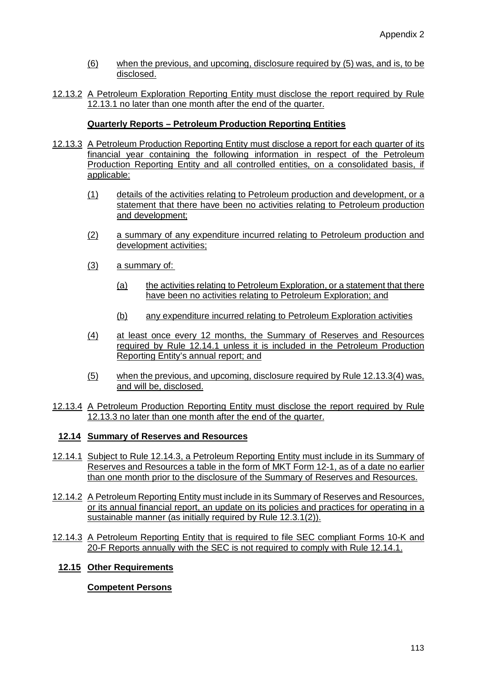- (6) when the previous, and upcoming, disclosure required by (5) was, and is, to be disclosed.
- 12.13.2 A Petroleum Exploration Reporting Entity must disclose the report required by Rule 12.13.1 no later than one month after the end of the quarter.

## **Quarterly Reports – Petroleum Production Reporting Entities**

- 12.13.3 A Petroleum Production Reporting Entity must disclose a report for each quarter of its financial year containing the following information in respect of the Petroleum Production Reporting Entity and all controlled entities, on a consolidated basis, if applicable:
	- (1) details of the activities relating to Petroleum production and development, or a statement that there have been no activities relating to Petroleum production and development;
	- (2) a summary of any expenditure incurred relating to Petroleum production and development activities;
	- (3) a summary of:
		- (a) the activities relating to Petroleum Exploration, or a statement that there have been no activities relating to Petroleum Exploration; and
		- (b) any expenditure incurred relating to Petroleum Exploration activities
	- (4) at least once every 12 months, the Summary of Reserves and Resources required by Rule 12.14.1 unless it is included in the Petroleum Production Reporting Entity's annual report; and
	- (5) when the previous, and upcoming, disclosure required by Rule 12.13.3(4) was, and will be, disclosed.
- 12.13.4 A Petroleum Production Reporting Entity must disclose the report required by Rule 12.13.3 no later than one month after the end of the quarter.

### **12.14 Summary of Reserves and Resources**

- 12.14.1 Subject to Rule 12.14.3, a Petroleum Reporting Entity must include in its Summary of Reserves and Resources a table in the form of MKT Form 12-1, as of a date no earlier than one month prior to the disclosure of the Summary of Reserves and Resources.
- 12.14.2 A Petroleum Reporting Entity must include in its Summary of Reserves and Resources, or its annual financial report, an update on its policies and practices for operating in a sustainable manner (as initially required by Rule 12.3.1(2)).
- 12.14.3 A Petroleum Reporting Entity that is required to file SEC compliant Forms 10-K and 20-F Reports annually with the SEC is not required to comply with Rule 12.14.1.

## **12.15 Other Requirements**

### **Competent Persons**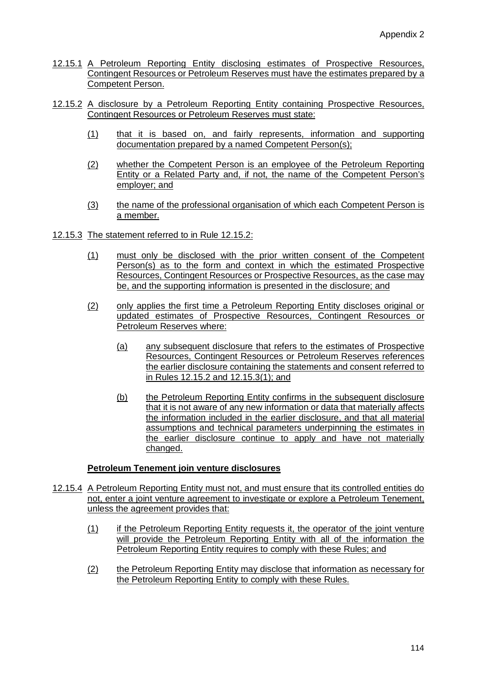- 12.15.1 A Petroleum Reporting Entity disclosing estimates of Prospective Resources, Contingent Resources or Petroleum Reserves must have the estimates prepared by a Competent Person.
- 12.15.2 A disclosure by a Petroleum Reporting Entity containing Prospective Resources, Contingent Resources or Petroleum Reserves must state:
	- (1) that it is based on, and fairly represents, information and supporting documentation prepared by a named Competent Person(s);
	- (2) whether the Competent Person is an employee of the Petroleum Reporting Entity or a Related Party and, if not, the name of the Competent Person's employer; and
	- (3) the name of the professional organisation of which each Competent Person is a member.
- 12.15.3 The statement referred to in Rule 12.15.2:
	- (1) must only be disclosed with the prior written consent of the Competent Person(s) as to the form and context in which the estimated Prospective Resources, Contingent Resources or Prospective Resources, as the case may be, and the supporting information is presented in the disclosure; and
	- (2) only applies the first time a Petroleum Reporting Entity discloses original or updated estimates of Prospective Resources, Contingent Resources or Petroleum Reserves where:
		- (a) any subsequent disclosure that refers to the estimates of Prospective Resources, Contingent Resources or Petroleum Reserves references the earlier disclosure containing the statements and consent referred to in Rules 12.15.2 and 12.15.3(1); and
		- (b) the Petroleum Reporting Entity confirms in the subsequent disclosure that it is not aware of any new information or data that materially affects the information included in the earlier disclosure, and that all material assumptions and technical parameters underpinning the estimates in the earlier disclosure continue to apply and have not materially changed.

### **Petroleum Tenement join venture disclosures**

- 12.15.4 A Petroleum Reporting Entity must not, and must ensure that its controlled entities do not, enter a joint venture agreement to investigate or explore a Petroleum Tenement, unless the agreement provides that:
	- (1) if the Petroleum Reporting Entity requests it, the operator of the joint venture will provide the Petroleum Reporting Entity with all of the information the Petroleum Reporting Entity requires to comply with these Rules; and
	- (2) the Petroleum Reporting Entity may disclose that information as necessary for the Petroleum Reporting Entity to comply with these Rules.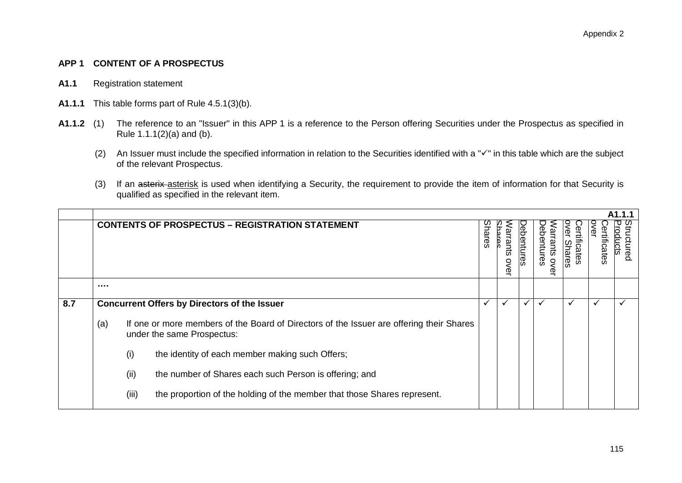### **APP 1 CONTENT OF A PROSPECTUS**

- **A1.1** Registration statement
- **A1.1.1** This table forms part of Rule 4.5.1(3)(b).
- **A1.1.2** (1) The reference to an "Issuer" in this APP 1 is a reference to the Person offering Securities under the Prospectus as specified in Rule 1.1.1(2)(a) and (b).
	- (2) An Issuer must include the specified information in relation to the Securities identified with a " $\checkmark$ " in this table which are the subject of the relevant Prospectus.
	- (3) If an asterix asterisk is used when identifying a Security, the requirement to provide the item of information for that Security is qualified as specified in the relevant item.

|     |                                                     |                                                                |                                                                                                                        |       |                    |         |                              |                           |           | A1.1.1 |
|-----|-----------------------------------------------------|----------------------------------------------------------------|------------------------------------------------------------------------------------------------------------------------|-------|--------------------|---------|------------------------------|---------------------------|-----------|--------|
|     |                                                     |                                                                | <b>CONTENTS OF PROSPECTUS - REGISTRATION STATEMENT</b>                                                                 | hares | قا<br>ants<br>over | entures | pbe<br>ntures<br>ಕ<br>Š<br>o | ğ<br>ertificates<br>hares | tificates | ctured |
|     |                                                     |                                                                |                                                                                                                        |       |                    |         |                              |                           |           |        |
| 8.7 | <b>Concurrent Offers by Directors of the Issuer</b> |                                                                |                                                                                                                        |       | $\checkmark$       |         | ✓                            |                           |           |        |
|     | (a)                                                 |                                                                | If one or more members of the Board of Directors of the Issuer are offering their Shares<br>under the same Prospectus: |       |                    |         |                              |                           |           |        |
|     |                                                     | (i)                                                            | the identity of each member making such Offers;                                                                        |       |                    |         |                              |                           |           |        |
|     |                                                     | (ii)<br>the number of Shares each such Person is offering; and |                                                                                                                        |       |                    |         |                              |                           |           |        |
|     |                                                     | (iii)                                                          | the proportion of the holding of the member that those Shares represent.                                               |       |                    |         |                              |                           |           |        |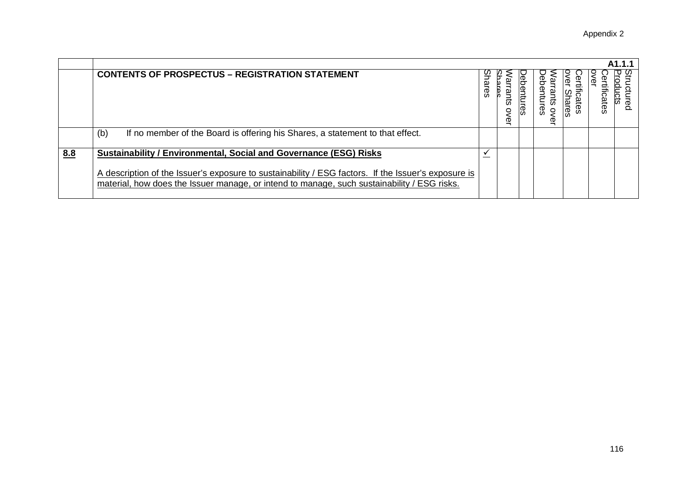|     |                                                                                                                                                                                                                                                                                |         |             |       |                               |                     |              | A <sub>1</sub> .1.1 |
|-----|--------------------------------------------------------------------------------------------------------------------------------------------------------------------------------------------------------------------------------------------------------------------------------|---------|-------------|-------|-------------------------------|---------------------|--------------|---------------------|
|     | <b>CONTENTS OF PROSPECTUS - REGISTRATION STATEMENT</b>                                                                                                                                                                                                                         | മ<br>සි | rrants<br>ሟ | )ebel | ebel<br>tures<br>$\mathbb{Q}$ | Jer<br>hares<br>zes | ₫<br>ficates | Leg                 |
|     | If no member of the Board is offering his Shares, a statement to that effect.<br>(b)                                                                                                                                                                                           |         |             |       |                               |                     |              |                     |
| 8.8 | <b>Sustainability / Environmental, Social and Governance (ESG) Risks</b><br>A description of the Issuer's exposure to sustainability / ESG factors. If the Issuer's exposure is<br>material, how does the Issuer manage, or intend to manage, such sustainability / ESG risks. |         |             |       |                               |                     |              |                     |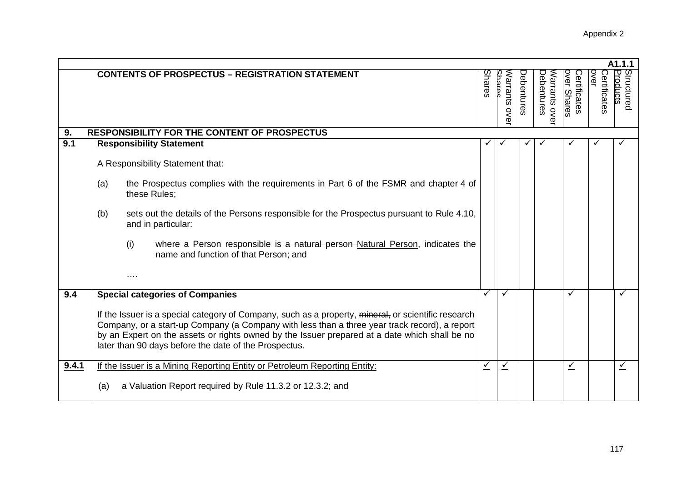|       |                                                                                                                                                                                                                                                                                                                                                                |        |                                   |                   |                               |                             |                             | A1.1.1                 |
|-------|----------------------------------------------------------------------------------------------------------------------------------------------------------------------------------------------------------------------------------------------------------------------------------------------------------------------------------------------------------------|--------|-----------------------------------|-------------------|-------------------------------|-----------------------------|-----------------------------|------------------------|
|       | <b>CONTENTS OF PROSPECTUS - REGISTRATION STATEMENT</b>                                                                                                                                                                                                                                                                                                         | Shares | <b>Shares</b><br>Narrants<br>over | <b>Debentures</b> | Debentures<br>Narrants<br>ove | over Shares<br>Certificates | Certificates<br><b>OVEL</b> | Structured<br>Products |
| 9.    | <b>RESPONSIBILITY FOR THE CONTENT OF PROSPECTUS</b>                                                                                                                                                                                                                                                                                                            |        |                                   |                   |                               |                             |                             |                        |
| 9.1   | <b>Responsibility Statement</b>                                                                                                                                                                                                                                                                                                                                |        |                                   |                   |                               |                             |                             |                        |
|       | A Responsibility Statement that:                                                                                                                                                                                                                                                                                                                               |        |                                   |                   |                               |                             |                             |                        |
|       | the Prospectus complies with the requirements in Part 6 of the FSMR and chapter 4 of<br>(a)<br>these Rules;                                                                                                                                                                                                                                                    |        |                                   |                   |                               |                             |                             |                        |
|       | sets out the details of the Persons responsible for the Prospectus pursuant to Rule 4.10,<br>(b)<br>and in particular:                                                                                                                                                                                                                                         |        |                                   |                   |                               |                             |                             |                        |
|       | where a Person responsible is a natural person-Natural Person, indicates the<br>(i)<br>name and function of that Person; and                                                                                                                                                                                                                                   |        |                                   |                   |                               |                             |                             |                        |
|       |                                                                                                                                                                                                                                                                                                                                                                |        |                                   |                   |                               |                             |                             |                        |
| 9.4   | <b>Special categories of Companies</b>                                                                                                                                                                                                                                                                                                                         | ✓      | $\checkmark$                      |                   |                               | $\checkmark$                |                             | ✓                      |
|       | If the Issuer is a special category of Company, such as a property, mineral, or scientific research<br>Company, or a start-up Company (a Company with less than a three year track record), a report<br>by an Expert on the assets or rights owned by the Issuer prepared at a date which shall be no<br>later than 90 days before the date of the Prospectus. |        |                                   |                   |                               |                             |                             |                        |
| 9.4.1 | If the Issuer is a Mining Reporting Entity or Petroleum Reporting Entity:                                                                                                                                                                                                                                                                                      | ✓      | $\checkmark$                      |                   |                               | ⊻                           |                             | $\checkmark$           |
|       | a Valuation Report required by Rule 11.3.2 or 12.3.2; and<br>(a)                                                                                                                                                                                                                                                                                               |        |                                   |                   |                               |                             |                             |                        |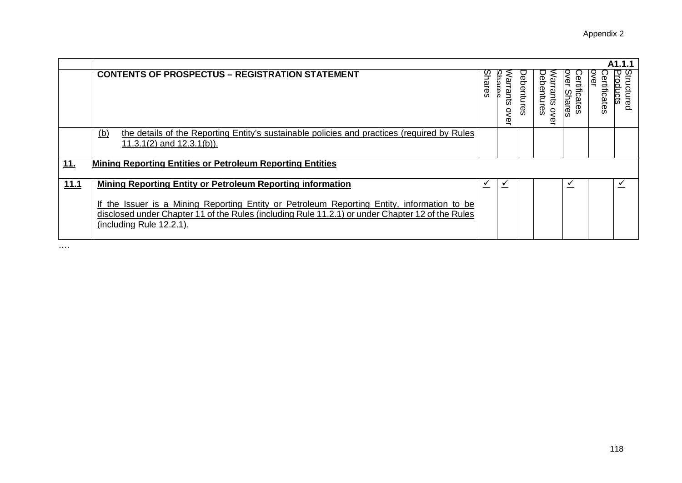|      |                                                                                                                                                                                                                             |               |                  |                   |                                    |                                    |                     | A1.1.1                 |
|------|-----------------------------------------------------------------------------------------------------------------------------------------------------------------------------------------------------------------------------|---------------|------------------|-------------------|------------------------------------|------------------------------------|---------------------|------------------------|
|      | <b>CONTENTS OF PROSPECTUS - REGISTRATION STATEMENT</b>                                                                                                                                                                      | <b>Shares</b> | Varrants<br>over | <b>Debentures</b> | bebentures<br>Jarrants<br>$\sigma$ | ěř<br>ertificates<br><b>Shares</b> | OVEL<br>ertificates | Structured<br>Products |
|      | the details of the Reporting Entity's sustainable policies and practices (required by Rules<br><u>(b)</u><br>11.3.1(2) and $12.3.1(b)$ ).                                                                                   |               |                  |                   |                                    |                                    |                     |                        |
| 11.  | <b>Mining Reporting Entities or Petroleum Reporting Entities</b>                                                                                                                                                            |               |                  |                   |                                    |                                    |                     |                        |
| 11.1 | <b>Mining Reporting Entity or Petroleum Reporting information</b>                                                                                                                                                           |               |                  |                   |                                    | ✓                                  |                     | ✓                      |
|      | If the Issuer is a Mining Reporting Entity or Petroleum Reporting Entity, information to be<br>disclosed under Chapter 11 of the Rules (including Rule 11.2.1) or under Chapter 12 of the Rules<br>(including Rule 12.2.1). |               |                  |                   |                                    |                                    |                     |                        |

….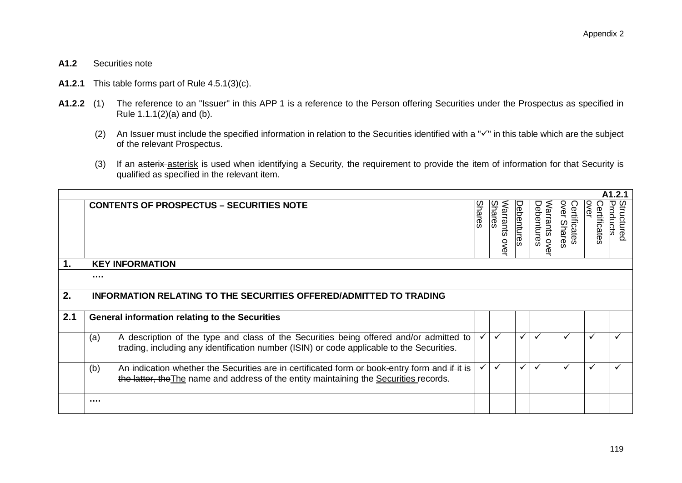#### **A1.2** Securities note

- **A1.2.1** This table forms part of Rule 4.5.1(3)(c).
- **A1.2.2** (1) The reference to an "Issuer" in this APP 1 is a reference to the Person offering Securities under the Prospectus as specified in Rule 1.1.1(2)(a) and (b).
	- (2) An Issuer must include the specified information in relation to the Securities identified with a " $\checkmark$ " in this table which are the subject of the relevant Prospectus.
	- (3) If an asterix asterisk is used when identifying a Security, the requirement to provide the item of information for that Security is qualified as specified in the relevant item.

|               |                                                                                                                                                                                                |               |                                          |              |                                |                                    |                      | A1.2.1                 |
|---------------|------------------------------------------------------------------------------------------------------------------------------------------------------------------------------------------------|---------------|------------------------------------------|--------------|--------------------------------|------------------------------------|----------------------|------------------------|
|               | <b>CONTENTS OF PROSPECTUS - SECURITIES NOTE</b>                                                                                                                                                | <b>Shares</b> | Narrants<br><b>Shares</b><br><b>OVEL</b> | Debentures   | Debentures<br>Narrants<br>over | <b>Dver Shares</b><br>Certificates | over<br>Certificates | Structured<br>Products |
| $\mathbf 1$ . | <b>KEY INFORMATION</b>                                                                                                                                                                         |               |                                          |              |                                |                                    |                      |                        |
|               |                                                                                                                                                                                                |               |                                          |              |                                |                                    |                      |                        |
| 2.            | <b>INFORMATION RELATING TO THE SECURITIES OFFERED/ADMITTED TO TRADING</b>                                                                                                                      |               |                                          |              |                                |                                    |                      |                        |
| 2.1           | <b>General information relating to the Securities</b>                                                                                                                                          |               |                                          |              |                                |                                    |                      |                        |
|               | A description of the type and class of the Securities being offered and/or admitted to<br>(a)<br>trading, including any identification number (ISIN) or code applicable to the Securities.     |               |                                          | ✓            | $\checkmark$                   | ✓                                  | $\checkmark$         |                        |
|               | (b)<br>An indication whether the Securities are in certificated form or book-entry form and if it is<br>the latter, the The name and address of the entity maintaining the Securities records. |               |                                          | $\checkmark$ |                                |                                    |                      |                        |
|               | $\cdots$                                                                                                                                                                                       |               |                                          |              |                                |                                    |                      |                        |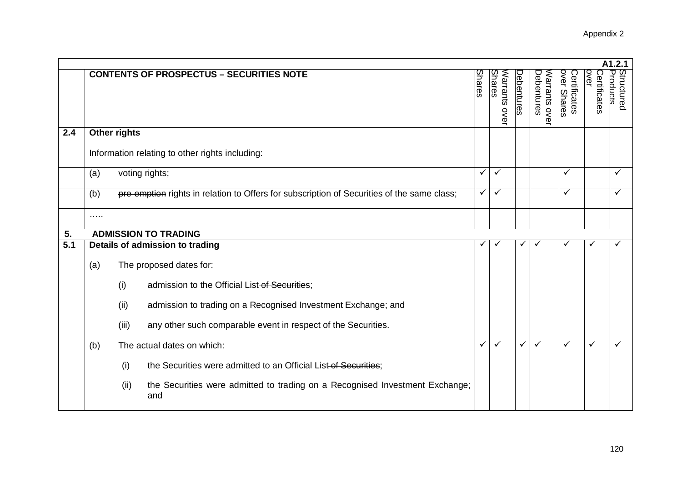|     |          |              |                                                                                            |               |                                   |              |                             |                             |                             | A1.2.1                        |
|-----|----------|--------------|--------------------------------------------------------------------------------------------|---------------|-----------------------------------|--------------|-----------------------------|-----------------------------|-----------------------------|-------------------------------|
|     |          |              | <b>CONTENTS OF PROSPECTUS - SECURITIES NOTE</b>                                            | <b>Shares</b> | <b>Shares</b><br>Narrants<br>over | Debentures   | Debentures<br>Narrants over | over Shares<br>Certificates | <b>OVET</b><br>Certificates | <b>Products</b><br>Structured |
| 2.4 |          | Other rights |                                                                                            |               |                                   |              |                             |                             |                             |                               |
|     |          |              | Information relating to other rights including:                                            |               |                                   |              |                             |                             |                             |                               |
|     | (a)      |              | voting rights;                                                                             | ✓             | $\checkmark$                      |              |                             | $\checkmark$                |                             | ✓                             |
|     | (b)      |              | pre-emption rights in relation to Offers for subscription of Securities of the same class; | ✓             | $\checkmark$                      |              |                             | $\checkmark$                |                             | ✓                             |
|     | $\cdots$ |              |                                                                                            |               |                                   |              |                             |                             |                             |                               |
| 5.  |          |              | <b>ADMISSION TO TRADING</b>                                                                |               |                                   |              |                             |                             |                             |                               |
| 5.1 |          |              | Details of admission to trading                                                            |               |                                   | √            |                             |                             |                             |                               |
|     | (a)      |              | The proposed dates for:                                                                    |               |                                   |              |                             |                             |                             |                               |
|     |          | (i)          | admission to the Official List-of Securities;                                              |               |                                   |              |                             |                             |                             |                               |
|     |          | (ii)         | admission to trading on a Recognised Investment Exchange; and                              |               |                                   |              |                             |                             |                             |                               |
|     |          | (iii)        | any other such comparable event in respect of the Securities.                              |               |                                   |              |                             |                             |                             |                               |
|     | (b)      |              | The actual dates on which:                                                                 | ✓             | ✓                                 | $\checkmark$ | $\checkmark$                | $\checkmark$                | $\checkmark$                | ✓                             |
|     |          | (i)          | the Securities were admitted to an Official List of Securities;                            |               |                                   |              |                             |                             |                             |                               |
|     |          | (ii)         | the Securities were admitted to trading on a Recognised Investment Exchange;<br>and        |               |                                   |              |                             |                             |                             |                               |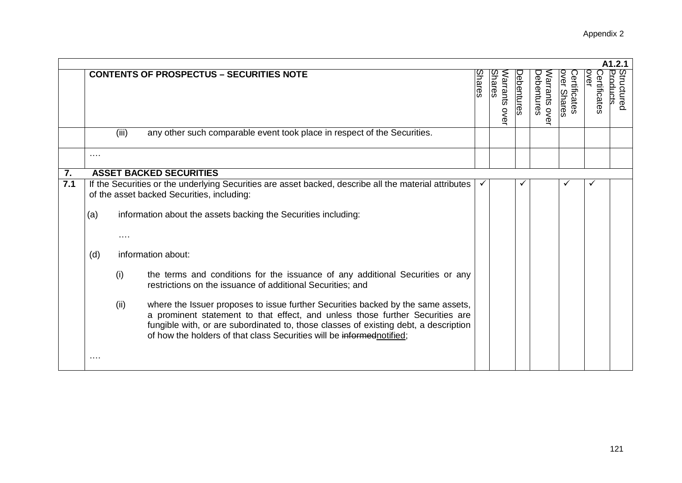|     |          |                                                                                                                                                     |                                                                                                                                                                                                                                                                                                                                     |               |                           |                   |                            |                                    |                      | A1.2.1                 |
|-----|----------|-----------------------------------------------------------------------------------------------------------------------------------------------------|-------------------------------------------------------------------------------------------------------------------------------------------------------------------------------------------------------------------------------------------------------------------------------------------------------------------------------------|---------------|---------------------------|-------------------|----------------------------|------------------------------------|----------------------|------------------------|
|     |          |                                                                                                                                                     | <b>CONTENTS OF PROSPECTUS - SECURITIES NOTE</b>                                                                                                                                                                                                                                                                                     | <b>Shares</b> | Shares<br>Varrants<br>ove | <b>Debentures</b> | Debentures<br>Narrants ove | <b>Dver Shares</b><br>Certificates | over<br>Certificates | Structured<br>Products |
|     |          | (iii)                                                                                                                                               | any other such comparable event took place in respect of the Securities.                                                                                                                                                                                                                                                            |               |                           |                   |                            |                                    |                      |                        |
|     | $\cdots$ |                                                                                                                                                     |                                                                                                                                                                                                                                                                                                                                     |               |                           |                   |                            |                                    |                      |                        |
| 7.  |          | <b>ASSET BACKED SECURITIES</b>                                                                                                                      |                                                                                                                                                                                                                                                                                                                                     |               |                           |                   |                            |                                    |                      |                        |
| 7.1 |          | If the Securities or the underlying Securities are asset backed, describe all the material attributes<br>of the asset backed Securities, including: |                                                                                                                                                                                                                                                                                                                                     |               |                           |                   |                            |                                    |                      |                        |
|     | (a)      | information about the assets backing the Securities including:                                                                                      |                                                                                                                                                                                                                                                                                                                                     |               |                           |                   |                            |                                    |                      |                        |
|     |          | $\cdots$                                                                                                                                            |                                                                                                                                                                                                                                                                                                                                     |               |                           |                   |                            |                                    |                      |                        |
|     | (d)      |                                                                                                                                                     | information about:                                                                                                                                                                                                                                                                                                                  |               |                           |                   |                            |                                    |                      |                        |
|     |          | (i)                                                                                                                                                 | the terms and conditions for the issuance of any additional Securities or any<br>restrictions on the issuance of additional Securities; and                                                                                                                                                                                         |               |                           |                   |                            |                                    |                      |                        |
|     |          | (ii)                                                                                                                                                | where the Issuer proposes to issue further Securities backed by the same assets,<br>a prominent statement to that effect, and unless those further Securities are<br>fungible with, or are subordinated to, those classes of existing debt, a description<br>of how the holders of that class Securities will be informed notified; |               |                           |                   |                            |                                    |                      |                        |
|     | $\cdots$ |                                                                                                                                                     |                                                                                                                                                                                                                                                                                                                                     |               |                           |                   |                            |                                    |                      |                        |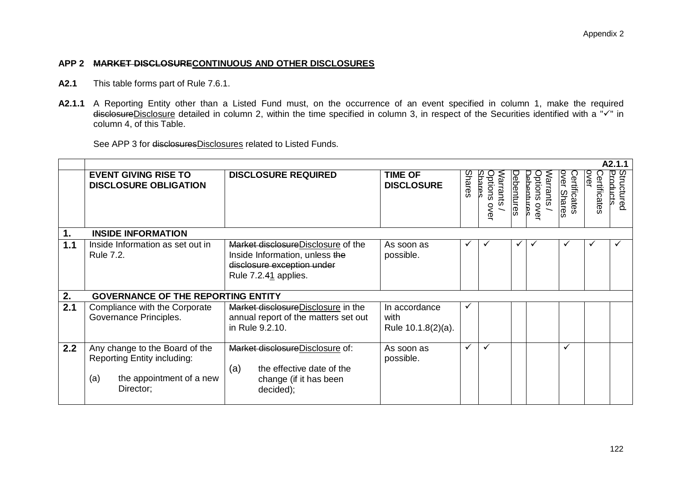#### **APP 2 MARKET DISCLOSURECONTINUOUS AND OTHER DISCLOSURES**

- **A2.1** This table forms part of Rule 7.6.1.
- **A2.1.1** A Reporting Entity other than a Listed Fund must, on the occurrence of an event specified in column 1, make the required disclosureDisclosure detailed in column 2, within the time specified in column 3, in respect of the Securities identified with a " $\sqrt{ }$ " in column 4, of this Table.

See APP 3 for disclosuresDisclosures related to Listed Funds.

|     |                                                                                                                      |                                                                                                                            |                                             |               |                                       |                   |                                               |                                    |                      | A2.1.1                 |
|-----|----------------------------------------------------------------------------------------------------------------------|----------------------------------------------------------------------------------------------------------------------------|---------------------------------------------|---------------|---------------------------------------|-------------------|-----------------------------------------------|------------------------------------|----------------------|------------------------|
|     | <b>EVENT GIVING RISE TO</b><br><b>DISCLOSURE OBLIGATION</b>                                                          | <b>DISCLOSURE REQUIRED</b>                                                                                                 | <b>TIME OF</b><br><b>DISCLOSURE</b>         | <b>Shares</b> | Options<br>Shares<br>Warrants<br>over | <b>Debentures</b> | <b>Dehentre</b><br>Narrants<br>Options<br>OVe | <b>Over Shares</b><br>Certificates | OVEL<br>Certificates | Structured<br>Products |
| 1.  | <b>INSIDE INFORMATION</b>                                                                                            |                                                                                                                            |                                             |               |                                       |                   |                                               |                                    |                      |                        |
| 1.1 | Inside Information as set out in<br>Rule 7.2.                                                                        | Market disclosureDisclosure of the<br>Inside Information, unless the<br>disclosure exception under<br>Rule 7.2.41 applies. | As soon as<br>possible.                     |               |                                       |                   |                                               |                                    |                      | $\checkmark$           |
| 2.  | <b>GOVERNANCE OF THE REPORTING ENTITY</b>                                                                            |                                                                                                                            |                                             |               |                                       |                   |                                               |                                    |                      |                        |
| 2.1 | Compliance with the Corporate<br>Governance Principles.                                                              | Market disclosure Disclosure in the<br>annual report of the matters set out<br>in Rule 9.2.10.                             | In accordance<br>with<br>Rule 10.1.8(2)(a). | ✓             |                                       |                   |                                               |                                    |                      |                        |
| 2.2 | Any change to the Board of the<br><b>Reporting Entity including:</b><br>the appointment of a new<br>(a)<br>Director; | Market disclosureDisclosure of:<br>the effective date of the<br>(a)<br>change (if it has been<br>decided);                 | As soon as<br>possible.                     | ✓             | ✓                                     |                   |                                               | ✓                                  |                      |                        |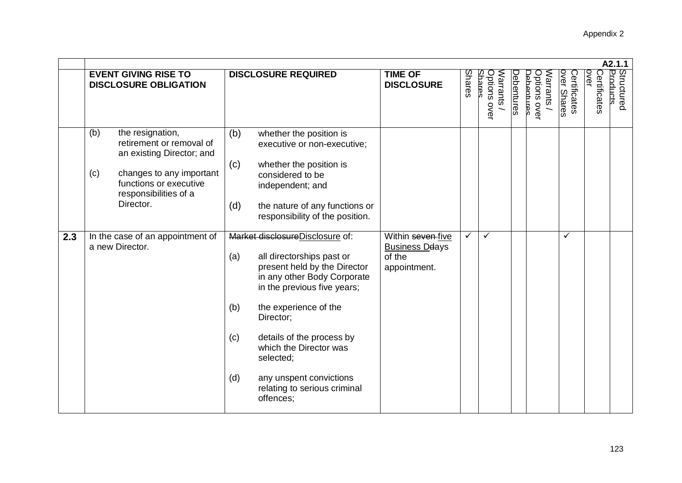|     |                                                                                                                                                                                     |                                                                                                                                                                                                                                                                                                                                                                          |                                                                      |              |                                           |            |                                                             |                             |                      | A2.1.1                 |
|-----|-------------------------------------------------------------------------------------------------------------------------------------------------------------------------------------|--------------------------------------------------------------------------------------------------------------------------------------------------------------------------------------------------------------------------------------------------------------------------------------------------------------------------------------------------------------------------|----------------------------------------------------------------------|--------------|-------------------------------------------|------------|-------------------------------------------------------------|-----------------------------|----------------------|------------------------|
|     | <b>EVENT GIVING RISE TO</b><br><b>DISCLOSURE OBLIGATION</b>                                                                                                                         | <b>DISCLOSURE REQUIRED</b>                                                                                                                                                                                                                                                                                                                                               | <b>TIME OF</b><br><b>DISCLOSURE</b>                                  | Shares       | <b>Shares</b><br>Options over<br>Warrants | Debentures | <b>Ditions over</b><br><b>Jehentires</b><br><b>Narrants</b> | over Shares<br>Certificates | over<br>Certificates | Structured<br>Products |
|     | the resignation,<br>(b)<br>retirement or removal of<br>an existing Director; and<br>changes to any important<br>(c)<br>functions or executive<br>responsibilities of a<br>Director. | (b)<br>whether the position is<br>executive or non-executive;<br>(c)<br>whether the position is<br>considered to be<br>independent; and<br>(d)<br>the nature of any functions or<br>responsibility of the position.                                                                                                                                                      |                                                                      |              |                                           |            |                                                             |                             |                      |                        |
| 2.3 | In the case of an appointment of<br>a new Director.                                                                                                                                 | Market disclosureDisclosure of:<br>(a)<br>all directorships past or<br>present held by the Director<br>in any other Body Corporate<br>in the previous five years;<br>the experience of the<br>(b)<br>Director;<br>details of the process by<br>(c)<br>which the Director was<br>selected;<br>(d)<br>any unspent convictions<br>relating to serious criminal<br>offences; | Within seven-five<br><b>Business Deays</b><br>of the<br>appointment. | $\checkmark$ | $\checkmark$                              |            |                                                             | ✓                           |                      |                        |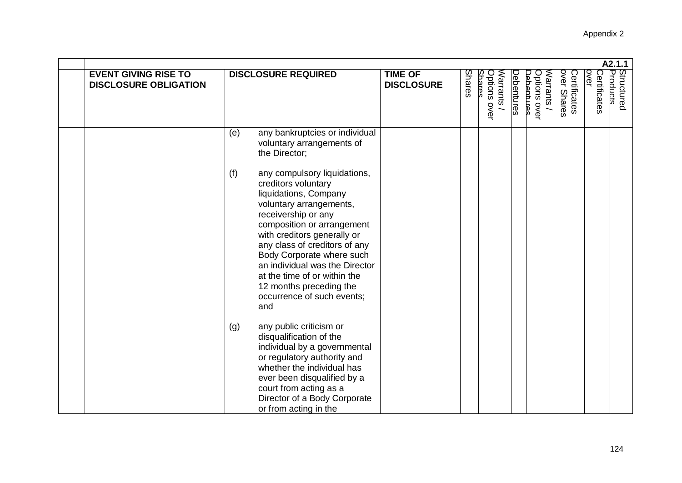|                                                             |                                                                                                                                                                                                                                                                                                                                                                                                    |                                     |        |                                       |            |                                               |                             |                      | A2.1.1                 |
|-------------------------------------------------------------|----------------------------------------------------------------------------------------------------------------------------------------------------------------------------------------------------------------------------------------------------------------------------------------------------------------------------------------------------------------------------------------------------|-------------------------------------|--------|---------------------------------------|------------|-----------------------------------------------|-----------------------------|----------------------|------------------------|
| <b>EVENT GIVING RISE TO</b><br><b>DISCLOSURE OBLIGATION</b> | <b>DISCLOSURE REQUIRED</b>                                                                                                                                                                                                                                                                                                                                                                         | <b>TIME OF</b><br><b>DISCLOSURE</b> | Shares | Senares<br>Warrants /<br>Options over | Debentures | Warrants<br>Jehentures<br><b>Dptions over</b> | over Shares<br>Certificates | Certificates<br>over | Structured<br>Products |
|                                                             | any bankruptcies or individual<br>(e)<br>voluntary arrangements of<br>the Director;                                                                                                                                                                                                                                                                                                                |                                     |        |                                       |            |                                               |                             |                      |                        |
|                                                             | (f)<br>any compulsory liquidations,<br>creditors voluntary<br>liquidations, Company<br>voluntary arrangements,<br>receivership or any<br>composition or arrangement<br>with creditors generally or<br>any class of creditors of any<br>Body Corporate where such<br>an individual was the Director<br>at the time of or within the<br>12 months preceding the<br>occurrence of such events;<br>and |                                     |        |                                       |            |                                               |                             |                      |                        |
|                                                             | any public criticism or<br>(g)<br>disqualification of the<br>individual by a governmental<br>or regulatory authority and<br>whether the individual has<br>ever been disqualified by a<br>court from acting as a<br>Director of a Body Corporate<br>or from acting in the                                                                                                                           |                                     |        |                                       |            |                                               |                             |                      |                        |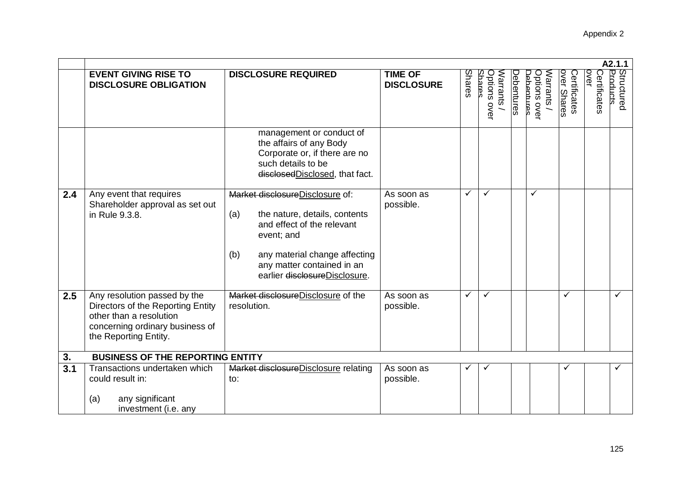|                  |                                                                                                                                                          |                                                                                                                                                                                                                            |                                     |        |                                      |            |                                        |                             |                             | A2.1.1                 |
|------------------|----------------------------------------------------------------------------------------------------------------------------------------------------------|----------------------------------------------------------------------------------------------------------------------------------------------------------------------------------------------------------------------------|-------------------------------------|--------|--------------------------------------|------------|----------------------------------------|-----------------------------|-----------------------------|------------------------|
|                  | <b>EVENT GIVING RISE TO</b><br><b>DISCLOSURE OBLIGATION</b>                                                                                              | <b>DISCLOSURE REQUIRED</b>                                                                                                                                                                                                 | <b>TIME OF</b><br><b>DISCLOSURE</b> | Shares | Shares<br>Warrants /<br>Options over | Debentures | Options over<br>Narrants<br>Jehentures | over Shares<br>Certificates | <b>OVEL</b><br>Certificates | Structured<br>Products |
|                  |                                                                                                                                                          | management or conduct of<br>the affairs of any Body<br>Corporate or, if there are no<br>such details to be<br>disclosedDisclosed, that fact.                                                                               |                                     |        |                                      |            |                                        |                             |                             |                        |
| 2.4              | Any event that requires<br>Shareholder approval as set out<br>in Rule 9.3.8.                                                                             | Market disclosureDisclosure of:<br>the nature, details, contents<br>(a)<br>and effect of the relevant<br>event; and<br>(b)<br>any material change affecting<br>any matter contained in an<br>earlier disclosureDisclosure. | As soon as<br>possible.             | ✓      | ✓                                    |            | ✓                                      |                             |                             |                        |
| 2.5              | Any resolution passed by the<br>Directors of the Reporting Entity<br>other than a resolution<br>concerning ordinary business of<br>the Reporting Entity. | Market disclosureDisclosure of the<br>resolution.                                                                                                                                                                          | As soon as<br>possible.             | ✓      | ✓                                    |            |                                        | ✓                           |                             | ✓                      |
| 3.               | <b>BUSINESS OF THE REPORTING ENTITY</b>                                                                                                                  |                                                                                                                                                                                                                            |                                     |        |                                      |            |                                        |                             |                             |                        |
| $\overline{3.1}$ | Transactions undertaken which<br>could result in:                                                                                                        | Market disclosure Disclosure relating<br>to:                                                                                                                                                                               | As soon as<br>possible.             |        | ✓                                    |            |                                        | ✓                           |                             | $\checkmark$           |
|                  | any significant<br>(a)<br>investment (i.e. any                                                                                                           |                                                                                                                                                                                                                            |                                     |        |                                      |            |                                        |                             |                             |                        |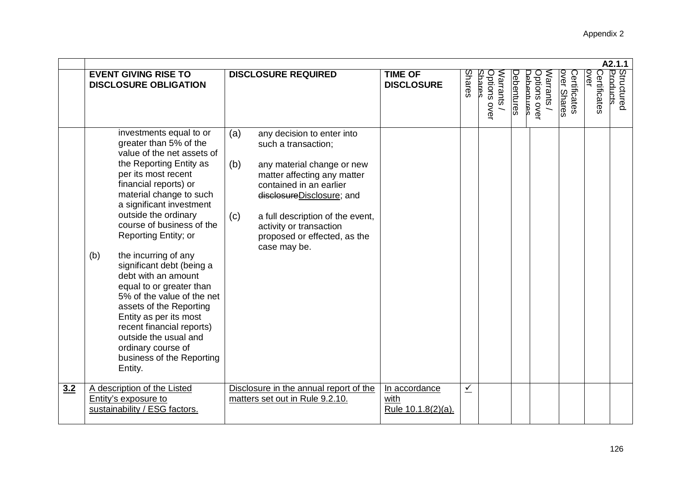|     |                                                                                                                                                                                                                                                                                                                                                                                                                                                                                                                                                                                                                      |                                                                                                                                                                                                                                                                                                            |                                             |               |                                           |                                                                           |                             | A2.1.1                                         |  |
|-----|----------------------------------------------------------------------------------------------------------------------------------------------------------------------------------------------------------------------------------------------------------------------------------------------------------------------------------------------------------------------------------------------------------------------------------------------------------------------------------------------------------------------------------------------------------------------------------------------------------------------|------------------------------------------------------------------------------------------------------------------------------------------------------------------------------------------------------------------------------------------------------------------------------------------------------------|---------------------------------------------|---------------|-------------------------------------------|---------------------------------------------------------------------------|-----------------------------|------------------------------------------------|--|
|     | <b>EVENT GIVING RISE TO</b><br><b>DISCLOSURE OBLIGATION</b>                                                                                                                                                                                                                                                                                                                                                                                                                                                                                                                                                          | <b>DISCLOSURE REQUIRED</b>                                                                                                                                                                                                                                                                                 | <b>TIME OF</b><br><b>DISCLOSURE</b>         | <b>Shares</b> | Saares<br>Options over<br><b>Marrants</b> | <b>Debentures</b><br><b>Dptions over</b><br><b>Narrants</b><br>lehentures | over Shares<br>Certificates | Structured<br>Products<br>over<br>Certificates |  |
|     | investments equal to or<br>greater than 5% of the<br>value of the net assets of<br>the Reporting Entity as<br>per its most recent<br>financial reports) or<br>material change to such<br>a significant investment<br>outside the ordinary<br>course of business of the<br>Reporting Entity; or<br>the incurring of any<br>(b)<br>significant debt (being a<br>debt with an amount<br>equal to or greater than<br>5% of the value of the net<br>assets of the Reporting<br>Entity as per its most<br>recent financial reports)<br>outside the usual and<br>ordinary course of<br>business of the Reporting<br>Entity. | (a)<br>any decision to enter into<br>such a transaction;<br>(b)<br>any material change or new<br>matter affecting any matter<br>contained in an earlier<br>disclosureDisclosure; and<br>a full description of the event,<br>(c)<br>activity or transaction<br>proposed or effected, as the<br>case may be. |                                             |               |                                           |                                                                           |                             |                                                |  |
| 3.2 | A description of the Listed<br>Entity's exposure to<br>sustainability / ESG factors.                                                                                                                                                                                                                                                                                                                                                                                                                                                                                                                                 | Disclosure in the annual report of the<br>matters set out in Rule 9.2.10.                                                                                                                                                                                                                                  | In accordance<br>with<br>Rule 10.1.8(2)(a). | $\sqrt{ }$    |                                           |                                                                           |                             |                                                |  |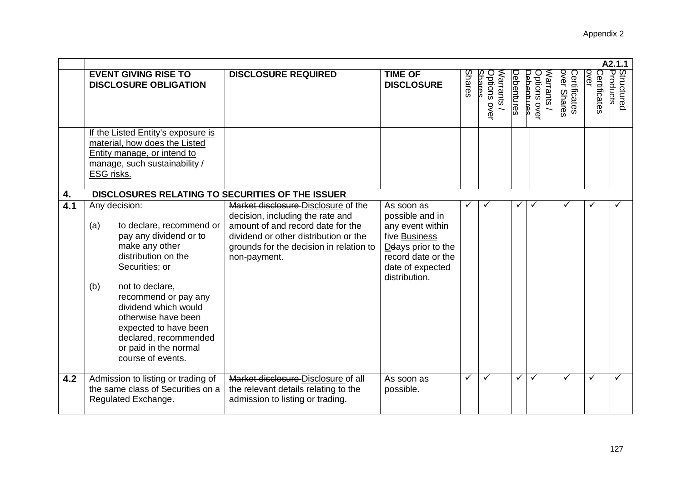|     | A2.1.1                                                                                                                                                                                                                                                                                                                                 |                                                                                                                                                                                                                  |                                                                                                                                                     |              |                                    |                   |                                                 |                             |                      |                        |
|-----|----------------------------------------------------------------------------------------------------------------------------------------------------------------------------------------------------------------------------------------------------------------------------------------------------------------------------------------|------------------------------------------------------------------------------------------------------------------------------------------------------------------------------------------------------------------|-----------------------------------------------------------------------------------------------------------------------------------------------------|--------------|------------------------------------|-------------------|-------------------------------------------------|-----------------------------|----------------------|------------------------|
|     | <b>EVENT GIVING RISE TO</b><br><b>DISCLOSURE OBLIGATION</b>                                                                                                                                                                                                                                                                            | <b>DISCLOSURE REQUIRED</b>                                                                                                                                                                                       | <b>TIME OF</b><br><b>DISCLOSURE</b>                                                                                                                 | Shares       | Saares<br>Options over<br>Varrants | <b>Debentures</b> | <b>D</b> ptions over<br>Narrants<br>lehentirres | over Shares<br>Certificates | over<br>Certificates | Structured<br>Products |
|     | If the Listed Entity's exposure is<br>material, how does the Listed<br>Entity manage, or intend to<br>manage, such sustainability /<br>ESG risks.                                                                                                                                                                                      |                                                                                                                                                                                                                  |                                                                                                                                                     |              |                                    |                   |                                                 |                             |                      |                        |
| 4.  | DISCLOSURES RELATING TO SECURITIES OF THE ISSUER                                                                                                                                                                                                                                                                                       |                                                                                                                                                                                                                  |                                                                                                                                                     |              |                                    |                   |                                                 |                             |                      |                        |
| 4.1 | Any decision:<br>to declare, recommend or<br>(a)<br>pay any dividend or to<br>make any other<br>distribution on the<br>Securities; or<br>not to declare,<br>(b)<br>recommend or pay any<br>dividend which would<br>otherwise have been<br>expected to have been<br>declared, recommended<br>or paid in the normal<br>course of events. | Market disclosure Disclosure of the<br>decision, including the rate and<br>amount of and record date for the<br>dividend or other distribution or the<br>grounds for the decision in relation to<br>non-payment. | As soon as<br>possible and in<br>any event within<br>five Business<br>Deays prior to the<br>record date or the<br>date of expected<br>distribution. | $\checkmark$ |                                    |                   | ✓                                               |                             |                      |                        |
| 4.2 | Admission to listing or trading of<br>the same class of Securities on a<br>Regulated Exchange.                                                                                                                                                                                                                                         | Market disclosure Disclosure of all<br>the relevant details relating to the<br>admission to listing or trading.                                                                                                  | As soon as<br>possible.                                                                                                                             | ✓            | $\checkmark$                       | $\checkmark$      | $\checkmark$                                    | $\checkmark$                | ✓                    |                        |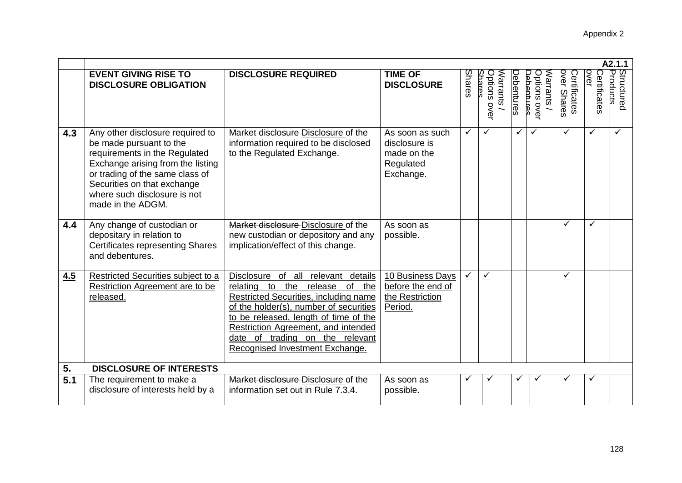|     |                                                                                                                                                                                                                                                          |                                                                                                                                                                                                                                                                                                                     |                                                                           |        |                                           |                   |                                              |                             |                             | A2.1.1                 |
|-----|----------------------------------------------------------------------------------------------------------------------------------------------------------------------------------------------------------------------------------------------------------|---------------------------------------------------------------------------------------------------------------------------------------------------------------------------------------------------------------------------------------------------------------------------------------------------------------------|---------------------------------------------------------------------------|--------|-------------------------------------------|-------------------|----------------------------------------------|-----------------------------|-----------------------------|------------------------|
|     | <b>EVENT GIVING RISE TO</b><br><b>DISCLOSURE OBLIGATION</b>                                                                                                                                                                                              | <b>DISCLOSURE REQUIRED</b>                                                                                                                                                                                                                                                                                          | <b>TIME OF</b><br><b>DISCLOSURE</b>                                       | Shares | Options over<br><b>Marrants</b><br>Saares | <b>Debentures</b> | Options over<br>Narrants<br><b>Adaptines</b> | over Shares<br>Certificates | <b>OVEL</b><br>Certificates | Structured<br>Products |
| 4.3 | Any other disclosure required to<br>be made pursuant to the<br>requirements in the Regulated<br>Exchange arising from the listing<br>or trading of the same class of<br>Securities on that exchange<br>where such disclosure is not<br>made in the ADGM. | Market disclosure Disclosure of the<br>information required to be disclosed<br>to the Regulated Exchange.                                                                                                                                                                                                           | As soon as such<br>disclosure is<br>made on the<br>Regulated<br>Exchange. | ✓      | ✓                                         | ✓                 |                                              | ✓                           | ✓                           | ✓                      |
| 4.4 | Any change of custodian or<br>depositary in relation to<br><b>Certificates representing Shares</b><br>and debentures.                                                                                                                                    | Market disclosure Disclosure of the<br>new custodian or depository and any<br>implication/effect of this change.                                                                                                                                                                                                    | As soon as<br>possible.                                                   |        |                                           |                   |                                              | ✓                           | $\checkmark$                |                        |
| 4.5 | Restricted Securities subject to a<br>Restriction Agreement are to be<br>released.                                                                                                                                                                       | Disclosure of all relevant details<br>to the<br>release of the<br>relating<br>Restricted Securities, including name<br>of the holder(s), number of securities<br>to be released, length of time of the<br>Restriction Agreement, and intended<br>date of trading on the relevant<br>Recognised Investment Exchange. | 10 Business Days<br>before the end of<br>the Restriction<br>Period.       | $\leq$ | $\leq$                                    |                   |                                              | $\leq$                      |                             |                        |
| 5.  | <b>DISCLOSURE OF INTERESTS</b>                                                                                                                                                                                                                           |                                                                                                                                                                                                                                                                                                                     |                                                                           |        |                                           |                   |                                              |                             |                             |                        |
| 5.1 | The requirement to make a<br>disclosure of interests held by a                                                                                                                                                                                           | Market disclosure Disclosure of the<br>information set out in Rule 7.3.4.                                                                                                                                                                                                                                           | As soon as<br>possible.                                                   |        |                                           |                   |                                              |                             |                             |                        |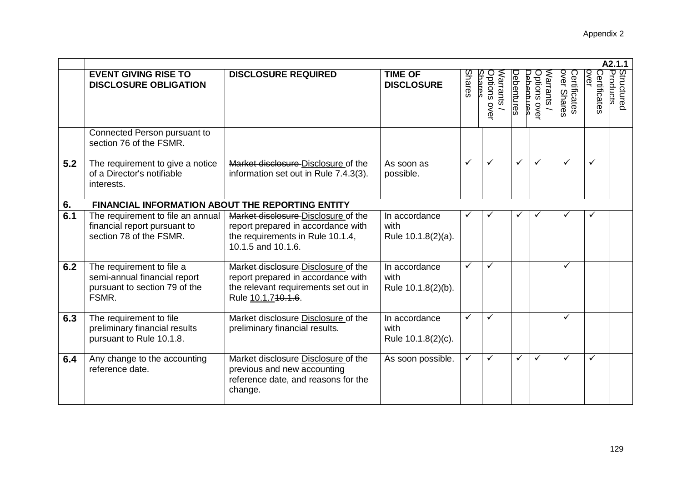|     |                                                                                                     |                                                                                                                                         |                                             |              |                                           |                                       |                          |                             |                      | A2.1.1                 |
|-----|-----------------------------------------------------------------------------------------------------|-----------------------------------------------------------------------------------------------------------------------------------------|---------------------------------------------|--------------|-------------------------------------------|---------------------------------------|--------------------------|-----------------------------|----------------------|------------------------|
|     | <b>EVENT GIVING RISE TO</b><br><b>DISCLOSURE OBLIGATION</b>                                         | <b>DISCLOSURE REQUIRED</b>                                                                                                              | <b>TIME OF</b><br><b>DISCLOSURE</b>         | Shares       | Shares<br>Options over<br><b>Marrants</b> | <b>Debentures</b><br><b>Abantures</b> | Options over<br>Narrants | over Shares<br>Certificates | over<br>Certificates | Structured<br>Products |
|     | Connected Person pursuant to<br>section 76 of the FSMR.                                             |                                                                                                                                         |                                             |              |                                           |                                       |                          |                             |                      |                        |
| 5.2 | The requirement to give a notice<br>of a Director's notifiable<br>interests.                        | Market disclosure Disclosure of the<br>information set out in Rule 7.4.3(3).                                                            | As soon as<br>possible.                     | ✓            | ✓                                         | ✓                                     | $\checkmark$             | $\checkmark$                | $\checkmark$         |                        |
| 6.  | <b>FINANCIAL INFORMATION ABOUT THE REPORTING ENTITY</b>                                             |                                                                                                                                         |                                             |              |                                           |                                       |                          |                             |                      |                        |
| 6.1 | The requirement to file an annual<br>financial report pursuant to<br>section 78 of the FSMR.        | Market disclosure Disclosure of the<br>report prepared in accordance with<br>the requirements in Rule 10.1.4,<br>10.1.5 and 10.1.6.     | In accordance<br>with<br>Rule 10.1.8(2)(a). |              |                                           |                                       | ✓                        |                             | ✓                    |                        |
| 6.2 | The requirement to file a<br>semi-annual financial report<br>pursuant to section 79 of the<br>FSMR. | Market disclosure Disclosure of the<br>report prepared in accordance with<br>the relevant requirements set out in<br>Rule 10.1.740.4.6. | In accordance<br>with<br>Rule 10.1.8(2)(b). | $\checkmark$ | ✓                                         |                                       |                          | ✓                           |                      |                        |
| 6.3 | The requirement to file<br>preliminary financial results<br>pursuant to Rule 10.1.8.                | Market disclosure Disclosure of the<br>preliminary financial results.                                                                   | In accordance<br>with<br>Rule 10.1.8(2)(c). | $\checkmark$ | $\checkmark$                              |                                       |                          | $\checkmark$                |                      |                        |
| 6.4 | Any change to the accounting<br>reference date.                                                     | Market disclosure Disclosure of the<br>previous and new accounting<br>reference date, and reasons for the<br>change.                    | As soon possible.                           | ✓            | ✓                                         | ✓                                     | $\checkmark$             | $\checkmark$                | ✓                    |                        |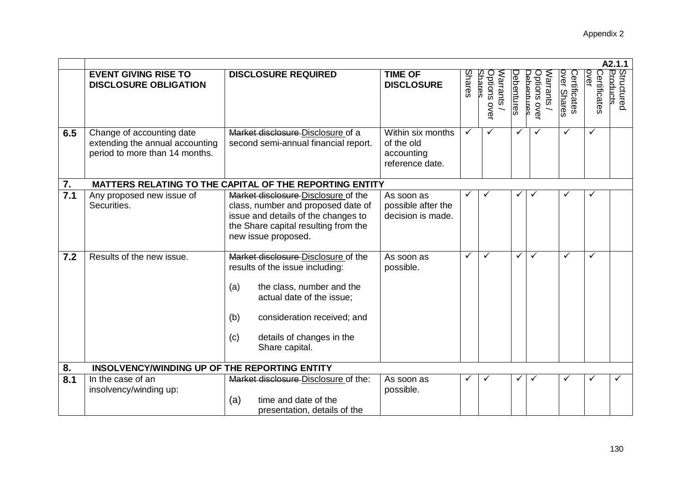|     | A2.1.1                                                                                         |                                                                                                                                                                                                                                     |                                                                  |        |                                           |            |                                                      |                             |                             |                        |
|-----|------------------------------------------------------------------------------------------------|-------------------------------------------------------------------------------------------------------------------------------------------------------------------------------------------------------------------------------------|------------------------------------------------------------------|--------|-------------------------------------------|------------|------------------------------------------------------|-----------------------------|-----------------------------|------------------------|
|     | <b>EVENT GIVING RISE TO</b><br><b>DISCLOSURE OBLIGATION</b>                                    | <b>DISCLOSURE REQUIRED</b>                                                                                                                                                                                                          | <b>TIME OF</b><br><b>DISCLOSURE</b>                              | Shares | Saares<br>Warrants<br><b>Options over</b> | Debentures | <b>Dptions over</b><br>Narrants<br><b>Adhentines</b> | over Shares<br>Certificates | <b>OVer</b><br>Certificates | Structured<br>Products |
| 6.5 | Change of accounting date<br>extending the annual accounting<br>period to more than 14 months. | Market disclosure Disclosure of a<br>second semi-annual financial report.                                                                                                                                                           | Within six months<br>of the old<br>accounting<br>reference date. | ✓      | ✓                                         | ✓          | ✓                                                    | ✓                           | ✓                           |                        |
| 7.  |                                                                                                | MATTERS RELATING TO THE CAPITAL OF THE REPORTING ENTITY                                                                                                                                                                             |                                                                  |        |                                           |            |                                                      |                             |                             |                        |
| 7.1 | Any proposed new issue of<br>Securities.                                                       | Market disclosure Disclosure of the<br>class, number and proposed date of<br>issue and details of the changes to<br>the Share capital resulting from the<br>new issue proposed.                                                     | As soon as<br>possible after the<br>decision is made.            |        |                                           | ✓          |                                                      |                             | ✓                           |                        |
| 7.2 | Results of the new issue.                                                                      | Market disclosure Disclosure of the<br>results of the issue including:<br>the class, number and the<br>(a)<br>actual date of the issue;<br>consideration received; and<br>(b)<br>details of changes in the<br>(c)<br>Share capital. | As soon as<br>possible.                                          | ✓      | ✓                                         | ✓          | $\checkmark$                                         | ✓                           | $\checkmark$                |                        |
| 8.  | INSOLVENCY/WINDING UP OF THE REPORTING ENTITY                                                  |                                                                                                                                                                                                                                     |                                                                  |        |                                           |            |                                                      |                             |                             |                        |
| 8.1 | In the case of an<br>insolvency/winding up:                                                    | Market disclosure-Disclosure of the:<br>time and date of the<br>(a)<br>presentation, details of the                                                                                                                                 | As soon as<br>possible.                                          |        |                                           |            |                                                      |                             |                             |                        |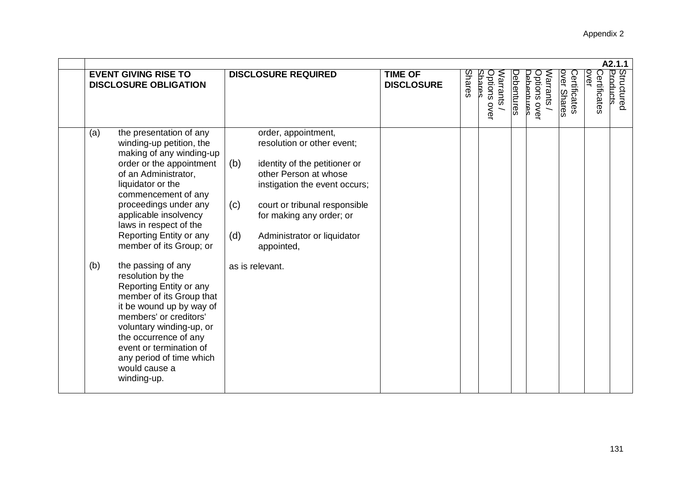|                                                                                                                                                                                                                                                                                                                                                                                                                                                                                                                                                                                                                                     |                                                                                                                                                                                                                                                                                                |                                     |                                                                             |                                                                    | A2.1.1                                                         |
|-------------------------------------------------------------------------------------------------------------------------------------------------------------------------------------------------------------------------------------------------------------------------------------------------------------------------------------------------------------------------------------------------------------------------------------------------------------------------------------------------------------------------------------------------------------------------------------------------------------------------------------|------------------------------------------------------------------------------------------------------------------------------------------------------------------------------------------------------------------------------------------------------------------------------------------------|-------------------------------------|-----------------------------------------------------------------------------|--------------------------------------------------------------------|----------------------------------------------------------------|
| <b>EVENT GIVING RISE TO</b><br><b>DISCLOSURE OBLIGATION</b>                                                                                                                                                                                                                                                                                                                                                                                                                                                                                                                                                                         | <b>DISCLOSURE REQUIRED</b>                                                                                                                                                                                                                                                                     | <b>TIME OF</b><br><b>DISCLOSURE</b> | <b>Shares</b><br>Options<br><b>Shares</b><br><b>Narrants</b><br><b>OVEL</b> | over Shares<br>Debentures<br>Options over<br>Debentres<br>Narrants | Structured<br>Products<br>over<br>Certificates<br>Certificates |
| the presentation of any<br>(a)<br>winding-up petition, the<br>making of any winding-up<br>order or the appointment<br>of an Administrator,<br>liquidator or the<br>commencement of any<br>proceedings under any<br>applicable insolvency<br>laws in respect of the<br>Reporting Entity or any<br>member of its Group; or<br>the passing of any<br>(b)<br>resolution by the<br>Reporting Entity or any<br>member of its Group that<br>it be wound up by way of<br>members' or creditors'<br>voluntary winding-up, or<br>the occurrence of any<br>event or termination of<br>any period of time which<br>would cause a<br>winding-up. | order, appointment,<br>resolution or other event;<br>(b)<br>identity of the petitioner or<br>other Person at whose<br>instigation the event occurs;<br>court or tribunal responsible<br>(c)<br>for making any order; or<br>(d)<br>Administrator or liquidator<br>appointed,<br>as is relevant. |                                     |                                                                             |                                                                    |                                                                |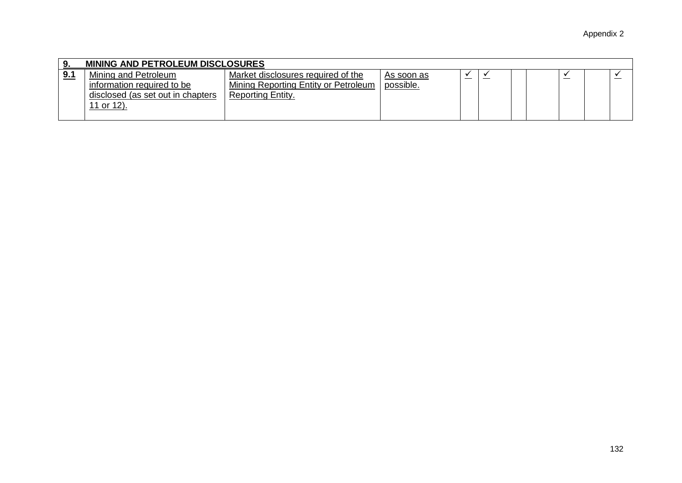|            | <b>MINING AND PETROLEUM DISCLOSURES</b>                                                                      |                                                                                                 |                         |  |  |  |  |  |  |  |
|------------|--------------------------------------------------------------------------------------------------------------|-------------------------------------------------------------------------------------------------|-------------------------|--|--|--|--|--|--|--|
| <u>9.1</u> | Mining and Petroleum<br>information required to be<br>disclosed (as set out in chapters<br><u>11 or 12).</u> | Market disclosures required of the<br>Mining Reporting Entity or Petroleum<br>Reporting Entity. | As soon as<br>possible. |  |  |  |  |  |  |  |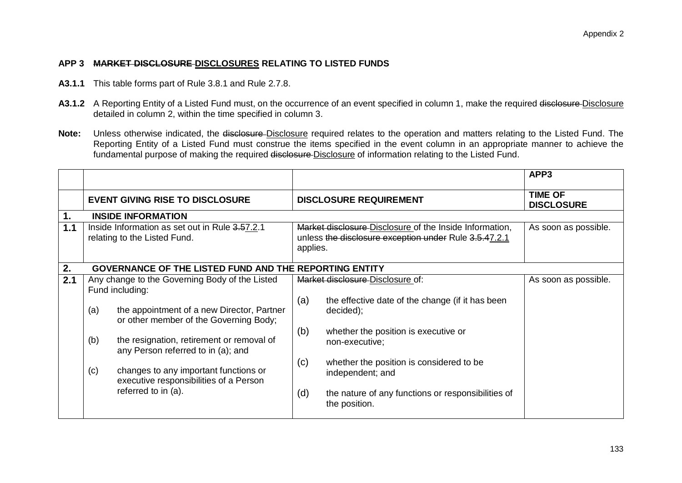## **APP 3 MARKET DISCLOSURE DISCLOSURES RELATING TO LISTED FUNDS**

- **A3.1.1** This table forms part of Rule 3.8.1 and Rule 2.7.8.
- A3.1.2 A Reporting Entity of a Listed Fund must, on the occurrence of an event specified in column 1, make the required disclosure-Disclosure detailed in column 2, within the time specified in column 3.
- Note: Unless otherwise indicated, the disclosure-Disclosure required relates to the operation and matters relating to the Listed Fund. The Reporting Entity of a Listed Fund must construe the items specified in the event column in an appropriate manner to achieve the fundamental purpose of making the required disclosure Disclosure of information relating to the Listed Fund.

|     |     |                                                                                 |          |                                                                     | APP <sub>3</sub>                    |
|-----|-----|---------------------------------------------------------------------------------|----------|---------------------------------------------------------------------|-------------------------------------|
|     |     | <b>EVENT GIVING RISE TO DISCLOSURE</b>                                          |          | <b>DISCLOSURE REQUIREMENT</b>                                       | <b>TIME OF</b><br><b>DISCLOSURE</b> |
| 1.  |     | <b>INSIDE INFORMATION</b>                                                       |          |                                                                     |                                     |
| 1.1 |     | Inside Information as set out in Rule 3.57.2.1                                  |          | Market disclosure Disclosure of the Inside Information,             | As soon as possible.                |
|     |     | relating to the Listed Fund.                                                    |          | unless the disclosure exception under Rule 3.5.47.2.1               |                                     |
|     |     |                                                                                 | applies. |                                                                     |                                     |
|     |     |                                                                                 |          |                                                                     |                                     |
| 2.  |     | <b>GOVERNANCE OF THE LISTED FUND AND THE REPORTING ENTITY</b>                   |          |                                                                     |                                     |
| 2.1 |     | Any change to the Governing Body of the Listed                                  |          | Market disclosure Disclosure of:                                    | As soon as possible.                |
|     |     | Fund including:                                                                 |          |                                                                     |                                     |
|     | (a) | the appointment of a new Director, Partner                                      | (a)      | the effective date of the change (if it has been<br>decided);       |                                     |
|     |     | or other member of the Governing Body;                                          |          |                                                                     |                                     |
|     | (b) | the resignation, retirement or removal of<br>any Person referred to in (a); and | (b)      | whether the position is executive or<br>non-executive;              |                                     |
|     | (c) | changes to any important functions or<br>executive responsibilities of a Person | (c)      | whether the position is considered to be<br>independent; and        |                                     |
|     |     | referred to in (a).                                                             | (d)      | the nature of any functions or responsibilities of<br>the position. |                                     |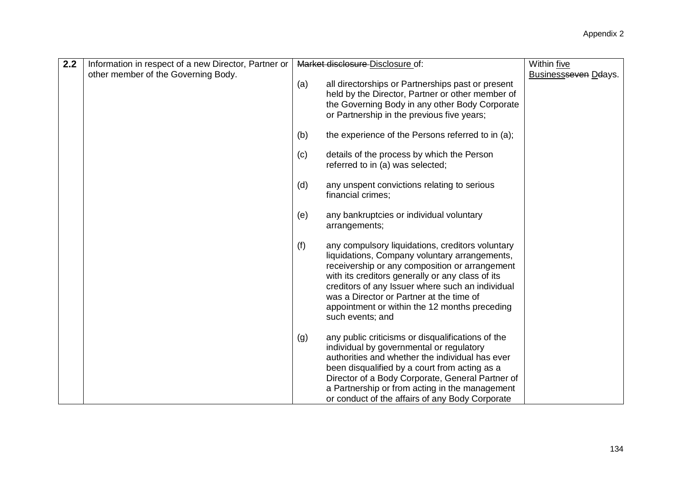| Within five<br>Businessseven Deays. |
|-------------------------------------|
|                                     |
|                                     |
|                                     |
|                                     |
|                                     |
|                                     |
|                                     |
|                                     |
|                                     |
|                                     |
|                                     |
|                                     |
|                                     |
|                                     |
|                                     |
|                                     |
|                                     |
|                                     |
|                                     |
|                                     |
|                                     |
|                                     |
|                                     |
|                                     |
|                                     |
|                                     |
|                                     |
|                                     |
|                                     |
|                                     |
|                                     |
|                                     |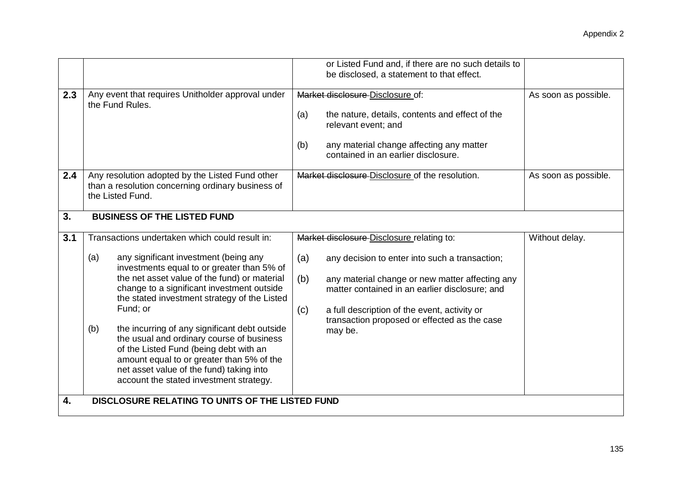|           |                                                                                                                                                                                                                                                                                                                                                                                                                                                                                                                                         | or Listed Fund and, if there are no such details to<br>be disclosed, a statement to that effect.                                                                                                                                                                                    |                      |
|-----------|-----------------------------------------------------------------------------------------------------------------------------------------------------------------------------------------------------------------------------------------------------------------------------------------------------------------------------------------------------------------------------------------------------------------------------------------------------------------------------------------------------------------------------------------|-------------------------------------------------------------------------------------------------------------------------------------------------------------------------------------------------------------------------------------------------------------------------------------|----------------------|
| 2.3       | Any event that requires Unitholder approval under<br>the Fund Rules.                                                                                                                                                                                                                                                                                                                                                                                                                                                                    | Market disclosure Disclosure of:<br>(a)<br>the nature, details, contents and effect of the<br>relevant event; and<br>any material change affecting any matter<br>(b)<br>contained in an earlier disclosure.                                                                         | As soon as possible. |
| 2.4<br>3. | Any resolution adopted by the Listed Fund other<br>than a resolution concerning ordinary business of<br>the Listed Fund.<br><b>BUSINESS OF THE LISTED FUND</b>                                                                                                                                                                                                                                                                                                                                                                          | Market disclosure-Disclosure of the resolution.                                                                                                                                                                                                                                     | As soon as possible. |
|           |                                                                                                                                                                                                                                                                                                                                                                                                                                                                                                                                         |                                                                                                                                                                                                                                                                                     |                      |
| 3.1       | Transactions undertaken which could result in:                                                                                                                                                                                                                                                                                                                                                                                                                                                                                          | Market disclosure Disclosure relating to:                                                                                                                                                                                                                                           | Without delay.       |
|           | any significant investment (being any<br>(a)<br>investments equal to or greater than 5% of<br>the net asset value of the fund) or material<br>change to a significant investment outside<br>the stated investment strategy of the Listed<br>Fund; or<br>the incurring of any significant debt outside<br>(b)<br>the usual and ordinary course of business<br>of the Listed Fund (being debt with an<br>amount equal to or greater than 5% of the<br>net asset value of the fund) taking into<br>account the stated investment strategy. | (a)<br>any decision to enter into such a transaction;<br>(b)<br>any material change or new matter affecting any<br>matter contained in an earlier disclosure; and<br>a full description of the event, activity or<br>(c)<br>transaction proposed or effected as the case<br>may be. |                      |
| 4.        | DISCLOSURE RELATING TO UNITS OF THE LISTED FUND                                                                                                                                                                                                                                                                                                                                                                                                                                                                                         |                                                                                                                                                                                                                                                                                     |                      |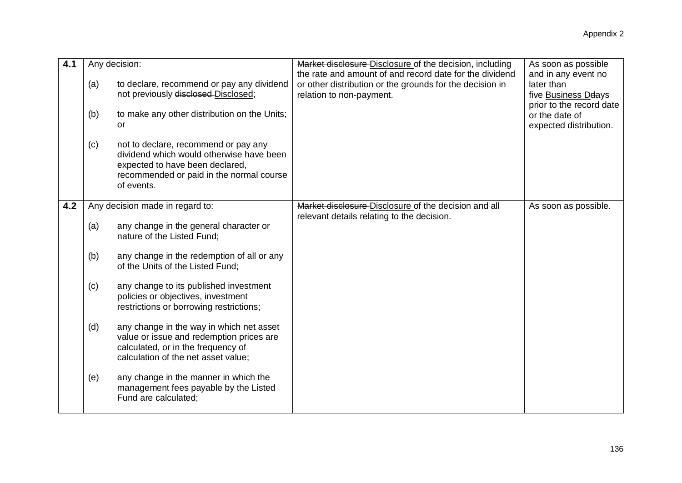| 4.1 | (a)<br>(b)<br>(c)               | Any decision:<br>to declare, recommend or pay any dividend<br>not previously disclosed-Disclosed;<br>to make any other distribution on the Units;<br><b>or</b><br>not to declare, recommend or pay any<br>dividend which would otherwise have been<br>expected to have been declared,<br>recommended or paid in the normal course<br>of events.                                                                                                                                                                                                                                                     | Market disclosure Disclosure of the decision, including<br>the rate and amount of and record date for the dividend<br>or other distribution or the grounds for the decision in<br>relation to non-payment. | As soon as possible<br>and in any event no<br>later than<br>five Business Deays<br>prior to the record date<br>or the date of<br>expected distribution. |
|-----|---------------------------------|-----------------------------------------------------------------------------------------------------------------------------------------------------------------------------------------------------------------------------------------------------------------------------------------------------------------------------------------------------------------------------------------------------------------------------------------------------------------------------------------------------------------------------------------------------------------------------------------------------|------------------------------------------------------------------------------------------------------------------------------------------------------------------------------------------------------------|---------------------------------------------------------------------------------------------------------------------------------------------------------|
| 4.2 | (a)<br>(b)<br>(c)<br>(d)<br>(e) | Any decision made in regard to:<br>any change in the general character or<br>nature of the Listed Fund;<br>any change in the redemption of all or any<br>of the Units of the Listed Fund;<br>any change to its published investment<br>policies or objectives, investment<br>restrictions or borrowing restrictions;<br>any change in the way in which net asset<br>value or issue and redemption prices are<br>calculated, or in the frequency of<br>calculation of the net asset value;<br>any change in the manner in which the<br>management fees payable by the Listed<br>Fund are calculated: | Market disclosure Disclosure of the decision and all<br>relevant details relating to the decision.                                                                                                         | As soon as possible.                                                                                                                                    |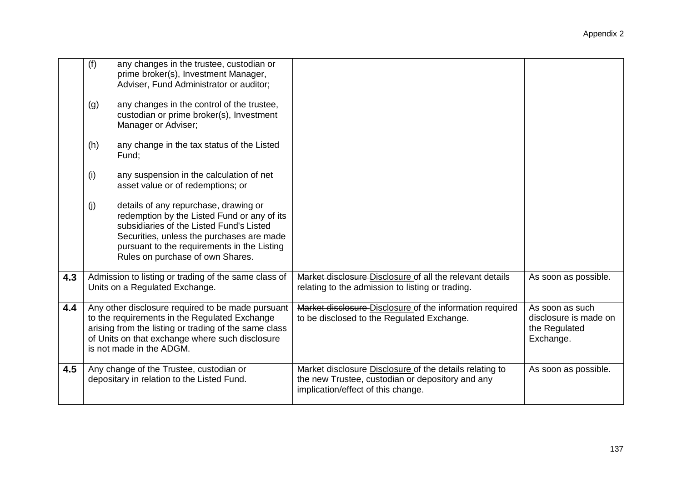|     | (f)<br>(g)<br>(h) | any changes in the trustee, custodian or<br>prime broker(s), Investment Manager,<br>Adviser, Fund Administrator or auditor;<br>any changes in the control of the trustee,<br>custodian or prime broker(s), Investment<br>Manager or Adviser;<br>any change in the tax status of the Listed<br>Fund;                                                  |                                                                                                                                                   |                                                                        |
|-----|-------------------|------------------------------------------------------------------------------------------------------------------------------------------------------------------------------------------------------------------------------------------------------------------------------------------------------------------------------------------------------|---------------------------------------------------------------------------------------------------------------------------------------------------|------------------------------------------------------------------------|
|     | (i)               | any suspension in the calculation of net<br>asset value or of redemptions; or                                                                                                                                                                                                                                                                        |                                                                                                                                                   |                                                                        |
|     | (j)               | details of any repurchase, drawing or<br>redemption by the Listed Fund or any of its<br>subsidiaries of the Listed Fund's Listed<br>Securities, unless the purchases are made<br>pursuant to the requirements in the Listing<br>Rules on purchase of own Shares.                                                                                     |                                                                                                                                                   |                                                                        |
| 4.3 |                   | Admission to listing or trading of the same class of<br>Units on a Regulated Exchange.                                                                                                                                                                                                                                                               | Market disclosure Disclosure of all the relevant details<br>relating to the admission to listing or trading.                                      | As soon as possible.                                                   |
| 4.4 |                   | Any other disclosure required to be made pursuant<br>Market disclosure Disclosure of the information required<br>to the requirements in the Regulated Exchange<br>to be disclosed to the Regulated Exchange.<br>arising from the listing or trading of the same class<br>of Units on that exchange where such disclosure<br>is not made in the ADGM. |                                                                                                                                                   | As soon as such<br>disclosure is made on<br>the Regulated<br>Exchange. |
| 4.5 |                   | Any change of the Trustee, custodian or<br>depositary in relation to the Listed Fund.                                                                                                                                                                                                                                                                | Market disclosure Disclosure of the details relating to<br>the new Trustee, custodian or depository and any<br>implication/effect of this change. | As soon as possible.                                                   |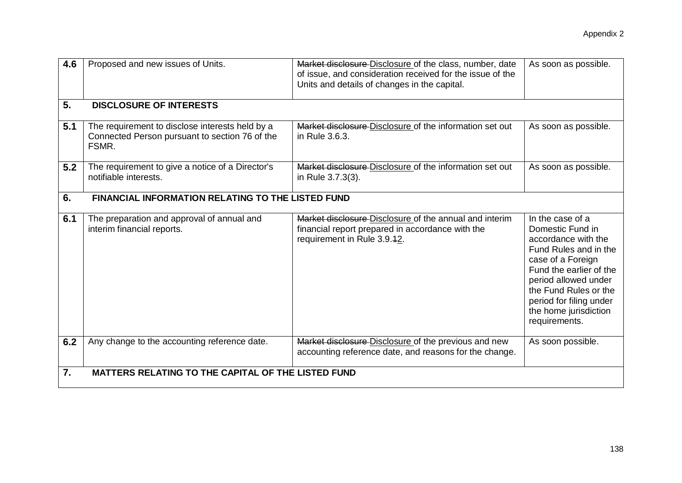| 4.6 | Proposed and new issues of Units.                                                                          | Market disclosure Disclosure of the class, number, date<br>of issue, and consideration received for the issue of the<br>Units and details of changes in the capital. | As soon as possible.                                                                                                                                                                                                                                       |
|-----|------------------------------------------------------------------------------------------------------------|----------------------------------------------------------------------------------------------------------------------------------------------------------------------|------------------------------------------------------------------------------------------------------------------------------------------------------------------------------------------------------------------------------------------------------------|
| 5.  | <b>DISCLOSURE OF INTERESTS</b>                                                                             |                                                                                                                                                                      |                                                                                                                                                                                                                                                            |
| 5.1 | The requirement to disclose interests held by a<br>Connected Person pursuant to section 76 of the<br>FSMR. | Market disclosure Disclosure of the information set out<br>in Rule 3.6.3.                                                                                            | As soon as possible.                                                                                                                                                                                                                                       |
| 5.2 | The requirement to give a notice of a Director's<br>notifiable interests.                                  | Market disclosure Disclosure of the information set out<br>in Rule 3.7.3(3).                                                                                         | As soon as possible.                                                                                                                                                                                                                                       |
| 6.  | <b>FINANCIAL INFORMATION RELATING TO THE LISTED FUND</b>                                                   |                                                                                                                                                                      |                                                                                                                                                                                                                                                            |
| 6.1 | The preparation and approval of annual and<br>interim financial reports.                                   | Market disclosure Disclosure of the annual and interim<br>financial report prepared in accordance with the<br>requirement in Rule 3.9.42.                            | In the case of a<br>Domestic Fund in<br>accordance with the<br>Fund Rules and in the<br>case of a Foreign<br>Fund the earlier of the<br>period allowed under<br>the Fund Rules or the<br>period for filing under<br>the home jurisdiction<br>requirements. |
| 6.2 | Any change to the accounting reference date.                                                               | Market disclosure Disclosure of the previous and new<br>accounting reference date, and reasons for the change.                                                       | As soon possible.                                                                                                                                                                                                                                          |
| 7.  | <b>MATTERS RELATING TO THE CAPITAL OF THE LISTED FUND</b>                                                  |                                                                                                                                                                      |                                                                                                                                                                                                                                                            |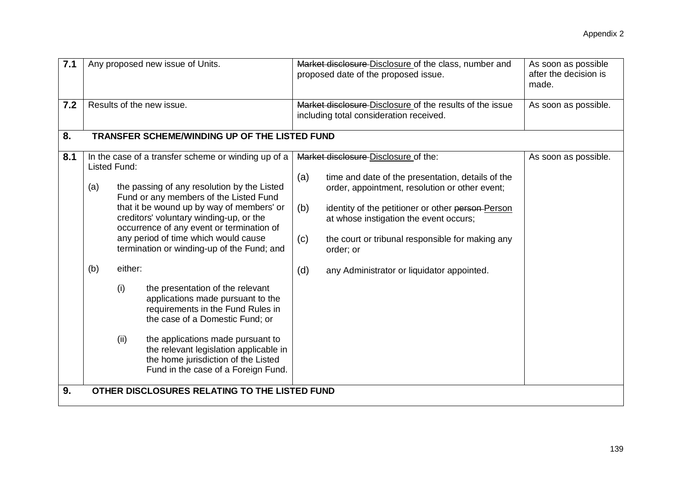| 7.1       |                                               | Any proposed new issue of Units.                                                                                                                                                                                                                                                                                                                                                                                                                                                                                                                                                                                                                                                                                                                                                 |  |                                                                                                     | Market disclosure Disclosure of the class, number and<br>proposed date of the proposed issue.                                                                                                                                                                                                                                                             | As soon as possible<br>after the decision is<br>made. |  |  |  |
|-----------|-----------------------------------------------|----------------------------------------------------------------------------------------------------------------------------------------------------------------------------------------------------------------------------------------------------------------------------------------------------------------------------------------------------------------------------------------------------------------------------------------------------------------------------------------------------------------------------------------------------------------------------------------------------------------------------------------------------------------------------------------------------------------------------------------------------------------------------------|--|-----------------------------------------------------------------------------------------------------|-----------------------------------------------------------------------------------------------------------------------------------------------------------------------------------------------------------------------------------------------------------------------------------------------------------------------------------------------------------|-------------------------------------------------------|--|--|--|
| 7.2       |                                               | Results of the new issue.                                                                                                                                                                                                                                                                                                                                                                                                                                                                                                                                                                                                                                                                                                                                                        |  | Market disclosure Disclosure of the results of the issue<br>including total consideration received. |                                                                                                                                                                                                                                                                                                                                                           | As soon as possible.                                  |  |  |  |
| 8.        | TRANSFER SCHEME/WINDING UP OF THE LISTED FUND |                                                                                                                                                                                                                                                                                                                                                                                                                                                                                                                                                                                                                                                                                                                                                                                  |  |                                                                                                     |                                                                                                                                                                                                                                                                                                                                                           |                                                       |  |  |  |
| 8.1<br>9. | (a)<br>(b)                                    | In the case of a transfer scheme or winding up of a<br>Listed Fund:<br>the passing of any resolution by the Listed<br>Fund or any members of the Listed Fund<br>that it be wound up by way of members' or<br>creditors' voluntary winding-up, or the<br>occurrence of any event or termination of<br>any period of time which would cause<br>termination or winding-up of the Fund; and<br>either:<br>(i)<br>the presentation of the relevant<br>applications made pursuant to the<br>requirements in the Fund Rules in<br>the case of a Domestic Fund; or<br>(ii)<br>the applications made pursuant to<br>the relevant legislation applicable in<br>the home jurisdiction of the Listed<br>Fund in the case of a Foreign Fund.<br>OTHER DISCLOSURES RELATING TO THE LISTED FUND |  | (a)<br>(b)<br>(c)<br>(d)                                                                            | Market disclosure Disclosure of the:<br>time and date of the presentation, details of the<br>order, appointment, resolution or other event;<br>identity of the petitioner or other person Person<br>at whose instigation the event occurs;<br>the court or tribunal responsible for making any<br>order; or<br>any Administrator or liquidator appointed. | As soon as possible.                                  |  |  |  |
|           |                                               |                                                                                                                                                                                                                                                                                                                                                                                                                                                                                                                                                                                                                                                                                                                                                                                  |  |                                                                                                     |                                                                                                                                                                                                                                                                                                                                                           |                                                       |  |  |  |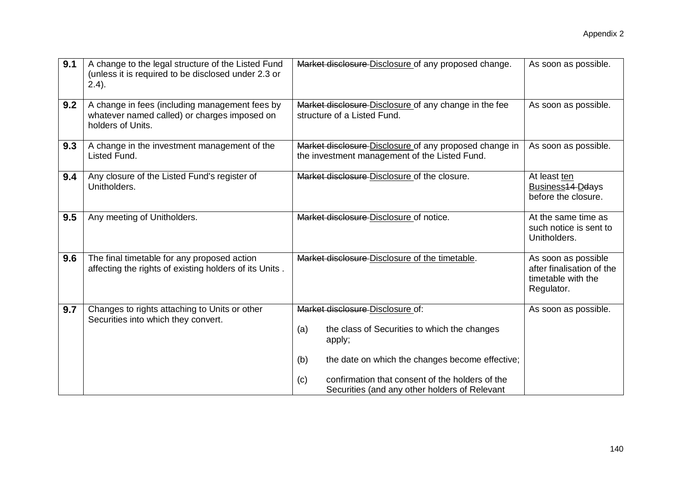| A change to the legal structure of the Listed Fund                                                                  |                                                                                                                                                                                                                       |                                                                                      |  |  |
|---------------------------------------------------------------------------------------------------------------------|-----------------------------------------------------------------------------------------------------------------------------------------------------------------------------------------------------------------------|--------------------------------------------------------------------------------------|--|--|
| (unless it is required to be disclosed under 2.3 or<br>(2.4).                                                       | Market disclosure Disclosure of any proposed change.                                                                                                                                                                  | As soon as possible.                                                                 |  |  |
| A change in fees (including management fees by<br>whatever named called) or charges imposed on<br>holders of Units. | Market disclosure Disclosure of any change in the fee<br>structure of a Listed Fund.                                                                                                                                  | As soon as possible.                                                                 |  |  |
| A change in the investment management of the<br>Listed Fund.                                                        | Market disclosure-Disclosure of any proposed change in<br>the investment management of the Listed Fund.                                                                                                               | As soon as possible.                                                                 |  |  |
| Any closure of the Listed Fund's register of<br>Unitholders.                                                        | Market disclosure Disclosure of the closure.                                                                                                                                                                          | At least ten<br>Business <sub>14</sub> Ddays<br>before the closure.                  |  |  |
| Any meeting of Unitholders.                                                                                         | Market disclosure Disclosure of notice.                                                                                                                                                                               | At the same time as<br>such notice is sent to<br>Unitholders.                        |  |  |
| The final timetable for any proposed action<br>affecting the rights of existing holders of its Units.               | Market disclosure Disclosure of the timetable.                                                                                                                                                                        | As soon as possible<br>after finalisation of the<br>timetable with the<br>Regulator. |  |  |
| Changes to rights attaching to Units or other<br>Securities into which they convert.                                | Market disclosure Disclosure of:<br>the class of Securities to which the changes<br>(a)<br>apply;<br>the date on which the changes become effective;<br>(b)<br>confirmation that consent of the holders of the<br>(c) | As soon as possible.                                                                 |  |  |
|                                                                                                                     |                                                                                                                                                                                                                       | Securities (and any other holders of Relevant                                        |  |  |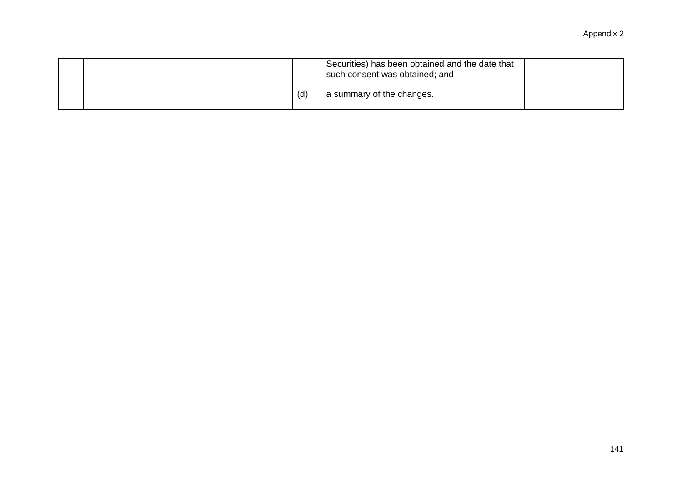|  |  | Securities) has been obtained and the date that<br>such consent was obtained; and |  |
|--|--|-----------------------------------------------------------------------------------|--|
|  |  | a summary of the changes.                                                         |  |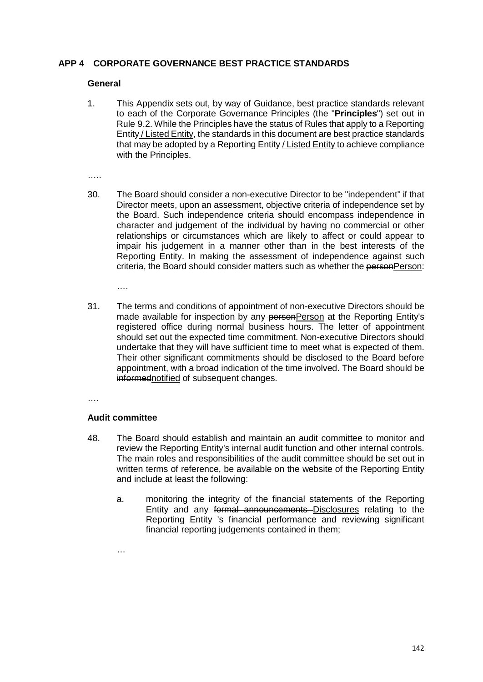### **APP 4 CORPORATE GOVERNANCE BEST PRACTICE STANDARDS**

#### **General**

1. This Appendix sets out, by way of Guidance, best practice standards relevant to each of the Corporate Governance Principles (the "**Principles**") set out in Rule 9.2. While the Principles have the status of Rules that apply to a Reporting Entity / Listed Entity, the standards in this document are best practice standards that may be adopted by a Reporting Entity / Listed Entity to achieve compliance with the Principles.

……

30. The Board should consider a non-executive Director to be "independent" if that Director meets, upon an assessment, objective criteria of independence set by the Board. Such independence criteria should encompass independence in character and judgement of the individual by having no commercial or other relationships or circumstances which are likely to affect or could appear to impair his judgement in a manner other than in the best interests of the Reporting Entity. In making the assessment of independence against such criteria, the Board should consider matters such as whether the personPerson:

….

31. The terms and conditions of appointment of non-executive Directors should be made available for inspection by any personPerson at the Reporting Entity's registered office during normal business hours. The letter of appointment should set out the expected time commitment. Non-executive Directors should undertake that they will have sufficient time to meet what is expected of them. Their other significant commitments should be disclosed to the Board before appointment, with a broad indication of the time involved. The Board should be informednotified of subsequent changes.

….

#### **Audit committee**

- 48. The Board should establish and maintain an audit committee to monitor and review the Reporting Entity's internal audit function and other internal controls. The main roles and responsibilities of the audit committee should be set out in written terms of reference, be available on the website of the Reporting Entity and include at least the following:
	- a. monitoring the integrity of the financial statements of the Reporting Entity and any formal announcements Disclosures relating to the Reporting Entity 's financial performance and reviewing significant financial reporting judgements contained in them;

…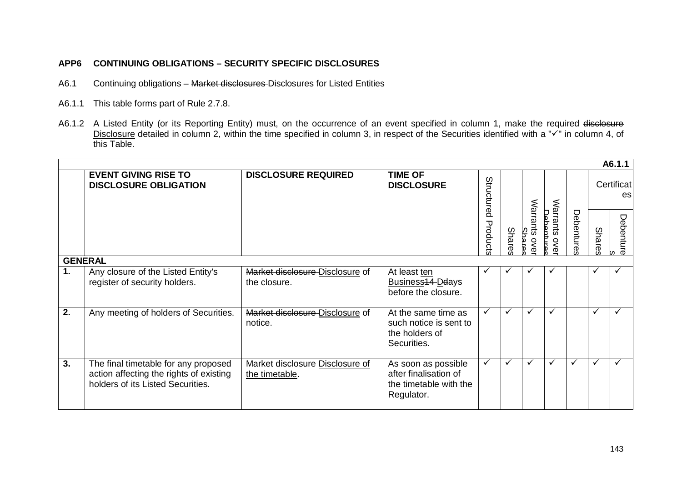# **APP6 CONTINUING OBLIGATIONS – SECURITY SPECIFIC DISCLOSURES**

- A6.1 Continuing obligations Market disclosures Disclosures for Listed Entities
- A6.1.1 This table forms part of Rule 2.7.8.
- A6.1.2 A Listed Entity <u>(or its Reporting Entity)</u> must, on the occurrence of an event specified in column 1, make the required <del>disclosure</del> Disclosure detailed in column 2, within the time specified in column 3, in respect of the Securities identified with a " $\checkmark$ " in column 4, of this Table.

| A6.1.1        |                                                                                                                      |                                                   |                                                                                      |                        |       |                            |                             |           |                  |                |  |
|---------------|----------------------------------------------------------------------------------------------------------------------|---------------------------------------------------|--------------------------------------------------------------------------------------|------------------------|-------|----------------------------|-----------------------------|-----------|------------------|----------------|--|
|               | <b>EVENT GIVING RISE TO</b><br><b>DISCLOSURE OBLIGATION</b>                                                          | <b>DISCLOSURE REQUIRED</b>                        | <b>TIME OF</b><br><b>DISCLOSURE</b>                                                  | Structured<br>Products | Share | Warrants<br>Shar<br>$\leq$ |                             | Debenture | Certificat<br>es |                |  |
|               |                                                                                                                      |                                                   |                                                                                      |                        |       |                            | Warrants<br>Dehentur<br>ove |           | <b>Shares</b>    | Debenture<br>m |  |
|               | <b>GENERAL</b>                                                                                                       |                                                   |                                                                                      |                        |       |                            |                             |           |                  |                |  |
| $\mathbf 1$ . | Any closure of the Listed Entity's<br>register of security holders.                                                  | Market disclosure Disclosure of<br>the closure.   | At least ten<br>Business <sub>14</sub> Deays<br>before the closure.                  |                        |       |                            |                             |           |                  |                |  |
| 2.            | Any meeting of holders of Securities.                                                                                | Market disclosure Disclosure of<br>notice.        | At the same time as<br>such notice is sent to<br>the holders of<br>Securities.       | $\checkmark$           | ✓     | ✓                          | ✓                           |           | ✓                |                |  |
| 3.            | The final timetable for any proposed<br>action affecting the rights of existing<br>holders of its Listed Securities. | Market disclosure Disclosure of<br>the timetable. | As soon as possible<br>after finalisation of<br>the timetable with the<br>Regulator. | $\checkmark$           | ✓     | ✓                          |                             | ✓         |                  |                |  |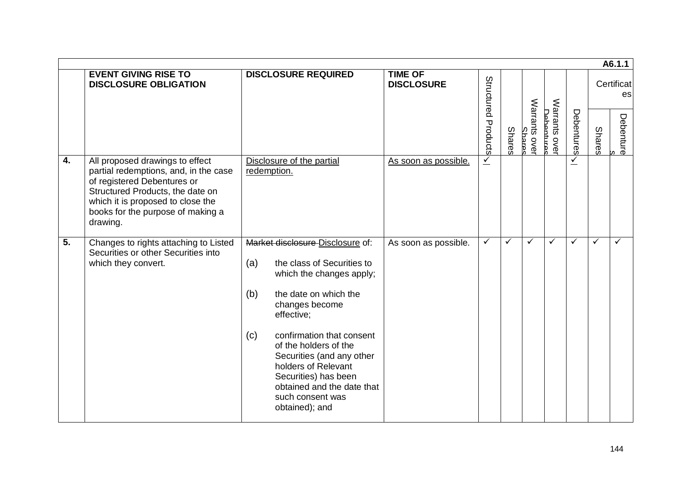|    |                                                                                                                                                                                                                                   |                                                                                                                                                                                                                                                                                                                                                                                |                                     |                     |               |                               |                           |              |               | A6.1.1           |
|----|-----------------------------------------------------------------------------------------------------------------------------------------------------------------------------------------------------------------------------------|--------------------------------------------------------------------------------------------------------------------------------------------------------------------------------------------------------------------------------------------------------------------------------------------------------------------------------------------------------------------------------|-------------------------------------|---------------------|---------------|-------------------------------|---------------------------|--------------|---------------|------------------|
|    | <b>EVENT GIVING RISE TO</b><br><b>DISCLOSURE OBLIGATION</b>                                                                                                                                                                       | <b>DISCLOSURE REQUIRED</b>                                                                                                                                                                                                                                                                                                                                                     | <b>TIME OF</b><br><b>DISCLOSURE</b> |                     |               |                               |                           |              |               | Certificat<br>es |
|    |                                                                                                                                                                                                                                   |                                                                                                                                                                                                                                                                                                                                                                                |                                     | Structured Products | <b>Shares</b> | Warrants ove<br><b>Shares</b> | Warrants ove<br>Dahantura | Debentures   | <b>Shares</b> | Debenture<br>w   |
| 4. | All proposed drawings to effect<br>partial redemptions, and, in the case<br>of registered Debentures or<br>Structured Products, the date on<br>which it is proposed to close the<br>books for the purpose of making a<br>drawing. | Disclosure of the partial<br>redemption.                                                                                                                                                                                                                                                                                                                                       | As soon as possible.                | $\leq$              |               |                               |                           | $\checkmark$ |               |                  |
| 5. | Changes to rights attaching to Listed<br>Securities or other Securities into<br>which they convert.                                                                                                                               | Market disclosure Disclosure of:<br>the class of Securities to<br>(a)<br>which the changes apply;<br>(b)<br>the date on which the<br>changes become<br>effective;<br>(c)<br>confirmation that consent<br>of the holders of the<br>Securities (and any other<br>holders of Relevant<br>Securities) has been<br>obtained and the date that<br>such consent was<br>obtained); and | As soon as possible.                | $\checkmark$        | ✓             | ✓                             | ✓                         | ✓            | ✓             | ✓                |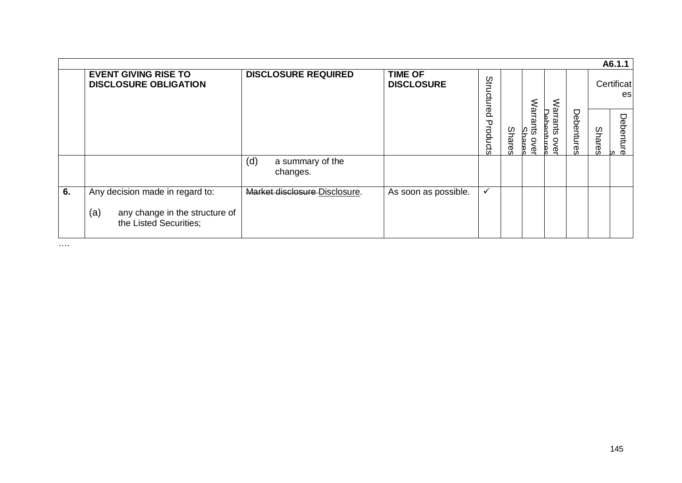|    |                                                                                                    |                                     |                                     |              |               |                          |                         |            |               | A6.1.1           |
|----|----------------------------------------------------------------------------------------------------|-------------------------------------|-------------------------------------|--------------|---------------|--------------------------|-------------------------|------------|---------------|------------------|
|    | <b>EVENT GIVING RISE TO</b><br><b>DISCLOSURE OBLIGATION</b>                                        | <b>DISCLOSURE REQUIRED</b>          | <b>TIME OF</b><br><b>DISCLOSURE</b> | Structured   |               |                          |                         |            |               | Certificat<br>es |
|    |                                                                                                    |                                     |                                     | Products     | <b>Shares</b> | Warrants<br>ŠΡ<br>ୂ<br>Φ | Warrants<br>Р<br>ႄ<br>ሟ | Debentures | <b>Shares</b> | Debenture<br>m   |
|    |                                                                                                    | (d)<br>a summary of the<br>changes. |                                     |              |               |                          |                         |            |               |                  |
| 6. | Any decision made in regard to:<br>(a)<br>any change in the structure of<br>the Listed Securities; | Market disclosure Disclosure.       | As soon as possible.                | $\checkmark$ |               |                          |                         |            |               |                  |

….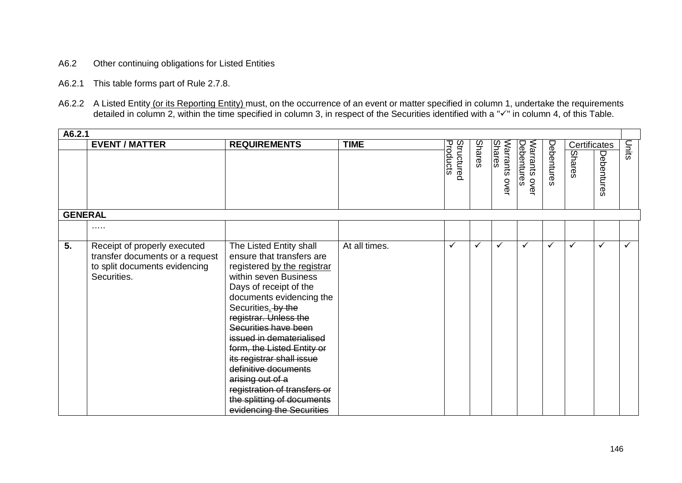- A6.2 Other continuing obligations for Listed Entities
- A6.2.1 This table forms part of Rule 2.7.8.
- A6.2.2 A Listed Entity (or its Reporting Entity) must, on the occurrence of an event or matter specified in column 1, undertake the requirements detailed in column 2, within the time specified in column 3, in respect of the Securities identified with a " $\checkmark$ " in column 4, of this Table.

| A6.2.1         |                                                                                                                 |                                                                                                                                                                                                                                                                                                                                                                                                                                                                         |               |                        |        |                                |                             |            |              |            |        |
|----------------|-----------------------------------------------------------------------------------------------------------------|-------------------------------------------------------------------------------------------------------------------------------------------------------------------------------------------------------------------------------------------------------------------------------------------------------------------------------------------------------------------------------------------------------------------------------------------------------------------------|---------------|------------------------|--------|--------------------------------|-----------------------------|------------|--------------|------------|--------|
|                | <b>EVENT / MATTER</b>                                                                                           | <b>REQUIREMENTS</b>                                                                                                                                                                                                                                                                                                                                                                                                                                                     | <b>TIME</b>   |                        |        |                                |                             |            | Certificates |            | lunits |
|                |                                                                                                                 |                                                                                                                                                                                                                                                                                                                                                                                                                                                                         |               | Products<br>Structurec | Shares | <b>Shares</b><br>Warrants over | Debentures<br>Warrants over | Debentures | Shares       | Debentures |        |
| <b>GENERAL</b> |                                                                                                                 |                                                                                                                                                                                                                                                                                                                                                                                                                                                                         |               |                        |        |                                |                             |            |              |            |        |
|                | .                                                                                                               |                                                                                                                                                                                                                                                                                                                                                                                                                                                                         |               |                        |        |                                |                             |            |              |            |        |
| 5.             | Receipt of properly executed<br>transfer documents or a request<br>to split documents evidencing<br>Securities. | The Listed Entity shall<br>ensure that transfers are<br>registered by the registrar<br>within seven Business<br>Days of receipt of the<br>documents evidencing the<br>Securities. by the<br>registrar. Unless the<br>Securities have been<br>issued in dematerialised<br>form, the Listed Entity or<br>its registrar shall issue<br>definitive documents<br>arising out of a<br>registration of transfers or<br>the splitting of documents<br>evidencing the Securities | At all times. | ✓                      | ✓      | $\checkmark$                   | ✓                           | ✓          | ✓            | ✓          | ✓      |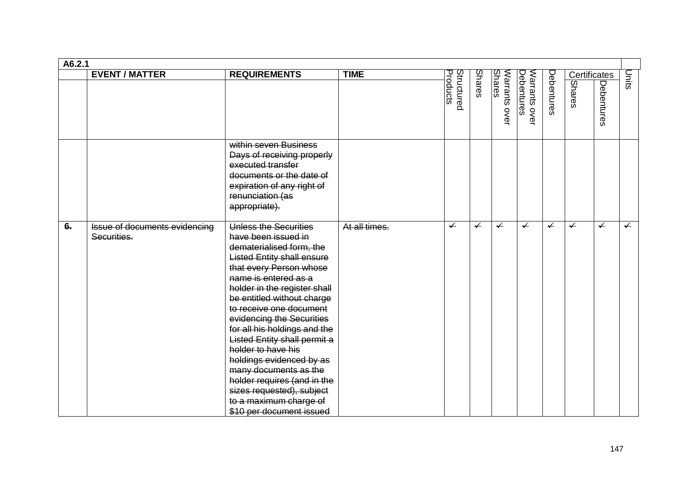| A6.2.1 |                                              |                                                                                                                                                                                                                                                                                                                                                                                                                                                                                                                                                     |               |                        |                          |                                |                             |                          |                          |                          |              |
|--------|----------------------------------------------|-----------------------------------------------------------------------------------------------------------------------------------------------------------------------------------------------------------------------------------------------------------------------------------------------------------------------------------------------------------------------------------------------------------------------------------------------------------------------------------------------------------------------------------------------------|---------------|------------------------|--------------------------|--------------------------------|-----------------------------|--------------------------|--------------------------|--------------------------|--------------|
|        | <b>EVENT / MATTER</b>                        | <b>REQUIREMENTS</b>                                                                                                                                                                                                                                                                                                                                                                                                                                                                                                                                 | <b>TIME</b>   |                        |                          |                                |                             |                          | Certificates             |                          | lunits       |
|        |                                              |                                                                                                                                                                                                                                                                                                                                                                                                                                                                                                                                                     |               | Structured<br>Products | <b>Shares</b>            | <b>Shares</b><br>Warrants over | Warrants over<br>Debentures | Debentures               | <b>Shares</b>            | Debentures               |              |
|        |                                              | within seven Business<br>Days of receiving properly<br>executed transfer<br>documents or the date of<br>expiration of any right of<br>renunciation (as<br>appropriate).                                                                                                                                                                                                                                                                                                                                                                             |               |                        |                          |                                |                             |                          |                          |                          |              |
| $6 -$  | Issue of documents evidencing<br>Securities. | Unless the Securities<br>have been issued in<br>dematerialised form, the<br><b>Listed Entity shall ensure</b><br>that every Person whose<br>name is entered as a<br>holder in the register shall<br>be entitled without charge<br>to receive one document<br>evidencing the Securities<br>for all his holdings and the<br>Listed Entity shall permit a<br>holder to have his<br>holdings evidenced by as<br>many documents as the<br>holder requires (and in the<br>sizes requested), subject<br>to a maximum charge of<br>\$10 per document issued | At all times. | $\sqrt{ }$             | $\overline{\phantom{0}}$ | $\overline{\mathcal{L}}$       | $\overline{\mathcal{L}}$    | $\overline{\mathcal{L}}$ | $\overline{\mathcal{L}}$ | $\overline{\mathcal{L}}$ | $\checkmark$ |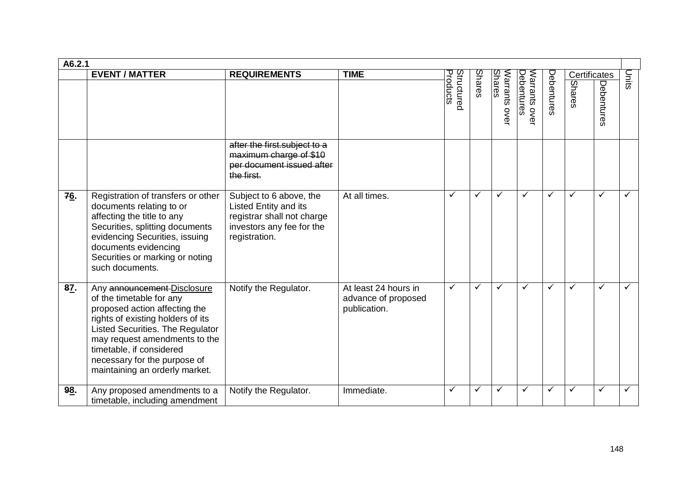| A6.2.1 |                                                                                                                                                                                                                                                                                                  |                                                                                                                              |                                                             |                        |               |                                          |                             |              |                               |              |              |
|--------|--------------------------------------------------------------------------------------------------------------------------------------------------------------------------------------------------------------------------------------------------------------------------------------------------|------------------------------------------------------------------------------------------------------------------------------|-------------------------------------------------------------|------------------------|---------------|------------------------------------------|-----------------------------|--------------|-------------------------------|--------------|--------------|
|        | <b>EVENT / MATTER</b>                                                                                                                                                                                                                                                                            | <b>REQUIREMENTS</b>                                                                                                          | <b>TIME</b>                                                 | Products<br>Structurec | <b>Shares</b> | Shares<br><b>Narrants</b><br><b>OVEI</b> | Debentures<br>Warrants over | Debentures   | Certificates<br><b>Shares</b> | Debentures   | Units        |
|        |                                                                                                                                                                                                                                                                                                  | after the first subject to a<br>maximum charge of \$10<br>per document issued after<br>the first.                            |                                                             |                        |               |                                          |                             |              |                               |              |              |
| 76.    | Registration of transfers or other<br>documents relating to or<br>affecting the title to any<br>Securities, splitting documents<br>evidencing Securities, issuing<br>documents evidencing<br>Securities or marking or noting<br>such documents.                                                  | Subject to 6 above, the<br>Listed Entity and its<br>registrar shall not charge<br>investors any fee for the<br>registration. | At all times.                                               | $\checkmark$           | ✓             | ✓                                        | $\checkmark$                | $\checkmark$ | $\checkmark$                  | ✓            | $\checkmark$ |
| 87.    | Any announcement-Disclosure<br>of the timetable for any<br>proposed action affecting the<br>rights of existing holders of its<br>Listed Securities. The Regulator<br>may request amendments to the<br>timetable, if considered<br>necessary for the purpose of<br>maintaining an orderly market. | Notify the Regulator.                                                                                                        | At least 24 hours in<br>advance of proposed<br>publication. | $\checkmark$           | ✓             | ✓                                        | $\checkmark$                | ✓            | $\checkmark$                  | $\checkmark$ | $\checkmark$ |
| 98.    | Any proposed amendments to a<br>timetable, including amendment                                                                                                                                                                                                                                   | Notify the Regulator.                                                                                                        | Immediate.                                                  | $\checkmark$           | ✓             | ✓                                        | $\checkmark$                | ✓            | ✓                             | ✓            | $\checkmark$ |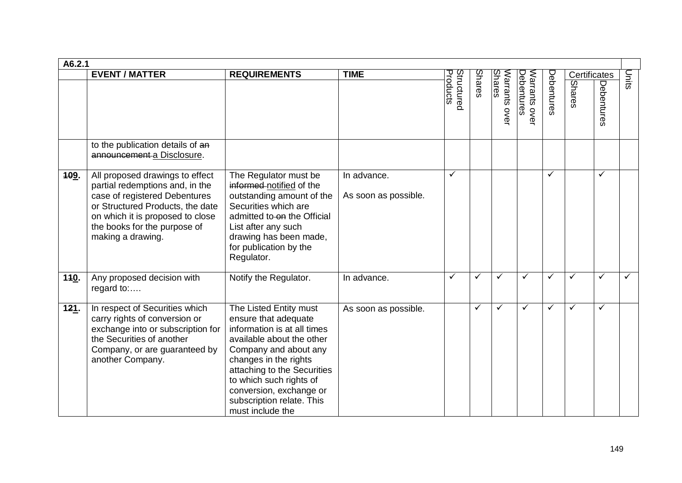| A6.2.1 |                                                                                                                                                                                                                                                                |                                                                                                                                                                                                                                                                                                    |                                     |                        |              |                                |                             |            |                        |              |       |
|--------|----------------------------------------------------------------------------------------------------------------------------------------------------------------------------------------------------------------------------------------------------------------|----------------------------------------------------------------------------------------------------------------------------------------------------------------------------------------------------------------------------------------------------------------------------------------------------|-------------------------------------|------------------------|--------------|--------------------------------|-----------------------------|------------|------------------------|--------------|-------|
|        | <b>EVENT / MATTER</b><br>to the publication details of an                                                                                                                                                                                                      | <b>REQUIREMENTS</b>                                                                                                                                                                                                                                                                                | <b>TIME</b>                         | Products<br>Structurec | Shares       | <b>Shares</b><br>Narrants over | Warrants over<br>Debentures | Debentures | Certificates<br>Shares | Debentures   | Units |
| 109.   | announcement a Disclosure.<br>All proposed drawings to effect<br>partial redemptions and, in the<br>case of registered Debentures<br>or Structured Products, the date<br>on which it is proposed to close<br>the books for the purpose of<br>making a drawing. | The Regulator must be<br>informed notified of the<br>outstanding amount of the<br>Securities which are<br>admitted to on the Official<br>List after any such<br>drawing has been made,<br>for publication by the<br>Regulator.                                                                     | In advance.<br>As soon as possible. | $\checkmark$           |              |                                |                             | ✓          |                        | $\checkmark$ |       |
| 110.   | Any proposed decision with<br>regard to:                                                                                                                                                                                                                       | Notify the Regulator.                                                                                                                                                                                                                                                                              | In advance.                         | $\checkmark$           | $\checkmark$ | ✓                              | ✓                           | ✓          | ✓                      | ✓            | ✓     |
| 121.   | In respect of Securities which<br>carry rights of conversion or<br>exchange into or subscription for<br>the Securities of another<br>Company, or are guaranteed by<br>another Company.                                                                         | The Listed Entity must<br>ensure that adequate<br>information is at all times<br>available about the other<br>Company and about any<br>changes in the rights<br>attaching to the Securities<br>to which such rights of<br>conversion, exchange or<br>subscription relate. This<br>must include the | As soon as possible.                |                        | ✓            | ✓                              | ✓                           | ✓          | ✓                      | ✓            |       |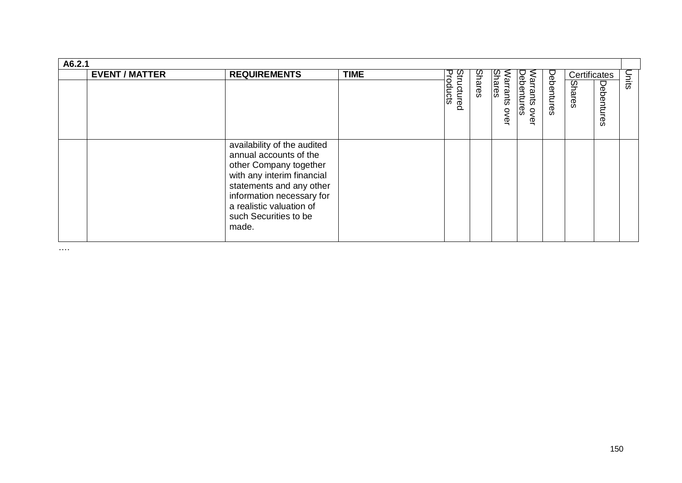| A6.2.1 |                       |                                                                                                                                                                                                                                      |             |                               |               |                                   |                                       |            |                        |            |       |
|--------|-----------------------|--------------------------------------------------------------------------------------------------------------------------------------------------------------------------------------------------------------------------------------|-------------|-------------------------------|---------------|-----------------------------------|---------------------------------------|------------|------------------------|------------|-------|
|        | <b>EVENT / MATTER</b> | <b>REQUIREMENTS</b>                                                                                                                                                                                                                  | <b>TIME</b> | <b>Structured</b><br>Products | <b>Shares</b> | <b>Shares</b><br>Varrants<br>over | Debentures<br>Narrants<br><b>OVEL</b> | Debentures | Certificates<br>Shares | Debentures | Units |
|        |                       | availability of the audited<br>annual accounts of the<br>other Company together<br>with any interim financial<br>statements and any other<br>information necessary for<br>a realistic valuation of<br>such Securities to be<br>made. |             |                               |               |                                   |                                       |            |                        |            |       |

….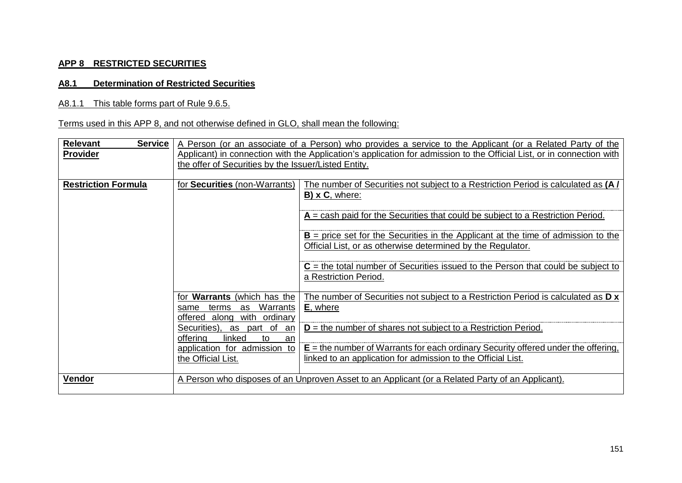## **APP 8 RESTRICTED SECURITIES**

## **A8.1 Determination of Restricted Securities**

## A8.1.1 This table forms part of Rule 9.6.5.

## Terms used in this APP 8, and not otherwise defined in GLO, shall mean the following:

| <b>Relevant</b><br><b>Service</b> |                                                                       | A Person (or an associate of a Person) who provides a service to the Applicant (or a Related Party of the             |
|-----------------------------------|-----------------------------------------------------------------------|-----------------------------------------------------------------------------------------------------------------------|
| <b>Provider</b>                   |                                                                       | Applicant) in connection with the Application's application for admission to the Official List, or in connection with |
|                                   | the offer of Securities by the Issuer/Listed Entity.                  |                                                                                                                       |
|                                   |                                                                       |                                                                                                                       |
| <b>Restriction Formula</b>        | for <b>Securities</b> (non-Warrants)                                  | The number of Securities not subject to a Restriction Period is calculated as (A/                                     |
|                                   |                                                                       | $B)$ x C, where:                                                                                                      |
|                                   |                                                                       | $A =$ cash paid for the Securities that could be subject to a Restriction Period.                                     |
|                                   |                                                                       | $B =$ price set for the Securities in the Applicant at the time of admission to the                                   |
|                                   |                                                                       | Official List, or as otherwise determined by the Regulator.                                                           |
|                                   |                                                                       | $C$ = the total number of Securities issued to the Person that could be subject to                                    |
|                                   |                                                                       | a Restriction Period.                                                                                                 |
|                                   | <b>Warrants</b> (which has the<br>for                                 | The number of Securities not subject to a Restriction Period is calculated as $D \times$                              |
|                                   | Warrants<br>terms<br>as<br>same                                       | <b>E</b> , where                                                                                                      |
|                                   | with ordinary<br>offered along<br>Securities),<br>part of<br>as<br>an | $D =$ the number of shares not subject to a Restriction Period.                                                       |
|                                   | linked<br>offering<br>to<br>an                                        |                                                                                                                       |
|                                   | application for admission to                                          | $E =$ the number of Warrants for each ordinary Security offered under the offering,                                   |
|                                   | the Official List.                                                    | linked to an application for admission to the Official List.                                                          |
|                                   |                                                                       |                                                                                                                       |
| <b>Vendor</b>                     |                                                                       | A Person who disposes of an Unproven Asset to an Applicant (or a Related Party of an Applicant).                      |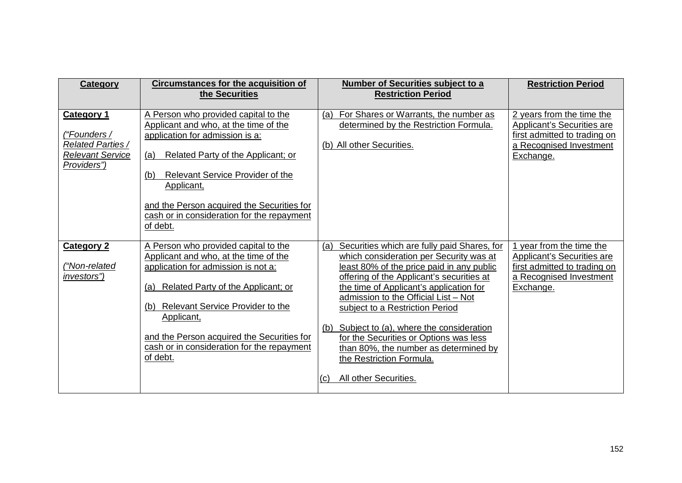| <b>Category</b>                                                                           | <b>Circumstances for the acquisition of</b><br>the Securities                                                                                                                                                                                                                                                                             | Number of Securities subject to a<br><b>Restriction Period</b>                                                                                                                                                                                                                                                                                                                                                                                                                                                 | <b>Restriction Period</b>                                                                                                       |
|-------------------------------------------------------------------------------------------|-------------------------------------------------------------------------------------------------------------------------------------------------------------------------------------------------------------------------------------------------------------------------------------------------------------------------------------------|----------------------------------------------------------------------------------------------------------------------------------------------------------------------------------------------------------------------------------------------------------------------------------------------------------------------------------------------------------------------------------------------------------------------------------------------------------------------------------------------------------------|---------------------------------------------------------------------------------------------------------------------------------|
| <b>Category 1</b><br>("Founders /<br>Related Parties /<br>Relevant Service<br>Providers") | A Person who provided capital to the<br>Applicant and who, at the time of the<br>application for admission is a:<br>Related Party of the Applicant; or<br>(a)<br><b>Relevant Service Provider of the</b><br>(b)<br>Applicant,<br>and the Person acquired the Securities for<br>cash or in consideration for the repayment<br>of debt.     | For Shares or Warrants, the number as<br>(a)<br>determined by the Restriction Formula.<br>(b) All other Securities.                                                                                                                                                                                                                                                                                                                                                                                            | 2 years from the time the<br>Applicant's Securities are<br>first admitted to trading on<br>a Recognised Investment<br>Exchange. |
| <b>Category 2</b><br>("Non-related<br>investors")                                         | A Person who provided capital to the<br>Applicant and who, at the time of the<br>application for admission is not a:<br>Related Party of the Applicant; or<br>(a)<br><b>Relevant Service Provider to the</b><br>(b)<br>Applicant,<br>and the Person acquired the Securities for<br>cash or in consideration for the repayment<br>of debt. | Securities which are fully paid Shares, for<br>(a)<br>which consideration per Security was at<br>least 80% of the price paid in any public<br>offering of the Applicant's securities at<br>the time of Applicant's application for<br>admission to the Official List - Not<br>subject to a Restriction Period<br>Subject to (a), where the consideration<br>(b)<br>for the Securities or Options was less<br>than 80%, the number as determined by<br>the Restriction Formula.<br>All other Securities.<br>(C) | 1 year from the time the<br>Applicant's Securities are<br>first admitted to trading on<br>a Recognised Investment<br>Exchange.  |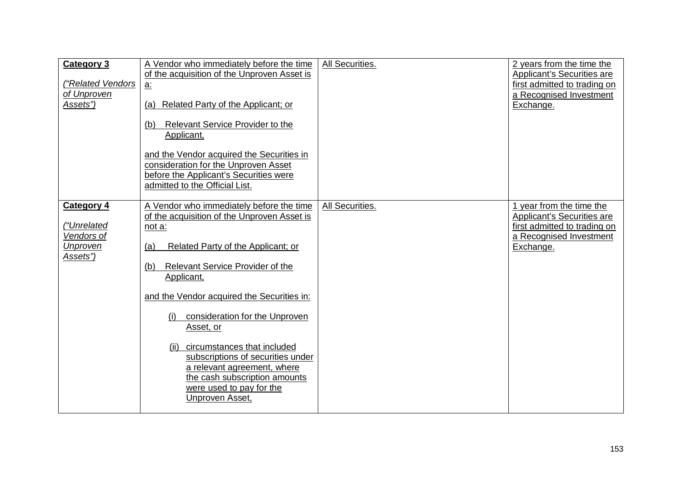| <b>Category 3</b><br>("Related Vendors<br>of Unproven<br><u>Assets")</u> | A Vendor who immediately before the time<br>of the acquisition of the Unproven Asset is<br><u>a:</u><br>Related Party of the Applicant; or<br>(a)<br>Relevant Service Provider to the<br>(b)<br>Applicant,<br>and the Vendor acquired the Securities in<br>consideration for the Unproven Asset<br>before the Applicant's Securities were<br>admitted to the Official List.                                                                                                                            | All Securities. | 2 years from the time the<br>Applicant's Securities are<br>first admitted to trading on<br>a Recognised Investment<br>Exchange.       |
|--------------------------------------------------------------------------|--------------------------------------------------------------------------------------------------------------------------------------------------------------------------------------------------------------------------------------------------------------------------------------------------------------------------------------------------------------------------------------------------------------------------------------------------------------------------------------------------------|-----------------|---------------------------------------------------------------------------------------------------------------------------------------|
| <b>Category 4</b><br>("Unrelated<br>Vendors of<br>Unproven<br>Assets")   | A Vendor who immediately before the time<br>of the acquisition of the Unproven Asset is<br>not a:<br>Related Party of the Applicant; or<br>(a)<br>Relevant Service Provider of the<br>(b)<br>Applicant,<br>and the Vendor acquired the Securities in:<br>consideration for the Unproven<br>(i)<br>Asset, or<br>circumstances that included<br>(ii)<br>subscriptions of securities under<br>a relevant agreement, where<br>the cash subscription amounts<br>were used to pay for the<br>Unproven Asset, | All Securities. | 1 year from the time the<br><b>Applicant's Securities are</b><br>first admitted to trading on<br>a Recognised Investment<br>Exchange. |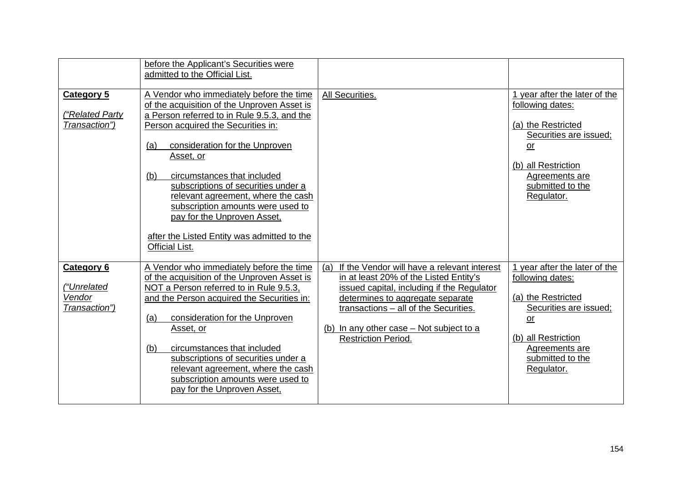|                                                             | before the Applicant's Securities were<br>admitted to the Official List.                                                                                                                                                                                                                                                                                                                                                                                                                          |                                                                                                                                                                                                                                                                                                   |                                                                                                                                                                                    |
|-------------------------------------------------------------|---------------------------------------------------------------------------------------------------------------------------------------------------------------------------------------------------------------------------------------------------------------------------------------------------------------------------------------------------------------------------------------------------------------------------------------------------------------------------------------------------|---------------------------------------------------------------------------------------------------------------------------------------------------------------------------------------------------------------------------------------------------------------------------------------------------|------------------------------------------------------------------------------------------------------------------------------------------------------------------------------------|
| <b>Category 5</b><br>"Related Party<br>Transaction")        | A Vendor who immediately before the time<br>of the acquisition of the Unproven Asset is<br>a Person referred to in Rule 9.5.3, and the<br>Person acquired the Securities in:<br>(a)<br>consideration for the Unproven<br>Asset, or<br>(b)<br>circumstances that included<br>subscriptions of securities under a<br>relevant agreement, where the cash<br>subscription amounts were used to<br>pay for the Unproven Asset,<br>after the Listed Entity was admitted to the<br><b>Official List.</b> | All Securities.                                                                                                                                                                                                                                                                                   | 1 year after the later of the<br>following dates:<br>(a) the Restricted<br>Securities are issued;<br>or<br>(b) all Restriction<br>Agreements are<br>submitted to the<br>Regulator. |
| <b>Category 6</b><br>("Unrelated<br>Vendor<br>Transaction") | A Vendor who immediately before the time<br>of the acquisition of the Unproven Asset is<br>NOT a Person referred to in Rule 9.5.3,<br>and the Person acquired the Securities in:<br>consideration for the Unproven<br>(a)<br>Asset, or<br>(b)<br>circumstances that included<br>subscriptions of securities under a<br>relevant agreement, where the cash<br>subscription amounts were used to<br>pay for the Unproven Asset,                                                                     | If the Vendor will have a relevant interest<br>(a)<br>in at least 20% of the Listed Entity's<br>issued capital, including if the Regulator<br>determines to aggregate separate<br>transactions - all of the Securities.<br>(b) In any other case – Not subject to a<br><b>Restriction Period.</b> | 1 year after the later of the<br>following dates:<br>(a) the Restricted<br>Securities are issued;<br>or<br>(b) all Restriction<br>Agreements are<br>submitted to the<br>Regulator. |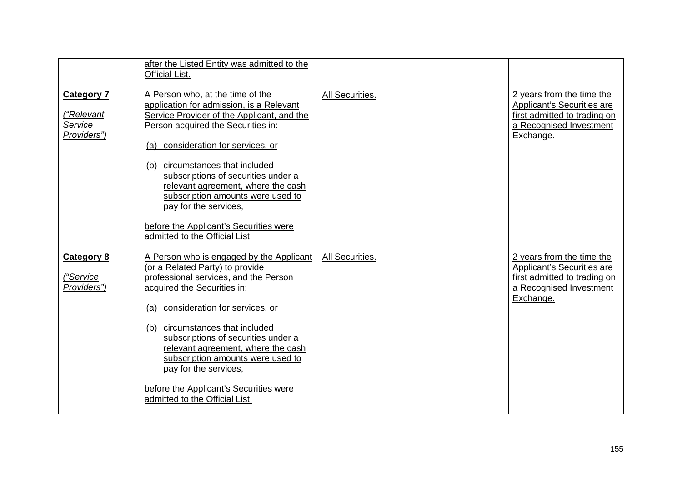|                                                           | after the Listed Entity was admitted to the<br><b>Official List.</b>                                                                                                                                                                                                                                                                                                                                                                                                   |                 |                                                                                                                                 |
|-----------------------------------------------------------|------------------------------------------------------------------------------------------------------------------------------------------------------------------------------------------------------------------------------------------------------------------------------------------------------------------------------------------------------------------------------------------------------------------------------------------------------------------------|-----------------|---------------------------------------------------------------------------------------------------------------------------------|
| <b>Category 7</b><br>("Relevant<br>Service<br>Providers") | A Person who, at the time of the<br>application for admission, is a Relevant<br>Service Provider of the Applicant, and the<br>Person acquired the Securities in:<br>consideration for services, or<br>(a)<br>circumstances that included<br>(b)<br>subscriptions of securities under a<br>relevant agreement, where the cash<br>subscription amounts were used to<br>pay for the services,<br>before the Applicant's Securities were<br>admitted to the Official List. | All Securities. | 2 years from the time the<br>Applicant's Securities are<br>first admitted to trading on<br>a Recognised Investment<br>Exchange. |
| <b>Category 8</b><br>("Service<br>Providers")             | A Person who is engaged by the Applicant<br>(or a Related Party) to provide<br>professional services, and the Person<br>acquired the Securities in:<br>consideration for services, or<br>(a)<br>circumstances that included<br>(b)<br>subscriptions of securities under a<br>relevant agreement, where the cash<br>subscription amounts were used to<br>pay for the services,<br>before the Applicant's Securities were<br>admitted to the Official List.              | All Securities. | 2 years from the time the<br>Applicant's Securities are<br>first admitted to trading on<br>a Recognised Investment<br>Exchange. |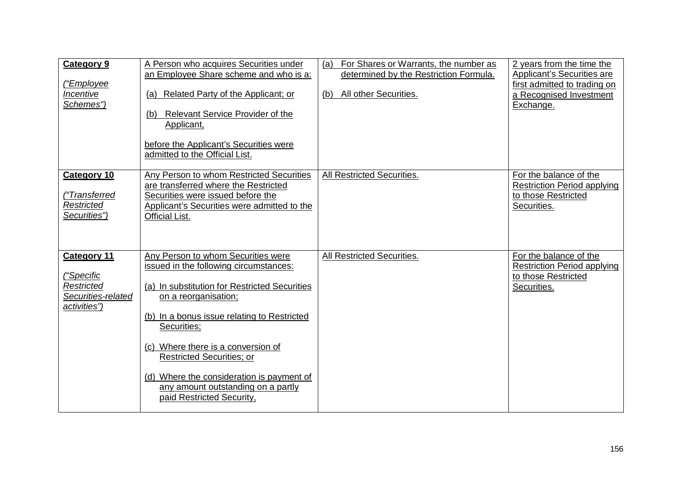| <b>Category 9</b><br>("Employee<br>Incentive<br>Schemes")                                   | A Person who acquires Securities under<br>an Employee Share scheme and who is a:<br>Related Party of the Applicant; or<br>(a)<br><b>Relevant Service Provider of the</b><br>(b)<br>Applicant,<br>before the Applicant's Securities were<br>admitted to the Official List.                                                                                                                                     | For Shares or Warrants, the number as<br>(a)<br>determined by the Restriction Formula.<br>All other Securities.<br>(b) | 2 years from the time the<br>Applicant's Securities are<br>first admitted to trading on<br>a Recognised Investment<br>Exchange. |
|---------------------------------------------------------------------------------------------|---------------------------------------------------------------------------------------------------------------------------------------------------------------------------------------------------------------------------------------------------------------------------------------------------------------------------------------------------------------------------------------------------------------|------------------------------------------------------------------------------------------------------------------------|---------------------------------------------------------------------------------------------------------------------------------|
| <b>Category 10</b><br>("Transferred<br>Restricted<br>Securities")                           | Any Person to whom Restricted Securities<br>are transferred where the Restricted<br>Securities were issued before the<br>Applicant's Securities were admitted to the<br>Official List.                                                                                                                                                                                                                        | All Restricted Securities.                                                                                             | For the balance of the<br><b>Restriction Period applying</b><br>to those Restricted<br>Securities.                              |
| <b>Category 11</b><br><u>("Specific</u><br>Restricted<br>Securities-related<br>activities") | Any Person to whom Securities were<br>issued in the following circumstances:<br>(a) In substitution for Restricted Securities<br>on a reorganisation;<br>(b) In a bonus issue relating to Restricted<br>Securities;<br>(c) Where there is a conversion of<br><b>Restricted Securities; or</b><br>(d) Where the consideration is payment of<br>any amount outstanding on a partly<br>paid Restricted Security, | All Restricted Securities.                                                                                             | For the balance of the<br><b>Restriction Period applying</b><br>to those Restricted<br>Securities.                              |